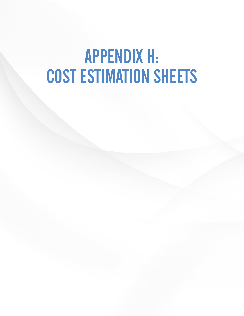# APPENDIX H: COST ESTIMATION SHEETS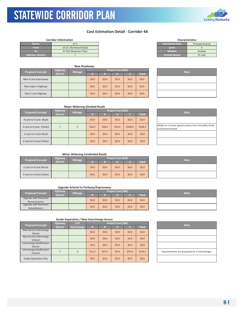### **Cost Estimation Detail ‐ Corridor 4A**

|                         | <b>Corridor Information</b> |                         | <b>Characteristics</b> |
|-------------------------|-----------------------------|-------------------------|------------------------|
| <b>Route</b>            | KY <sub>4</sub>             | <b>Functional Class</b> | Principal Arterial     |
| <b>From</b>             | US 25 (Richmond Road)       | Lanes                   |                        |
| 10.                     | KY 922 (Newtown Pike)       | <b>Median</b>           | <b>Divided</b>         |
| <b>Highway District</b> |                             | <b>Posted Speed</b>     | 55 mph                 |

KYTC Statewide Corridor Plan

|  |                         |                 | <b>New Roadways</b> |         |         |                    |         |              |  |             |
|--|-------------------------|-----------------|---------------------|---------|---------|--------------------|---------|--------------|--|-------------|
|  |                         | <b>Highway</b>  |                     |         |         | Project Cost (\$M) |         |              |  |             |
|  | <b>Proposed Concept</b> | <b>District</b> | <b>Mileage</b>      | D       | R       |                    |         | <b>Total</b> |  | <b>Note</b> |
|  | New 4 Lane Expressway   |                 |                     | \$0.0\$ | \$0.0\$ | \$0.0              | \$0.0\$ | \$0.0\$      |  |             |
|  | New Super 2 Highway     |                 |                     | \$0.0\$ | \$0.0   | \$0.0              | \$0.0\$ | \$0.0\$      |  |             |
|  | New 2 Lane Highway      |                 |                     | \$0.0\$ | \$0.0   | \$0.0              | \$0.0\$ | \$0.0\$      |  |             |

| Functional Class    | Principal Arterial |
|---------------------|--------------------|
| Lanes               |                    |
| <b>Median</b>       | <b>Divided</b>     |
| <b>Posted Speed</b> | 55 mph             |
|                     |                    |
|                     |                    |

**Characteristics**

| <b>Note</b> |
|-------------|
|             |
|             |
|             |

|                          | <b>Major Widening (Divided Road)</b> |                |         |         |                           |         |              |  |                                                        |  |  |  |  |  |
|--------------------------|--------------------------------------|----------------|---------|---------|---------------------------|---------|--------------|--|--------------------------------------------------------|--|--|--|--|--|
| <b>Proposed Concept</b>  | <b>Highway</b>                       | <b>Mileage</b> |         |         | <b>Project Cost (\$M)</b> |         | <b>Note</b>  |  |                                                        |  |  |  |  |  |
|                          | <b>District</b>                      |                |         |         |                           |         | <b>Total</b> |  |                                                        |  |  |  |  |  |
| 4 Lane to 6 Lane (Rual)  |                                      |                | \$0.0\$ | \$0.0\$ | \$0.0\$                   | \$0.0\$ | \$0.0        |  |                                                        |  |  |  |  |  |
| 4 Lane to 6 Lane (Urban) |                                      | 9              | \$16.2  | \$58.5  | \$13.5                    | \$108.0 | \$196.2      |  | Widen to a 6-lane typical section<br>to Richmond Road. |  |  |  |  |  |
| 2 Lane to 4 Lane (Rual)  |                                      |                | \$0.0\$ | \$0.0\$ | \$0.0\$                   | \$0.0   | \$0.0\$      |  |                                                        |  |  |  |  |  |
| 2 Lane to 4 Lane (Urban) |                                      |                | \$0.0\$ | \$0.0\$ | \$0.0                     | \$0.0\$ | \$0.0        |  |                                                        |  |  |  |  |  |

# Widen t to Richn

### **Minor Widening (Undivided Road)**

| <b>Proposed Concept</b>  | <b>Highway</b><br><b>Mileage</b> |  |         | Project Cost (\$M) | <b>Note</b> |       |              |  |
|--------------------------|----------------------------------|--|---------|--------------------|-------------|-------|--------------|--|
|                          | <b>District</b>                  |  |         |                    |             |       | <b>Total</b> |  |
| 2 Lane to 4 Lane (Rural) |                                  |  | \$0.0\$ | \$0.0\$            | \$0.0\$     | \$0.0 | \$0.0\$      |  |
| 2 Lane to 4 Lane (Urban) |                                  |  | \$0.0   | \$0.0\$            | \$0.0\$     | \$0.0 | \$0.0\$      |  |

### **Upgrade Arterial to Parkway/Expressway**

| <b>Proposed Concept</b>                 | <b>Highway</b>  | <b>Mileage</b> |         |         | <b>Project Cost (\$M)</b> | <b>Note</b> |         |  |
|-----------------------------------------|-----------------|----------------|---------|---------|---------------------------|-------------|---------|--|
|                                         | <b>District</b> |                |         |         |                           |             | Total   |  |
| Upgrade with Pavement<br>Reconstruction |                 |                | \$0.0\$ | \$0.0\$ | \$0.0\$                   | \$0.0\$     | \$0.0\$ |  |
| Upgrade with Pavement<br>Rehabilitation |                 |                | \$0.0\$ | \$0.0\$ | \$0.0\$                   | \$0.0\$     | \$0.0\$ |  |

| <b>Proposed Concept</b>         | Highway         | # of        |         | Project Cost (\$M) |         |         |              |  | <b>Note</b>              |  |
|---------------------------------|-----------------|-------------|---------|--------------------|---------|---------|--------------|--|--------------------------|--|
|                                 | <b>District</b> | Interchange | D       | R                  |         |         | <b>Total</b> |  |                          |  |
| New Service Interchange         |                 |             |         |                    |         |         |              |  |                          |  |
| (Rural)                         |                 |             | \$0.0\$ | \$0.0              | \$0.0\$ | \$0.0\$ | \$0.0\$      |  |                          |  |
| New Service Interchange         |                 |             |         |                    |         |         |              |  |                          |  |
| (Urban)                         |                 |             | \$0.0\$ | \$0.0              | \$0.0\$ | \$0.0\$ | \$0.0\$      |  |                          |  |
| Interchange Modification        |                 |             | \$0.0\$ | \$0.0              | \$0.0\$ | \$0.0\$ | \$0.0\$      |  |                          |  |
| (Rural)                         |                 |             |         |                    |         |         |              |  |                          |  |
| <b>Interchange Modification</b> |                 |             |         |                    |         |         |              |  |                          |  |
| (Urban)                         |                 | 3           | \$11.3  | \$37.5             | \$9.4   | \$75.0  | \$133.1      |  | Improvements are propose |  |
|                                 |                 |             |         |                    |         |         |              |  |                          |  |
| Grade Separation Only           |                 |             | \$0.0\$ | \$0.0              | \$0.0\$ | \$0.0\$ | \$0.0\$      |  |                          |  |

| <b>Note</b>                                   |
|-----------------------------------------------|
|                                               |
|                                               |
|                                               |
| Improvements are proposed for 3 interchanges. |
|                                               |



| o a 6-lane typical section from Versailles Road |  |
|-------------------------------------------------|--|
| ond Road.                                       |  |
|                                                 |  |
|                                                 |  |
|                                                 |  |
|                                                 |  |
|                                                 |  |
|                                                 |  |
|                                                 |  |
|                                                 |  |

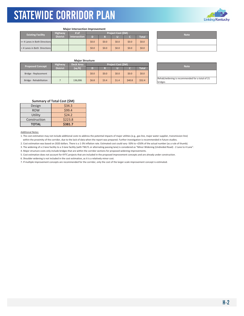

#### **Major Intersection Improvement**

| <b>Existing Facility</b>      | <b>Highway</b>  | # of         |         |         | <b>Project Cost (SM)</b> |         |              |  | <b>Note</b> |
|-------------------------------|-----------------|--------------|---------|---------|--------------------------|---------|--------------|--|-------------|
|                               | <b>District</b> | Intersection | D.      |         |                          |         | <b>Total</b> |  |             |
| >= 4 Lanes in Both Directions |                 |              | \$0.0\$ | \$0.0\$ | \$0.0\$                  | \$0.0\$ | \$0.0\$      |  |             |
| <4 Lanes in Both Directions   |                 |              | \$0.0\$ | \$0.0\$ | \$0.0\$                  | \$0.0\$ | \$0.0\$      |  |             |

| <b>Note</b> |
|-------------|
|             |
|             |

### **Major Structure**

| <b>Proposed Concept</b> | Project Cost (\$M) |         |         |         |       |        | <b>Note</b> |  |                                        |
|-------------------------|--------------------|---------|---------|---------|-------|--------|-------------|--|----------------------------------------|
|                         | <b>District</b>    | (sq ft) |         |         |       |        | Total       |  |                                        |
| Bridge - Replacement    |                    |         | \$0.0\$ | \$0.0\$ | \$0.0 | \$0.0  | \$0.0\$     |  |                                        |
| Bridge - Rehabilitation |                    | 136,006 | \$6.8\$ | \$3.4\$ | \$1.4 | \$40.8 | \$52.4\$    |  | Rehab/widening is recommend<br>bridges |

| <b>Note</b>                                     |  |
|-------------------------------------------------|--|
|                                                 |  |
| Rehab/widening is recommended for a total of 21 |  |
| bridges                                         |  |

### **Summary of Total Cost (\$M)**

| Design       | \$34.3  |
|--------------|---------|
| <b>ROW</b>   | \$99.4  |
| Utility      | \$24.2  |
| Construction | \$223.8 |
| <b>TOTAL</b> | \$381.7 |

#### Additional Notes:

1. The cost estimation may not include additional costs to address the potential impacts of major utilities (e.g., gas line, major water supplier, transmission line) within the proximity of the corridor, due to the lack of data when the report was prepared. Further investigation is recommended in future studies.

2. Cost estimation was based on 2020 dollars. There is a 1‐3% inflation rate. Estimated cost could vary ‐50% to +250% of the actual number (as a rule of thumb).

3. The widening of a 2‐lane facility to a 3‐lane facility (with TWLTL or alternating passing lane) is considered as "Minor Widening (Undivided Road) ‐ 2 Lane to 4 Lane".

4. Major structure costs only include bridges that are within the corridor sections for proposed widening improvements.

5. Cost estimation does not account for KYTC projects that are included in the proposed improvement concepts and are already under construction.

6. Shoulder widening is not included in the cost estimation, as it is a relatively minor cost.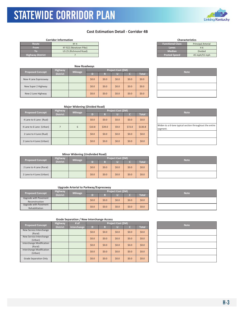### **Cost Estimation Detail ‐ Corridor 4B**

| <b>Functional Class</b><br>Route<br><b>Principal Arterial</b><br>KY 4<br><b>From</b><br>KY 922 (Newtown Pike)<br>Lanes<br>$4 - 6$<br><b>Median</b><br>US 25 (Richmond Road)<br><b>Divided</b><br><b>Posted Speed</b><br><b>Highway District</b><br>45 mph/55 mph | <b>Corridor Information</b> |  |  |
|------------------------------------------------------------------------------------------------------------------------------------------------------------------------------------------------------------------------------------------------------------------|-----------------------------|--|--|
|                                                                                                                                                                                                                                                                  |                             |  |  |
|                                                                                                                                                                                                                                                                  |                             |  |  |
|                                                                                                                                                                                                                                                                  |                             |  |  |
|                                                                                                                                                                                                                                                                  |                             |  |  |

KYTC Statewide Corridor Plan

| <b>New Roadways</b>     |                 |                |                    |         |         |         |              |  |  |             |  |
|-------------------------|-----------------|----------------|--------------------|---------|---------|---------|--------------|--|--|-------------|--|
| <b>Proposed Concept</b> | <b>Highway</b>  |                | Project Cost (\$M) |         |         |         |              |  |  |             |  |
|                         | <b>District</b> | <b>Mileage</b> | D)                 | R       |         |         | <b>Total</b> |  |  | <b>Note</b> |  |
| New 4 Lane Expressway   |                 |                | \$0.0\$            | \$0.0\$ | \$0.0\$ | \$0.0\$ | \$0.0\$      |  |  |             |  |
| New Super 2 Highway     |                 |                | \$0.0\$            | \$0.0   | \$0.0   | \$0.0\$ | \$0.0\$      |  |  |             |  |
| New 2 Lane Highway      |                 |                | \$0.0\$            | \$0.0   | \$0.0   | \$0.0\$ | \$0.0\$      |  |  |             |  |

|                     | <b>I</b> IIIIUIUU ALLEIIUI |
|---------------------|----------------------------|
| Lanes               | $4 - 6$                    |
| <b>Median</b>       | <b>Divided</b>             |
| <b>Posted Speed</b> | 45 mph/55 mph              |
|                     |                            |
|                     |                            |

**Characteristics**

| <b>Note</b> |
|-------------|
|             |
|             |
|             |

| <b>Major Widening (Divided Road)</b> |                 |                |          |                    |         |         |              |  |                                               |
|--------------------------------------|-----------------|----------------|----------|--------------------|---------|---------|--------------|--|-----------------------------------------------|
| <b>Proposed Concept</b>              | <b>Highway</b>  | <b>Mileage</b> |          | Project Cost (\$M) |         |         |              |  | <b>Note</b>                                   |
|                                      | <b>District</b> |                |          | R                  |         |         | <b>Total</b> |  |                                               |
| 4 Lane to 6 Lane (Rual)              |                 |                | \$0.0\$  | \$0.0              | \$0.0\$ | \$0.0\$ | \$0.0\$      |  |                                               |
| 4 Lane to 6 Lane (Urban)             |                 | 6              | \$10.8\$ | \$39.0             | \$9.0   | \$72.0  | \$130.8      |  | Widen to a 6-lane typical section<br>segment. |
| 2 Lane to 4 Lane (Rual)              |                 |                | \$0.0\$  | \$0.0              | \$0.0\$ | \$0.0\$ | \$0.0\$      |  |                                               |
| 2 Lane to 4 Lane (Urban)             |                 |                | \$0.0\$  | \$0.0              | \$0.0\$ | \$0.0\$ | \$0.0\$      |  |                                               |

| <b>Note</b>                                                         |
|---------------------------------------------------------------------|
|                                                                     |
| Widen to a 6-lane typical section throughout the entire<br>segment. |
|                                                                     |
|                                                                     |

### **Minor Widening (Undivided Road)**

| <b>Proposed Concept</b>  | <b>Highway</b><br><b>District</b> | <b>Mileage</b> | <b>Project Cost (\$M)</b> |         |         |         |              |  | <b>Note</b> |
|--------------------------|-----------------------------------|----------------|---------------------------|---------|---------|---------|--------------|--|-------------|
|                          |                                   |                |                           |         |         |         | <b>Total</b> |  |             |
| 2 Lane to 4 Lane (Rural) |                                   |                | \$0.0\$                   | \$0.0\$ | \$0.0\$ | \$0.0   | \$0.0\$      |  |             |
| 2 Lane to 4 Lane (Urban) |                                   |                | \$0.0                     | \$0.0\$ | \$0.0   | \$0.0\$ | \$0.0\$      |  |             |

### **Upgrade Arterial to Parkway/Expressway**

| <b>Proposed Concept</b>                 | <b>Highway</b>  | <b>Mileage</b> |         |      | <b>Project Cost (\$M)</b> | <b>Note</b> |         |  |
|-----------------------------------------|-----------------|----------------|---------|------|---------------------------|-------------|---------|--|
|                                         | <b>District</b> |                |         |      |                           |             | Total   |  |
| Upgrade with Pavement<br>Reconstruction |                 |                | \$0.0\$ | 50.0 | \$0.0\$                   | \$0.0\$     | \$0.0\$ |  |
| Upgrade with Pavement<br>Rehabilitation |                 |                | \$0.0\$ | 50.0 | \$0.0\$                   | \$0.0\$     | \$0.0\$ |  |

| <b>Proposed Concept</b>                    | <b>Highway</b>  | # of        | Project Cost (\$M) |         |         |         |         |  |  |  | <b>Note</b> |
|--------------------------------------------|-----------------|-------------|--------------------|---------|---------|---------|---------|--|--|--|-------------|
|                                            | <b>District</b> | Interchange | D                  | R       |         | c       | Total   |  |  |  |             |
| New Service Interchange<br>(Rural)         |                 |             | \$0.0\$            | \$0.0\$ | \$0.0\$ | \$0.0\$ | \$0.0\$ |  |  |  |             |
| New Service Interchange<br>(Urban)         |                 |             | \$0.0\$            | \$0.0\$ | \$0.0\$ | \$0.0\$ | \$0.0\$ |  |  |  |             |
| Interchange Modification<br>(Rural)        |                 |             | \$0.0\$            | \$0.0\$ | \$0.0\$ | \$0.0\$ | \$0.0\$ |  |  |  |             |
| <b>Interchange Modification</b><br>(Urban) |                 |             | \$0.0\$            | \$0.0\$ | \$0.0   | \$0.0\$ | \$0.0\$ |  |  |  |             |
| <b>Grade Separation Only</b>               |                 |             | \$0.0\$            | \$0.0\$ | \$0.0\$ | \$0.0\$ | \$0.0\$ |  |  |  |             |

| <b>Note</b> |
|-------------|
|             |
|             |
|             |
|             |
|             |





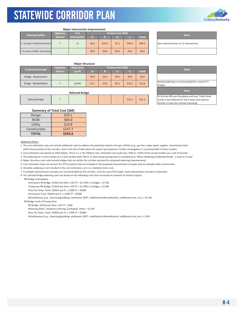

| <b>Niajor intersection improvement</b> |                 |                              |       |         |       |        |              |  |
|----------------------------------------|-----------------|------------------------------|-------|---------|-------|--------|--------------|--|
| <b>Existing Facility</b>               | <b>Highway</b>  | Project Cost (\$M)<br>$#$ of |       |         |       |        |              |  |
|                                        | <b>District</b> | <b>Intersection</b>          | D     | R       | Ш     |        | <b>Total</b> |  |
| >= 4 Lanes in Both Directions          |                 | 11                           | \$6.6 | \$24.2  | \$5.5 | \$44.0 | \$80.3       |  |
| <4 Lanes in Both Directions            |                 |                              | \$0.0 | \$0.0\$ | \$0.0 | \$0.0  | \$0.0        |  |

#### **Major Intersection Improvement**

| <b>Note</b>                            |
|----------------------------------------|
| Spot improvements at 11 intersections. |
|                                        |

#### **Major Structure**

| <b>Proposed Concept</b> | <b>Highway</b>  | <b>Deck Area</b> | <b>Project Cost (SM)</b> |         |       |        |              |                                        |  |  |
|-------------------------|-----------------|------------------|--------------------------|---------|-------|--------|--------------|----------------------------------------|--|--|
|                         | <b>District</b> | (sq ft)          |                          |         |       |        | <b>Total</b> | <b>Note</b>                            |  |  |
| Bridge - Replacement    |                 |                  | \$0.0\$                  | \$0.0\$ | \$0.0 | \$0.0  | \$0.0\$      |                                        |  |  |
| Bridge - Rehabilitation |                 | 33.847           | \$1.7                    | \$0.8\$ | \$0.3 | \$10.2 | \$13.0       | Rehab/widening is recommend<br>bridges |  |  |

#### **Railroad Bridge**

| Railroad Bridge |  |  |  | - |  | $\Delta$ $\sim$ $\sim$ $\sim$<br>ر.⊥∠ڊ | $A \cap A$<br><b>241.3</b> |  |
|-----------------|--|--|--|---|--|----------------------------------------|----------------------------|--|

| Summary of Total Cost (\$M) |         |  |  |  |  |  |
|-----------------------------|---------|--|--|--|--|--|
| Design                      | \$19.1  |  |  |  |  |  |
| <b>ROW</b>                  | \$64.0  |  |  |  |  |  |
| Utility                     | \$14.8  |  |  |  |  |  |
| Construction                | \$147.7 |  |  |  |  |  |
| <b>TOTAL</b>                | \$245.6 |  |  |  |  |  |

Additional Notes:

1. The cost estimation may not include additional costs to address the potential impacts of major utilities (e.g., gas line, major water supplier, transmission line) within the proximity of the corridor, due to the lack of data when the report was prepared. Further investigation is recommended in future studies.

2. Cost estimation was based on 2020 dollars. There is a 1‐3% inflation rate. Estimated cost could vary ‐50% to +250% of the actual number (as a rule of thumb).

3. The widening of a 2‐lane facility to a 3‐lane facility (with TWLTL or alternating passing lane) is considered as "Minor Widening (Undivided Road) ‐ 2 Lane to 4 Lane".

4. Major structure costs only include bridges that are within the corridor sections for proposed widening improvements.

5. Cost estimation does not account for KYTC projects that are included in the proposed improvement concepts and are already under construction.

6. Shoulder widening is not included in the cost estimation, as it is a relatively minor cost.

7. If multiple improvement concepts are recommended for the corridor, only the cost of the larger‐scale improvement concept is estimated.

8. The railraod bridge widening costs are based on the following costs that are based on research of similar projects:

RR Bridge at Broadway:

Permanent RR Bridge: \$25K/track feet x 150 TF = \$3.75M x 2 bridges = \$7.5M

Temporary RR Bridge: \$13K/track feet x 150 TF = \$1.95M x 2 bridges = \$3.9M

Shoo Fly Temp. Track: \$500/track ft. x 1,000 TF = \$500K

Permanent Track: \$500/track ft. x 1,000 TF = \$500K

Miscellaneous (e.g., clearning/grubbing, earthwork, MOT, mobilization/demobilization, additional costs, etc.) = \$3.1M

RR Bridge north of Young Drive

RR Bridge: \$25K/track feet x 120 TF = \$3M

Retaining Walls, Temporary Shoring, Earthwork, Other = \$1.5M

Shoo Fly Temp. Track: \$500/track ft. x 1,000 TF = \$500K

Miscellaneous (e.g., clearning/grubbing, earthwork, MOT, mobilization/demobilization, additional costs, etc.) = \$1M

| <b>Note</b>                                    |  |  |  |  |  |
|------------------------------------------------|--|--|--|--|--|
|                                                |  |  |  |  |  |
| Rehab/widening is recommended for a total of 3 |  |  |  |  |  |
| bridges                                        |  |  |  |  |  |
| <b>Note</b>                                    |  |  |  |  |  |

RJ Corman RR over Broadway and over Todds Road needs to be widened for the 6 lanes and requires shoofly to keep the railroad operating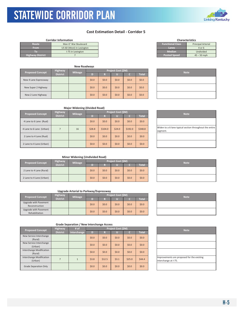### **Cost Estimation Detail ‐ Corridor 5**

|                         | <b>Corridor Information</b> |                         | <b>Characteristics</b>    |
|-------------------------|-----------------------------|-------------------------|---------------------------|
| Route                   | Man O' War Boulevard        | <b>Functional Class</b> | <b>Principal Arterial</b> |
| <b>From</b>             | US 60 (West) in Lexington   | Lanes                   | 4 or 6                    |
| ю                       | I-75 in Lexington           | <b>Median</b>           | Undivided                 |
| <b>Highway District</b> |                             | <b>Posted Speed</b>     | $45 - 50$ mph             |

KYTC Statewide Corridor Plan

| <b>New Roadways</b>     |                 |                |         |         |                    |         |         |  |             |
|-------------------------|-----------------|----------------|---------|---------|--------------------|---------|---------|--|-------------|
| <b>Proposed Concept</b> | <b>Highway</b>  |                |         |         | Project Cost (\$M) |         |         |  | <b>Note</b> |
|                         | <b>District</b> | <b>Mileage</b> | D)      | R       |                    |         | Total   |  |             |
| New 4 Lane Expressway   |                 |                | \$0.0\$ | \$0.0\$ | \$0.0              | \$0.0\$ | \$0.0\$ |  |             |
| New Super 2 Highway     |                 |                | \$0.0\$ | \$0.0\$ | \$0.0              | \$0.0\$ | \$0.0\$ |  |             |
| New 2 Lane Highway      |                 |                | \$0.0\$ | \$0.0\$ | \$0.0              | \$0.0\$ | \$0.0\$ |  |             |

| <b>Characteristics</b>  |                           |  |  |  |  |  |
|-------------------------|---------------------------|--|--|--|--|--|
| <b>Functional Class</b> | <b>Principal Arterial</b> |  |  |  |  |  |
| Lanes                   | $4$ or 6                  |  |  |  |  |  |
| <b>Median</b>           | Undivided                 |  |  |  |  |  |
| <b>Posted Speed</b>     | $45 - 50$ mph             |  |  |  |  |  |
|                         |                           |  |  |  |  |  |

| <b>Note</b> |  |
|-------------|--|
|             |  |
|             |  |
|             |  |

### **Major Widening (Divided Road)**

| <b>Proposed Concept</b>  | Highway         | Mileage |         |         | Project Cost (\$M) |         |              | <b>Note</b>                                   |
|--------------------------|-----------------|---------|---------|---------|--------------------|---------|--------------|-----------------------------------------------|
|                          | <b>District</b> |         | т       | R       |                    |         | <b>Total</b> |                                               |
| 4 Lane to 6 Lane (Rual)  |                 |         | \$0.0\$ | \$0.0\$ | \$0.0\$            | \$0.0   | \$0.0\$      |                                               |
| 4 Lane to 6 Lane (Urban) |                 | 16      | \$28.8  | \$104.0 | \$24.0             | \$192.0 | \$348.8      | Widen to a 6-lane typical section<br>segment. |
| 2 Lane to 4 Lane (Rual)  |                 |         | \$0.0\$ | \$0.0\$ | \$0.0\$            | \$0.0   | \$0.0\$      |                                               |
| 2 Lane to 4 Lane (Urban) |                 |         | \$0.0\$ | \$0.0\$ | \$0.0              | \$0.0   | \$0.0\$      |                                               |

| <b>Note</b>                                                         |
|---------------------------------------------------------------------|
|                                                                     |
| Widen to a 6-lane typical section throughout the entire<br>segment. |
|                                                                     |
|                                                                     |

### **Minor Widening (Undivided Road)**

| <b>Proposed Concept</b>  | <b>Highway</b>  | <b>Mileage</b> |         |         | Project Cost (\$M) |         |         | <b>Note</b> |
|--------------------------|-----------------|----------------|---------|---------|--------------------|---------|---------|-------------|
|                          | <b>District</b> |                |         |         |                    |         | Total   |             |
| 2 Lane to 4 Lane (Rural) |                 |                | \$0.0\$ | \$0.0\$ | \$0.0              | \$0.0\$ | \$0.0\$ |             |
| 2 Lane to 4 Lane (Urban) |                 |                | \$0.0\$ | \$0.0\$ | \$0.0              | \$0.0\$ | \$0.0\$ |             |

### **Upgrade Arterial to Parkway/Expressway**

| <b>Proposed Concept</b>                 | <b>Highway</b>  | <b>Mileage</b> |         |         | <b>Project Cost (SM)</b> |         |              | <b>Note</b> |
|-----------------------------------------|-----------------|----------------|---------|---------|--------------------------|---------|--------------|-------------|
|                                         | <b>District</b> |                | n       |         |                          |         | <b>Total</b> |             |
| Upgrade with Pavement<br>Reconstruction |                 |                | \$0.0\$ | \$0.0\$ | \$0.0\$                  | \$0.0\$ | \$0.0\$      |             |
| Upgrade with Pavement<br>Rehabilitation |                 |                | \$0.0\$ | \$0.0\$ | \$0.0                    | \$0.0\$ | \$0.0\$      |             |

| <b>Note</b> |
|-------------|
|             |
|             |

| <b>Proposed Concept</b>             | Highway         | # of         |         |         | Project Cost (\$M) |         |         | <b>Note</b>                                          |
|-------------------------------------|-----------------|--------------|---------|---------|--------------------|---------|---------|------------------------------------------------------|
|                                     | <b>District</b> | Interchange  | D       | R       |                    | c       | Total   |                                                      |
| New Service Interchange<br>(Rural)  |                 |              | \$0.0\$ | \$0.0\$ | \$0.0\$            | \$0.0\$ | \$0.0\$ |                                                      |
| New Service Interchange<br>(Urban)  |                 |              | \$0.0\$ | \$0.0\$ | \$0.0\$            | \$0.0\$ | \$0.0\$ |                                                      |
| Interchange Modification<br>(Rural) |                 |              | \$0.0\$ | \$0.0\$ | \$0.0\$            | \$0.0\$ | \$0.0\$ |                                                      |
| Interchange Modification<br>(Urban) |                 | $\mathbf{1}$ | \$3.8   | \$12.5  | \$3.1              | \$25.0  | 544.4   | Improvements are proposed fo<br>interchange at I-75. |
| <b>Grade Separation Only</b>        |                 |              | \$0.0\$ | \$0.0\$ | \$0.0              | \$0.0\$ | \$0.0\$ |                                                      |

|                      | <b>Note</b>                                |  |
|----------------------|--------------------------------------------|--|
|                      |                                            |  |
|                      |                                            |  |
|                      |                                            |  |
|                      |                                            |  |
|                      | Improvements are proposed for the existing |  |
| interchange at I-75. |                                            |  |

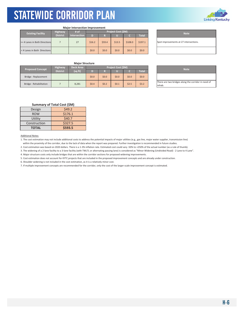

|  | <b>Major Intersection Improvement</b> |
|--|---------------------------------------|
|  |                                       |

| <b>Highway</b><br><b>Existing Facility</b> |                 | # of                | Project Cost (\$M) |        |        |         |              | <b>Note</b>                   |
|--------------------------------------------|-----------------|---------------------|--------------------|--------|--------|---------|--------------|-------------------------------|
|                                            | <b>District</b> | <b>Intersection</b> | D                  | D)     |        |         | <b>Total</b> |                               |
| >= 4 Lanes in Both Directions              |                 | 27                  | \$16.2             | \$59.4 | \$13.5 | \$108.0 | \$197.1      | Spot improvements at 27 inter |
| <4 Lanes in Both Directions                |                 |                     | \$0.0              | 50.0   | \$0.0  | \$0.0   | \$0.0\$      |                               |

Spot improvements at 27 intersections.

### **Major Structure**

| <b>Proposed Concept</b> | <b>Highway</b>  | <b>Deck Area</b> |         |         | Project Cost (\$M) |       |              | <b>Note</b>                               |
|-------------------------|-----------------|------------------|---------|---------|--------------------|-------|--------------|-------------------------------------------|
|                         | <b>District</b> | (sq ft)          |         |         |                    |       | <b>Total</b> |                                           |
| Bridge - Replacement    |                 |                  | \$0.0   | \$0.0\$ | \$0.0              | \$0.0 | \$0.0\$      |                                           |
| Bridge - Rehabilitation |                 | 8.281            | \$0.4\$ | \$0.2\$ | \$0.1              | \$2.5 | \$3.2        | There are two bridges along the<br>rehab. |

| <b>Note</b>                                                   |
|---------------------------------------------------------------|
|                                                               |
| There are two bridges along the corridor in need of<br>rehab. |

### **Summary of Total Cost (\$M)**

| Design       | \$49.2  |
|--------------|---------|
| <b>ROW</b>   | \$176.1 |
| Utility      | \$40.7  |
| Construction | \$327.5 |
| <b>TOTAL</b> | \$593.5 |

### Additional Notes:

1. The cost estimation may not include additional costs to address the potential impacts of major utilities (e.g., gas line, major water supplier, transmission line)

within the proximity of the corridor, due to the lack of data when the report was prepared. Further investigation is recommended in future studies.

2. Cost estimation was based on 2020 dollars. There is a 1‐3% inflation rate. Estimated cost could vary ‐50% to +250% of the actual number (as a rule of thumb).

3. The widening of a 2‐lane facility to a 3‐lane facility (with TWLTL or alternating passing lane) is considered as "Minor Widening (Undivided Road) ‐ 2 Lane to 4 Lane".

4. Major structure costs only include bridges that are within the corridor sections for proposed widening improvements.

5. Cost estimation does not account for KYTC projects that are included in the proposed improvement concepts and are already under construction.

6. Shoulder widening is not included in the cost estimation, as it is a relatively minor cost.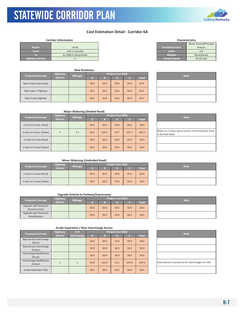

### **Cost Estimation Detail ‐ Corridor 6A**

#### **Corridor Information**

KYTC Statewide Corridor Plan

|                         |                         |                         | Minor Arterial/Prii |
|-------------------------|-------------------------|-------------------------|---------------------|
| Route                   | <b>US 60</b>            | <b>Functional Class</b> | Arterial            |
| <b>From</b>             | I-64 in Louisville      | Lanes                   | $2 - 8$             |
| ю                       | Ky 1848 in Simpsonville | <b>Median</b>           | None/Raised         |
| <b>Highway District</b> |                         | <b>Posted Speed</b>     | 35-45 mph           |
|                         |                         |                         |                     |

|                                           |                 | <b>New Roadways</b> |                    |         |       |       |              |  |             |
|-------------------------------------------|-----------------|---------------------|--------------------|---------|-------|-------|--------------|--|-------------|
| <b>Highway</b><br><b>Proposed Concept</b> |                 | <b>Mileage</b>      | Project Cost (\$M) |         |       |       |              |  | <b>Note</b> |
|                                           | <b>District</b> |                     | D                  | R       |       |       | <b>Total</b> |  |             |
| New 4 Lane Expressway                     |                 |                     | \$0.0\$            | \$0.0\$ | \$0.0 | \$0.0 | \$0.0\$      |  |             |
| New Super 2 Highway                       |                 |                     | \$0.0\$            | \$0.0   | \$0.0 | \$0.0 | \$0.0\$      |  |             |
| New 2 Lane Highway                        |                 |                     | \$0.0\$            | \$0.0\$ | \$0.0 | \$0.0 | \$0.0\$      |  |             |

| <b>Characteristics</b>  |                          |  |  |  |  |  |  |
|-------------------------|--------------------------|--|--|--|--|--|--|
|                         | Minor Arterial/Principal |  |  |  |  |  |  |
| <b>Functional Class</b> | Arterial                 |  |  |  |  |  |  |
| Lanes                   | $2 - 8$                  |  |  |  |  |  |  |
| <b>Median</b>           | None/Raised              |  |  |  |  |  |  |
| <b>Posted Speed</b>     | 35-45 mph                |  |  |  |  |  |  |

| <b>Note</b> |  |
|-------------|--|
|             |  |
|             |  |
|             |  |

### **Major Widening (Divided Road)**

| <b>Proposed Concept</b>  | <b>Highway</b>  | <b>Mileage</b> | Project Cost (\$M) |         |         |         | <b>Note</b>  |                                                      |
|--------------------------|-----------------|----------------|--------------------|---------|---------|---------|--------------|------------------------------------------------------|
|                          | <b>District</b> |                | D                  | R       |         |         | <b>Total</b> |                                                      |
| 4 Lane to 6 Lane (Rual)  |                 |                | \$0.0\$            | \$0.0\$ | \$0.0\$ | \$0.0\$ | \$0.0\$      |                                                      |
| 4 Lane to 6 Lane (Urban) | 5               | 3.1            | \$5.6              | \$20.2  | \$4.7   | \$37.2  | \$67.6       | Widen to a 6-lane typical section<br>to Bircham Road |
| 2 Lane to 4 Lane (Rual)  |                 |                | \$0.0\$            | \$0.0\$ | \$0.0\$ | \$0.0\$ | \$0.0\$      |                                                      |
| 2 Lane to 4 Lane (Urban) |                 |                | \$0.0\$            | \$0.0\$ | \$0.0\$ | \$0.0\$ | \$0.0\$      |                                                      |

| <b>Note</b>                                                              |
|--------------------------------------------------------------------------|
|                                                                          |
| Widen to a 6-lane typical section from Evergreen Road<br>to Bircham Road |
|                                                                          |
|                                                                          |

### **Minor Widening (Undivided Road)**

| <b>Proposed Concept</b>  | <b>Highway</b>  | <b>Project Cost (SM)</b> |         |         |       |         |              | <b>Note</b> |  |
|--------------------------|-----------------|--------------------------|---------|---------|-------|---------|--------------|-------------|--|
|                          | <b>District</b> | <b>Mileage</b>           |         |         |       |         | <b>Total</b> |             |  |
| 2 Lane to 4 Lane (Rural) |                 |                          | \$0.0\$ | \$0.0\$ | \$0.0 | \$0.0\$ | \$0.0\$      |             |  |
| 2 Lane to 4 Lane (Urban) |                 |                          | \$0.0\$ | \$0.0\$ | \$0.0 | \$0.0\$ | \$0.0\$      |             |  |

### **Upgrade Arterial to Parkway/Expressway**

| <b>Proposed Concept</b>                 | <b>Highway</b>  |                |         | <b>Project Cost (SM)</b> | <b>Note</b> |         |              |  |
|-----------------------------------------|-----------------|----------------|---------|--------------------------|-------------|---------|--------------|--|
|                                         | <b>District</b> | <b>Mileage</b> | n       |                          |             |         | <b>Total</b> |  |
| Upgrade with Pavement<br>Reconstruction |                 |                | \$0.0\$ | \$0.0\$                  | \$0.0\$     | \$0.0\$ | \$0.0\$      |  |
| Upgrade with Pavement<br>Rehabilitation |                 |                | \$0.0\$ | \$0.0\$                  | \$0.0\$     | \$0.0\$ | \$0.0\$      |  |

| <b>Proposed Concept</b>             | <b>Highway</b>  | # $of$      |         | Project Cost (\$M) |         |        |              |  |                               |  |  |  |  |
|-------------------------------------|-----------------|-------------|---------|--------------------|---------|--------|--------------|--|-------------------------------|--|--|--|--|
|                                     | <b>District</b> | Interchange | D       | R                  |         | ۵      | <b>Total</b> |  | <b>Note</b>                   |  |  |  |  |
| New Service Interchange<br>(Rural)  |                 |             | \$0.0\$ | \$0.0\$            | \$0.0\$ | \$0.0  | \$0.0\$      |  |                               |  |  |  |  |
| New Service Interchange<br>(Urban)  |                 |             | \$0.0\$ | \$0.0\$            | \$0.0   | \$0.0  | \$0.0\$      |  |                               |  |  |  |  |
| Interchange Modification<br>(Rural) |                 |             | \$0.0\$ | \$0.0\$            | \$0.0   | \$0.0  | \$0.0\$      |  |                               |  |  |  |  |
| Interchange Modification<br>(Urban) | 5               |             | \$3.8   | \$12.5             | \$3.1   | \$25.0 | \$44.4       |  | Improvement is proposed for i |  |  |  |  |
| <b>Grade Separation Only</b>        |                 |             | \$0.0\$ | \$0.0\$            | \$0.0\$ | \$0.0  | \$0.0\$      |  |                               |  |  |  |  |

| <b>Note</b> |  |
|-------------|--|
|             |  |
|             |  |

| <b>Note</b>                                        |
|----------------------------------------------------|
|                                                    |
|                                                    |
|                                                    |
| Improvement is proposed for interchanges at I-264. |
|                                                    |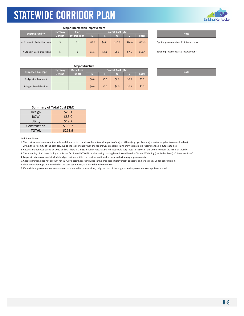

|                               |                 | <b>Major Intersection Improvement</b> |        |        |                    |        |              |                               |
|-------------------------------|-----------------|---------------------------------------|--------|--------|--------------------|--------|--------------|-------------------------------|
| <b>Existing Facility</b>      | <b>Highway</b>  | # of                                  |        |        | Project Cost (\$M) |        |              | <b>Note</b>                   |
|                               | <b>District</b> | <b>Intersection</b>                   | D      | R      |                    |        | <b>Total</b> |                               |
| >= 4 Lanes in Both Directions |                 | 21                                    | \$12.6 | \$46.2 | \$10.5             | \$84.0 | \$153.3      | Spot improvements at 21 inter |
| < 4 Lanes in Both Directions  |                 |                                       | \$1.1  | 54.1   | \$0.9              | \$7.5  | \$13.7       | Spot improvements at 3 inters |

Spot improvements at 21 intersections. Spot improvements at 3 intersections.

### **Major Structure**

| <b>Proposed Concept</b> | <b>Highway</b>  | <b>Deck Area</b> |         |         | Project Cost (\$M) | <b>Note</b> |              |  |
|-------------------------|-----------------|------------------|---------|---------|--------------------|-------------|--------------|--|
|                         | <b>District</b> | (sq ft)          |         |         |                    |             | <b>Total</b> |  |
| Bridge - Replacement    |                 |                  | \$0.0\$ | \$0.0\$ | \$0.0              | \$0.0\$     | \$0.0\$      |  |
| Bridge - Rehabilitation |                 |                  | \$0.0\$ | \$0.0\$ | \$0.0              | \$0.0\$     | \$0.0\$      |  |

| <b>Note</b> |
|-------------|
|             |
|             |

### **Summary of Total Cost (\$M)**

| Design       | \$23.1  |
|--------------|---------|
| <b>ROW</b>   | \$83.0  |
| Utility      | \$19.2  |
| Construction | \$153.7 |
| <b>TOTAL</b> | \$278.9 |

### Additional Notes:

1. The cost estimation may not include additional costs to address the potential impacts of major utilities (e.g., gas line, major water supplier, transmission line) within the proximity of the corridor, due to the lack of data when the report was prepared. Further investigation is recommended in future studies.

2. Cost estimation was based on 2020 dollars. There is a 1‐3% inflation rate. Estimated cost could vary ‐50% to +250% of the actual number (as a rule of thumb).

3. The widening of a 2‐lane facility to a 3‐lane facility (with TWLTL or alternating passing lane) is considered as "Minor Widening (Undivided Road) ‐ 2 Lane to 4 Lane".

4. Major structure costs only include bridges that are within the corridor sections for proposed widening improvements.

5. Cost estimation does not account for KYTC projects that are included in the proposed improvement concepts and are already under construction.

6. Shoulder widening is not included in the cost estimation, as it is a relatively minor cost.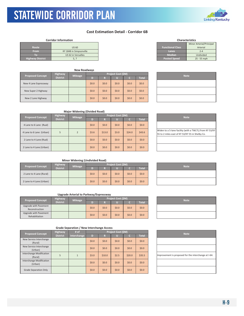### **Cost Estimation Detail ‐ Corridor 6B**

### **Corridor Information**

KYTC Statewide Corridor Plan

|                         |                         |                         | Minor Arterial/Pri |
|-------------------------|-------------------------|-------------------------|--------------------|
| <b>Route</b>            | <b>US 60</b>            | <b>Functional Class</b> | Arterial           |
| <b>From</b>             | KY 1848 in Simpsonville | Lanes                   | $2 - 4$            |
| IO)                     | US 62 in Versailles     | <b>Median</b>           | Undivided          |
| <b>Highway District</b> | J, .                    | <b>Posted Speed</b>     | 25 - 55 mph        |
|                         |                         |                         |                    |

|                         |                                   | <b>New Roadways</b> |         |         |                    |         |              |             |
|-------------------------|-----------------------------------|---------------------|---------|---------|--------------------|---------|--------------|-------------|
| <b>Proposed Concept</b> | <b>Highway</b><br><b>District</b> | <b>Mileage</b>      | D)      | R       | Project Cost (\$M) |         | <b>Total</b> | <b>Note</b> |
| New 4 Lane Expressway   |                                   |                     | \$0.0\$ | \$0.0\$ | \$0.0              | \$0.0\$ | \$0.0\$      |             |
| New Super 2 Highway     |                                   |                     | \$0.0\$ | \$0.0\$ | \$0.0              | \$0.0\$ | \$0.0\$      |             |
| New 2 Lane Highway      |                                   |                     | \$0.0\$ | \$0.0\$ | \$0.0              | \$0.0   | \$0.0\$      |             |

| <b>Characteristics</b>  |                          |  |  |  |  |  |  |  |
|-------------------------|--------------------------|--|--|--|--|--|--|--|
|                         | Minor Arterial/Principal |  |  |  |  |  |  |  |
| <b>Functional Class</b> | Arterial                 |  |  |  |  |  |  |  |
| Lanes                   | $7 - 4$                  |  |  |  |  |  |  |  |
| Median                  | Undivided                |  |  |  |  |  |  |  |
| <b>Posted Speed</b>     | 25 - 55 mph              |  |  |  |  |  |  |  |

| <b>Note</b> |  |
|-------------|--|
|             |  |
|             |  |
|             |  |

### **Major Widening (Divided Road)**

| <b>Proposed Concept</b>  | <b>Highway</b>  | <b>Mileage</b> | Project Cost (\$M) |         |       |        |              |  | <b>Note</b>                                                         |  |
|--------------------------|-----------------|----------------|--------------------|---------|-------|--------|--------------|--|---------------------------------------------------------------------|--|
|                          | <b>District</b> |                | D)                 | R       |       |        | <b>Total</b> |  |                                                                     |  |
| 4 Lane to 6 Lane (Rual)  |                 |                | \$0.0\$            | \$0.0\$ | \$0.0 | \$0.0  | \$0.0\$      |  |                                                                     |  |
| 4 Lane to 6 Lane (Urban) | 5               | 2              | \$3.6              | \$13.0  | \$3.0 | \$24.0 | \$43.6       |  | Widen to a 5-lane facility (with<br>55 to 2 miles east of KY 53/KY! |  |
| 2 Lane to 4 Lane (Rual)  |                 |                | \$0.0\$            | \$0.0\$ | \$0.0 | \$0.0  | \$0.0\$      |  |                                                                     |  |
| 2 Lane to 4 Lane (Urban) |                 |                | \$0.0\$            | \$0.0\$ | \$0.0 | \$0.0  | \$0.0\$      |  |                                                                     |  |

| <b>Note</b>                                                                                                |
|------------------------------------------------------------------------------------------------------------|
|                                                                                                            |
| Widen to a 5-lane facility (with a TWLTL) from KY 53/KY<br>55 to 2 miles east of KY 53/KY 55 in Shelby Co. |
|                                                                                                            |
|                                                                                                            |

### **Minor Widening (Undivided Road)**

| <b>Highway</b><br>Mileage<br><b>Proposed Concept</b> |                 |  |         |         | <b>Project Cost (SM)</b> | <b>Note</b> |         |  |
|------------------------------------------------------|-----------------|--|---------|---------|--------------------------|-------------|---------|--|
|                                                      | <b>District</b> |  |         | ∍       |                          |             | Total   |  |
| 2 Lane to 4 Lane (Rural)                             |                 |  | \$0.0\$ | \$0.0\$ | \$0.0                    | \$0.0\$     | \$0.0\$ |  |
| 2 Lane to 4 Lane (Urban)                             |                 |  | \$0.0\$ | \$0.0\$ | \$0.0                    | \$0.0\$     | \$0.0\$ |  |

### **Upgrade Arterial to Parkway/Expressway**

| <b>Proposed Concept</b>                 | <b>Highway</b>  | <b>Mileage</b> | <b>Project Cost (SM)</b> |         |         |              |         |  | <b>Note</b> |
|-----------------------------------------|-----------------|----------------|--------------------------|---------|---------|--------------|---------|--|-------------|
|                                         | <b>District</b> |                | n                        |         |         | <b>Total</b> |         |  |             |
| Upgrade with Pavement<br>Reconstruction |                 |                | \$0.0\$                  | \$0.0\$ | \$0.0\$ | \$0.0\$      | \$0.0\$ |  |             |
| Upgrade with Pavement<br>Rehabilitation |                 |                | \$0.0\$                  | \$0.0\$ | \$0.0\$ | \$0.0\$      | \$0.0\$ |  |             |

|                                     | <b>Highway</b>  | # $of$      | Project Cost (\$M) |         |         |         |              |  |                               |
|-------------------------------------|-----------------|-------------|--------------------|---------|---------|---------|--------------|--|-------------------------------|
| <b>Proposed Concept</b>             | <b>District</b> | Interchange | D                  | R       |         | ۵       | <b>Total</b> |  | <b>Note</b>                   |
| New Service Interchange<br>(Rural)  |                 |             | \$0.0\$            | \$0.0\$ | \$0.0   | \$0.0   | \$0.0\$      |  |                               |
| New Service Interchange<br>(Urban)  |                 |             | \$0.0\$            | \$0.0\$ | \$0.0   | \$0.0   | \$0.0\$      |  |                               |
| Interchange Modification<br>(Rural) | 5               |             | \$3.0              | \$10.0  | \$2.5   | \$20.0  | \$35.5       |  | Improvement is proposed for t |
| Interchange Modification<br>(Urban) |                 |             | \$0.0\$            | \$0.0\$ | \$0.0\$ | \$0.0\$ | \$0.0\$      |  |                               |
| <b>Grade Separation Only</b>        |                 |             | \$0.0\$            | \$0.0\$ | \$0.0\$ | \$0.0   | \$0.0\$      |  |                               |

|  | <b>Note</b> |  |
|--|-------------|--|
|  |             |  |
|  |             |  |

| <b>Note</b>                                          |
|------------------------------------------------------|
|                                                      |
|                                                      |
| Improvement is proposed for the interchange at I-64. |
|                                                      |
|                                                      |



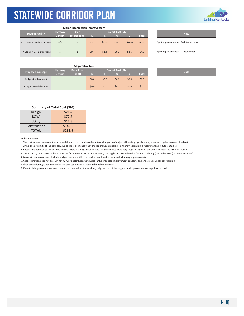

| <b>Major Intersection Improvement</b> |                                                                  |    |                           |        |        |        |              |  |  |
|---------------------------------------|------------------------------------------------------------------|----|---------------------------|--------|--------|--------|--------------|--|--|
| <b>Existing Facility</b>              | # of<br><b>Highway</b><br><b>District</b><br><b>Intersection</b> |    | <b>Project Cost (\$M)</b> |        |        |        |              |  |  |
|                                       |                                                                  |    | D                         | R      | Ш      |        | <b>Total</b> |  |  |
| >= 4 Lanes in Both Directions         | 5/7                                                              | 24 | \$14.4                    | \$52.8 | \$12.0 | \$96.0 | \$175.2      |  |  |
| <4 Lanes in Both Directions           |                                                                  |    | \$0.4                     | \$1.4  | \$0.3  | \$2.5  | \$4.6        |  |  |

**Note** Spot improvements at 24 intersections. Spot improvements at 1 intersection.

### **Major Structure**

| <b>Proposed Concept</b> | Highway               | <b>Deck Area</b> | Project Cost (\$M) |         |       |       |         | <b>Note</b> |  |
|-------------------------|-----------------------|------------------|--------------------|---------|-------|-------|---------|-------------|--|
|                         | District <sup>1</sup> | (sq ft)          |                    | Ð       |       |       | Total   |             |  |
| Bridge - Replacement    |                       |                  | \$0.0\$            | \$0.0\$ | \$0.0 | \$0.0 | \$0.0\$ |             |  |
| Bridge - Rehabilitation |                       |                  | \$0.0\$            | \$0.0\$ | \$0.0 | \$0.0 | \$0.0\$ |             |  |

| <b>Note</b> |
|-------------|
|             |
|             |

### **Summary of Total Cost (\$M)**

| Design       | \$21.4  |
|--------------|---------|
| <b>ROW</b>   | \$77.2  |
| Utility      | \$17.8  |
| Construction | \$142.5 |
| <b>TOTAL</b> | \$258.9 |

### Additional Notes:

1. The cost estimation may not include additional costs to address the potential impacts of major utilities (e.g., gas line, major water supplier, transmission line) within the proximity of the corridor, due to the lack of data when the report was prepared. Further investigation is recommended in future studies.

2. Cost estimation was based on 2020 dollars. There is a 1‐3% inflation rate. Estimated cost could vary ‐50% to +250% of the actual number (as a rule of thumb).

3. The widening of a 2‐lane facility to a 3‐lane facility (with TWLTL or alternating passing lane) is considered as "Minor Widening (Undivided Road) ‐ 2 Lane to 4 Lane".

4. Major structure costs only include bridges that are within the corridor sections for proposed widening improvements.

5. Cost estimation does not account for KYTC projects that are included in the proposed improvement concepts and are already under construction.

6. Shoulder widening is not included in the cost estimation, as it is a relatively minor cost.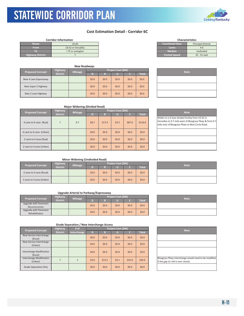### **Cost Estimation Detail ‐ Corridor 6C**

|                         | <b>Corridor Information</b> |                         | <b>Characteristics</b>    |
|-------------------------|-----------------------------|-------------------------|---------------------------|
| Route                   | <b>US 60</b>                | <b>Functional Class</b> | <b>Principal Arterial</b> |
| <b>From</b>             | US 62 in Versailles         | Lanes                   | $4 - 6$                   |
|                         | I-75 in Lexington           | <b>Median</b>           | Undivided                 |
| <b>Highway District</b> |                             | <b>Posted Speed</b>     | $35 - 55$ mph             |

KYTC Statewide Corridor Plan

|                         |                       |                | <b>New Roadways</b> |         |         |                    |              |             |  |  |
|-------------------------|-----------------------|----------------|---------------------|---------|---------|--------------------|--------------|-------------|--|--|
| <b>Proposed Concept</b> |                       | <b>Highway</b> |                     |         |         | Project Cost (\$M) |              |             |  |  |
|                         | <b>District</b>       | <b>Mileage</b> | D)                  | R       |         |                    | <b>Total</b> | <b>Note</b> |  |  |
|                         | New 4 Lane Expressway |                |                     | \$0.0\$ | \$0.0   | \$0.0              | \$0.0\$      | \$0.0\$     |  |  |
|                         | New Super 2 Highway   |                |                     | \$0.0\$ | \$0.0\$ | \$0.0\$            | \$0.0\$      | \$0.0\$     |  |  |
|                         | New 2 Lane Highway    |                |                     | \$0.0\$ | \$0.0\$ | \$0.0              | \$0.0\$      | \$0.0\$     |  |  |

| <b>Functional Class</b> | <b>Principal Arterial</b> |
|-------------------------|---------------------------|
| Lanes                   | $4 - 6$                   |
| <b>Median</b>           | Undivided                 |
| <b>Posted Speed</b>     | $35 - 55$ mph             |
|                         |                           |
|                         |                           |

**Characteristics**

| <b>Note</b> |
|-------------|
|             |
|             |
|             |

| <b>Major Widening (Divided Road)</b> |                 |                |         |         |                           |         |              |  |                                                                                                        |
|--------------------------------------|-----------------|----------------|---------|---------|---------------------------|---------|--------------|--|--------------------------------------------------------------------------------------------------------|
| <b>Proposed Concept</b>              | Highway         | <b>Mileage</b> |         |         | <b>Project Cost (\$M)</b> |         |              |  | <b>Note</b>                                                                                            |
|                                      | <b>District</b> |                | D       | R       | u                         | a       | <b>Total</b> |  |                                                                                                        |
| 4 Lane to 6 Lane (Rual)              | $\overline{7}$  | 8.7            | \$8.7   | \$17.4  | \$3.5                     | \$87.0  | \$116.6      |  | Widen to a 6-lane divided facili<br>Versailles to 0.7 mile west of B<br>mile east of Bluegrass Pkwy to |
| 4 Lane to 6 Lane (Urban)             |                 |                | \$0.0\$ | \$0.0\$ | \$0.0\$                   | \$0.0   | \$0.0\$      |  |                                                                                                        |
| 2 Lane to 4 Lane (Rual)              |                 |                | \$0.0\$ | \$0.0   | \$0.0                     | \$0.0\$ | \$0.0\$      |  |                                                                                                        |
| 2 Lane to 4 Lane (Urban)             |                 |                | \$0.0\$ | \$0.0   | \$0.0                     | \$0.0\$ | \$0.0\$      |  |                                                                                                        |

## Widen to a 6-lane divided facility from US 62 in Versailles to 0.7 mile west of Bluegrass Pkwy & from 0.7 mile east of Bluegrass Pkwy to New Circle Road.

### **Minor Widening (Undivided Road)**

| <b>Proposed Concept</b>  | <b>Highway</b>        | <b>Mileage</b> | Project Cost (\$M) |         |       |         |              | <b>Note</b> |
|--------------------------|-----------------------|----------------|--------------------|---------|-------|---------|--------------|-------------|
|                          | District <sup>1</sup> |                |                    | n       |       |         | <b>Total</b> |             |
| 2 Lane to 4 Lane (Rural) |                       |                | \$0.0\$            | \$0.0\$ | \$0.0 | \$0.0   | \$0.0\$      |             |
| 2 Lane to 4 Lane (Urban) |                       |                | \$0.0\$            | \$0.0\$ | \$0.0 | \$0.0\$ | \$0.0\$      |             |

### **Upgrade Arterial to Parkway/Expressway**

| <b>Proposed Concept</b> | <b>Highway</b>  | <b>Mileage</b> | <b>Proiect Cost (SM)</b> |         |       |       |              |  | <b>Note</b> |
|-------------------------|-----------------|----------------|--------------------------|---------|-------|-------|--------------|--|-------------|
|                         | <b>District</b> |                |                          |         |       |       | <b>Total</b> |  |             |
| Upgrade with Pavement   |                 |                |                          |         |       |       |              |  |             |
| Reconstruction          |                 |                | \$0.0\$                  | \$0.0\$ | \$0.0 | \$0.0 | \$0.0\$      |  |             |
| Upgrade with Pavement   |                 |                |                          |         |       |       |              |  |             |
| Rehabilitation          |                 |                | \$0.0\$                  | \$0.0\$ | \$0.0 | \$0.0 | \$0.0\$      |  |             |

| <u> 1989 - Johann Stoff, amerikansk politiker (* 1908)</u> |  | __ |
|------------------------------------------------------------|--|----|
|                                                            |  |    |
|                                                            |  |    |
|                                                            |  |    |
|                                                            |  |    |
|                                                            |  |    |
|                                                            |  |    |
|                                                            |  |    |
|                                                            |  |    |

| <b>Proposed Concept</b>             | <b>Highway</b>  | # of        |         |         | Project Cost (\$M) |         |              | <b>Note</b>                                                        |
|-------------------------------------|-----------------|-------------|---------|---------|--------------------|---------|--------------|--------------------------------------------------------------------|
|                                     | <b>District</b> | Interchange | D       | R       |                    |         | <b>Total</b> |                                                                    |
| New Service Interchange             |                 |             | \$0.0\$ | \$0.0\$ | \$0.0\$            | \$0.0\$ | \$0.0\$      |                                                                    |
| (Rural)                             |                 |             |         |         |                    |         |              |                                                                    |
| New Service Interchange             |                 |             | \$0.0\$ | \$0.0   | \$0.0\$            | \$0.0\$ | \$0.0\$      |                                                                    |
| (Urban)                             |                 |             |         |         |                    |         |              |                                                                    |
| Interchange Modification<br>(Rural) |                 |             | \$0.0\$ | \$0.0   | \$0.0\$            | \$0.0\$ | \$0.0\$      |                                                                    |
| Interchange Modification<br>(Urban) |                 |             | \$3.8   | \$12.5  | \$3.1              | \$25.0  | 544.4        | Bluegrass Pkwy interchange wo<br>if the gap to I-64 is ever closed |
| Grade Separation Only               |                 |             | \$0.0\$ | \$0.0   | \$0.0\$            | \$0.0   | \$0.0\$      |                                                                    |







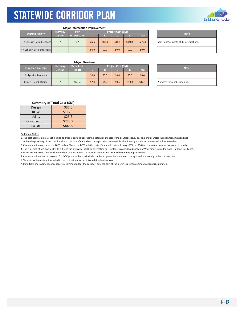

| <b>Existing Facility</b>      | # of            | Project Cost (\$M)  |         |        |        |         |              | <b>Note</b> |                               |
|-------------------------------|-----------------|---------------------|---------|--------|--------|---------|--------------|-------------|-------------------------------|
|                               | <b>District</b> | <b>Intersection</b> | D       |        |        |         | <b>Total</b> |             |                               |
| >= 4 Lanes in Both Directions |                 | 37                  | \$22.2  | \$81.4 | \$18.5 | \$148.0 | \$270.1      |             | Spot improvements at 37 inter |
| < 4 Lanes in Both Directions  |                 |                     | \$0.0\$ | \$0.0  | \$0.0  | \$0.0\$ | \$0.0\$      |             |                               |

**Major Intersection Improvement**

Spot improvements at 37 intersections.

### **Major Structure**

| <b>Proposed Concept</b> | <b>Highway</b>  | <b>Deck Area</b> | Project Cost (\$M) |         |       |        |              |  |                               |  |  |  |
|-------------------------|-----------------|------------------|--------------------|---------|-------|--------|--------------|--|-------------------------------|--|--|--|
|                         | <b>District</b> | (sq ft)          |                    |         |       |        | <b>Total</b> |  | <b>Note</b>                   |  |  |  |
| Bridge - Replacement    |                 |                  | \$0.0\$            | \$0.0\$ | \$0.0 | \$0.0  | \$0.0\$      |  |                               |  |  |  |
| Bridge - Rehabilitation |                 | 46.469           | \$2.3              | \$1.2   | \$0.5 | \$13.9 | \$17.9       |  | 2 bridges for rehab/widening. |  |  |  |

| <b>Note</b>                   |
|-------------------------------|
|                               |
| 2 bridges for rehab/widening. |

### **Summary of Total Cost (\$M)**

| Design       | \$37.0  |  |  |  |
|--------------|---------|--|--|--|
| <b>ROW</b>   | \$112.5 |  |  |  |
| Utility      | \$25.6  |  |  |  |
| Construction | \$273.9 |  |  |  |
| <b>TOTAL</b> | \$448.9 |  |  |  |

Additional Notes:

1. The cost estimation may not include additional costs to address the potential impacts of major utilities (e.g., gas line, major water supplier, transmission line) within the proximity of the corridor, due to the lack of data when the report was prepared. Further investigation is recommended in future studies.

2. Cost estimation was based on 2020 dollars. There is a 1‐3% inflation rate. Estimated cost could vary ‐50% to +250% of the actual number (as a rule of thumb).

3. The widening of a 2‐lane facility to a 3‐lane facility (with TWLTL or alternating passing lane) is considered as "Minor Widening (Undivided Road) ‐ 2 Lane to 4 Lane".

4. Major structure costs only include bridges that are within the corridor sections for proposed widening improvements.

5. Cost estimation does not account for KYTC projects that are included in the proposed improvement concepts and are already under construction.

6. Shoulder widening is not included in the cost estimation, as it is a relatively minor cost.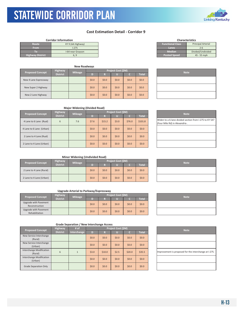### STATEWIDE CORRIDOR PLAN KYTC Statewide Corridor Plan

### **Cost Estimation Detail ‐ Corridor 9**

|                         | <b>Corridor Information</b> |                         | <b>Characteristics</b>    |               |
|-------------------------|-----------------------------|-------------------------|---------------------------|---------------|
| Route                   | KY 9 (AA Highway)           | <b>Functional Class</b> | <b>Principal Arterial</b> |               |
| <b>From</b>             | $1-275$                     | Lanes                   |                           |               |
|                         | I-64 near Grayson           | <b>Median</b>           | Divided/Undivided         |               |
| <b>Highway District</b> | 6. 9                        | <b>Posted Speed</b>     |                           | $45 - 55$ mph |

| <b>New Roadways</b>     |                 |                |         |         |                    |         |              |  |  |             |
|-------------------------|-----------------|----------------|---------|---------|--------------------|---------|--------------|--|--|-------------|
|                         | <b>Highway</b>  |                |         |         | Project Cost (\$M) |         |              |  |  | <b>Note</b> |
| <b>Proposed Concept</b> | <b>District</b> | <b>Mileage</b> | D)      | R       |                    |         | <b>Total</b> |  |  |             |
| New 4 Lane Expressway   |                 |                | \$0.0\$ | \$0.0\$ | \$0.0              | \$0.0\$ | \$0.0\$      |  |  |             |
| New Super 2 Highway     |                 |                | \$0.0\$ | \$0.0\$ | \$0.0              | \$0.0\$ | \$0.0\$      |  |  |             |
| New 2 Lane Highway      |                 |                | \$0.0\$ | \$0.0\$ | \$0.0              | \$0.0\$ | \$0.0\$      |  |  |             |

| <b>Characteristics</b>  |                           |  |  |  |  |  |  |
|-------------------------|---------------------------|--|--|--|--|--|--|
| <b>Functional Class</b> | <b>Principal Arterial</b> |  |  |  |  |  |  |
| Lanes                   | $2 - 6$                   |  |  |  |  |  |  |
| <b>Median</b>           | Divided/Undivided         |  |  |  |  |  |  |
| <b>Posted Speed</b>     | 45 - 55 mph               |  |  |  |  |  |  |

| <b>Note</b> |  |
|-------------|--|
|             |  |
|             |  |
|             |  |

| <b>Major Widening (Divided Road)</b> |  |
|--------------------------------------|--|
|--------------------------------------|--|

| <b>Proposed Concept</b>  | <b>Highway</b>  | <b>Mileage</b> | Project Cost (\$M) |         |         |         |              |  | <b>Note</b>                                                      |
|--------------------------|-----------------|----------------|--------------------|---------|---------|---------|--------------|--|------------------------------------------------------------------|
|                          | <b>District</b> |                | D                  | R       |         |         | <b>Total</b> |  |                                                                  |
| 4 Lane to 6 Lane (Rual)  | 6               | 7.6            | \$7.6              | \$15.2  | \$3.0   | \$76.0  | \$101.8      |  | Widen to a 6-lane divided secti<br>(Four Mile Rd) in Alexandria. |
| 4 Lane to 6 Lane (Urban) |                 |                | \$0.0\$            | \$0.0\$ | \$0.0\$ | \$0.0\$ | \$0.0\$      |  |                                                                  |
| 2 Lane to 4 Lane (Rual)  |                 |                | \$0.0\$            | \$0.0\$ | \$0.0\$ | \$0.0   | \$0.0\$      |  |                                                                  |
| 2 Lane to 4 Lane (Urban) |                 |                | \$0.0\$            | \$0.0\$ | \$0.0\$ | \$0.0   | \$0.0\$      |  |                                                                  |

| <b>Note</b>                                                                             |
|-----------------------------------------------------------------------------------------|
| Widen to a 6-lane divided section from I-275 to KY 547<br>(Four Mile Rd) in Alexandria. |
|                                                                                         |
|                                                                                         |
|                                                                                         |

### **Minor Widening (Undivided Road)**

| <b>Proposed Concept</b>  | <b>Highway</b>  | <b>Mileage</b> | Project Cost (\$M) |         |       |         |         |  |             |  |  |
|--------------------------|-----------------|----------------|--------------------|---------|-------|---------|---------|--|-------------|--|--|
|                          | <b>District</b> |                |                    |         |       |         | Total   |  | <b>Note</b> |  |  |
| 2 Lane to 4 Lane (Rural) |                 |                | \$0.0\$            | \$0.0\$ | \$0.0 | \$0.0   | \$0.0\$ |  |             |  |  |
| 2 Lane to 4 Lane (Urban) |                 |                | \$0.0\$            | \$0.0\$ | \$0.0 | \$0.0\$ | \$0.0\$ |  |             |  |  |

### **Upgrade Arterial to Parkway/Expressway**

| <b>Proposed Concept</b>                 | <b>Highway</b>  | <b>Mileage</b> |         | Project Cost (\$M) |       |         | <b>Note</b>  |  |
|-----------------------------------------|-----------------|----------------|---------|--------------------|-------|---------|--------------|--|
|                                         | <b>District</b> |                |         |                    |       |         | <b>Total</b> |  |
| Upgrade with Pavement<br>Reconstruction |                 |                | \$0.0\$ | \$0.0\$            | \$0.0 | \$0.0   | \$0.0\$      |  |
| Upgrade with Pavement<br>Rehabilitation |                 |                | \$0.0\$ | \$0.0\$            | \$0.0 | \$0.0\$ | \$0.0\$      |  |

| <b>Note</b> |
|-------------|
|             |
|             |

| <b>Proposed Concept</b>             | <b>Highway</b>  | # of         |         | Project Cost (\$M) |       |         |              |  | <b>Note</b>                   |
|-------------------------------------|-----------------|--------------|---------|--------------------|-------|---------|--------------|--|-------------------------------|
|                                     | <b>District</b> | Interchange  | D       | R                  |       | c       | <b>Total</b> |  |                               |
| New Service Interchange<br>(Rural)  |                 |              | \$0.0\$ | \$0.0\$            | \$0.0 | \$0.0\$ | \$0.0\$      |  |                               |
| New Service Interchange<br>(Urban)  |                 |              | \$0.0\$ | \$0.0\$            | \$0.0 | \$0.0\$ | \$0.0\$      |  |                               |
| Interchange Modification<br>(Rural) | 6               | $\mathbf{1}$ | \$3.0   | \$10.0             | \$2.5 | \$20.0  | \$35.5       |  | Improvement is proposed for t |
| Interchange Modification<br>(Urban) |                 |              | \$0.0\$ | \$0.0\$            | \$0.0 | \$0.0   | \$0.0\$      |  |                               |
| Grade Separation Only               |                 |              | \$0.0\$ | \$0.0\$            | \$0.0 | \$0.0   | \$0.0\$      |  |                               |

| <b>Note</b>                                           |
|-------------------------------------------------------|
|                                                       |
|                                                       |
| Improvement is proposed for the interchange at I-275. |
|                                                       |
|                                                       |

| <b>Note</b> |
|-------------|
|             |
|             |



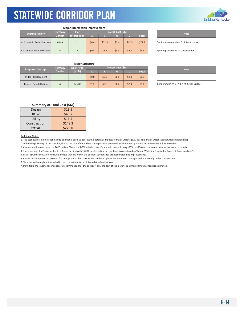

| <b>Major Intersection Improvement</b> |                 |                                   |         |        |       |        |              |                               |
|---------------------------------------|-----------------|-----------------------------------|---------|--------|-------|--------|--------------|-------------------------------|
|                                       | <b>Highway</b>  | <b>Project Cost (\$M)</b><br># of |         |        |       |        |              | <b>Note</b>                   |
| <b>Existing Facility</b>              | <b>District</b> | Intersection<br>D<br>R            |         |        |       |        | <b>Total</b> |                               |
| >= 4 Lanes in Both Directions         | 6&9             | 11                                | \$6.4\$ | \$22.5 | \$5.4 | \$43.5 | \$77.7       | Spot improvements at 11 inter |
| < 4 Lanes in Both Directions          | 6               |                                   | \$0.4   | \$1.4  | \$0.3 | \$2.5  | \$4.6        | Spot improvement at 1 interse |

Spot improvements at 11 intersections. Spot improvement at 1 intersection.

### **Major Structure**

|  | <b>Proposed Concept</b> | <b>Highway</b> | <b>Deck Area</b> | <b>Project Cost (SM)</b> |         |       |              |         |  | <b>Note</b>                  |  |
|--|-------------------------|----------------|------------------|--------------------------|---------|-------|--------------|---------|--|------------------------------|--|
|  | <b>District</b>         | (sq ft)        |                  |                          |         |       | <b>Total</b> |         |  |                              |  |
|  | Bridge - Replacement    |                |                  | \$0.0                    | \$0.0\$ | \$0.0 | \$0.0\$      | \$0.0\$ |  |                              |  |
|  | Bridge - Rehabilitation |                | 24.488           | \$1.2                    | \$0.6   | \$0.2 | \$7.3        | \$9.4   |  | Rehab/widen KY 547 & 4 MI Cr |  |

| <b>Note</b>                             |
|-----------------------------------------|
|                                         |
| Rehab/widen KY 547 & 4 MI Creek Bridge. |

### **Summary of Total Cost (\$M)**

| Design       | \$18.5  |
|--------------|---------|
| <b>ROW</b>   | \$49.7  |
| Utility      | \$11.4  |
| Construction | \$149.3 |
| <b>TOTAL</b> | \$229.0 |

#### Additional Notes:

1. The cost estimation may not include additional costs to address the potential impacts of major utilities (e.g., gas line, major water supplier, transmission line)

within the proximity of the corridor, due to the lack of data when the report was prepared. Further investigation is recommended in future studies.

2. Cost estimation was based on 2020 dollars. There is a 1‐3% inflation rate. Estimated cost could vary ‐50% to +250% of the actual number (as a rule of thumb).

3. The widening of a 2‐lane facility to a 3‐lane facility (with TWLTL or alternating passing lane) is considered as "Minor Widening (Undivided Road) ‐ 2 Lane to 4 Lane".

4. Major structure costs only include bridges that are within the corridor sections for proposed widening improvements.

5. Cost estimation does not account for KYTC projects that are included in the proposed improvement concepts and are already under construction.

6. Shoulder widening is not included in the cost estimation, as it is a relatively minor cost.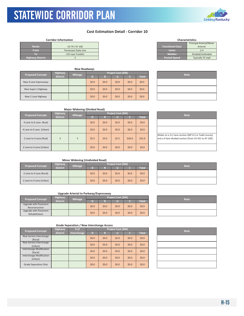# **Linking Kentucky**

### **Cost Estimation Detail ‐ Corridor 10**

KYTC Statewide Corridor Plan

|                         |                      |                         | Principal Arterial/Mir |
|-------------------------|----------------------|-------------------------|------------------------|
| Route                   | US 79 / KY 100       | <b>Functional Class</b> | Arterial               |
| <b>From</b>             | Tennessee State Line | Lanes                   | 2-4                    |
| ю                       | I-65 near Franklin   | <b>Median</b>           | Divided/Undivided      |
| <b>Highway District</b> |                      | <b>Posted Speed</b>     | Typically 55 mph       |

|                         |                 | <b>New Roadways</b> |         |         |                    |             |              |  |
|-------------------------|-----------------|---------------------|---------|---------|--------------------|-------------|--------------|--|
| <b>Proposed Concept</b> | Highway         | <b>Mileage</b>      |         |         | Project Cost (\$M) | <b>Note</b> |              |  |
|                         | <b>District</b> |                     | D)      | R       |                    | T.          | <b>Total</b> |  |
| New 4 Lane Expressway   |                 |                     | \$0.0\$ | \$0.0\$ | \$0.0              | \$0.0\$     | \$0.0\$      |  |
| New Super 2 Highway     |                 |                     | \$0.0\$ | \$0.0\$ | \$0.0              | \$0.0\$     | \$0.0\$      |  |
| New 2 Lane Highway      |                 |                     | \$0.0\$ | \$0.0\$ | \$0.0              | \$0.0\$     | \$0.0\$      |  |

| <b>Characteristics</b>  |                          |  |  |  |  |  |
|-------------------------|--------------------------|--|--|--|--|--|
|                         | Principal Arterial/Minor |  |  |  |  |  |
| <b>Functional Class</b> | Arterial                 |  |  |  |  |  |
| Lanes                   | $7 - 4$                  |  |  |  |  |  |
| <b>Median</b>           | Divided/Undivided        |  |  |  |  |  |
| <b>Posted Speed</b>     | Typically 55 mph         |  |  |  |  |  |

| <b>Note</b> |  |
|-------------|--|
|             |  |
|             |  |
|             |  |

| <b>Major Widening (Divided Road)</b> |  |
|--------------------------------------|--|
|--------------------------------------|--|

| <b>Proposed Concept</b>  | <b>Highway</b>  | <b>Mileage</b> | Project Cost (\$M) |         |         |         |              | <b>Note</b>                                                        |  |
|--------------------------|-----------------|----------------|--------------------|---------|---------|---------|--------------|--------------------------------------------------------------------|--|
|                          | <b>District</b> |                | D                  | R       |         |         | <b>Total</b> |                                                                    |  |
| 4 Lane to 6 Lane (Rual)  |                 |                | \$0.0\$            | \$0.0\$ | \$0.0\$ | \$0.0\$ | \$0.0\$      |                                                                    |  |
| 4 Lane to 6 Lane (Urban) |                 |                | \$0.0\$            | \$0.0\$ | \$0.0\$ | \$0.0\$ | \$0.0\$      |                                                                    |  |
| 2 Lane to 4 Lane (Rual)  | 3               | 5              | \$5.5              | \$3.0   | \$2.5   | \$20.0  | \$31.0       | Widen to a 2+1 lane section (M<br>and a 4-lane divided section (fr |  |
| 2 Lane to 4 Lane (Urban) |                 |                | \$0.0\$            | \$0.0\$ | \$0.0\$ | \$0.0\$ | \$0.0\$      |                                                                    |  |

| <b>Note</b>                                           |
|-------------------------------------------------------|
|                                                       |
|                                                       |
| Widen to a 2+1 lane section (MP 0-3 in Todd County)   |
| and a 4-lane divided section (from US 431 to KY 100). |
|                                                       |
|                                                       |

### **Minor Widening (Undivided Road)**

| <b>Proposed Concept</b>  | <b>Highway</b>  | <b>Mileage</b> | <b>Project Cost (SM)</b> |         |       |       |              |  | <b>Note</b> |  |
|--------------------------|-----------------|----------------|--------------------------|---------|-------|-------|--------------|--|-------------|--|
|                          | <b>District</b> |                |                          |         |       |       | <b>Total</b> |  |             |  |
| 2 Lane to 4 Lane (Rural) |                 |                | \$0.0\$                  | \$0.0\$ | \$0.0 | \$0.0 | \$0.0\$      |  |             |  |
| 2 Lane to 4 Lane (Urban) |                 |                | \$0.0\$                  | \$0.0\$ | \$0.0 | \$0.0 | \$0.0\$      |  |             |  |

### **Upgrade Arterial to Parkway/Expressway**

| <b>Proposed Concept</b> | Highway         | <b>Mileage</b> |         |         | <b>Project Cost (SM)</b> |         |              |  | <b>Note</b> |
|-------------------------|-----------------|----------------|---------|---------|--------------------------|---------|--------------|--|-------------|
|                         | <b>District</b> |                |         |         |                          |         | <b>Total</b> |  |             |
| Upgrade with Pavement   |                 |                | \$0.0\$ | \$0.0   | \$0.0\$                  | \$0.0\$ | \$0.0\$      |  |             |
| Reconstruction          |                 |                |         |         |                          |         |              |  |             |
| Upgrade with Pavement   |                 |                |         |         |                          |         |              |  |             |
| Rehabilitation          |                 |                | \$0.0\$ | \$0.0\$ | \$0.0\$                  | \$0.0\$ | \$0.0\$      |  |             |

| <b>Note</b> |
|-------------|
|             |
|             |

| <b>Proposed Concept</b>         | <b>Highway</b>  | # of        |         | Project Cost (\$M) |         |         |              | <b>Note</b> |
|---------------------------------|-----------------|-------------|---------|--------------------|---------|---------|--------------|-------------|
|                                 | <b>District</b> | Interchange | D       | R                  |         |         | <b>Total</b> |             |
| New Service Interchange         |                 |             | \$0.0\$ | \$0.0              | \$0.0\$ | \$0.0\$ | \$0.0\$      |             |
| (Rural)                         |                 |             |         |                    |         |         |              |             |
| New Service Interchange         |                 |             | \$0.0\$ | \$0.0              | \$0.0\$ | \$0.0\$ | \$0.0\$      |             |
| (Urban)                         |                 |             |         |                    |         |         |              |             |
| <b>Interchange Modification</b> |                 |             | \$0.0\$ | \$0.0              | \$0.0\$ | \$0.0\$ | \$0.0\$      |             |
| (Rural)                         |                 |             |         |                    |         |         |              |             |
| Interchange Modification        |                 |             | \$0.0\$ | \$0.0              | \$0.0\$ | \$0.0\$ | \$0.0\$      |             |
| (Urban)                         |                 |             |         |                    |         |         |              |             |
| <b>Grade Separation Only</b>    |                 |             | \$0.0\$ | \$0.0              | \$0.0   | \$0.0\$ | \$0.0\$      |             |

| <b>Note</b> |
|-------------|
|             |
|             |
|             |
|             |
|             |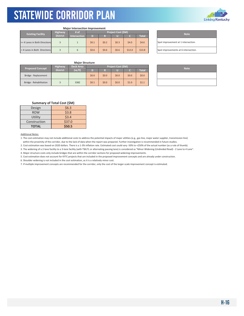

| <b>Major Intersection Improvement</b> |                        |              |                    |       |       |        |              |  |  |
|---------------------------------------|------------------------|--------------|--------------------|-------|-------|--------|--------------|--|--|
| <b>Existing Facility</b>              | <b>Highway</b><br># of |              | Project Cost (\$M) |       |       |        |              |  |  |
|                                       | <b>District</b>        | Intersection | D                  | R     | π     |        | <b>Total</b> |  |  |
| >= 4 Lanes in Both Directions         |                        |              | \$0.1              | \$0.2 | \$0.3 | \$4.0  | \$4.6        |  |  |
| < 4 Lanes in Both Directions          |                        | 6            | \$0.6              | \$0.6 | \$0.6 | \$12.0 | \$13.8       |  |  |

**Note** Spot improvement at 1 intersection. Spot improvements at 6 intersection.

### **Major Structure**

| <b>Proposed Concept</b> | Highway         | Deck Area | <b>Project Cost (\$M)</b> |         |       |       |              | <b>Note</b> |  |  |
|-------------------------|-----------------|-----------|---------------------------|---------|-------|-------|--------------|-------------|--|--|
|                         | <b>District</b> | (sq ft)   |                           |         |       |       | <b>Total</b> |             |  |  |
| Bridge - Replacement    |                 |           | \$0.0                     | \$0.0\$ | \$0.0 | \$0.0 | \$0.0\$      |             |  |  |
| Bridge - Rehabilitation |                 | 3382      | \$0.1                     | \$0.0\$ | \$0.0 | \$1.0 | \$1.1        |             |  |  |

| <b>Note</b> |
|-------------|
|             |
|             |

### **Summary of Total Cost (\$M)**

| Design       | \$6.3  |
|--------------|--------|
| <b>ROW</b>   | \$3.8  |
| Utility      | \$3.4  |
| Construction | \$37.0 |
| <b>TOTAL</b> | \$50.5 |

Additional Notes:

1. The cost estimation may not include additional costs to address the potential impacts of major utilities (e.g., gas line, major water supplier, transmission line) within the proximity of the corridor, due to the lack of data when the report was prepared. Further investigation is recommended in future studies.

2. Cost estimation was based on 2020 dollars. There is a 1‐3% inflation rate. Estimated cost could vary ‐50% to +250% of the actual number (as a rule of thumb).

3. The widening of a 2‐lane facility to a 3‐lane facility (with TWLTL or alternating passing lane) is considered as "Minor Widening (Undivided Road) ‐ 2 Lane to 4 Lane".

4. Major structure costs only include bridges that are within the corridor sections for proposed widening improvements.

5. Cost estimation does not account for KYTC projects that are included in the proposed improvement concepts and are already under construction.

6. Shoulder widening is not included in the cost estimation, as it is a relatively minor cost.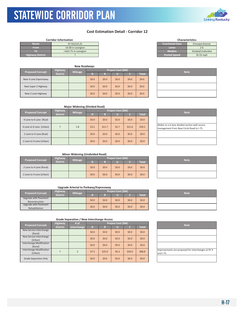### STATEWIDE CORRIDOR PLAN KYTC Statewide Corridor Plan

### **Cost Estimation Detail ‐ Corridor 12**

|                         | <b>Corridor Information</b> |                         | <b>Characteristics</b>    |
|-------------------------|-----------------------------|-------------------------|---------------------------|
| Route                   | KY 922/US 25                | <b>Functional Class</b> | <b>Principal Arterial</b> |
| <b>From</b>             | US 68 in Lexington          | Lanes                   | $2 - 6$                   |
| ю                       | I-64/I-75 in Lexington      | <b>Median</b>           | Divided/Undivided         |
| <b>Highway District</b> |                             | <b>Posted Speed</b>     | 35-55 mph                 |

|                                            |                | <b>New Roadways</b> |                    |         |         |         |              |  |             |
|--------------------------------------------|----------------|---------------------|--------------------|---------|---------|---------|--------------|--|-------------|
|                                            | <b>Highway</b> |                     | Project Cost (\$M) |         |         |         |              |  |             |
| <b>Proposed Concept</b><br><b>District</b> |                | <b>Mileage</b>      | D)                 | R       |         |         | <b>Total</b> |  | <b>Note</b> |
| New 4 Lane Expressway                      |                |                     | \$0.0\$            | \$0.0   | \$0.0\$ | \$0.0\$ | \$0.0\$      |  |             |
| New Super 2 Highway                        |                |                     | \$0.0\$            | \$0.0   | \$0.0   | \$0.0\$ | \$0.0\$      |  |             |
| New 2 Lane Highway                         |                |                     | \$0.0\$            | \$0.0\$ | \$0.0   | \$0.0\$ | \$0.0\$      |  |             |

| <b>Functional Class</b> | <b>Principal Arterial</b> |  |  |  |  |
|-------------------------|---------------------------|--|--|--|--|
| Lanes                   | $2 - 6$                   |  |  |  |  |
| <b>Median</b>           | Divided/Undivided         |  |  |  |  |
| <b>Posted Speed</b>     | 35-55 mph                 |  |  |  |  |
|                         |                           |  |  |  |  |

**Characteristics**

| <b>Note</b> |
|-------------|
|             |
|             |
|             |

| <b>Major Widening (Divided Road)</b> |                 |                |                           |         |         |         |              |  |                                                               |
|--------------------------------------|-----------------|----------------|---------------------------|---------|---------|---------|--------------|--|---------------------------------------------------------------|
| <b>Proposed Concept</b>              | <b>Highway</b>  | <b>Mileage</b> | <b>Project Cost (\$M)</b> |         |         |         |              |  | <b>Note</b>                                                   |
|                                      | <b>District</b> |                |                           |         |         |         | <b>Total</b> |  |                                                               |
| 4 Lane to 6 Lane (Rual)              |                 |                | \$0.0\$                   | \$0.0\$ | \$0.0\$ | \$0.0\$ | \$0.0        |  |                                                               |
| 4 Lane to 6 Lane (Urban)             |                 | 1.8            | \$3.2                     | \$11.7  | \$2.7   | \$21.6  | \$39.2\$     |  | Widen to a 6-lane divided secti<br>management from New Circle |
| 2 Lane to 4 Lane (Rual)              |                 |                | \$0.0\$                   | \$0.0\$ | \$0.0   | \$0.0\$ | \$0.0\$      |  |                                                               |
| 2 Lane to 4 Lane (Urban)             |                 |                | \$0.0\$                   | \$0.0\$ | \$0.0\$ | \$0.0\$ | \$0.0        |  |                                                               |

| <b>Note</b>                                                                               |
|-------------------------------------------------------------------------------------------|
|                                                                                           |
| Widen to a 6-lane divided section with access<br>management from New Circle Road to I-75. |
|                                                                                           |
|                                                                                           |

### **Minor Widening (Undivided Road)**

| <b>Proposed Concept</b>  | <b>Highway</b>  | <b>Mileage</b> | <b>Project Cost (\$M)</b> |         |         |         |              | <b>Note</b> |  |
|--------------------------|-----------------|----------------|---------------------------|---------|---------|---------|--------------|-------------|--|
|                          | <b>District</b> |                |                           |         |         |         | <b>Total</b> |             |  |
| 2 Lane to 4 Lane (Rural) |                 |                | \$0.0\$                   | \$0.0\$ | \$0.0\$ | \$0.0   | \$0.0\$      |             |  |
| 2 Lane to 4 Lane (Urban) |                 |                | \$0.0                     | \$0.0\$ | \$0.0   | \$0.0\$ | \$0.0\$      |             |  |

### **Upgrade Arterial to Parkway/Expressway**

|                                         | <b>Highway</b>  |                | Project Cost (\$M) |         |         |         |              |  |             |
|-----------------------------------------|-----------------|----------------|--------------------|---------|---------|---------|--------------|--|-------------|
| <b>Proposed Concept</b>                 | <b>District</b> | <b>Mileage</b> |                    |         |         |         | <b>Total</b> |  | <b>Note</b> |
| Upgrade with Pavement<br>Reconstruction |                 |                | \$0.0\$            | 50.0    | \$0.0\$ | \$0.0\$ | \$0.0\$      |  |             |
| Upgrade with Pavement<br>Rehabilitation |                 |                | \$0.0\$            | \$0.0\$ | \$0.0\$ | \$0.0\$ | \$0.0\$      |  |             |

| <b>Note</b> |
|-------------|
|             |
|             |
|             |
|             |

| <b>Proposed Concept</b>                    | <b>Highway</b>  | $#$ of      | Project Cost (\$M) |        |         |         |              | <b>Note</b>                               |
|--------------------------------------------|-----------------|-------------|--------------------|--------|---------|---------|--------------|-------------------------------------------|
|                                            | <b>District</b> | Interchange | D                  | R      |         |         | <b>Total</b> |                                           |
| New Service Interchange<br>(Rural)         |                 |             | \$0.0\$            | \$0.0  | \$0.0\$ | \$0.0\$ | \$0.0\$      |                                           |
| New Service Interchange<br>(Urban)         |                 |             | \$0.0\$            | \$0.0  | \$0.0\$ | \$0.0\$ | \$0.0\$      |                                           |
| <b>Interchange Modification</b><br>(Rural) |                 |             | \$0.0\$            | \$0.0  | \$0.0\$ | \$0.0\$ | \$0.0\$      |                                           |
| Interchange Modification<br>(Urban)        |                 |             | \$7.5              | \$25.0 | \$6.3   | \$50.0  | \$88.8       | Improvements are proposed fo<br>and I-75. |
| Grade Separation Only                      |                 |             | \$0.0\$            | \$0.0  | \$0.0\$ | \$0.0\$ | \$0.0\$      |                                           |

| <b>Note</b>                                                     |
|-----------------------------------------------------------------|
|                                                                 |
|                                                                 |
|                                                                 |
| Improvements are proposed for interchanges at KY 4<br>and I-75. |
|                                                                 |

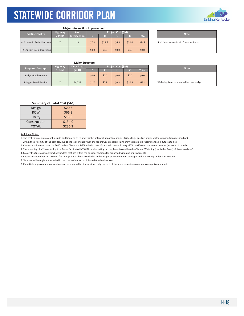

| <b>Major Intersection Improvement</b> |                 |              |                    |        |       |        |              |  |  |  |
|---------------------------------------|-----------------|--------------|--------------------|--------|-------|--------|--------------|--|--|--|
| <b>Existing Facility</b>              | <b>Highway</b>  | $#$ of       | Project Cost (\$M) |        |       |        |              |  |  |  |
|                                       | <b>District</b> | Intersection | D                  | R      |       |        | <b>Total</b> |  |  |  |
| >= 4 Lanes in Both Directions         |                 | 13           | \$7.8              | \$28.6 | \$6.5 | \$52.0 | \$94.9       |  |  |  |
| < 4 Lanes in Both Directions          |                 |              | \$0.0              | \$0.0  | \$0.0 | \$0.0  | \$0.0        |  |  |  |

**Note** Spot improvements at 13 intersections.

### **Major Structure**

| <b>Proposed Concept</b> | <b>Highway</b>  | Deck Area |         |         | <b>Project Cost (SM)</b> |         |              | <b>Note</b>                 |
|-------------------------|-----------------|-----------|---------|---------|--------------------------|---------|--------------|-----------------------------|
|                         | <b>District</b> | (sq ft)   |         |         |                          |         | <b>Total</b> |                             |
| Bridge - Replacement    |                 |           | \$0.0\$ | \$0.0\$ | \$0.0                    | \$0.0\$ | \$0.0\$      |                             |
| Bridge - Rehabilitation |                 | 34,713    | \$1.7   | \$0.9   | \$0.3                    | \$10.4  | \$13.4       | Widening is recommended for |

| <b>Note</b>                            |
|----------------------------------------|
|                                        |
| Widening is recommended for one bridge |

### **Summary of Total Cost (\$M)**

| Design       | \$20.3  |
|--------------|---------|
| <b>ROW</b>   | \$66.2  |
| Utility      | \$15.8  |
| Construction | \$134.0 |
| <b>TOTAL</b> | \$236.3 |

Additional Notes:

1. The cost estimation may not include additional costs to address the potential impacts of major utilities (e.g., gas line, major water supplier, transmission line) within the proximity of the corridor, due to the lack of data when the report was prepared. Further investigation is recommended in future studies.

2. Cost estimation was based on 2020 dollars. There is a 1‐3% inflation rate. Estimated cost could vary ‐50% to +250% of the actual number (as a rule of thumb).

3. The widening of a 2‐lane facility to a 3‐lane facility (with TWLTL or alternating passing lane) is considered as "Minor Widening (Undivided Road) ‐ 2 Lane to 4 Lane".

4. Major structure costs only include bridges that are within the corridor sections for proposed widening improvements.

5. Cost estimation does not account for KYTC projects that are included in the proposed improvement concepts and are already under construction.

6. Shoulder widening is not included in the cost estimation, as it is a relatively minor cost.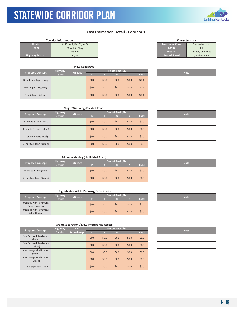### **Cost Estimation Detail ‐ Corridor 15**

|                         | <b>Corridor Information</b> |                         | <b>Characteristics</b>    |
|-------------------------|-----------------------------|-------------------------|---------------------------|
| Route                   | KY 15, KY 7, KY 15S, KY 30  | <b>Functional Class</b> | <b>Principal Arterial</b> |
| <b>From</b>             | <b>Mountain Pkwy</b>        | Lanes                   | $2 - 4$                   |
|                         | <b>US 119</b>               | <b>Median</b>           | Divided/Undivided         |
| <b>Highway District</b> | 10.12                       | <b>Posted Speed</b>     | Typically 55 mph          |

| <b>New Roadways</b>     |                                   |                |         |         |                    |         |              |  |
|-------------------------|-----------------------------------|----------------|---------|---------|--------------------|---------|--------------|--|
| <b>Proposed Concept</b> | <b>Highway</b><br><b>District</b> | <b>Mileage</b> | D       | R       | Project Cost (\$M) |         | <b>Total</b> |  |
| New 4 Lane Expressway   |                                   |                | \$0.0\$ | \$0.0\$ | \$0.0              | \$0.0\$ | \$0.0\$      |  |
| New Super 2 Highway     |                                   |                | \$0.0\$ | \$0.0\$ | \$0.0              | \$0.0\$ | \$0.0\$      |  |
| New 2 Lane Highway      |                                   |                | \$0.0\$ | \$0.0\$ | \$0.0              | \$0.0   | \$0.0\$      |  |

| <b>Characteristics</b>                               |                   |  |  |  |  |  |  |
|------------------------------------------------------|-------------------|--|--|--|--|--|--|
| <b>Functional Class</b><br><b>Principal Arterial</b> |                   |  |  |  |  |  |  |
| Lanes                                                | $7 - 4$           |  |  |  |  |  |  |
| <b>Median</b>                                        | Divided/Undivided |  |  |  |  |  |  |
| <b>Posted Speed</b>                                  | Typically 55 mph  |  |  |  |  |  |  |
|                                                      |                   |  |  |  |  |  |  |

| <b>Note</b> |  |
|-------------|--|
|             |  |
|             |  |
|             |  |

### **Major Widening (Divided Road)**

|                          |                 | . .            |         |                    |             |       |              |  |
|--------------------------|-----------------|----------------|---------|--------------------|-------------|-------|--------------|--|
| <b>Proposed Concept</b>  | <b>Highway</b>  | <b>Mileage</b> |         | Project Cost (\$M) | <b>Note</b> |       |              |  |
|                          | <b>District</b> |                | D       | R                  |             |       | <b>Total</b> |  |
| 4 Lane to 6 Lane (Rual)  |                 |                | \$0.0\$ | \$0.0\$            | \$0.0\$     | \$0.0 | \$0.0\$      |  |
| 4 Lane to 6 Lane (Urban) |                 |                | \$0.0\$ | \$0.0\$            | \$0.0\$     | \$0.0 | \$0.0\$      |  |
| 2 Lane to 4 Lane (Rual)  |                 |                | \$0.0\$ | \$0.0\$            | \$0.0\$     | \$0.0 | \$0.0\$      |  |
| 2 Lane to 4 Lane (Urban) |                 |                | \$0.0\$ | \$0.0\$            | \$0.0\$     | \$0.0 | \$0.0\$      |  |

| <b>Note</b> |  |
|-------------|--|
|             |  |
|             |  |
|             |  |
|             |  |

### **Minor Widening (Undivided Road)**

| <b>Proposed Concept</b>  | <b>Highway</b>  | <b>Mileage</b> |       |         | Project Cost (\$M) |         |              | <b>Note</b> |
|--------------------------|-----------------|----------------|-------|---------|--------------------|---------|--------------|-------------|
|                          | <b>District</b> |                |       |         |                    |         | <b>Total</b> |             |
| 2 Lane to 4 Lane (Rural) |                 |                | \$0.0 | \$0.0\$ | \$0.0              | \$0.0\$ | \$0.0\$      |             |
| 2 Lane to 4 Lane (Urban) |                 |                | \$0.0 | \$0.0\$ | \$0.0              | \$0.0\$ | \$0.0\$      |             |

### **Upgrade Arterial to Parkway/Expressway**

| <b>Proposed Concept</b>                 | <b>Highway</b>  | Project Cost (\$M)<br><b>Mileage</b> |         |         |         |         |              | <b>Note</b> |
|-----------------------------------------|-----------------|--------------------------------------|---------|---------|---------|---------|--------------|-------------|
|                                         | <b>District</b> |                                      | n       |         |         |         | <b>Total</b> |             |
| Upgrade with Pavement<br>Reconstruction |                 |                                      | \$0.0\$ | \$0.0\$ | \$0.0   | \$0.0\$ | \$0.0\$      |             |
| Upgrade with Pavement<br>Rehabilitation |                 |                                      | \$0.0\$ | \$0.0\$ | \$0.0\$ | \$0.0\$ | \$0.0\$      |             |

| <b>Note</b> |  |
|-------------|--|
|             |  |
|             |  |

| <b>Proposed Concept</b>             | # of            | Project Cost (\$M) |         |         |         |         |              | <b>Note</b> |  |
|-------------------------------------|-----------------|--------------------|---------|---------|---------|---------|--------------|-------------|--|
|                                     | <b>District</b> | Interchange        | D       | R       |         |         | <b>Total</b> |             |  |
| New Service Interchange<br>(Rural)  |                 |                    | \$0.0\$ | \$0.0\$ | \$0.0\$ | \$0.0\$ | \$0.0\$      |             |  |
| New Service Interchange<br>(Urban)  |                 |                    | \$0.0\$ | \$0.0\$ | \$0.0\$ | \$0.0\$ | \$0.0\$      |             |  |
| Interchange Modification<br>(Rural) |                 |                    | \$0.0\$ | \$0.0\$ | \$0.0\$ | \$0.0\$ | \$0.0\$      |             |  |
| Interchange Modification<br>(Urban) |                 |                    | \$0.0\$ | \$0.0\$ | \$0.0\$ | \$0.0\$ | \$0.0\$      |             |  |
| <b>Grade Separation Only</b>        |                 |                    | \$0.0\$ | \$0.0\$ | \$0.0\$ | \$0.0\$ | \$0.0\$      |             |  |

| <b>Note</b> |
|-------------|
|             |
|             |
|             |
|             |
|             |



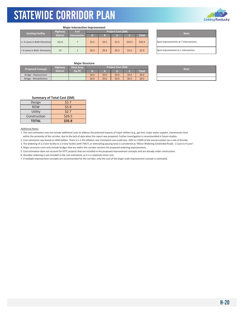

|  | <b>Major Intersection Improvement</b> |
|--|---------------------------------------|
|  |                                       |

| <b>Highway</b><br><b>Existing Facility</b> |                               |                 | # of         | <b>Project Cost (SM)</b> |         |       |        |              |  | <b>Note</b>                   |
|--------------------------------------------|-------------------------------|-----------------|--------------|--------------------------|---------|-------|--------|--------------|--|-------------------------------|
|                                            |                               | <b>District</b> | Intersection | D                        | Ð       | U     |        | <b>Total</b> |  |                               |
|                                            | >= 4 Lanes in Both Directions | 10.12           |              | \$2.5                    | \$3.5   | \$2.5 | \$24.5 | \$32.9       |  | Spot improvements at 7 inters |
|                                            | < 4 Lanes in Both Directions  | 10              |              | \$0.3                    | \$0.4\$ | \$0.3 | \$2.0  | \$2.9        |  | Spot improvement at 1 interse |

| <b>Note</b>                           |
|---------------------------------------|
| Spot improvements at 7 intersections. |
| Spot improvement at 1 intersection.   |

### **Major Structure**

| <b>Proposed Concept</b> | <b>Highway</b>  | Deck Area |         |       | <b>Project Cost (SM)</b> |       |         |             |
|-------------------------|-----------------|-----------|---------|-------|--------------------------|-------|---------|-------------|
|                         | <b>District</b> | (sq ft)   |         |       |                          |       | Total   | <b>Note</b> |
| Bridge - Replacement    |                 |           | \$0.0   | \$0.0 | \$0.0                    | \$0.0 | \$0.0\$ |             |
| Bridge - Rehabilitation |                 |           | \$0.0\$ | \$0.0 | \$0.0                    | \$0.0 | \$0.0\$ |             |

| <b>Note</b> |
|-------------|
|             |
|             |

### **Summary of Total Cost (\$M)**

| Design       | \$2.7  |
|--------------|--------|
| <b>ROW</b>   | \$3.9  |
| Utility      | \$2.7  |
| Construction | \$26.5 |
| <b>TOTAL</b> | \$35.8 |

#### Additional Notes:

1. The cost estimation may not include additional costs to address the potential impacts of major utilities (e.g., gas line, major water supplier, transmission line) within the proximity of the corridor, due to the lack of data when the report was prepared. Further investigation is recommended in future studies.

2. Cost estimation was based on 2020 dollars. There is a 1‐3% inflation rate. Estimated cost could vary ‐50% to +250% of the actual number (as a rule of thumb).

3. The widening of a 2‐lane facility to a 3‐lane facility (with TWLTL or alternating passing lane) is considered as "Minor Widening (Undivided Road) ‐ 2 Lane to 4 Lane".

4. Major structure costs only include bridges that are within the corridor sections for proposed widening improvements.

5. Cost estimation does not account for KYTC projects that are included in the proposed improvement concepts and are already under construction.

6. Shoulder widening is not included in the cost estimation, as it is a relatively minor cost.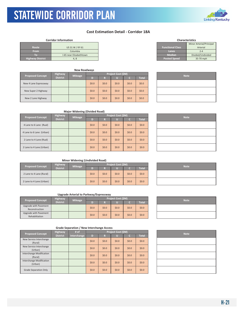

#### **Corridor Information**

KYTC Statewide Corridor Plan

| <b>Route</b>            | US 31 W / KY 61         |
|-------------------------|-------------------------|
| <b>From</b>             | Columbia                |
| ю                       | I-65 near Elizabethtown |
| <b>Highway District</b> | 4.8                     |

|                         |                       | <b>New Roadways</b> |    |         |                    |       |         |             |  |  |  |  |
|-------------------------|-----------------------|---------------------|----|---------|--------------------|-------|---------|-------------|--|--|--|--|
| <b>Proposed Concept</b> | <b>Highway</b>        | <b>Mileage</b>      |    |         | Project Cost (\$M) |       |         | <b>Note</b> |  |  |  |  |
|                         | <b>District</b>       |                     | D) | R       |                    |       | Total   |             |  |  |  |  |
|                         | New 4 Lane Expressway |                     |    | \$0.0\$ | \$0.0\$            | \$0.0 | \$0.0\$ | \$0.0\$     |  |  |  |  |
|                         | New Super 2 Highway   |                     |    | \$0.0\$ | \$0.0\$            | \$0.0 | \$0.0\$ | \$0.0\$     |  |  |  |  |
|                         | New 2 Lane Highway    |                     |    | \$0.0\$ | \$0.0\$            | \$0.0 | \$0.0\$ | \$0.0\$     |  |  |  |  |

| <b>Characteristics</b>  |                          |  |  |  |  |  |  |  |  |
|-------------------------|--------------------------|--|--|--|--|--|--|--|--|
|                         | Minor Arterial/Principal |  |  |  |  |  |  |  |  |
| <b>Functional Class</b> | Arterial                 |  |  |  |  |  |  |  |  |
| Lanes                   | $7 - 4$                  |  |  |  |  |  |  |  |  |
| Median                  | Divided/Undivided        |  |  |  |  |  |  |  |  |
| <b>Posted Speed</b>     | 35-70 mph                |  |  |  |  |  |  |  |  |

**Linking Kentucky** 

| <b>Note</b> |  |
|-------------|--|
|             |  |
|             |  |
|             |  |

### **Major Widening (Divided Road)**

|  | <b>Proposed Concept</b>  | <b>Highway</b> | <b>Mileage</b> |         |         | <b>Project Cost (\$M)</b> | <b>Note</b>  |         |  |  |
|--|--------------------------|----------------|----------------|---------|---------|---------------------------|--------------|---------|--|--|
|  | <b>District</b>          |                | D              | R       |         |                           | <b>Total</b> |         |  |  |
|  | 4 Lane to 6 Lane (Rual)  |                |                | \$0.0\$ | \$0.0\$ | \$0.0                     | \$0.0\$      | \$0.0   |  |  |
|  | 4 Lane to 6 Lane (Urban) |                |                | \$0.0\$ | \$0.0\$ | \$0.0                     | \$0.0\$      | \$0.0\$ |  |  |
|  | 2 Lane to 4 Lane (Rual)  |                |                | \$0.0\$ | \$0.0\$ | \$0.0                     | \$0.0\$      | \$0.0   |  |  |
|  | 2 Lane to 4 Lane (Urban) |                |                | \$0.0\$ | \$0.0\$ | \$0.0                     | \$0.0\$      | \$0.0   |  |  |

| <b>Note</b> |
|-------------|
|             |
|             |
|             |
|             |

### **Minor Widening (Undivided Road)**

| <b>Proposed Concept</b>  | <b>Highway</b><br><b>District</b> | <b>Mileage</b> | <b>Project Cost (SM)</b> |         |       |         |         |  | <b>Note</b> |
|--------------------------|-----------------------------------|----------------|--------------------------|---------|-------|---------|---------|--|-------------|
|                          |                                   |                |                          |         |       |         | Total   |  |             |
| 2 Lane to 4 Lane (Rural) |                                   |                | \$0.0\$                  | \$0.0\$ | \$0.0 | \$0.0\$ | \$0.0\$ |  |             |
| 2 Lane to 4 Lane (Urban) |                                   |                | \$0.0\$                  | \$0.0\$ | \$0.0 | \$0.0\$ | \$0.0\$ |  |             |

|  | <b>Note</b> |  |  |
|--|-------------|--|--|
|  |             |  |  |
|  |             |  |  |

### **Upgrade Arterial to Parkway/Expressway**

|  | <b>Proposed Concept</b>                 | Highway | <b>Mileage</b> | Project Cost (\$M) |      |         |              |         |  | <b>Note</b> |  |
|--|-----------------------------------------|---------|----------------|--------------------|------|---------|--------------|---------|--|-------------|--|
|  | <b>District</b>                         |         | D)             |                    |      |         | <b>Total</b> |         |  |             |  |
|  | Upgrade with Pavement<br>Reconstruction |         |                | \$0.0\$            | 50.0 | \$0.0\$ | \$0.0        | \$0.0\$ |  |             |  |
|  | Upgrade with Pavement<br>Rehabilitation |         |                | \$0.0\$            | 50.0 | \$0.0   | \$0.0        | \$0.0\$ |  |             |  |

|                                     |                 | Grade Separation / New interchange Access |                    |         |         |         |              |  |             |
|-------------------------------------|-----------------|-------------------------------------------|--------------------|---------|---------|---------|--------------|--|-------------|
| <b>Proposed Concept</b>             | Highway         | # $of$                                    | Project Cost (\$M) |         |         |         |              |  | <b>Note</b> |
|                                     | <b>District</b> | Interchange                               | D                  | R       |         | C       | <b>Total</b> |  |             |
| New Service Interchange<br>(Rural)  |                 |                                           | \$0.0\$            | \$0.0\$ | \$0.0   | \$0.0\$ | \$0.0\$      |  |             |
| New Service Interchange<br>(Urban)  |                 |                                           | \$0.0\$            | \$0.0\$ | \$0.0   | \$0.0\$ | \$0.0        |  |             |
| Interchange Modification<br>(Rural) |                 |                                           | \$0.0\$            | \$0.0\$ | \$0.0   | \$0.0\$ | \$0.0\$      |  |             |
| Interchange Modification<br>(Urban) |                 |                                           | \$0.0\$            | \$0.0\$ | \$0.0\$ | \$0.0\$ | \$0.0\$      |  |             |
| <b>Grade Separation Only</b>        |                 |                                           | \$0.0\$            | \$0.0\$ | \$0.0\$ | \$0.0\$ | \$0.0\$      |  |             |

| <b>Note</b> |  |
|-------------|--|
|             |  |
|             |  |

| <b>Note</b> |
|-------------|
|             |
|             |
|             |
|             |
|             |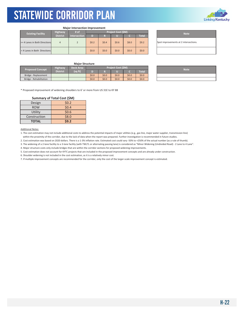

#### **Major Intersection Improvement**

| <b>Existing Facility</b>      | <b>Highway</b>  | # of                | <b>Project Cost (\$M)</b> |         |       |       |              |  |
|-------------------------------|-----------------|---------------------|---------------------------|---------|-------|-------|--------------|--|
|                               | <b>District</b> | <b>Intersection</b> | D                         |         |       |       | <b>Total</b> |  |
| >= 4 Lanes in Both Directions | $\overline{4}$  |                     | \$0.2                     | \$0.4   | \$0.6 | \$8.0 | \$9.2        |  |
| < 4 Lanes in Both Directions  |                 |                     | \$0.0                     | \$0.0\$ | \$0.0 | \$0.0 | \$0.0        |  |

| <b>Note</b>                           |
|---------------------------------------|
| Spot improvements at 2 intersections. |
|                                       |

### **Major Structure**

| <b>Proposed Concept</b> | Highway         | <b>Deck Area</b> | Project Cost (\$M) |         |       |         |         | <b>Note</b> |  |  |
|-------------------------|-----------------|------------------|--------------------|---------|-------|---------|---------|-------------|--|--|
|                         | <b>District</b> | (sq ft)          |                    |         |       |         | Total   |             |  |  |
| Bridge - Replacement    |                 |                  | \$0.0              | \$0.0\$ | \$0.0 | \$0.0\$ | \$0.0\$ |             |  |  |
| Bridge - Rehabilitation |                 |                  | \$0.0              | \$0.0\$ | \$0.0 | \$0.0\$ | \$0.0   |             |  |  |

٦

\* Proposed improvement of widening shoulders to 6' or more from US 31E to KY 88

#### $\sim$ **Summary of Total Cost (\$M)**

| Design       | \$0.2\$ |
|--------------|---------|
| <b>ROW</b>   | \$0.4\$ |
| Utility      | \$0.6   |
| Construction | \$8.0   |
| <b>TOTAL</b> | \$9.2   |

Additional Notes:

1. The cost estimation may not include additional costs to address the potential impacts of major utilities (e.g., gas line, major water supplier, transmission line) within the proximity of the corridor, due to the lack of data when the report was prepared. Further investigation is recommended in future studies.

2. Cost estimation was based on 2020 dollars. There is a 1‐3% inflation rate. Estimated cost could vary ‐50% to +250% of the actual number (as a rule of thumb).

3. The widening of a 2‐lane facility to a 3‐lane facility (with TWLTL or alternating passing lane) is considered as "Minor Widening (Undivided Road) ‐ 2 Lane to 4 Lane".

4. Major structure costs only include bridges that are within the corridor sections for proposed widening improvements.

5. Cost estimation does not account for KYTC projects that are included in the proposed improvement concepts and are already under construction.

6. Shoulder widening is not included in the cost estimation, as it is a relatively minor cost.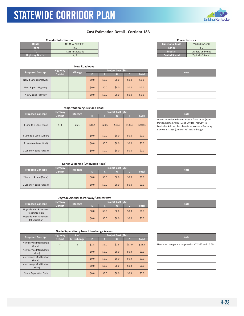

|                         | <b>Corridor Information</b> |
|-------------------------|-----------------------------|
| Route                   | US 31 W / KY 9001           |
| <b>From</b>             | $1 - 65$                    |
| Ю                       | I-265 in Louisville         |
| <b>Highway District</b> | $-4.5$                      |

KYTC Statewide Corridor Plan

| <b>New Roadways</b>     |                            |                |                    |              |       |               |             |  |
|-------------------------|----------------------------|----------------|--------------------|--------------|-------|---------------|-------------|--|
| <b>Proposed Concept</b> | Highway<br><b>District</b> | <b>Mileage</b> | Project Cost (\$M) |              |       | <b>Total</b>  | <b>Note</b> |  |
| New 4 Lane Expressway   |                            |                | D)<br>\$0.0\$      | R<br>\$0.0\$ | \$0.0 | o.<br>\$0.0\$ | \$0.0\$     |  |
| New Super 2 Highway     |                            |                | \$0.0\$            | \$0.0\$      | \$0.0 | \$0.0\$       | \$0.0\$     |  |
| New 2 Lane Highway      |                            |                | \$0.0\$            | \$0.0\$      | \$0.0 | \$0.0\$       | \$0.0\$     |  |

| <b>Characteristics</b>  |                           |  |  |  |  |  |
|-------------------------|---------------------------|--|--|--|--|--|
| <b>Functional Class</b> | <b>Principal Arterial</b> |  |  |  |  |  |
| Lanes.                  | $2 - 6$                   |  |  |  |  |  |
| <b>Median</b>           | Divided/Undivided         |  |  |  |  |  |
| <b>Posted Speed</b>     | Typically 55 mph          |  |  |  |  |  |

| <b>Note</b> |
|-------------|
|             |
|             |
|             |

| <b>Proposed Concept</b>  | Highway         | <b>Mileage</b> | Project Cost (\$M) |         |         |         | <b>Note</b>  |                                                                                                                                            |
|--------------------------|-----------------|----------------|--------------------|---------|---------|---------|--------------|--------------------------------------------------------------------------------------------------------------------------------------------|
|                          | <b>District</b> |                | D                  | R       |         | TC.     | <b>Total</b> |                                                                                                                                            |
| 4 Lane to 6 Lane (Rual)  | 5, 4            | 26.1           | \$36.4\$           | \$23.5  | \$12.5  | \$138.0 | \$210.3      | Widen to a 6-lane divided arter<br>Station Rd) to KY 841 (Gene Sn<br>Louisville. Add auxillary lane fre<br>Pkwy to KY 1638 (Old Mill Rd) i |
| 4 Lane to 6 Lane (Urban) |                 |                | \$0.0              | \$0.0\$ | \$0.0\$ | \$0.0\$ | \$0.0\$      |                                                                                                                                            |
| 2 Lane to 4 Lane (Rual)  |                 |                | \$0.0              | \$0.0\$ | \$0.0\$ | \$0.0\$ | \$0.0\$      |                                                                                                                                            |
| 2 Lane to 4 Lane (Urban) |                 |                | \$0.0              | \$0.0\$ | \$0.0\$ | \$0.0   | \$0.0\$      |                                                                                                                                            |

| <b>Note</b>                                           |
|-------------------------------------------------------|
| Widen to a 6-lane divided arterial from KY 44 (Stites |
| Station Rd) to KY 841 (Gene Snyder Freeway) in        |
| Louisville. Add auxillary lane from Western Kentucky  |
| Pkwy to KY 1638 (Old Mill Rd) in Muldraugh.           |
|                                                       |
|                                                       |
|                                                       |
|                                                       |
|                                                       |

### **Minor Widening (Undivided Road)**

| <b>Proposed Concept</b>  | <b>Highway</b>        | <b>Mileage</b> |         |         | Project Cost (\$M) |         |         | <b>Note</b> |
|--------------------------|-----------------------|----------------|---------|---------|--------------------|---------|---------|-------------|
|                          | District <sup>1</sup> |                |         |         |                    |         | Total   |             |
| 2 Lane to 4 Lane (Rural) |                       |                | \$0.0\$ | \$0.0\$ | \$0.0              | \$0.0\$ | \$0.0\$ |             |
| 2 Lane to 4 Lane (Urban) |                       |                | \$0.0\$ | \$0.0\$ | \$0.0              | \$0.0\$ | \$0.0\$ |             |

| <b>Note</b> |
|-------------|
|             |
|             |

### **Upgrade Arterial to Parkway/Expressway**

| <b>Proposed Concept</b>                 | <b>Highway</b>  | <b>Mileage</b> |         |         | Project Cost (\$M) |         |              |  | <b>Note</b> |
|-----------------------------------------|-----------------|----------------|---------|---------|--------------------|---------|--------------|--|-------------|
|                                         | <b>District</b> |                | D       |         |                    |         | <b>Total</b> |  |             |
| Upgrade with Pavement<br>Reconstruction |                 |                | \$0.0\$ | \$0.0\$ | \$0.0\$            | \$0.0\$ | \$0.0\$      |  |             |
| Upgrade with Pavement<br>Rehabilitation |                 |                | \$0.0\$ | \$0.0\$ | \$0.0\$            | \$0.0\$ | \$0.0\$      |  |             |

|                                     |                 | Grade Separation / New mitcremange Access |         |         |                    |         |              |                              |
|-------------------------------------|-----------------|-------------------------------------------|---------|---------|--------------------|---------|--------------|------------------------------|
| <b>Proposed Concept</b>             | <b>Highway</b>  | # of                                      |         |         | Project Cost (\$M) |         |              | <b>Note</b>                  |
|                                     | <b>District</b> | Interchange                               | D       | R       |                    | ٠       | <b>Total</b> |                              |
| New Service Interchange<br>(Rural)  | $\overline{4}$  | $\overline{2}$                            | \$2.8   | \$2.0   | \$1.6              | \$17.0  | \$23.4       | New interchanges are propose |
| New Service Interchange<br>(Urban)  |                 |                                           | \$0.0\$ | \$0.0\$ | \$0.0\$            | \$0.0\$ | \$0.0\$      |                              |
| Interchange Modification<br>(Rural) |                 |                                           | \$0.0\$ | \$0.0\$ | \$0.0\$            | \$0.0   | \$0.0\$      |                              |
| Interchange Modification<br>(Urban) |                 |                                           | \$0.0\$ | \$0.0\$ | \$0.0\$            | \$0.0   | \$0.0\$      |                              |
| <b>Grade Separation Only</b>        |                 |                                           | \$0.0\$ | \$0.0\$ | \$0.0\$            | \$0.0   | \$0.0\$      |                              |

| <b>Note</b> |
|-------------|
|             |
|             |
|             |

| <b>Note</b>                                         |
|-----------------------------------------------------|
| New interchanges are proposed at KY 1357 and US 60. |
|                                                     |
|                                                     |
|                                                     |
|                                                     |

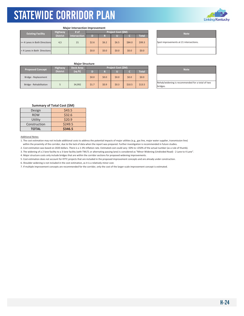

|                               |                 | <b>Major Intersection Improvement</b> |       |       |                           |        |              |
|-------------------------------|-----------------|---------------------------------------|-------|-------|---------------------------|--------|--------------|
| <b>Existing Facility</b>      | <b>Highway</b>  | # of                                  |       |       | <b>Project Cost (\$M)</b> |        |              |
|                               | <b>District</b> | <b>Intersection</b>                   | D     | R     | Ш                         |        | <b>Total</b> |
| >= 4 Lanes in Both Directions | 4,5             | 21                                    | \$2.6 | \$6.2 | \$6.5                     | \$84.0 | \$99.3       |
| < 4 Lanes in Both Directions  |                 |                                       | \$0.0 | \$0.0 | \$0.0                     | \$0.0  | \$0.0        |

**Note** Spot improvements at 21 intersections.

### **Major Structure**

| <b>Proposed Concept</b> | <b>Highway</b>  | <b>Deck Area</b> |         |         | <b>Project Cost (SM)</b> |        |         | <b>Note</b>                             |
|-------------------------|-----------------|------------------|---------|---------|--------------------------|--------|---------|-----------------------------------------|
|                         | <b>District</b> | (sq ft)          |         | Ð       |                          |        | Total   |                                         |
| Bridge - Replacement    |                 |                  | \$0.0\$ | \$0.0\$ | \$0.0                    | \$0.0  | \$0.0\$ |                                         |
| Bridge - Rehabilitation |                 | 34.992           | \$1.7   | \$0.9   | \$0.3                    | \$10.5 | \$13.5  | Rehab/widening is recommend<br>bridges. |

| <b>Note</b>                                      |
|--------------------------------------------------|
|                                                  |
| Rehab/widening is recommended for a total of two |
| bridges.                                         |

| Summary of Total Cost (\$M) |  |  |
|-----------------------------|--|--|
|                             |  |  |

| Design       | \$43.5  |
|--------------|---------|
| <b>ROW</b>   | \$32.6  |
| Utility      | \$20.9  |
| Construction | \$249.5 |
| <b>TOTAL</b> | \$346.5 |

#### Additional Notes:

1. The cost estimation may not include additional costs to address the potential impacts of major utilities (e.g., gas line, major water supplier, transmission line) within the proximity of the corridor, due to the lack of data when the report was prepared. Further investigation is recommended in future studies.

2. Cost estimation was based on 2020 dollars. There is a 1‐3% inflation rate. Estimated cost could vary ‐50% to +250% of the actual number (as a rule of thumb).

3. The widening of a 2‐lane facility to a 3‐lane facility (with TWLTL or alternating passing lane) is considered as "Minor Widening (Undivided Road) ‐ 2 Lane to 4 Lane".

4. Major structure costs only include bridges that are within the corridor sections for proposed widening improvements.

5. Cost estimation does not account for KYTC projects that are included in the proposed improvement concepts and are already under construction.

6. Shoulder widening is not included in the cost estimation, as it is a relatively minor cost.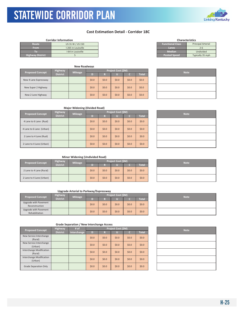### **Cost Estimation Detail ‐ Corridor 18C**

| <b>Functional Class</b><br><b>Principal Arterial</b><br>US 31 W / US 150<br>Route<br><b>From</b><br>I-265 in Louisville<br>Lanes<br>$2 - 6$<br><b>Median</b><br>Undivided<br>I-64 in Louisville<br>$\lceil$ (0)<br><b>Posted Speed</b><br><b>Highway District</b><br>Typically 35 mph | <b>Corridor Information</b> |
|---------------------------------------------------------------------------------------------------------------------------------------------------------------------------------------------------------------------------------------------------------------------------------------|-----------------------------|
|                                                                                                                                                                                                                                                                                       |                             |
|                                                                                                                                                                                                                                                                                       |                             |
|                                                                                                                                                                                                                                                                                       |                             |
|                                                                                                                                                                                                                                                                                       |                             |

KYTC Statewide Corridor Plan

|                         |                 | <b>New Roadways</b> |         |         |                    |         |              |  |  |
|-------------------------|-----------------|---------------------|---------|---------|--------------------|---------|--------------|--|--|
|                         | <b>Highway</b>  | <b>Mileage</b>      |         |         | Project Cost (\$M) |         | <b>Note</b>  |  |  |
| <b>Proposed Concept</b> | <b>District</b> |                     | D)      | R       |                    |         | <b>Total</b> |  |  |
| New 4 Lane Expressway   |                 |                     | \$0.0\$ | \$0.0\$ | \$0.0              | \$0.0\$ | \$0.0\$      |  |  |
| New Super 2 Highway     |                 |                     | \$0.0\$ | \$0.0\$ | \$0.0              | \$0.0\$ | \$0.0\$      |  |  |
| New 2 Lane Highway      |                 |                     | \$0.0\$ | \$0.0\$ | \$0.0              | \$0.0\$ | \$0.0\$      |  |  |

| <b>Characteristics</b>  |                           |  |  |  |  |  |  |
|-------------------------|---------------------------|--|--|--|--|--|--|
| <b>Functional Class</b> | <b>Principal Arterial</b> |  |  |  |  |  |  |
| Lanes                   | $2 - 6$                   |  |  |  |  |  |  |
| <b>Median</b>           | Undivided                 |  |  |  |  |  |  |
| <b>Posted Speed</b>     | Typically 35 mph          |  |  |  |  |  |  |
|                         |                           |  |  |  |  |  |  |

| <b>Note</b> |
|-------------|
|             |
|             |
|             |

### **Major Widening (Divided Road)**

| <b>Proposed Concept</b>  | <b>Highway</b><br><b>Mileage</b> |  | Project Cost (\$M) |         |         |         |              |  | <b>Note</b> |
|--------------------------|----------------------------------|--|--------------------|---------|---------|---------|--------------|--|-------------|
|                          | <b>District</b>                  |  | D                  | R       | J.      |         | <b>Total</b> |  |             |
| 4 Lane to 6 Lane (Rual)  |                                  |  | \$0.0\$            | \$0.0\$ | \$0.0\$ | \$0.0\$ | \$0.0\$      |  |             |
| 4 Lane to 6 Lane (Urban) |                                  |  | \$0.0\$            | \$0.0\$ | \$0.0\$ | \$0.0\$ | \$0.0\$      |  |             |
| 2 Lane to 4 Lane (Rual)  |                                  |  | \$0.0\$            | \$0.0\$ | \$0.0   | \$0.0\$ | \$0.0\$      |  |             |
| 2 Lane to 4 Lane (Urban) |                                  |  | \$0.0\$            | \$0.0\$ | \$0.0\$ | \$0.0\$ | \$0.0\$      |  |             |

| <b>Note</b> |
|-------------|
|             |
|             |
|             |
|             |

### **Minor Widening (Undivided Road)**

| <b>Proposed Concept</b>  | <b>Highway</b>  | <b>Mileage</b> | Project Cost (\$M) |         |              |         |         | <b>Note</b> |
|--------------------------|-----------------|----------------|--------------------|---------|--------------|---------|---------|-------------|
|                          | <b>District</b> |                |                    |         | <b>Total</b> |         |         |             |
| 2 Lane to 4 Lane (Rural) |                 |                | \$0.0\$            | \$0.0\$ | \$0.0        | \$0.0\$ | \$0.0\$ |             |
| 2 Lane to 4 Lane (Urban) |                 |                | \$0.0\$            | \$0.0\$ | \$0.0        | \$0.0\$ | \$0.0\$ |             |

### **Upgrade Arterial to Parkway/Expressway**

| <b>Proposed Concept</b>                 | <b>Highway</b>  | <b>Mileage</b> | <b>Project Cost (SM)</b> |         |         |       |              |  | <b>Note</b> |
|-----------------------------------------|-----------------|----------------|--------------------------|---------|---------|-------|--------------|--|-------------|
|                                         | <b>District</b> |                |                          |         |         |       | <b>Total</b> |  |             |
| Upgrade with Pavement<br>Reconstruction |                 |                | \$0.0\$                  | \$0.0\$ | \$0.0\$ | \$0.0 | \$0.0\$      |  |             |
| Upgrade with Pavement<br>Rehabilitation |                 |                | \$0.0\$                  | 50.0    | \$0.0\$ | \$0.0 | \$0.0\$      |  |             |

| <b>Note</b> |
|-------------|
|             |
|             |

| <b>Proposed Concept</b>             | Highway         | # of        |         | Project Cost (\$M) |         |         |              | <b>Note</b> |
|-------------------------------------|-----------------|-------------|---------|--------------------|---------|---------|--------------|-------------|
|                                     | <b>District</b> | Interchange | D       | R                  |         | c       | <b>Total</b> |             |
| New Service Interchange<br>(Rural)  |                 |             | \$0.0\$ | \$0.0\$            | \$0.0\$ | \$0.0\$ | \$0.0\$      |             |
| New Service Interchange<br>(Urban)  |                 |             | \$0.0\$ | \$0.0\$            | \$0.0   | \$0.0\$ | \$0.0\$      |             |
| Interchange Modification<br>(Rural) |                 |             | \$0.0\$ | \$0.0\$            | \$0.0   | \$0.0\$ | \$0.0\$      |             |
| Interchange Modification<br>(Urban) |                 |             | \$0.0\$ | \$0.0\$            | \$0.0   | \$0.0\$ | \$0.0\$      |             |
| Grade Separation Only               |                 |             | \$0.0\$ | \$0.0\$            | \$0.0   | \$0.0\$ | \$0.0\$      |             |





| <b>Note</b> |
|-------------|
|             |
|             |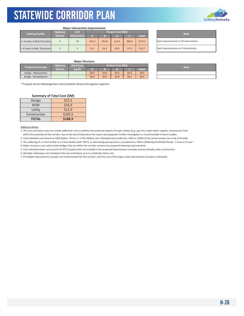

#### **Major Intersection Improvement**

| <b>Existing Facility</b>      | <b>Highway</b>  | # of                |        | <b>Project Cost (SM)</b> |        |        |              |  | <b>Note</b>                    |  |
|-------------------------------|-----------------|---------------------|--------|--------------------------|--------|--------|--------------|--|--------------------------------|--|
|                               | <b>District</b> | <b>Intersection</b> | D      |                          |        |        | <b>Total</b> |  |                                |  |
| >= 4 Lanes in Both Directions |                 | 24                  | \$14.4 | \$52.8                   | \$12.0 | \$96.0 | \$175.2      |  | Spot improvements at 24 inter. |  |
| <4 Lanes in Both Directions   |                 |                     | \$1.1  | 54.1                     | \$0.9  | \$7.5  | \$13.7       |  | Spot improvements at 3 interse |  |

| <b>Note</b>                            |
|----------------------------------------|
| Spot improvements at 24 intersections. |
| Spot improvements at 3 intersections.  |

### **Major Structure**

| Highway<br>Deck Area<br><b>Proposed Concept</b> |                 |         | <b>Project Cost (\$M)</b> |         |       |       |         |  | <b>Note</b> |
|-------------------------------------------------|-----------------|---------|---------------------------|---------|-------|-------|---------|--|-------------|
|                                                 | <b>District</b> | (sq ft) |                           |         |       |       | Total   |  |             |
| Bridge - Replacement                            |                 |         | \$0.0\$                   | \$0.0\$ | \$0.0 | \$0.0 | \$0.0\$ |  |             |
| Bridge - Rehabilitation                         |                 |         | \$0.0\$                   | \$0.0   | \$0.0 | \$0.0 | \$0.0\$ |  |             |

\* Propose Access Manangement and Complete Streets throughout segment.

#### **Summary of Total Cost (\$M)**

| Design       | \$15.5  |
|--------------|---------|
| <b>ROW</b>   | \$56.9  |
| Utility      | \$12.9  |
| Construction | \$103.5 |
| <b>TOTAL</b> | \$188.9 |

Additional Notes:

1. The cost estimation may not include additional costs to address the potential impacts of major utilities (e.g., gas line, major water supplier, transmission line) within the proximity of the corridor, due to the lack of data when the report was prepared. Further investigation is recommended in future studies.

2. Cost estimation was based on 2020 dollars. There is a 1‐3% inflation rate. Estimated cost could vary ‐50% to +250% of the actual number (as a rule of thumb).

3. The widening of a 2‐lane facility to a 3‐lane facility (with TWLTL or alternating passing lane) is considered as "Minor Widening (Undivided Road) ‐ 2 Lane to 4 Lane".

4. Major structure costs only include bridges that are within the corridor sections for proposed widening improvements.

5. Cost estimation does not account for KYTC projects that are included in the proposed improvement concepts and are already under construction.

6. Shoulder widening is not included in the cost estimation, as it is a relatively minor cost.

| <b>Note</b> |  |
|-------------|--|
|             |  |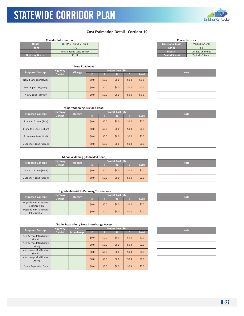### **Cost Estimation Detail ‐ Corridor 19**

| <b>Corridor Information</b> |                            |  |  |
|-----------------------------|----------------------------|--|--|
| Route                       | US 119 / US 25 E / US 23   |  |  |
| <b>From</b>                 | $-75$                      |  |  |
| ю                           | West Virginia State Border |  |  |
| <b>Highway District</b>     | 11.12                      |  |  |

KYTC Statewide Corridor Plan

| <b>Proposed Concept</b> | <b>Highway</b>  |                |         |         | Project Cost (\$M) |         |              |  |             |
|-------------------------|-----------------|----------------|---------|---------|--------------------|---------|--------------|--|-------------|
|                         | <b>District</b> | <b>Mileage</b> | D)      | R       |                    |         | <b>Total</b> |  | <b>Note</b> |
| New 4 Lane Expressway   |                 |                | \$0.0\$ | \$0.0\$ | \$0.0              | \$0.0\$ | \$0.0\$      |  |             |
| New Super 2 Highway     |                 |                | \$0.0\$ | \$0.0\$ | \$0.0              | \$0.0\$ | \$0.0\$      |  |             |
| New 2 Lane Highway      |                 |                | \$0.0\$ | \$0.0\$ | \$0.0              | \$0.0\$ | \$0.0\$      |  |             |

| <b>Characteristics</b>  |                           |  |  |  |  |  |
|-------------------------|---------------------------|--|--|--|--|--|
| <b>Functional Class</b> | <b>Principal Arterial</b> |  |  |  |  |  |
| Lanes                   | $7 - 4$                   |  |  |  |  |  |
| <b>Median</b>           | Divided/Undivided         |  |  |  |  |  |
| <b>Posted Speed</b>     | Typically 55 mph          |  |  |  |  |  |
|                         |                           |  |  |  |  |  |

| <b>Note</b> |  |
|-------------|--|
|             |  |
|             |  |
|             |  |

### **Major Widening (Divided Road)**

| <b>Proposed Concept</b>  | <b>Highway</b>  | <b>Mileage</b> |         |         | Project Cost (\$M) |         |              | <b>Note</b> |
|--------------------------|-----------------|----------------|---------|---------|--------------------|---------|--------------|-------------|
|                          | <b>District</b> |                | D       | R       |                    |         | <b>Total</b> |             |
| 4 Lane to 6 Lane (Rual)  |                 |                | \$0.0\$ | \$0.0\$ | \$0.0\$            | \$0.0\$ | \$0.0\$      |             |
| 4 Lane to 6 Lane (Urban) |                 |                | \$0.0\$ | \$0.0\$ | \$0.0\$            | \$0.0\$ | \$0.0\$      |             |
| 2 Lane to 4 Lane (Rual)  |                 |                | \$0.0\$ | \$0.0\$ | \$0.0              | \$0.0\$ | \$0.0\$      |             |
| 2 Lane to 4 Lane (Urban) |                 |                | \$0.0\$ | \$0.0\$ | \$0.0\$            | \$0.0\$ | \$0.0\$      |             |

| <b>Note</b> |
|-------------|
|             |
|             |
|             |
|             |

### **Minor Widening (Undivided Road)**

| <b>Proposed Concept</b>  | <b>Highway</b>  | <b>Mileage</b> | Project Cost (\$M) |         |       |         |              |  | <b>Note</b> |  |
|--------------------------|-----------------|----------------|--------------------|---------|-------|---------|--------------|--|-------------|--|
|                          | <b>District</b> |                |                    |         |       |         | <b>Total</b> |  |             |  |
| 2 Lane to 4 Lane (Rural) |                 |                | \$0.0\$            | \$0.0\$ | \$0.0 | \$0.0\$ | \$0.0\$      |  |             |  |
| 2 Lane to 4 Lane (Urban) |                 |                | \$0.0\$            | \$0.0\$ | \$0.0 | \$0.0\$ | \$0.0\$      |  |             |  |

### **Upgrade Arterial to Parkway/Expressway**

| <b>Proposed Concept</b>                 | <b>Highway</b>  | <b>Mileage</b> | <b>Project Cost (SM)</b> |         |         |         |              | <b>Note</b> |
|-----------------------------------------|-----------------|----------------|--------------------------|---------|---------|---------|--------------|-------------|
|                                         | <b>District</b> |                | n                        |         |         |         | <b>Total</b> |             |
| Upgrade with Pavement<br>Reconstruction |                 |                | \$0.0\$                  | \$0.0\$ | \$0.0\$ | \$0.0\$ | \$0.0\$      |             |
| Upgrade with Pavement<br>Rehabilitation |                 |                | \$0.0\$                  | \$0.0\$ | \$0.0   | \$0.0\$ | \$0.0\$      |             |

| <b>Note</b> |
|-------------|
|             |
|             |

| <b>Proposed Concept</b>             | <b>Highway</b>  | # of        |         |         | <b>Project Cost (\$M)</b> |         |              | <b>Note</b> |
|-------------------------------------|-----------------|-------------|---------|---------|---------------------------|---------|--------------|-------------|
|                                     | <b>District</b> | Interchange | D       | R       |                           |         | <b>Total</b> |             |
| New Service Interchange<br>(Rural)  |                 |             | \$0.0\$ | \$0.0\$ | \$0.0\$                   | \$0.0\$ | \$0.0\$      |             |
| New Service Interchange<br>(Urban)  |                 |             | \$0.0\$ | \$0.0\$ | \$0.0                     | \$0.0\$ | \$0.0\$      |             |
| Interchange Modification<br>(Rural) |                 |             | \$0.0\$ | \$0.0\$ | \$0.0                     | \$0.0   | \$0.0\$      |             |
| Interchange Modification<br>(Urban) |                 |             | \$0.0\$ | \$0.0\$ | \$0.0                     | \$0.0   | \$0.0\$      |             |
| Grade Separation Only               |                 |             | \$0.0\$ | \$0.0\$ | \$0.0                     | \$0.0   | \$0.0\$      |             |

| <b>Note</b> |
|-------------|
|             |
|             |
|             |
|             |
|             |



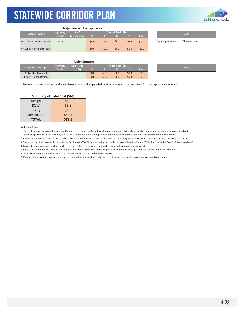

#### **Major Intersection Improvement**

| <b>Existing Facility</b> |                               | <b>Highway</b>  | # of                | <b>Project Cost (SM)</b> |       |         |        |              | <b>Note</b>                   |  |
|--------------------------|-------------------------------|-----------------|---------------------|--------------------------|-------|---------|--------|--------------|-------------------------------|--|
|                          |                               | <b>District</b> | <b>Intersection</b> | D                        |       |         |        | <b>Total</b> |                               |  |
|                          | >= 4 Lanes in Both Directions | 10.12           | 17                  | \$6.0                    | \$8.5 | \$6.0   | \$59.5 | \$79.9       | Spot improvements at 17 inter |  |
|                          | <4 Lanes in Both Directions   |                 |                     | \$0.0                    | 50.0  | \$0.0\$ | \$0.0  | \$0.0\$      |                               |  |

| <b>Note</b>                            |
|----------------------------------------|
| Spot improvements at 17 intersections. |
|                                        |

#### **Major Structure**

| <b>Proposed Concept</b> | <b>Highway</b>  | Deck Area | Project Cost (\$M) |         |       |         |              | <b>Note</b> |  |  |
|-------------------------|-----------------|-----------|--------------------|---------|-------|---------|--------------|-------------|--|--|
|                         | <b>District</b> | (sq ft)   |                    |         |       |         | <b>Total</b> |             |  |  |
| Bridge - Replacement    |                 |           | \$0.0              | \$0.0\$ | \$0.0 | \$0.0\$ | \$0.0\$      |             |  |  |
| Bridge - Rehabilitation |                 |           | \$0.0              | \$0.0\$ | \$0.0 | \$0.0\$ | \$0.0        |             |  |  |

\* Propose Improve shoulders and widen lanes to match the upgraded section between Harlan and Oven Fork, and spot improvements.

### **Summary of Total Cost (\$M)**

| Design       | \$6.0  |  |  |  |  |
|--------------|--------|--|--|--|--|
| <b>ROW</b>   | \$8.5  |  |  |  |  |
| Utility      | \$6.0  |  |  |  |  |
| Construction | \$59.5 |  |  |  |  |
| <b>TOTAL</b> | \$79.9 |  |  |  |  |

Additional Notes:

1. The cost estimation may not include additional costs to address the potential impacts of major utilities (e.g., gas line, major water supplier, transmission line) within the proximity of the corridor, due to the lack of data when the report was prepared. Further investigation is recommended in future studies.

2. Cost estimation was based on 2020 dollars. There is a 1‐3% inflation rate. Estimated cost could vary ‐50% to +250% of the actual number (as a rule of thumb).

3. The widening of a 2‐lane facility to a 3‐lane facility (with TWLTL or alternating passing lane) is considered as "Minor Widening (Undivided Road) ‐ 2 Lane to 4 Lane".

4. Major structure costs only include bridges that are within the corridor sections for proposed widening improvements.

5. Cost estimation does not account for KYTC projects that are included in the proposed improvement concepts and are already under construction.

6. Shoulder widening is not included in the cost estimation, as it is a relatively minor cost.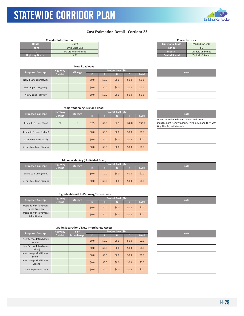### STATEWIDE CORRIDOR PLAN KYTC Statewide Corridor Plan

### **Cost Estimation Detail ‐ Corridor 23**

|                         | <b>Corridor Information</b> | <b>Characteristics</b>  |                           |
|-------------------------|-----------------------------|-------------------------|---------------------------|
| Route                   | <b>US 23</b>                | <b>Functional Class</b> | <b>Principal Arterial</b> |
| <b>From</b>             | Ohio State Line             | Lanes                   | 2-6                       |
| IO)                     | US 119 near Pikeville       | <b>Median</b>           | Divided/Undivided         |
| <b>Highway District</b> | 9.12                        | <b>Posted Speed</b>     | Typically 55 mph          |

|                         |                 | <b>New Roadways</b> |         |         |                    |       |              |  |             |
|-------------------------|-----------------|---------------------|---------|---------|--------------------|-------|--------------|--|-------------|
| <b>Proposed Concept</b> | <b>Highway</b>  | <b>Mileage</b>      |         |         | Project Cost (\$M) |       |              |  | <b>Note</b> |
|                         | <b>District</b> |                     | D)      | R       |                    |       | <b>Total</b> |  |             |
| New 4 Lane Expressway   |                 |                     | \$0.0\$ | \$0.0\$ | \$0.0              | \$0.0 | \$0.0\$      |  |             |
| New Super 2 Highway     |                 |                     | \$0.0\$ | \$0.0\$ | \$0.0              | \$0.0 | \$0.0\$      |  |             |
| New 2 Lane Highway      |                 |                     | \$0.0\$ | \$0.0   | \$0.0              | \$0.0 | \$0.0\$      |  |             |

| <b>Characteristics</b>  |                           |  |  |  |  |  |  |  |
|-------------------------|---------------------------|--|--|--|--|--|--|--|
| <b>Functional Class</b> | <b>Principal Arterial</b> |  |  |  |  |  |  |  |
| Lanes                   | $2 - 6$                   |  |  |  |  |  |  |  |
| <b>Median</b>           | Divided/Undivided         |  |  |  |  |  |  |  |
| <b>Posted Speed</b>     | Typically 55 mph          |  |  |  |  |  |  |  |
|                         |                           |  |  |  |  |  |  |  |

| <b>Note</b> |
|-------------|
|             |
|             |
|             |

### **Major Widening (Divided Road)**

| <b>Proposed Concept</b>  | <b>Highway</b>  | <b>Mileage</b> | Project Cost (\$M) |         |         |         |              | <b>Note</b>                                                                                   |
|--------------------------|-----------------|----------------|--------------------|---------|---------|---------|--------------|-----------------------------------------------------------------------------------------------|
|                          | <b>District</b> |                | D                  | R       | u       |         | <b>Total</b> |                                                                                               |
| 4 Lane to 6 Lane (Rual)  | 9               | 5              | \$7.5              | \$3.0   | \$2.5   | \$20.0  | \$33.0       | Widen to a 6-lane divided secti<br>management from Winchester<br>(Argillite Rd) in Flatwoods. |
| 4 Lane to 6 Lane (Urban) |                 |                | \$0.0\$            | \$0.0\$ | \$0.0\$ | \$0.0\$ | \$0.0\$      |                                                                                               |
| 2 Lane to 4 Lane (Rual)  |                 |                | \$0.0\$            | \$0.0\$ | \$0.0\$ | \$0.0\$ | \$0.0\$      |                                                                                               |
| 2 Lane to 4 Lane (Urban) |                 |                | \$0.0\$            | \$0.0\$ | \$0.0\$ | \$0.0\$ | \$0.0\$      |                                                                                               |

| <b>Note</b>                                         |
|-----------------------------------------------------|
| Widen to a 6-lane divided section with access       |
| management from Winchester Ave in Ashland to KY 207 |
| (Argillite Rd) in Flatwoods.                        |
|                                                     |
|                                                     |
|                                                     |
|                                                     |
|                                                     |
|                                                     |

### **Minor Widening (Undivided Road)**

| <b>Proposed Concept</b>  | <b>Highway</b>  | <b>Mileage</b> |         |       | Project Cost (\$M) |       |              |  |             |  |  |
|--------------------------|-----------------|----------------|---------|-------|--------------------|-------|--------------|--|-------------|--|--|
|                          | <b>District</b> |                |         | n     |                    |       | <b>Total</b> |  | <b>Note</b> |  |  |
| 2 Lane to 4 Lane (Rural) |                 |                | \$0.0\$ | \$0.0 | \$0.0              | \$0.0 | \$0.0\$      |  |             |  |  |
| 2 Lane to 4 Lane (Urban) |                 |                | \$0.0\$ | \$0.0 | \$0.0              | \$0.0 | \$0.0\$      |  |             |  |  |

### **Upgrade Arterial to Parkway/Expressway**

| <b>Proposed Concept</b>                 | <b>Highway</b>  | <b>Mileage</b> |         |         | Project Cost (\$M) |       |              | <b>Note</b> |
|-----------------------------------------|-----------------|----------------|---------|---------|--------------------|-------|--------------|-------------|
|                                         | <b>District</b> |                |         |         |                    |       | <b>Total</b> |             |
| Upgrade with Pavement<br>Reconstruction |                 |                | \$0.0\$ | \$0.0\$ | \$0.0              | \$0.0 | \$0.0\$      |             |
| Upgrade with Pavement<br>Rehabilitation |                 |                | \$0.0\$ | 50.0    | \$0.0              | \$0.0 | \$0.0\$      |             |

|                                     |                 |             |         | $\tilde{}$ |                    |         |              |             |
|-------------------------------------|-----------------|-------------|---------|------------|--------------------|---------|--------------|-------------|
| <b>Proposed Concept</b>             | <b>Highway</b>  | # of        |         |            | Project Cost (\$M) |         |              | <b>Note</b> |
|                                     | <b>District</b> | Interchange | D       | R          |                    | c       | <b>Total</b> |             |
| New Service Interchange<br>(Rural)  |                 |             | \$0.0\$ | \$0.0\$    | \$0.0              | \$0.0\$ | \$0.0\$      |             |
| New Service Interchange<br>(Urban)  |                 |             | \$0.0\$ | \$0.0\$    | \$0.0              | \$0.0\$ | \$0.0\$      |             |
| Interchange Modification<br>(Rural) |                 |             | \$0.0\$ | \$0.0\$    | \$0.0              | \$0.0\$ | \$0.0\$      |             |
| Interchange Modification<br>(Urban) |                 |             | \$0.0\$ | \$0.0\$    | \$0.0              | \$0.0\$ | \$0.0\$      |             |
| Grade Separation Only               |                 |             | \$0.0\$ | \$0.0\$    | \$0.0              | \$0.0\$ | \$0.0\$      |             |

| <b>Note</b> |
|-------------|
|             |
|             |
|             |

| <b>Note</b> |  |
|-------------|--|
|             |  |
|             |  |
|             |  |

| <b>Note</b> |
|-------------|
|             |
|             |
|             |
|             |
|             |

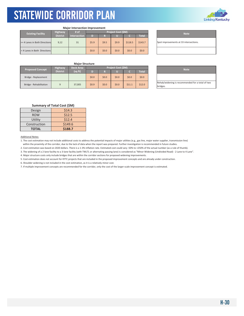

|                               |                 | <b>Major Intersection Improvement</b> |       |       |                    |         |              |                               |
|-------------------------------|-----------------|---------------------------------------|-------|-------|--------------------|---------|--------------|-------------------------------|
| <b>Existing Facility</b>      | <b>Highway</b>  | # of                                  |       |       | Project Cost (\$M) |         |              | <b>Note</b>                   |
|                               | <b>District</b> | Intersection                          | D     |       | LU.                |         | <b>Total</b> |                               |
| >= 4 Lanes in Both Directions | 9,12            | 31                                    | \$5.9 | \$9.5 | \$9.9              | \$118.5 | \$143.7      | Spot improvements at 33 inter |
| < 4 Lanes in Both Directions  |                 |                                       | \$0.0 | \$0.0 | \$0.0              | \$0.0   | \$0.0\$      |                               |

Spot improvements at 33 intersections.

### **Major Structure**

| <b>Proposed Concept</b> | <b>Highway</b>  | <b>Deck Area</b> |         |         | <b>Project Cost (SM)</b> |        |              |  | <b>Note</b>                             |
|-------------------------|-----------------|------------------|---------|---------|--------------------------|--------|--------------|--|-----------------------------------------|
|                         | <b>District</b> | (sq ft)          |         | Ð       |                          |        | <b>Total</b> |  |                                         |
| Bridge - Replacement    |                 |                  | \$0.0\$ | \$0.0\$ | \$0.0                    | \$0.0  | \$0.0\$      |  |                                         |
| Bridge - Rehabilitation |                 | 37.005           | \$0.9   | \$0.0\$ | \$0.0                    | \$11.1 | \$12.0       |  | Rehab/widening is recommend<br>bridges. |

| <b>Note</b>                                      |
|--------------------------------------------------|
|                                                  |
| Rehab/widening is recommended for a total of two |
| bridges.                                         |

| Summary of Total Cost (\$M) |  |  |
|-----------------------------|--|--|
|                             |  |  |

| Design       | \$14.3  |
|--------------|---------|
| <b>ROW</b>   | \$12.5  |
| Utility      | \$12.4  |
| Construction | \$149.6 |
| <b>TOTAL</b> | \$188.7 |

#### Additional Notes:

1. The cost estimation may not include additional costs to address the potential impacts of major utilities (e.g., gas line, major water supplier, transmission line) within the proximity of the corridor, due to the lack of data when the report was prepared. Further investigation is recommended in future studies.

2. Cost estimation was based on 2020 dollars. There is a 1‐3% inflation rate. Estimated cost could vary ‐50% to +250% of the actual number (as a rule of thumb).

3. The widening of a 2‐lane facility to a 3‐lane facility (with TWLTL or alternating passing lane) is considered as "Minor Widening (Undivided Road) ‐ 2 Lane to 4 Lane".

4. Major structure costs only include bridges that are within the corridor sections for proposed widening improvements.

5. Cost estimation does not account for KYTC projects that are included in the proposed improvement concepts and are already under construction.

6. Shoulder widening is not included in the cost estimation, as it is a relatively minor cost.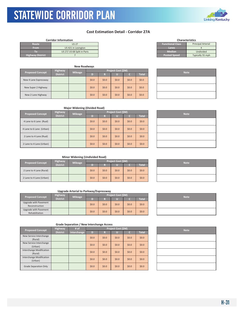### STATEWIDE CORRIDOR PLAN KYTC Statewide Corridor Plan

### **Cost Estimation Detail ‐ Corridor 27A**

| <b>Functional Class</b><br>Route<br><b>US 27</b><br><b>From</b><br>US 421 in Lexington<br>Lanes<br><b>Median</b><br>US 27/ US 68 Split in Paris<br>r. | <b>Corridor Information</b> |
|-------------------------------------------------------------------------------------------------------------------------------------------------------|-----------------------------|
|                                                                                                                                                       |                             |
|                                                                                                                                                       |                             |
|                                                                                                                                                       |                             |
| <b>Highway District</b><br><b>Posted Speed</b>                                                                                                        |                             |

|                         |                 | <b>New Roadways</b> |         |         |                    |         |             |  |  |
|-------------------------|-----------------|---------------------|---------|---------|--------------------|---------|-------------|--|--|
| <b>Highway</b>          |                 |                     |         |         | Project Cost (\$M) |         | <b>Note</b> |  |  |
| <b>Proposed Concept</b> | <b>District</b> | <b>Mileage</b>      | D)      | R       |                    |         | Total       |  |  |
| New 4 Lane Expressway   |                 |                     | \$0.0\$ | \$0.0\$ | \$0.0              | \$0.0\$ | \$0.0\$     |  |  |
| New Super 2 Highway     |                 |                     | \$0.0\$ | \$0.0\$ | \$0.0              | \$0.0\$ | \$0.0\$     |  |  |
| New 2 Lane Highway      |                 |                     | \$0.0\$ | \$0.0\$ | \$0.0              | \$0.0   | \$0.0\$     |  |  |

| <b>Functional Class</b> | <b>Principal Arterial</b> |
|-------------------------|---------------------------|
| Lanes                   |                           |
| <b>Median</b>           | Undivided                 |
| <b>Posted Speed</b>     | Typically 55 mph          |
|                         |                           |
|                         |                           |

**Characteristics**

| <b>Note</b> |
|-------------|
|             |
|             |
|             |

### **Major Widening (Divided Road)**

| <b>Proposed Concept</b>  | <b>Highway</b>  | <b>Mileage</b> |         |         | Project Cost (\$M) | <b>Note</b> |              |  |
|--------------------------|-----------------|----------------|---------|---------|--------------------|-------------|--------------|--|
|                          | <b>District</b> |                | D       | R       |                    |             | <b>Total</b> |  |
| 4 Lane to 6 Lane (Rual)  |                 |                | \$0.0\$ | \$0.0\$ | \$0.0\$            | \$0.0       | \$0.0\$      |  |
| 4 Lane to 6 Lane (Urban) |                 |                | \$0.0\$ | \$0.0\$ | \$0.0\$            | \$0.0       | \$0.0\$      |  |
| 2 Lane to 4 Lane (Rual)  |                 |                | \$0.0\$ | \$0.0\$ | \$0.0\$            | \$0.0       | \$0.0\$      |  |
| 2 Lane to 4 Lane (Urban) |                 |                | \$0.0\$ | \$0.0\$ | \$0.0              | \$0.0       | \$0.0\$      |  |

| <b>Note</b> |
|-------------|
|             |
|             |
|             |
|             |

### **Minor Widening (Undivided Road)**

| <b>Highway</b><br><b>Proposed Concept</b> |                 | <b>Mileage</b> | Project Cost (\$M) |         |       |         |              |  | <b>Note</b> |
|-------------------------------------------|-----------------|----------------|--------------------|---------|-------|---------|--------------|--|-------------|
|                                           | <b>District</b> |                |                    |         |       |         | <b>Total</b> |  |             |
| 2 Lane to 4 Lane (Rural)                  |                 |                | \$0.0              | \$0.0\$ | \$0.0 | \$0.0\$ | \$0.0\$      |  |             |
| 2 Lane to 4 Lane (Urban)                  |                 |                | \$0.0\$            | \$0.0\$ | \$0.0 | \$0.0\$ | \$0.0\$      |  |             |

### **Upgrade Arterial to Parkway/Expressway**

| <b>Highway</b><br><b>Proposed Concept</b> |                 | <b>Mileage</b> | <b>Project Cost (SM)</b> |         |         |         |              |  | <b>Note</b> |
|-------------------------------------------|-----------------|----------------|--------------------------|---------|---------|---------|--------------|--|-------------|
|                                           | <b>District</b> |                | n                        |         |         |         | <b>Total</b> |  |             |
| Upgrade with Pavement<br>Reconstruction   |                 |                | \$0.0\$                  | \$0.0\$ | \$0.0\$ | \$0.0\$ | \$0.0\$      |  |             |
| Upgrade with Pavement<br>Rehabilitation   |                 |                | \$0.0\$                  | \$0.0\$ | \$0.0   | \$0.0\$ | \$0.0\$      |  |             |

| <b>Note</b> |
|-------------|
|             |
|             |

| <b>Proposed Concept</b>             | <b>Highway</b>  | # of        |         |         | <b>Project Cost (\$M)</b> |         |              | <b>Note</b> |
|-------------------------------------|-----------------|-------------|---------|---------|---------------------------|---------|--------------|-------------|
|                                     | <b>District</b> | Interchange | D       | R       |                           |         | <b>Total</b> |             |
| New Service Interchange<br>(Rural)  |                 |             | \$0.0\$ | \$0.0\$ | \$0.0\$                   | \$0.0\$ | \$0.0\$      |             |
| New Service Interchange<br>(Urban)  |                 |             | \$0.0\$ | \$0.0\$ | \$0.0                     | \$0.0\$ | \$0.0\$      |             |
| Interchange Modification<br>(Rural) |                 |             | \$0.0\$ | \$0.0\$ | \$0.0                     | \$0.0\$ | \$0.0\$      |             |
| Interchange Modification<br>(Urban) |                 |             | \$0.0\$ | \$0.0\$ | \$0.0                     | \$0.0\$ | \$0.0\$      |             |
| Grade Separation Only               |                 |             | \$0.0\$ | \$0.0\$ | \$0.0                     | \$0.0\$ | \$0.0\$      |             |

| <b>Note</b> |
|-------------|
|             |
|             |
|             |
|             |
|             |



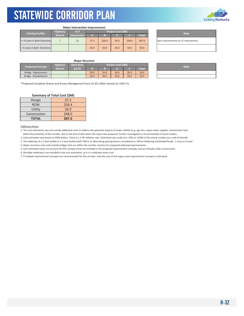

#### **Major Intersection Improvement**

| <b>Existing Facility</b>      | <b>Highway</b>  | # of                | <b>Project Cost (\$M)</b> |        |       |        |              |  |  |
|-------------------------------|-----------------|---------------------|---------------------------|--------|-------|--------|--------------|--|--|
|                               | <b>District</b> | <b>Intersection</b> | D                         | R      | π     |        | <b>Total</b> |  |  |
| >= 4 Lanes in Both Directions |                 | 12                  | \$7.2                     | \$26.4 | \$6.0 | \$48.0 | \$87.6       |  |  |
| < 4 Lanes in Both Directions  |                 |                     | \$0.0                     | \$0.0  | \$0.0 | \$0.0  | \$0.0        |  |  |

| <b>Note</b>                            |
|----------------------------------------|
| Spot improvements at 12 intersections. |
|                                        |

### **Major Structure**

| <b>Proposed Concept</b> | Highway         | <b>Deck Area</b> | Project Cost (\$M) |       |       |       |              | <b>Note</b> |
|-------------------------|-----------------|------------------|--------------------|-------|-------|-------|--------------|-------------|
|                         | <b>District</b> | (sq ft)          |                    |       |       |       | <b>Total</b> |             |
| Bridge - Replacement    |                 |                  | \$0.0\$            | \$0.0 | \$0.0 | \$0.0 | \$0.0\$      |             |
| Bridge - Rehabilitation |                 |                  | \$0.0\$            | \$0.0 | \$0.0 | \$0.0 | \$0.0\$      |             |

\*Proposed Complete Streets and Access Management from US 421 (Main Street) to I‐64/I‐75.

### **Summary of Total Cost (\$M)**

| Design       | \$7.2  |
|--------------|--------|
| <b>ROW</b>   | \$26.4 |
| Utility      | \$6.0  |
| Construction | \$48.0 |
| <b>TOTAL</b> | \$87.6 |

#### Additional Notes:

1. The cost estimation may not include additional costs to address the potential impacts of major utilities (e.g., gas line, major water supplier, transmission line) within the proximity of the corridor, due to the lack of data when the report was prepared. Further investigation is recommended in future studies.

2. Cost estimation was based on 2020 dollars. There is a 1‐3% inflation rate. Estimated cost could vary ‐50% to +250% of the actual number (as a rule of thumb).

3. The widening of a 2‐lane facility to a 3‐lane facility (with TWLTL or alternating passing lane) is considered as "Minor Widening (Undivided Road) ‐ 2 Lane to 4 Lane".

4. Major structure costs only include bridges that are within the corridor sections for proposed widening improvements.

5. Cost estimation does not account for KYTC projects that are included in the proposed improvement concepts and are already under construction.

6. Shoulder widening is not included in the cost estimation, as it is a relatively minor cost.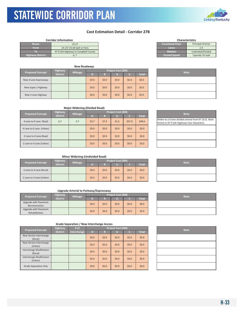### **Cost Estimation Detail ‐ Corridor 27B**

|                         | <b>Corridor Information</b>          | <b>Characteristics</b>  |                           |
|-------------------------|--------------------------------------|-------------------------|---------------------------|
| <b>Route</b>            | <b>US 27</b>                         | <b>Functional Class</b> | <b>Principal Arterial</b> |
| <b>From</b>             | US 27/ US 68 Split in Paris          | Lanes                   |                           |
| o                       | KY 9 (AA Highway) in Campbell County | <b>Median</b>           | Undivided/Divided         |
| <b>Highway District</b> |                                      | <b>Posted Speed</b>     | Typically 55 mph          |

KYTC Statewide Corridor Plan

|                         |                 | <b>New Roadways</b> |                    |         |         |         |              |  |  |             |
|-------------------------|-----------------|---------------------|--------------------|---------|---------|---------|--------------|--|--|-------------|
| <b>Proposed Concept</b> | <b>Highway</b>  |                     | Project Cost (\$M) |         |         |         |              |  |  | <b>Note</b> |
|                         | <b>District</b> | <b>Mileage</b>      | D                  | R       |         |         | <b>Total</b> |  |  |             |
| New 4 Lane Expressway   |                 |                     | \$0.0\$            | \$0.0   | \$0.0   | \$0.0\$ | \$0.0        |  |  |             |
| New Super 2 Highway     |                 |                     | \$0.0\$            | \$0.0\$ | \$0.0\$ | \$0.0\$ | \$0.0        |  |  |             |
| New 2 Lane Highway      |                 |                     | \$0.0\$            | \$0.0\$ | \$0.0\$ | \$0.0\$ | \$0.0        |  |  |             |

| <b>Characteristics</b>                  |                           |  |  |  |  |  |  |  |
|-----------------------------------------|---------------------------|--|--|--|--|--|--|--|
| <b>Functional Class</b>                 | <b>Principal Arterial</b> |  |  |  |  |  |  |  |
| Lanes                                   | $2 - 4$                   |  |  |  |  |  |  |  |
| <b>Median</b>                           | Undivided/Divided         |  |  |  |  |  |  |  |
| <b>Posted Speed</b><br>Typically 55 mph |                           |  |  |  |  |  |  |  |
|                                         |                           |  |  |  |  |  |  |  |

|  | <b>Note</b> |  |
|--|-------------|--|
|  |             |  |
|  |             |  |
|  |             |  |

### **Major Widening (Divided Road)**

| <b>Proposed Concept</b>  | <b>Highway</b>  | <b>Mileage</b> |         |         | Project Cost (\$M) | <b>Note</b> |              |                                                                    |
|--------------------------|-----------------|----------------|---------|---------|--------------------|-------------|--------------|--------------------------------------------------------------------|
|                          | <b>District</b> |                | D       | R       |                    |             | <b>Total</b> |                                                                    |
| 4 Lane to 6 Lane (Rual)  | 6,7             | 3.7            | \$3.7   | \$7.4   | \$1.5              | \$37.0      | \$49.6       | Widen to a 6-lane divided arter<br>Street) to KY 9 (AA Highway) ne |
| 4 Lane to 6 Lane (Urban) |                 |                | \$0.0\$ | \$0.0\$ | \$0.0              | \$0.0       | \$0.0\$      |                                                                    |
| 2 Lane to 4 Lane (Rual)  |                 |                | \$0.0\$ | \$0.0\$ | \$0.0              | \$0.0       | \$0.0\$      |                                                                    |
| 2 Lane to 4 Lane (Urban) |                 |                | \$0.0\$ | \$0.0\$ | \$0.0              | \$0.0       | \$0.0\$      |                                                                    |

| <b>Note</b>                                            |
|--------------------------------------------------------|
| Widen to a 6-lane divided arterial from KY 10 (E. Main |
| Street) to KY 9 (AA Highway) near Alexandria.          |
|                                                        |
|                                                        |
|                                                        |

### **Minor Widening (Undivided Road)**

| <b>Proposed Concept</b>  | <b>Highway</b><br><b>Mileage</b><br><b>District</b> | Project Cost (\$M) |         |       |         |              |  | <b>Note</b> |
|--------------------------|-----------------------------------------------------|--------------------|---------|-------|---------|--------------|--|-------------|
|                          |                                                     |                    |         |       |         | <b>Total</b> |  |             |
| 2 Lane to 4 Lane (Rural) |                                                     | \$0.0\$            | \$0.0\$ | \$0.0 | \$0.0\$ | \$0.0\$      |  |             |
| 2 Lane to 4 Lane (Urban) |                                                     | \$0.0\$            | \$0.0\$ | \$0.0 | \$0.0\$ | \$0.0\$      |  |             |

### **Upgrade Arterial to Parkway/Expressway**

| <b>Proposed Concept</b>                 | <b>Highway</b> | <b>Mileage</b><br><b>District</b> | Project Cost (\$M) |         |       |       |              |  | <b>Note</b> |
|-----------------------------------------|----------------|-----------------------------------|--------------------|---------|-------|-------|--------------|--|-------------|
|                                         |                |                                   |                    |         |       |       | <b>Total</b> |  |             |
| Upgrade with Pavement<br>Reconstruction |                |                                   | \$0.0\$            | \$0.0\$ | \$0.0 | \$0.0 | \$0.0\$      |  |             |
| Upgrade with Pavement<br>Rehabilitation |                |                                   | \$0.0\$            | \$0.0\$ | \$0.0 | \$0.0 | \$0.0\$      |  |             |

| <b>Note</b> |
|-------------|
|             |
|             |

| <b>Proposed Concept</b>             | Project Cost (\$M)<br># of<br><b>Highway</b> |             |         |         |         |         |              |  |             |  |  |  |
|-------------------------------------|----------------------------------------------|-------------|---------|---------|---------|---------|--------------|--|-------------|--|--|--|
|                                     | <b>District</b>                              | Interchange | D       | R       |         |         | <b>Total</b> |  | <b>Note</b> |  |  |  |
| New Service Interchange<br>(Rural)  |                                              |             | \$0.0\$ | \$0.0\$ | \$0.0\$ | \$0.0\$ | \$0.0\$      |  |             |  |  |  |
| New Service Interchange<br>(Urban)  |                                              |             | \$0.0\$ | \$0.0\$ | \$0.0   | \$0.0\$ | \$0.0\$      |  |             |  |  |  |
| Interchange Modification<br>(Rural) |                                              |             | \$0.0\$ | \$0.0\$ | \$0.0   | \$0.0   | \$0.0\$      |  |             |  |  |  |
| Interchange Modification<br>(Urban) |                                              |             | \$0.0\$ | \$0.0\$ | \$0.0   | \$0.0   | \$0.0\$      |  |             |  |  |  |
| Grade Separation Only               |                                              |             | \$0.0\$ | \$0.0\$ | \$0.0\$ | \$0.0\$ | \$0.0\$      |  |             |  |  |  |

| <b>Note</b> |
|-------------|
|             |
|             |
|             |
|             |
|             |

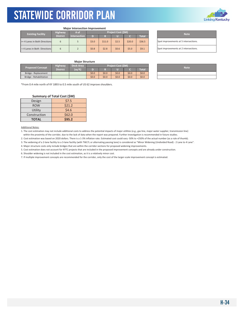

### **Major Intersection Improvement**

| <b>Existing Facility</b> |                               | <b>Highway</b>  | /# of               | <b>Project Cost (SM)</b> |        |       |        |        | <b>Note</b>                    |
|--------------------------|-------------------------------|-----------------|---------------------|--------------------------|--------|-------|--------|--------|--------------------------------|
|                          |                               | <b>District</b> | <b>Intersection</b> | D                        |        |       |        | Total  |                                |
|                          | >= 4 Lanes in Both Directions |                 |                     | \$3.0                    | \$11.0 | \$2.5 | \$20.0 | \$36.5 | Spot improvements at 5 interse |
|                          | < 4 Lanes in Both Directions  |                 |                     | \$0.8                    | \$2.8  | \$0.6 | \$5.0  | \$9.1  | Spot improvements at 2 interse |

### Spot improvements at 5 intersections. Spot improvements at 2 intersections.

### **Major Structure**

| <b>Proposed Concept</b> | <b>Highway</b>  | Deck Area |       |       | Project Cost (\$M) |       |              | <b>Note</b> |
|-------------------------|-----------------|-----------|-------|-------|--------------------|-------|--------------|-------------|
|                         | <b>District</b> | (sq ft)   |       |       |                    |       | <b>Total</b> |             |
| Bridge - Replacement    |                 |           | \$0.0 | \$0.0 | \$0.0              | \$0.0 | \$0.0        |             |
| Bridge - Rehabilitation |                 |           | \$0.0 | \$0.0 | \$0.0              | \$0.0 | \$0.0        |             |

\*From 0.4 mile north of KY 1893 to 0.5 mile south of US 62 improve shoulders.

### **Summary of Total Cost (\$M)**

| Design       | \$7.5  |
|--------------|--------|
| <b>ROW</b>   | \$21.2 |
| Utility      | \$4.6  |
| Construction | \$62.0 |
| <b>TOTAL</b> | \$95.2 |

Additional Notes:

1. The cost estimation may not include additional costs to address the potential impacts of major utilities (e.g., gas line, major water supplier, transmission line) within the proximity of the corridor, due to the lack of data when the report was prepared. Further investigation is recommended in future studies.

2. Cost estimation was based on 2020 dollars. There is a 1‐3% inflation rate. Estimated cost could vary ‐50% to +250% of the actual number (as a rule of thumb).

3. The widening of a 2‐lane facility to a 3‐lane facility (with TWLTL or alternating passing lane) is considered as "Minor Widening (Undivided Road) ‐ 2 Lane to 4 Lane".

4. Major structure costs only include bridges that are within the corridor sections for proposed widening improvements.

5. Cost estimation does not account for KYTC projects that are included in the proposed improvement concepts and are already under construction.

6. Shoulder widening is not included in the cost estimation, as it is a relatively minor cost.

| <b>Note</b> |
|-------------|
|             |
|             |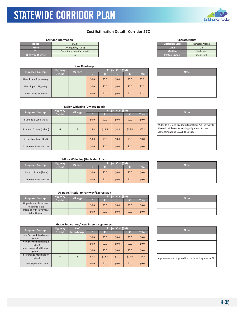### **Cost Estimation Detail ‐ Corridor 27C**

|                         | <b>Corridor Information</b>  |                         | <b>Characteristics</b>    |
|-------------------------|------------------------------|-------------------------|---------------------------|
| Route                   | <b>US 27</b>                 | <b>Functional Class</b> | <b>Principal Arterial</b> |
| <b>From</b>             | AA Highway (KY 9)            | Lanes                   | $2 - 6$                   |
|                         | Ohio State Line (Cincinnati) | <b>Median</b>           | Undivided                 |
| <b>Highway District</b> |                              | <b>Posted Speed</b>     | 25-45 mph                 |

KYTC Statewide Corridor Plan

| <b>New Roadways</b>     |                 |                |                    |         |         |         |              |  |             |  |
|-------------------------|-----------------|----------------|--------------------|---------|---------|---------|--------------|--|-------------|--|
|                         | <b>Highway</b>  |                | Project Cost (\$M) |         |         |         |              |  |             |  |
| <b>Proposed Concept</b> | <b>District</b> | <b>Mileage</b> | D)                 | R       |         |         | <b>Total</b> |  | <b>Note</b> |  |
| New 4 Lane Expressway   |                 |                | \$0.0\$            | \$0.0   | \$0.0   | \$0.0\$ | \$0.0\$      |  |             |  |
| New Super 2 Highway     |                 |                | \$0.0\$            | \$0.0\$ | \$0.0\$ | \$0.0\$ | \$0.0\$      |  |             |  |
| New 2 Lane Highway      |                 |                | \$0.0\$            | \$0.0\$ | \$0.0   | \$0.0\$ | \$0.0\$      |  |             |  |

|                     | <b>I</b> IIIIUIUU ALLEIIUI |
|---------------------|----------------------------|
| Lanes               | $2 - 6$                    |
| <b>Median</b>       | Undivided                  |
| <b>Posted Speed</b> | 25-45 mph                  |
|                     |                            |
|                     |                            |

**Characteristics**

| <b>Note</b> |  |
|-------------|--|
|             |  |
|             |  |
|             |  |

|                          | <b>Major Widening (Divided Road)</b> |                |         |         |                    |         |              |  |                                                                                                   |  |  |
|--------------------------|--------------------------------------|----------------|---------|---------|--------------------|---------|--------------|--|---------------------------------------------------------------------------------------------------|--|--|
| <b>Proposed Concept</b>  | <b>Highway</b>                       | <b>Mileage</b> |         |         | Project Cost (\$M) |         |              |  | <b>Note</b>                                                                                       |  |  |
|                          | <b>District</b>                      |                | D       | R       |                    |         | <b>Total</b> |  |                                                                                                   |  |  |
| 4 Lane to 6 Lane (Rual)  |                                      |                | \$0.0\$ | \$0.0\$ | \$0.0\$            | \$0.0\$ | \$0.0\$      |  |                                                                                                   |  |  |
| 4 Lane to 6 Lane (Urban) | 6                                    | 3              | \$5.4\$ | \$19.5  | \$4.5              | \$36.0  | \$65.4\$     |  | Widen to a 6-lane divided arter<br>Alexandria Pike on its existing a<br>Management and CAV/BRT Co |  |  |
| 2 Lane to 4 Lane (Rual)  |                                      |                | \$0.0\$ | \$0.0\$ | \$0.0\$            | \$0.0\$ | \$0.0\$      |  |                                                                                                   |  |  |
| 2 Lane to 4 Lane (Urban) |                                      |                | \$0.0\$ | \$0.0\$ | \$0.0\$            | \$0.0\$ | \$0.0        |  |                                                                                                   |  |  |

| <b>Note</b>                                                                                                                                    |
|------------------------------------------------------------------------------------------------------------------------------------------------|
|                                                                                                                                                |
| Widen to a 6-lane divided arterial from AA Highway to<br>Alexandria Pike on its existing alignment. Access<br>Management and CAV/BRT Corridor. |
|                                                                                                                                                |
|                                                                                                                                                |

### **Minor Widening (Undivided Road)**

| <b>Proposed Concept</b>  | <b>Highway</b>  | <b>Mileage</b> |         |         | <b>Project Cost (SM)</b> | <b>Note</b> |              |  |
|--------------------------|-----------------|----------------|---------|---------|--------------------------|-------------|--------------|--|
|                          | <b>District</b> |                |         | n       |                          |             | <b>Total</b> |  |
| 2 Lane to 4 Lane (Rural) |                 |                | \$0.0\$ | \$0.0\$ | \$0.0                    | \$0.0       | \$0.0\$      |  |
| 2 Lane to 4 Lane (Urban) |                 |                | \$0.0\$ | \$0.0\$ | \$0.0                    | \$0.0\$     | \$0.0\$      |  |

### **Upgrade Arterial to Parkway/Expressway**

| <b>Proposed Concept</b> | <b>Highway</b>  | <b>Mileage</b> | <b>Proiect Cost (SM)</b> |         |       |       |              | <b>Note</b> |
|-------------------------|-----------------|----------------|--------------------------|---------|-------|-------|--------------|-------------|
|                         | <b>District</b> |                |                          |         |       |       | <b>Total</b> |             |
| Upgrade with Pavement   |                 |                | \$0.0\$                  | \$0.0\$ | \$0.0 | \$0.0 | \$0.0\$      |             |
| Reconstruction          |                 |                |                          |         |       |       |              |             |
| Upgrade with Pavement   |                 |                |                          |         |       |       |              |             |
| Rehabilitation          |                 |                | \$0.0\$                  | \$0.0\$ | \$0.0 | \$0.0 | \$0.0\$      |             |

| <b>Note</b> |  |
|-------------|--|
|             |  |

| <b>Proposed Concept</b>  | <b>Highway</b>  | # $of$      | Project Cost (\$M)                     |                                   |                                        |                                         |                                           | <b>Note</b>                   |
|--------------------------|-----------------|-------------|----------------------------------------|-----------------------------------|----------------------------------------|-----------------------------------------|-------------------------------------------|-------------------------------|
|                          | <b>District</b> | Interchange | D                                      | R                                 |                                        |                                         | <b>Total</b>                              |                               |
| New Service Interchange  |                 |             |                                        |                                   |                                        |                                         |                                           |                               |
| (Rural)                  |                 |             |                                        |                                   |                                        |                                         |                                           |                               |
| New Service Interchange  |                 |             |                                        |                                   |                                        |                                         |                                           |                               |
| (Urban)                  |                 |             |                                        |                                   |                                        |                                         |                                           |                               |
| Interchange Modification |                 |             |                                        |                                   |                                        |                                         |                                           |                               |
| (Rural)                  |                 |             |                                        |                                   |                                        |                                         |                                           |                               |
| Interchange Modification |                 |             |                                        |                                   |                                        |                                         |                                           |                               |
| (Urban)                  |                 |             |                                        |                                   |                                        |                                         |                                           | Improvement is proposed for t |
| Grade Separation Only    |                 |             | \$0.0\$                                | \$0.0                             | \$0.0\$                                | \$0.0\$                                 | \$0.0\$                                   |                               |
|                          | 6               |             | \$0.0\$<br>\$0.0\$<br>\$0.0\$<br>\$3.8 | \$0.0<br>\$0.0<br>\$0.0<br>\$12.5 | \$0.0\$<br>\$0.0\$<br>\$0.0\$<br>\$3.1 | \$0.0\$<br>\$0.0\$<br>\$0.0\$<br>\$25.0 | \$0.0\$<br>\$0.0\$<br>\$0.0\$<br>\$44.4\$ |                               |

| <b>Note</b>                                           |
|-------------------------------------------------------|
|                                                       |
|                                                       |
|                                                       |
| Improvement is proposed for the interchagne at I-471. |
|                                                       |



| <b>Note</b> |  |
|-------------|--|
|             |  |
|             |  |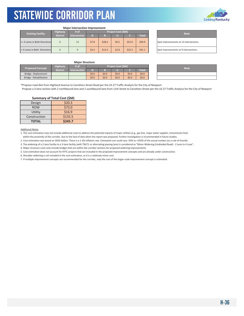

#### **Major Intersection Improvement**

|  | <b>Existing Facility</b>      | <b>Highway</b>  | # of                | <b>Project Cost (SM)</b> |        |       |        |              |  | <b>Note</b>                    |  |
|--|-------------------------------|-----------------|---------------------|--------------------------|--------|-------|--------|--------------|--|--------------------------------|--|
|  |                               | <b>District</b> | <b>Intersection</b> | D                        |        |       |        | <b>Total</b> |  |                                |  |
|  | >= 4 Lanes in Both Directions |                 | 13                  | \$7.8                    | \$28.6 | \$6.5 | \$52.0 | \$94.9       |  | Spot improvements at 13 inter  |  |
|  | < 4 Lanes in Both Directions  |                 |                     | \$3.4                    | \$12.4 | \$2.8 | \$22.5 | 541.1        |  | Spot improvements at 9 interse |  |

| <b>Note</b>                            |
|----------------------------------------|
| Spot improvements at 13 intersections. |
| Spot improvements at 9 intersections.  |

#### **Major Structure**

| <b>Proposed Concept</b> | <b>Highway</b>  | # of         | Project Cost (\$M) |         |       |         |         | <b>Note</b> |
|-------------------------|-----------------|--------------|--------------------|---------|-------|---------|---------|-------------|
|                         | <b>District</b> | Intersection |                    |         |       |         | Total   |             |
| Bridge - Replacement    |                 |              | \$0.0\$            | \$0.0\$ | \$0.0 | \$0.0   | \$0.0\$ |             |
| Bridge - Rehabilitation |                 |              | \$0.0              | \$0.0\$ | \$0.0 | \$0.0\$ | \$0.0\$ |             |

| <b>Note</b> |
|-------------|
|             |
|             |

\*Propose road diet from Highland Avenue to Carothers Street Road per the US 27 Traffic Analysis for the City of Newport. Propose a 3-lane section with 2 northbound lane and 1 southbound lane from 11th Street to Carothers Street per the US 27 Traffic Analysis for the City of Newport

#### **Summary of Total Cost (\$M) Design** ┰  $520.3$

| DUJIAII      | ンムいい    |
|--------------|---------|
| <b>ROW</b>   | \$73.0  |
| Utility      | \$16.9  |
| Construction | \$135.5 |
| <b>TOTAL</b> | \$245.7 |

Additional Notes:

г

1. The cost estimation may not include additional costs to address the potential impacts of major utilities (e.g., gas line, major water supplier, transmission line) within the proximity of the corridor, due to the lack of data when the report was prepared. Further investigation is recommended in future studies.

2. Cost estimation was based on 2020 dollars. There is a 1‐3% inflation rate. Estimated cost could vary ‐50% to +250% of the actual number (as a rule of thumb).

3. The widening of a 2‐lane facility to a 3‐lane facility (with TWLTL or alternating passing lane) is considered as "Minor Widening (Undivided Road) ‐ 2 Lane to 4 Lane".

4. Major structure costs only include bridges that are within the corridor sections for proposed widening improvements.

5. Cost estimation does not account for KYTC projects that are included in the proposed improvement concepts and are already under construction.

6. Shoulder widening is not included in the cost estimation, as it is a relatively minor cost.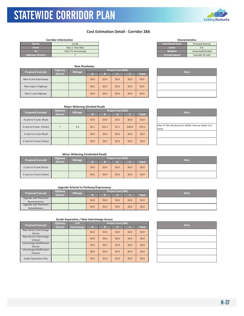### **Cost Estimation Detail ‐ Corridor 28A**

| <b>Functional Class</b><br>Route<br><b>Principal Arterial</b><br><b>US 68</b><br><b>From</b><br>Man o' War Blyd<br>Lanes<br>$4-6$<br><b>Median</b><br>Undivided/Divided<br>I-64/I-75 Interchange<br><b>Posted Speed</b><br>Typically 45 mph | <b>Corridor Information</b> |  |  |  |
|---------------------------------------------------------------------------------------------------------------------------------------------------------------------------------------------------------------------------------------------|-----------------------------|--|--|--|
|                                                                                                                                                                                                                                             |                             |  |  |  |
|                                                                                                                                                                                                                                             |                             |  |  |  |
|                                                                                                                                                                                                                                             |                             |  |  |  |
|                                                                                                                                                                                                                                             | <b>Highway District</b>     |  |  |  |

KYTC Statewide Corridor Plan

| <b>New Roadways</b>     |                                   |                |         |       |                    |         |              |  |  |
|-------------------------|-----------------------------------|----------------|---------|-------|--------------------|---------|--------------|--|--|
| <b>Proposed Concept</b> | <b>Highway</b><br><b>District</b> | <b>Mileage</b> | т       | R     | Project Cost (\$M) |         | <b>Total</b> |  |  |
| New 4 Lane Expressway   |                                   |                | \$0.0\$ | \$0.0 | \$0.0              | \$0.0\$ | \$0.0\$      |  |  |
| New Super 2 Highway     |                                   |                | \$0.0\$ | \$0.0 | \$0.0              | \$0.0\$ | \$0.0\$      |  |  |
| New 2 Lane Highway      |                                   |                | \$0.0\$ | \$0.0 | \$0.0              | \$0.0\$ | \$0.0\$      |  |  |

| <b>Functional Class</b> | <b>Principal Arterial</b> |
|-------------------------|---------------------------|
| Lanes                   | $4 - 6$                   |
| <b>Median</b>           | Undivided/Divided         |
| <b>Posted Speed</b>     | Typically 45 mph          |
|                         |                           |
|                         |                           |

**Characteristics**

| <b>Note</b> |  |
|-------------|--|
|             |  |
|             |  |
|             |  |

| <b>Major Widening (Divided Road)</b> |                 |                |         |                           |             |         |              |                                         |  |
|--------------------------------------|-----------------|----------------|---------|---------------------------|-------------|---------|--------------|-----------------------------------------|--|
| <b>Proposed Concept</b>              | <b>Highway</b>  |                |         | <b>Project Cost (\$M)</b> | <b>Note</b> |         |              |                                         |  |
|                                      | <b>District</b> | <b>Mileage</b> | D       | R                         |             |         | <b>Total</b> |                                         |  |
| 4 Lane to 6 Lane (Rual)              |                 |                | \$0.0\$ | \$0.0                     | \$0.0\$     | \$0.0\$ | \$0.0\$      |                                         |  |
| 4 Lane to 6 Lane (Urban)             |                 | 3.4            | \$6.1   | \$22.1                    | \$5.1       | \$40.8  | \$74.1       | Man O' War Boulevard to Wall<br>llanes. |  |
| 2 Lane to 4 Lane (Rual)              |                 |                | \$0.0\$ | \$0.0                     | \$0.0\$     | \$0.0\$ | \$0.0\$      |                                         |  |
| 2 Lane to 4 Lane (Urban)             |                 |                | \$0.0\$ | \$0.0                     | \$0.0\$     | \$0.0\$ | \$0.0\$      |                                         |  |

| <b>Note</b>                                                |
|------------------------------------------------------------|
|                                                            |
| Man O' War Boulevard to Waller Avenue widen to 6<br>lanes. |
|                                                            |
|                                                            |

#### **Minor Widening (Undivided Road)**

| <b>Proposed Concept</b>  | <b>Highway</b><br><b>Mileage</b><br><b>District</b> | <b>Project Cost (\$M)</b> |         |       |         |              |  | <b>Note</b> |
|--------------------------|-----------------------------------------------------|---------------------------|---------|-------|---------|--------------|--|-------------|
|                          |                                                     |                           |         |       |         | <b>Total</b> |  |             |
| 2 Lane to 4 Lane (Rural) |                                                     | \$0.0\$                   | \$0.0\$ | \$0.0 | \$0.0\$ | \$0.0\$      |  |             |
| 2 Lane to 4 Lane (Urban) |                                                     | \$0.0\$                   | \$0.0\$ | \$0.0 | \$0.0\$ | \$0.0\$      |  |             |

#### **Upgrade Arterial to Parkway/Expressway**

| <b>Proposed Concept</b> | <b>Highway</b>  | <b>Mileage</b> | Project Cost (\$M) |         |         |         |         |  | <b>Note</b> |
|-------------------------|-----------------|----------------|--------------------|---------|---------|---------|---------|--|-------------|
|                         | <b>District</b> |                |                    |         |         |         | Total   |  |             |
| Upgrade with Pavement   |                 |                | \$0.0\$            | \$0.0\$ | \$0.0\$ | \$0.0\$ | \$0.0\$ |  |             |
| Reconstruction          |                 |                |                    |         |         |         |         |  |             |
| Upgrade with Pavement   |                 |                |                    |         |         |         |         |  |             |
| Rehabilitation          |                 |                | \$0.0\$            | 50.0    | \$0.0\$ | \$0.0\$ | \$0.0\$ |  |             |

| <b>Grade Separation / New Interchange Access</b> |  |
|--------------------------------------------------|--|
|--------------------------------------------------|--|

| <b>Proposed Concept</b>                    | <b>Highway</b>  | Project Cost (\$M)<br>$#$ of |         |       |         |         |              | <b>Note</b> |
|--------------------------------------------|-----------------|------------------------------|---------|-------|---------|---------|--------------|-------------|
|                                            | <b>District</b> | Interchange                  | D       | R     |         |         | <b>Total</b> |             |
| New Service Interchange<br>(Rural)         |                 |                              | \$0.0\$ | \$0.0 | \$0.0\$ | \$0.0\$ | \$0.0\$      |             |
| New Service Interchange<br>(Urban)         |                 |                              | \$0.0\$ | \$0.0 | \$0.0\$ | \$0.0\$ | \$0.0\$      |             |
| <b>Interchange Modification</b><br>(Rural) |                 |                              | \$0.0\$ | \$0.0 | \$0.0\$ | \$0.0\$ | \$0.0\$      |             |
| <b>Interchange Modification</b><br>(Urban) |                 |                              | \$0.0\$ | \$0.0 | \$0.0\$ | \$0.0\$ | \$0.0\$      |             |
| <b>Grade Separation Only</b>               |                 |                              | \$0.0\$ | \$0.0 | \$0.0\$ | \$0.0\$ | \$0.0\$      |             |

| <b>Note</b> |
|-------------|
|             |
|             |
|             |
|             |
|             |





| <b>Note</b> |  |
|-------------|--|
|             |  |
|             |  |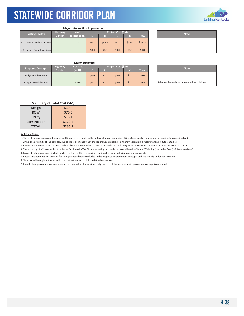

| <b>Major Intersection Improvement</b> |                 |                     |                    |         |        |         |              |  |             |
|---------------------------------------|-----------------|---------------------|--------------------|---------|--------|---------|--------------|--|-------------|
|                                       | <b>Highway</b>  | # of                | Project Cost (\$M) |         |        |         |              |  | <b>Note</b> |
| <b>Existing Facility</b>              | <b>District</b> | <b>Intersection</b> | D                  | R       | π      |         | <b>Total</b> |  |             |
| >= 4 Lanes in Both Directions         |                 | 22                  | \$13.2             | \$48.4  | \$11.0 | \$88.0  | \$160.6      |  |             |
| < 4 Lanes in Both Directions          |                 |                     | \$0.0\$            | \$0.0\$ | \$0.0  | \$0.0\$ | \$0.0\$      |  |             |

| <b>Note</b> |
|-------------|
|             |
|             |

#### **Major Structure**

| <b>Proposed Concept</b> | <b>Highway</b>  | <b>Deck Area</b> | Project Cost (\$M) |         |       |       |              |  | <b>Note</b>                 |
|-------------------------|-----------------|------------------|--------------------|---------|-------|-------|--------------|--|-----------------------------|
|                         | <b>District</b> | (sqft)           |                    |         |       |       | <b>Total</b> |  |                             |
| Bridge - Replacement    |                 |                  | \$0.0\$            | \$0.0\$ | \$0.0 | \$0.0 | \$0.0\$      |  |                             |
| Bridge - Rehabilitation |                 | 1,210            | \$0.1              | \$0.0\$ | \$0.0 | \$0.4 | \$0.5        |  | Rehab/widening is recommend |

| <b>Note</b>                                 |
|---------------------------------------------|
|                                             |
| Rehab/widening is recommended for 1 bridge. |

#### **Summary of Total Cost (\$M)**

| Design       | \$19.4  |
|--------------|---------|
| <b>ROW</b>   | \$70.5  |
| Utility      | \$16.1  |
| Construction | \$129.2 |
| <b>TOTAL</b> | \$235.2 |

Additional Notes:

1. The cost estimation may not include additional costs to address the potential impacts of major utilities (e.g., gas line, major water supplier, transmission line) within the proximity of the corridor, due to the lack of data when the report was prepared. Further investigation is recommended in future studies.

2. Cost estimation was based on 2020 dollars. There is a 1‐3% inflation rate. Estimated cost could vary ‐50% to +250% of the actual number (as a rule of thumb).

3. The widening of a 2‐lane facility to a 3‐lane facility (with TWLTL or alternating passing lane) is considered as "Minor Widening (Undivided Road) ‐ 2 Lane to 4 Lane".

4. Major structure costs only include bridges that are within the corridor sections for proposed widening improvements.

5. Cost estimation does not account for KYTC projects that are included in the proposed improvement concepts and are already under construction.

6. Shoulder widening is not included in the cost estimation, as it is a relatively minor cost.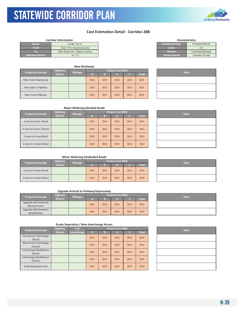### STATEWIDE CORRIDOR PLAN KYTC Statewide Corridor Plan

### **Cost Estimation Detail ‐ Corridor 28B**

| <b>Corridor Information</b> |                                |  |
|-----------------------------|--------------------------------|--|
| Route                       | US 68 / US 27                  |  |
| <b>From</b>                 | I-64/I-75 in Fayette County    |  |
|                             | Ohio State Line - Mason County |  |
| <b>Highway District</b>     | 6, 7, 9                        |  |
|                             |                                |  |

|                         |                 | <b>New Roadways</b> |         |         |                    |         |              |  |  |
|-------------------------|-----------------|---------------------|---------|---------|--------------------|---------|--------------|--|--|
| <b>Proposed Concept</b> | <b>Highway</b>  | <b>Mileage</b>      |         |         | Project Cost (\$M) |         | <b>Note</b>  |  |  |
|                         | <b>District</b> |                     | D)      | R       |                    |         | <b>Total</b> |  |  |
| New 4 Lane Expressway   |                 |                     | \$0.0\$ | \$0.0\$ | \$0.0              | \$0.0\$ | \$0.0\$      |  |  |
| New Super 2 Highway     |                 |                     | \$0.0\$ | \$0.0\$ | \$0.0              | \$0.0\$ | \$0.0\$      |  |  |
| New 2 Lane Highway      |                 |                     | \$0.0\$ | \$0.0\$ | \$0.0              | \$0.0\$ | \$0.0\$      |  |  |

| <b>Characteristics</b>  |                           |  |  |  |  |  |  |
|-------------------------|---------------------------|--|--|--|--|--|--|
| <b>Functional Class</b> | <b>Principal Arterial</b> |  |  |  |  |  |  |
| Lanes                   | $7 - 4$                   |  |  |  |  |  |  |
| <b>Median</b>           | Undivided/Divided         |  |  |  |  |  |  |
| <b>Posted Speed</b>     | Typically 55 mph          |  |  |  |  |  |  |
|                         |                           |  |  |  |  |  |  |

| <b>Note</b> |  |
|-------------|--|
|             |  |
|             |  |
|             |  |

#### **Major Widening (Divided Road)**

| <b>Proposed Concept</b>  | <b>Highway</b>  | <b>Mileage</b> |         |         | Project Cost (\$M) |       |              | <b>Note</b> |
|--------------------------|-----------------|----------------|---------|---------|--------------------|-------|--------------|-------------|
|                          | <b>District</b> |                | D       | R       |                    |       | <b>Total</b> |             |
| 4 Lane to 6 Lane (Rual)  |                 |                | \$0.0\$ | \$0.0\$ | \$0.0\$            | \$0.0 | \$0.0\$      |             |
| 4 Lane to 6 Lane (Urban) |                 |                | \$0.0\$ | \$0.0\$ | \$0.0\$            | \$0.0 | \$0.0\$      |             |
| 2 Lane to 4 Lane (Rual)  |                 |                | \$0.0\$ | \$0.0\$ | \$0.0              | \$0.0 | \$0.0\$      |             |
| 2 Lane to 4 Lane (Urban) |                 |                | \$0.0\$ | \$0.0\$ | \$0.0              | \$0.0 | \$0.0\$      |             |

| <b>Note</b> |
|-------------|
|             |
|             |
|             |
|             |

#### **Minor Widening (Undivided Road)**

| <b>Proposed Concept</b>  | <b>Highway</b>  | Project Cost (\$M)<br><b>Mileage</b> |         |       |         |         |  | <b>Note</b> |
|--------------------------|-----------------|--------------------------------------|---------|-------|---------|---------|--|-------------|
|                          | <b>District</b> |                                      |         |       |         | Total   |  |             |
| 2 Lane to 4 Lane (Rural) |                 | \$0.0\$                              | \$0.0\$ | \$0.0 | \$0.0\$ | \$0.0\$ |  |             |
| 2 Lane to 4 Lane (Urban) |                 | \$0.0\$                              | \$0.0\$ | \$0.0 | \$0.0\$ | \$0.0\$ |  |             |

#### **Upgrade Arterial to Parkway/Expressway**

| <b>Proposed Concept</b>                 | <b>Highway</b>  | Project Cost (\$M)<br><b>Mileage</b> |         |       |         |              | <b>Note</b> |
|-----------------------------------------|-----------------|--------------------------------------|---------|-------|---------|--------------|-------------|
|                                         | <b>District</b> | D                                    |         |       |         | <b>Total</b> |             |
| Upgrade with Pavement<br>Reconstruction |                 | \$0.0\$                              | \$0.0\$ | \$0.0 | \$0.0\$ | \$0.0\$      |             |
| Upgrade with Pavement<br>Rehabilitation |                 | \$0.0\$                              | \$0.0\$ | \$0.0 | \$0.0\$ | \$0.0\$      |             |

| <b>Note</b> |
|-------------|
|             |
|             |

| <b>Proposed Concept</b>             | <b>Highway</b>  | # of        |         |         | Project Cost (\$M) |         |              | <b>Note</b> |
|-------------------------------------|-----------------|-------------|---------|---------|--------------------|---------|--------------|-------------|
|                                     | <b>District</b> | Interchange | D       | R       |                    | c       | <b>Total</b> |             |
| New Service Interchange<br>(Rural)  |                 |             | \$0.0\$ | \$0.0\$ | \$0.0              | \$0.0\$ | \$0.0        |             |
| New Service Interchange<br>(Urban)  |                 |             | \$0.0\$ | \$0.0\$ | \$0.0              | \$0.0\$ | \$0.0\$      |             |
| Interchange Modification<br>(Rural) |                 |             | \$0.0\$ | \$0.0\$ | \$0.0              | \$0.0   | \$0.0\$      |             |
| Interchange Modification<br>(Urban) |                 |             | \$0.0\$ | \$0.0\$ | \$0.0              | \$0.0   | \$0.0\$      |             |
| Grade Separation Only               |                 |             | \$0.0\$ | \$0.0\$ | \$0.0              | \$0.0   | \$0.0\$      |             |





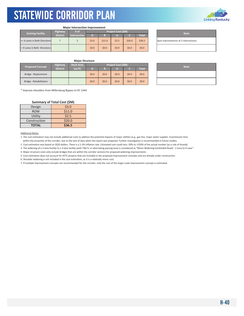

#### **Major Intersection Improvement**

| <b>Existing Facility</b>      | <b>Highway</b>  | # of         | <b>Project Cost (SM)</b> |         |         |         |              |  | <b>Note</b>                    |
|-------------------------------|-----------------|--------------|--------------------------|---------|---------|---------|--------------|--|--------------------------------|
|                               | <b>District</b> | Intersection | D                        |         |         |         | <b>Total</b> |  |                                |
| >= 4 Lanes in Both Directions |                 |              | \$3.0                    | \$11.0  | \$2.5   | \$20.0  | \$36.5       |  | Spot improvements at 5 interse |
| <4 Lanes in Both Directions   |                 |              | \$0.0\$                  | \$0.0\$ | \$0.0\$ | \$0.0\$ | \$0.0\$      |  |                                |

| <b>Note</b>                           |
|---------------------------------------|
| Spot improvements at 5 intersections. |
|                                       |

#### **Major Structure**

| <b>Proposed Concept</b> | <b>Highway</b>  | <b>Deck Area</b> |         |       | Project Cost (\$M) |       |              | <b>Note</b> |
|-------------------------|-----------------|------------------|---------|-------|--------------------|-------|--------------|-------------|
|                         | <b>District</b> | (sq ft)          |         |       |                    |       | <b>Total</b> |             |
| Bridge - Replacement    |                 |                  | \$0.0\$ | \$0.0 | \$0.0              | \$0.0 | \$0.0\$      |             |
| Bridge - Rehabilitation |                 |                  | \$0.0\$ | \$0.0 | \$0.0              | \$0.0 | \$0.0\$      |             |

\* Improve shoulders from Millersburg Bypass to KY 1244.

#### **Summary of Total Cost (\$M)**

| Design       | \$3.0  |
|--------------|--------|
| <b>ROW</b>   | \$11.0 |
| Utility      | \$2.5  |
| Construction | \$20.0 |
| <b>TOTAL</b> | \$36.5 |

#### Additional Notes:

1. The cost estimation may not include additional costs to address the potential impacts of major utilities (e.g., gas line, major water supplier, transmission line) within the proximity of the corridor, due to the lack of data when the report was prepared. Further investigation is recommended in future studies.

2. Cost estimation was based on 2020 dollars. There is a 1‐3% inflation rate. Estimated cost could vary ‐50% to +250% of the actual number (as a rule of thumb).

3. The widening of a 2‐lane facility to a 3‐lane facility (with TWLTL or alternating passing lane) is considered as "Minor Widening (Undivided Road) ‐ 2 Lane to 4 Lane".

4. Major structure costs only include bridges that are within the corridor sections for proposed widening improvements.

5. Cost estimation does not account for KYTC projects that are included in the proposed improvement concepts and are already under construction.

6. Shoulder widening is not included in the cost estimation, as it is a relatively minor cost.

| <b>Note</b> |  |
|-------------|--|
|             |  |
|             |  |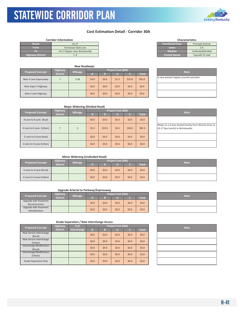### STATEWIDE CORRIDOR PLAN KYTC Statewide Corridor Plan

### **Cost Estimation Detail ‐ Corridor 30A**

| <b>Corridor Information</b>     |                         | <b>Characteristics</b>    |
|---------------------------------|-------------------------|---------------------------|
| <b>US 27</b>                    | <b>Functional Class</b> | <b>Principal Arterial</b> |
| Tennessee State Line            | Lanes                   | $2 - 6$                   |
| US 27 Bypass near Nicholasville | <b>Median</b>           | Undivided/Divided         |
| '. 8                            | <b>Posted Speed</b>     | Typically 55 mph          |
|                                 |                         |                           |

|                         |                 | <b>New Roadways</b> |         |                    |             |         |              |                             |
|-------------------------|-----------------|---------------------|---------|--------------------|-------------|---------|--------------|-----------------------------|
| <b>Proposed Concept</b> | <b>Highway</b>  |                     |         | Project Cost (\$M) | <b>Note</b> |         |              |                             |
|                         | <b>District</b> | <b>Mileage</b>      | D       | R                  |             |         | <b>Total</b> |                             |
| New 4 Lane Expressway   |                 | 3.28                | \$4.9   | \$6.6\$            | \$1.3       | \$32.8  | \$45.6\$     | A new western bypass around |
| New Super 2 Highway     |                 |                     | \$0.0\$ | \$0.0\$            | \$0.0\$     | \$0.0\$ | \$0.0\$      |                             |
| New 2 Lane Highway      |                 |                     | \$0.0\$ | \$0.0\$            | \$0.0\$     | \$0.0   | \$0.0\$      |                             |

| <b>Characteristics</b>  |                           |  |  |  |  |  |  |  |
|-------------------------|---------------------------|--|--|--|--|--|--|--|
| <b>Functional Class</b> | <b>Principal Arterial</b> |  |  |  |  |  |  |  |
| Lanes                   | $2 - 6$                   |  |  |  |  |  |  |  |
| <b>Median</b>           | Undivided/Divided         |  |  |  |  |  |  |  |
| <b>Posted Speed</b>     | Typically 55 mph          |  |  |  |  |  |  |  |
|                         |                           |  |  |  |  |  |  |  |

| <b>Note</b>                           |
|---------------------------------------|
| A new western bypass around Lancaster |
|                                       |
|                                       |

|                          |                 | <b>Major Widening (Divided Road)</b> |         |         |                   |         |              |                                                                     |
|--------------------------|-----------------|--------------------------------------|---------|---------|-------------------|---------|--------------|---------------------------------------------------------------------|
| <b>Proposed Concept</b>  | Highway         | <b>Mileage</b>                       |         |         | Project Cost (SM) |         |              | <b>Note</b>                                                         |
|                          | <b>District</b> |                                      | D)      | R       |                   |         | <b>Total</b> |                                                                     |
| 4 Lane to 6 Lane (Rual)  |                 |                                      | \$0.0\$ | \$0.0\$ | \$0.0             | \$0.0\$ | \$0.0\$      |                                                                     |
| 4 Lane to 6 Lane (Urban) |                 | 3                                    | \$5.4\$ | \$19.5  | \$4.5             | \$36.0  | \$65.4       | Widen to a 6-lane divided facili<br>US 27 Bus (north) in Nicholasvi |
| 2 Lane to 4 Lane (Rual)  |                 |                                      | \$0.0\$ | \$0.0\$ | \$0.0             | \$0.0\$ | \$0.0\$      |                                                                     |
| 2 Lane to 4 Lane (Urban) |                 |                                      | \$0.0\$ | \$0.0\$ | \$0.0             | \$0.0\$ | \$0.0\$      |                                                                     |

| <b>Note</b>                                                                                     |
|-------------------------------------------------------------------------------------------------|
|                                                                                                 |
| Widen to a 6-lane divided facility from Wichita Drive to<br>US 27 Bus (north) in Nicholasville. |
|                                                                                                 |
|                                                                                                 |

#### **Minor Widening (Undivided Road)**

| <b>Proposed Concept</b>  | <b>Highway</b>  | <b>Mileage</b> |         |         | <b>Project Cost (\$M)</b> |         |              | <b>Note</b> |
|--------------------------|-----------------|----------------|---------|---------|---------------------------|---------|--------------|-------------|
|                          | <b>District</b> |                |         |         |                           |         | <b>Total</b> |             |
| 2 Lane to 4 Lane (Rural) |                 |                | \$0.0\$ | \$0.0\$ | \$0.0\$                   | \$0.0   | \$0.0\$      |             |
| 2 Lane to 4 Lane (Urban) |                 |                | \$0.0\$ | \$0.0\$ | \$0.0                     | \$0.0\$ | \$0.0\$      |             |

#### **Upgrade Arterial to Parkway/Expressway**

| <b>Proposed Concept</b> | Highway         | <b>Mileage</b> |         |         | Project Cost (\$M) |         |         |  | <b>Note</b> |
|-------------------------|-----------------|----------------|---------|---------|--------------------|---------|---------|--|-------------|
|                         | <b>District</b> |                |         |         |                    |         | Total   |  |             |
| Upgrade with Pavement   |                 |                | \$0.0\$ | \$0.0\$ | \$0.0\$            | \$0.0\$ | \$0.0\$ |  |             |
| Reconstruction          |                 |                |         |         |                    |         |         |  |             |
| Upgrade with Pavement   |                 |                | \$0.0\$ | \$0.0\$ | \$0.0\$            | \$0.0\$ | \$0.0\$ |  |             |
| Rehabilitation          |                 |                |         |         |                    |         |         |  |             |

| <b>Proposed Concept</b>                    | <b>Highway</b>  | # of        |         |         | Project Cost (\$M) | <b>Note</b> |              |  |
|--------------------------------------------|-----------------|-------------|---------|---------|--------------------|-------------|--------------|--|
|                                            | <b>District</b> | Interchange | D       | R       |                    | c           | <b>Total</b> |  |
| New Service Interchange<br>(Rural)         |                 |             | \$0.0\$ | \$0.0\$ | \$0.0\$            | \$0.0\$     | \$0.0\$      |  |
| New Service Interchange<br>(Urban)         |                 |             | \$0.0\$ | \$0.0\$ | \$0.0\$            | \$0.0       | \$0.0\$      |  |
| <b>Interchange Modification</b><br>(Rural) |                 |             | \$0.0\$ | \$0.0\$ | \$0.0\$            | \$0.0\$     | \$0.0\$      |  |
| <b>Interchange Modification</b><br>(Urban) |                 |             | \$0.0\$ | \$0.0\$ | \$0.0\$            | \$0.0\$     | \$0.0\$      |  |
| <b>Grade Separation Only</b>               |                 |             | \$0.0\$ | \$0.0\$ | \$0.0\$            | \$0.0       | \$0.0\$      |  |

| <b>Note</b> |
|-------------|
|             |
|             |
|             |
|             |
|             |

| <b>Note</b> |  |
|-------------|--|
|             |  |
|             |  |

| <b>Note</b> |
|-------------|
|             |
|             |

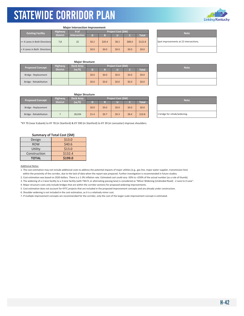

#### **Major Intersection Improvement**

|  | <b>Existing Facility</b>      | <b>Highway</b>  | # of                | <b>Project Cost (SM)</b> |         |       |        |         | <b>Note</b>                   |  |
|--|-------------------------------|-----------------|---------------------|--------------------------|---------|-------|--------|---------|-------------------------------|--|
|  |                               | <b>District</b> | <b>Intersection</b> | D                        | lэ      | П     |        | Total   |                               |  |
|  | >= 4 Lanes in Both Directions | 7,8             | 22                  | \$6.2                    | \$20.4  | \$8.2 | \$88.0 | \$122.8 | Spot improvements at 22 inter |  |
|  | <4 Lanes in Both Directions   |                 |                     | \$0.0\$                  | \$0.0\$ | \$0.0 | \$0.0  | \$0.0\$ |                               |  |

Spot improvements at 22 intersections.

| Project Cost (\$M) |       |         |              | <b>Note</b> |
|--------------------|-------|---------|--------------|-------------|
|                    | Ш     |         | <b>Total</b> |             |
|                    | \$0.0 | \$0.0   | \$0.0\$      |             |
|                    | \$0.0 | \$0.0\$ | \$0.0\$      |             |

#### **Major Structure**

Bridge ‐ Replacement \$0.0 \$0.0 \$0.0 \$0.0 \$0.0 Bridge ‐ Rehabilitation \$0.0 \$0.0 \$0.0 \$0.0 \$0.0

**Major Structure**

**Deck Area (sq ft)**

| .                       |                 |                  |                    |         |       |       |          |                              |
|-------------------------|-----------------|------------------|--------------------|---------|-------|-------|----------|------------------------------|
| <b>Proposed Concept</b> | <b>Highway</b>  | <b>Deck Area</b> | Project Cost (\$M) |         |       |       |          | <b>Note</b>                  |
|                         | <b>District</b> | (sq ft)          |                    |         |       |       | Total    |                              |
| Bridge - Replacement    |                 |                  | \$0.0\$            | \$0.0\$ | \$0.0 | \$0.0 | \$0.0\$  |                              |
| Bridge - Rehabilitation |                 | 28,034           | \$1.4              | \$0.7   | \$0.3 | \$8.4 | \$10.8\$ | 1 bridge for rehab/widening. |

\*KY 70 (near Eubank) to KY 78 (in Stanford) & KY 590 (in Stanford) to KY 39 (in Lancaster) improve shoulders.

#### **Summary of Total Cost (\$M)**

**Proposed Concept Highway**

**Dis** 

| Design       | \$13.0  |
|--------------|---------|
| <b>ROW</b>   | \$40.6  |
| Utility      | \$13.0  |
| Construction | \$132.4 |
| <b>TOTAL</b> | \$199.0 |

#### Additional Notes:

1. The cost estimation may not include additional costs to address the potential impacts of major utilities (e.g., gas line, major water supplier, transmission line) within the proximity of the corridor, due to the lack of data when the report was prepared. Further investigation is recommended in future studies.

2. Cost estimation was based on 2020 dollars. There is a 1‐3% inflation rate. Estimated cost could vary ‐50% to +250% of the actual number (as a rule of thumb).

3. The widening of a 2‐lane facility to a 3‐lane facility (with TWLTL or alternating passing lane) is considered as "Minor Widening (Undivided Road) ‐ 2 Lane to 4 Lane".

**D R U C Total**

4. Major structure costs only include bridges that are within the corridor sections for proposed widening improvements.

5. Cost estimation does not account for KYTC projects that are included in the proposed improvement concepts and are already under construction.

6. Shoulder widening is not included in the cost estimation, as it is a relatively minor cost.

7. If multiple improvement concepts are recommended for the corridor, only the cost of the larger‐scale improvement concept is estimated.

| <b>Note</b> |  |
|-------------|--|
|             |  |
|             |  |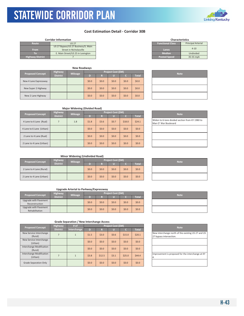## **Linking Kentucky**

#### **Cost Estimation Detail ‐ Corridor 30B**

|                         | Corridor Information                                           |                         | <b>Characteristics</b> |                           |
|-------------------------|----------------------------------------------------------------|-------------------------|------------------------|---------------------------|
| Route                   | <b>US 27</b>                                                   | <b>Functional Class</b> |                        | <b>Principal Arterial</b> |
| <b>From</b>             | US 27 Bypass/US 27 Business/S. Main<br>Street in Nicholasville | Lanes                   |                        | $4 - 10$                  |
|                         | E. Main Street/US 25 in Lexington                              | <b>Median</b>           |                        | Undivided                 |
| <b>Highway District</b> |                                                                | <b>Posted Speed</b>     |                        | 35-55 mph                 |

KYTC Statewide Corridor Plan

| <b>New Roadways</b>     |                 |                |                    |         |         |       |                    |  |             |
|-------------------------|-----------------|----------------|--------------------|---------|---------|-------|--------------------|--|-------------|
| <b>Proposed Concept</b> | Highway         | <b>Mileage</b> | Project Cost (\$M) |         |         |       |                    |  | <b>Note</b> |
|                         | <b>District</b> |                | D                  | R       | U       |       | Total <sup>'</sup> |  |             |
| New 4 Lane Expressway   |                 |                | \$0.0\$            | \$0.0\$ | \$0.0\$ | \$0.0 | \$0.0\$            |  |             |
| New Super 2 Highway     |                 |                | \$0.0\$            | \$0.0\$ | \$0.0\$ | \$0.0 | \$0.0\$            |  |             |
| New 2 Lane Highway      |                 |                | \$0.0\$            | \$0.0   | \$0.0\$ | \$0.0 | \$0.0\$            |  |             |

| <b>Characteristics</b>  |                           |  |  |  |  |  |  |
|-------------------------|---------------------------|--|--|--|--|--|--|
| <b>Functional Class</b> | <b>Principal Arterial</b> |  |  |  |  |  |  |
| Lanes                   | $4 - 10$                  |  |  |  |  |  |  |
| <b>Median</b>           | Undivided                 |  |  |  |  |  |  |
| <b>Posted Speed</b>     | 35-55 mph                 |  |  |  |  |  |  |

| <b>Note</b> |
|-------------|
|             |
|             |
|             |

| <b>Major Widening (Divided Road)</b> |  |
|--------------------------------------|--|
|--------------------------------------|--|

| <b>Proposed Concept</b>  | Highway         | <b>Mileage</b> | Project Cost (\$M) |         |         |         |              |  | <b>Note</b>                                           |
|--------------------------|-----------------|----------------|--------------------|---------|---------|---------|--------------|--|-------------------------------------------------------|
|                          | <b>District</b> |                | D                  | ĿМ      | U.      |         | <b>Total</b> |  |                                                       |
| 4 Lane to 6 Lane (Rual)  |                 | 1.8            | \$1.8              | \$3.6   | \$0.7   | \$18.0  | \$24.1       |  | Widen to 6-lane divided secti<br>Man O' War Boulevard |
| 4 Lane to 6 Lane (Urban) |                 |                | \$0.0              | \$0.0\$ | \$0.0\$ | \$0.0\$ | \$0.0        |  |                                                       |
| 2 Lane to 4 Lane (Rual)  |                 |                | \$0.0              | \$0.0\$ | \$0.0\$ | \$0.0   | \$0.0        |  |                                                       |
| 2 Lane to 4 Lane (Urban) |                 |                | \$0.0              | \$0.0\$ | \$0.0\$ | \$0.0\$ | \$0.0        |  |                                                       |

| <b>Note</b>                                                             |
|-------------------------------------------------------------------------|
| Widen to 6-lane divided section from KY 1980 to<br>Man O' War Boulevard |
|                                                                         |
|                                                                         |
|                                                                         |

#### **Minor Widening (Undivided Road)**

| <b>Proposed Concept</b>  | Highway         | <b>Mileage</b> |       | Project Cost (\$M) |         |       |              |  | <b>Note</b> |
|--------------------------|-----------------|----------------|-------|--------------------|---------|-------|--------------|--|-------------|
|                          | <b>District</b> |                |       |                    | Ш       |       | <b>Total</b> |  |             |
| 2 Lane to 4 Lane (Rural) |                 |                | \$0.0 | \$0.0              | \$0.0   | \$0.0 | \$0.0        |  |             |
| 2 Lane to 4 Lane (Urban) |                 |                | \$0.0 | \$0.0              | \$0.0\$ | \$0.0 | \$0.0        |  |             |

#### **Upgrade Arterial to Parkway/Expressway**

| <b>Proposed Concept</b>                 | Highway         | <b>Mileage</b> |       |         | Project Cost (\$M) |       |              | <b>Note</b> |
|-----------------------------------------|-----------------|----------------|-------|---------|--------------------|-------|--------------|-------------|
|                                         | <b>District</b> |                |       |         |                    |       | <b>Total</b> |             |
| Upgrade with Pavement<br>Reconstruction |                 |                | \$0.0 | \$0.0\$ | \$0.0              | \$0.0 | \$0.0        |             |
| Upgrade with Pavement<br>Rehabilitation |                 |                | \$0.0 | \$0.0\$ | \$0.0              | \$0.0 | \$0.0        |             |

| <b>Note</b> |  |
|-------------|--|
|             |  |
|             |  |

| <b>Proposed Concept</b>             | <b>Highway</b>  | # of        |         |         | Project Cost (\$M) |        |              | <b>Note</b>                                             |
|-------------------------------------|-----------------|-------------|---------|---------|--------------------|--------|--------------|---------------------------------------------------------|
|                                     | <b>District</b> | Interchange | D       |         | U                  |        | <b>Total</b> |                                                         |
| New Service Interchange<br>(Rural)  |                 |             | \$1.5   | \$3.0   | \$0.6              | \$15.0 | \$20.1       | New interchange north of the<br>27 bypass intersection. |
| New Service Interchange<br>(Urban)  |                 |             | \$0.0\$ | \$0.0\$ | \$0.0\$            | \$0.0  | \$0.0        |                                                         |
| Interchange Modification<br>(Rural) |                 |             | \$0.0\$ | \$0.0\$ | \$0.0\$            | \$0.0  | \$0.0\$      |                                                         |
| Interchange Modification<br>(Urban) |                 |             | \$3.8   | \$12.5  | \$3.1              | \$25.0 | \$44.4       | Improvement is proposed for<br>14.                      |
| <b>Grade Separation Only</b>        |                 |             | \$0.0   | \$0.0\$ | \$0.0              | \$0.0  | \$0.0        |                                                         |

| New interchange north of the existing US 27 and US<br>27 bypass intersection.<br>Improvement is proposed for the interchange at KY | <b>Note</b> |
|------------------------------------------------------------------------------------------------------------------------------------|-------------|
|                                                                                                                                    |             |
|                                                                                                                                    |             |
|                                                                                                                                    |             |
|                                                                                                                                    |             |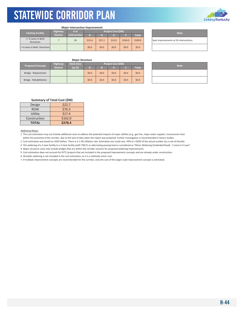#### **Major Intersection Improvement**

|  | <b>Existing Facility</b>                | <b>Highway</b>  | # of                |        |        | Project Cost (\$M) |         |              | <b>Note</b>                  |
|--|-----------------------------------------|-----------------|---------------------|--------|--------|--------------------|---------|--------------|------------------------------|
|  |                                         | <b>District</b> | <b>Intersection</b> | D      |        |                    |         | <b>Total</b> |                              |
|  | >= 4 Lanes in Both<br><b>Directions</b> |                 | 26                  | \$15.6 | \$57.2 | \$13.0             | \$104.0 | \$189.8      | Spot improvements at 26 inte |
|  | < 4 Lanes in Both Directions            |                 |                     | \$0.0  | \$0.0  | \$0.0              | \$0.0   | \$0.0        |                              |

| <b>Note</b>                            |  |
|----------------------------------------|--|
| Spot improvements at 26 intersections. |  |

### **Major Structure**

| <b>Proposed Concept</b> | <b>Highway</b>  | <b>Deck Area</b> |         |                   | Project Cost (\$M) |       |         | <b>Note</b> |
|-------------------------|-----------------|------------------|---------|-------------------|--------------------|-------|---------|-------------|
|                         | <b>District</b> | (sq ft)          |         |                   |                    |       | Total   |             |
| Bridge - Replacement    |                 |                  | \$0.0\$ | 50.0 <sub>1</sub> | \$0.0\$            | \$0.0 | \$0.0\$ |             |
| Bridge - Rehabilitation |                 |                  | \$0.0\$ | \$0.0\$           | \$0.0\$            | \$0.0 | \$0.0\$ |             |

| <b>Note</b> |
|-------------|
|             |
|             |

#### **Summary of Total Cost (\$M)**

| Design       | \$22.7  |
|--------------|---------|
| <b>ROW</b>   | \$76.3  |
| Utility      | \$17.4  |
| Construction | \$162.0 |
| <b>TOTAL</b> | \$278.4 |

#### Additional Notes:

1. The cost estimation may not include additional costs to address the potential impacts of major utilities (e.g., gas line, major water supplier, transmission line) within the proximity of the corridor, due to the lack of data when the report was prepared. Further investigation is recommended in future studies.

2. Cost estimation was based on 2020 dollars. There is a 1‐3% inflation rate. Estimated cost could vary ‐50% to +250% of the actual number (as a rule of thumb).

3. The widening of a 2‐lane facility to a 3‐lane facility (with TWLTL or alternating passing lane) is considered as "Minor Widening (Undivided Road) ‐ 2 Lane to 4 Lane".

4. Major structure costs only include bridges that are within the corridor sections for proposed widening improvements.

5. Cost estimation does not account for KYTC projects that are included in the proposed improvement concepts and are already under construction.

6. Shoulder widening is not included in the cost estimation, as it is a relatively minor cost.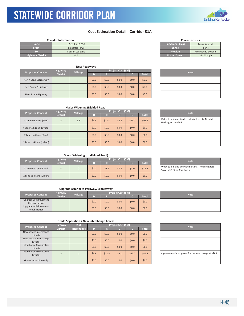### STATEWIDE CORRIDOR PLAN KYTC Statewide Corridor Plan

### **Cost Estimation Detail - Corridor 31A**

| <b>Functional Class</b><br>US 31 E / US 150<br>Route<br><b>From</b><br>Bluegrass Pkwy<br>Lanes<br>2 or 4<br><b>Median</b><br>I-265 in Louisville<br>ΤО<br><b>Posted Speed</b><br><b>Highway District</b><br>4. 5 | <b>Corridor Information</b> |  | <b>Characteristics</b> |                       |
|------------------------------------------------------------------------------------------------------------------------------------------------------------------------------------------------------------------|-----------------------------|--|------------------------|-----------------------|
|                                                                                                                                                                                                                  |                             |  |                        | <b>Minor Arterial</b> |
|                                                                                                                                                                                                                  |                             |  |                        |                       |
|                                                                                                                                                                                                                  |                             |  |                        | Undivided / Divided   |
|                                                                                                                                                                                                                  |                             |  |                        | $35 - 55$ mph         |

|                         |                            | <b>New Roadways</b> |         |         |                         |         |         |             |
|-------------------------|----------------------------|---------------------|---------|---------|-------------------------|---------|---------|-------------|
| <b>Proposed Concept</b> | Highway<br><b>District</b> | <b>Mileage</b>      | D)      | R       | Project Cost (\$M)<br>U |         | Total   | <b>Note</b> |
| New 4 Lane Expressway   |                            |                     | \$0.0\$ | \$0.0\$ | \$0.0\$                 | \$0.0\$ | \$0.0   |             |
| New Super 2 Highway     |                            |                     | \$0.0\$ | \$0.0\$ | \$0.0                   | \$0.0\$ | \$0.0   |             |
| New 2 Lane Highway      |                            |                     | \$0.0   | \$0.0\$ | \$0.0                   | \$0.0\$ | \$0.0\$ |             |

| <b>Characteristics</b>  |                       |  |  |  |  |  |  |  |  |
|-------------------------|-----------------------|--|--|--|--|--|--|--|--|
| <b>Functional Class</b> | <b>Minor Arterial</b> |  |  |  |  |  |  |  |  |
| Lanes                   | $2$ or $4$            |  |  |  |  |  |  |  |  |
| <b>Median</b>           | Undivided / Divided   |  |  |  |  |  |  |  |  |
| <b>Posted Speed</b>     | 35 - 55 mph           |  |  |  |  |  |  |  |  |
|                         |                       |  |  |  |  |  |  |  |  |

| <b>Note</b> |  |
|-------------|--|
|             |  |
|             |  |
|             |  |

#### **Major Widening (Divided Road)**

| <b>Proposed Concept</b>  | <b>Highway</b>  |     | <b>Mileage</b> |         |         | Project Cost (SM) | <b>Note</b>  |                                                          |
|--------------------------|-----------------|-----|----------------|---------|---------|-------------------|--------------|----------------------------------------------------------|
|                          | <b>District</b> |     |                | R       |         |                   | <b>Total</b> |                                                          |
| 4 Lane to 6 Lane (Rual)  | 5               | 6.9 | \$6.9          | \$13.8  | \$2.8   | \$69.0            | \$92.5       | Widen to a 6-lane divided arteri<br>Washington to I-265. |
| 4 Lane to 6 Lane (Urban) |                 |     | \$0.0\$        | \$0.0\$ | \$0.0\$ | \$0.0\$           | \$0.0\$      |                                                          |
| 2 Lane to 4 Lane (Rual)  |                 |     | \$0.0          | \$0.0\$ | \$0.0\$ | \$0.0\$           | \$0.0\$      |                                                          |
| 2 Lane to 4 Lane (Urban) |                 |     | \$0.0\$        | \$0.0   | \$0.0\$ | \$0.0\$           | \$0.0\$      |                                                          |

| <b>Note</b>                                                                  |
|------------------------------------------------------------------------------|
| Widen to a 6-lane divided arterial from KY 44 in Mt.<br>Washington to I-265. |
|                                                                              |
|                                                                              |
|                                                                              |

#### **Minor Widening (Undivided Road)**

| <b>Proposed Concept</b>  | <b>Highway</b>  |                | <b>Project Cost (\$M)</b> |       |         |         |              |  | <b>Note</b>                                                    |  |  |
|--------------------------|-----------------|----------------|---------------------------|-------|---------|---------|--------------|--|----------------------------------------------------------------|--|--|
|                          | <b>District</b> | <b>Mileage</b> |                           |       |         |         | <b>Total</b> |  |                                                                |  |  |
| 2 Lane to 4 Lane (Rural) |                 |                | \$2.2                     | \$1.2 | \$0.8   | \$8.0   | \$12.2\$     |  | Widen to a 4-lane undivided art<br>Pkwy to US 62 in Bardstown. |  |  |
| 2 Lane to 4 Lane (Urban) |                 |                | \$0.0                     | \$0.0 | \$0.0\$ | \$0.0\$ | \$0.0\$      |  |                                                                |  |  |

#### **Upgrade Arterial to Parkway/Expressway**

| <b>Proposed Concept</b> | <b>Highway</b>  | <b>Mileage</b> | Project Cost (\$M) |         |         |       |              |  | <b>Note</b> |
|-------------------------|-----------------|----------------|--------------------|---------|---------|-------|--------------|--|-------------|
|                         | <b>District</b> |                |                    |         |         |       | <b>Total</b> |  |             |
| Upgrade with Pavement   |                 |                | \$0.0\$            | \$0.0\$ | \$0.0\$ | \$0.0 | \$0.0\$      |  |             |
| Reconstruction          |                 |                |                    |         |         |       |              |  |             |
| Upgrade with Pavement   |                 |                | \$0.0\$            | \$0.0\$ |         |       |              |  |             |
| Rehabilitation          |                 |                |                    |         | \$0.0\$ | \$0.0 | \$0.0\$      |  |             |

#### **Grade Separation / New Interchange Access**

| <b>Proposed Concept</b>                    | <b>Highway</b>  | # of        |         | Project Cost (\$M) | <b>Note</b> |         |              |  |                                |
|--------------------------------------------|-----------------|-------------|---------|--------------------|-------------|---------|--------------|--|--------------------------------|
|                                            | <b>District</b> | Interchange | D       | R                  |             |         | <b>Total</b> |  |                                |
| New Service Interchange<br>(Rural)         |                 |             | \$0.0\$ | \$0.0\$            | \$0.0\$     | \$0.0\$ | \$0.0\$      |  |                                |
| New Service Interchange<br>(Urban)         |                 |             | \$0.0\$ | \$0.0\$            | \$0.0\$     | \$0.0\$ | \$0.0\$      |  |                                |
| <b>Interchange Modification</b><br>(Rural) |                 |             | \$0.0\$ | \$0.0\$            | \$0.0\$     | \$0.0\$ | \$0.0\$      |  |                                |
| Interchange Modification<br>(Urban)        |                 |             | \$3.8   | \$12.5             | \$3.1       | \$25.0  | 544.4        |  | Improvement is proposed for th |
| <b>Grade Separation Only</b>               |                 |             | \$0.0\$ | \$0.0\$            | \$0.0\$     | \$0.0\$ | \$0.0\$      |  |                                |

| <b>Note</b>                                           |
|-------------------------------------------------------|
|                                                       |
|                                                       |
|                                                       |
| Improvement is proposed for the interchange at I-265. |
|                                                       |





Widen to a 4-lane undivided arterial from Bluegrass Pkwy to US 62 in Bardstown.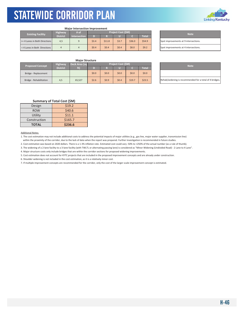

#### **Major Intersection Improvement**

| <b>Existing Facility</b>      | <b>Highway</b>  | # of                | <b>Project Cost (SM)</b> |        |       |        |              |  | <b>Note</b>                    |  |
|-------------------------------|-----------------|---------------------|--------------------------|--------|-------|--------|--------------|--|--------------------------------|--|
|                               | <b>District</b> | <b>Intersection</b> | D                        |        |       |        | <b>Total</b> |  |                                |  |
| >= 4 Lanes in Both Directions | 4,5             |                     | \$3.4                    | \$11.8 | \$3.7 | \$36.0 | \$54.9       |  | Spot improvements at 9 interse |  |
| < 4 Lanes in Both Directions  |                 |                     | \$0.4                    | \$0.4  | \$0.4 | \$8.0  | 59.2         |  | Spot improvements at 4 interse |  |

| <b>Note</b>                           |
|---------------------------------------|
| Spot improvements at 9 intersections. |
| Spot improvements at 4 intersections. |

#### **Major Structure**

| <b>Proposed Concept</b> | <b>Highway</b>  | Deck Area (sq | Project Cost (\$M) |         |       |        |              |  | <b>Note</b>                  |  |  |  |  |
|-------------------------|-----------------|---------------|--------------------|---------|-------|--------|--------------|--|------------------------------|--|--|--|--|
|                         | <b>District</b> | ft)           |                    |         |       |        | <b>Total</b> |  |                              |  |  |  |  |
| Bridge - Replacement    |                 |               | \$0.0              | \$0.0\$ | \$0.0 | \$0.0  | \$0.0\$      |  |                              |  |  |  |  |
| Bridge - Rehabilitation | 4,5             | 65.527        | \$2.6              | \$0.9   | \$0.4 | \$19.7 | \$23.5       |  | Rehab/widening is recommende |  |  |  |  |

| <b>Note</b>                                             |
|---------------------------------------------------------|
|                                                         |
| Rehab/widening is recommended for a total of 4 bridges. |

#### **Summary of Total Cost (\$M)**

| Design       | \$19.2  |
|--------------|---------|
| <b>ROW</b>   | \$40.6  |
| Utility      | \$11.1  |
| Construction | \$165.7 |
| <b>TOTAL</b> | \$236.6 |

#### Additional Notes:

1. The cost estimation may not include additional costs to address the potential impacts of major utilities (e.g., gas line, major water supplier, transmission line) within the proximity of the corridor, due to the lack of data when the report was prepared. Further investigation is recommended in future studies.

2. Cost estimation was based on 2020 dollars. There is a 1-3% inflation rate. Estimated cost could vary -50% to +250% of the actual number (as a rule of thumb).

3. The widening of a 2-lane facility to a 3-lane facility (with TWLTL or alternating passing lane) is considered as "Minor Widening (Undivided Road) - 2 Lane to 4 Lane".

4. Major structure costs only include bridges that are within the corridor sections for proposed widening improvements.

5. Cost estimation does not account for KYTC projects that are included in the proposed improvement concepts and are already under construction.

6. Shoulder widening is not included in the cost estimation, as it is a relatively minor cost.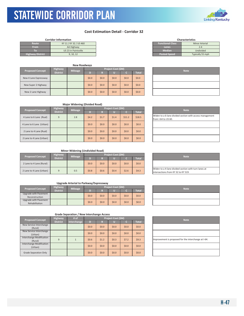### **Cost Estimation Detail ‐ Corridor 32**

| <b>Corridor Information</b> |                        |  |  |  |
|-----------------------------|------------------------|--|--|--|
| Route                       | KY 11 / KY 32 / US 460 |  |  |  |
| From                        | AA Highway             |  |  |  |
| Пσ                          | US 23 in Paintsville   |  |  |  |
| <b>Highway District</b>     | 9, 10, 12              |  |  |  |
|                             |                        |  |  |  |

| <b>Characteristics</b>  |                       |  |  |  |  |  |  |
|-------------------------|-----------------------|--|--|--|--|--|--|
| <b>Functional Class</b> | <b>Minor Arterial</b> |  |  |  |  |  |  |
| Lanes                   | $2 - 4$               |  |  |  |  |  |  |
| <b>Median</b>           | Undivided             |  |  |  |  |  |  |
| <b>Posted Speed</b>     | Typically 55 mph      |  |  |  |  |  |  |
|                         |                       |  |  |  |  |  |  |

| Highway<br><b>Proposed Concept</b> |                |         |         |                         |       | <b>New Roadways</b> |  |             |  |  |  |  |  |  |
|------------------------------------|----------------|---------|---------|-------------------------|-------|---------------------|--|-------------|--|--|--|--|--|--|
| <b>District</b>                    | <b>Mileage</b> | D       | M       | Project Cost (\$M)<br>w |       | Total               |  | <b>Note</b> |  |  |  |  |  |  |
| New 4 Lane Expressway              |                | \$0.0\$ | \$0.0\$ | \$0.0\$                 | \$0.0 | \$0.0\$             |  |             |  |  |  |  |  |  |
| New Super 2 Highway                |                | \$0.0\$ | \$0.0\$ | \$0.0                   | \$0.0 | \$0.0\$             |  |             |  |  |  |  |  |  |
| New 2 Lane Highway                 |                | \$0.0   | \$0.0\$ | \$0.0\$                 | \$0.0 | \$0.0\$             |  |             |  |  |  |  |  |  |

| <b>Note</b> |
|-------------|
|             |
|             |
|             |

| <b>Proposed Concept</b>  | <b>Highway</b>  | <b>Mileage</b> | <b>Project Cost (\$M)</b> |         |       |         |              |  |                                                            |  |
|--------------------------|-----------------|----------------|---------------------------|---------|-------|---------|--------------|--|------------------------------------------------------------|--|
|                          | <b>District</b> |                | D)                        | R       |       |         | <b>Total</b> |  | <b>Note</b>                                                |  |
| 4 Lane to 6 Lane (Rual)  | 9               | 2.8            | 54.2                      | \$1.7   | \$1.4 | \$11.2  | \$18.5       |  | Widen to a 6-lane divided section y<br>from I-64 to US 60. |  |
| 4 Lane to 6 Lane (Urban) |                 |                | \$0.0\$                   | \$0.0\$ | \$0.0 | \$0.0\$ | \$0.0        |  |                                                            |  |
| 2 Lane to 4 Lane (Rual)  |                 |                | \$0.0                     | \$0.0\$ | \$0.0 | \$0.0\$ | \$0.0        |  |                                                            |  |
| 2 Lane to 4 Lane (Urban) |                 |                | \$0.0                     | \$0.0\$ | \$0.0 | \$0.0\$ | \$0.0        |  |                                                            |  |

| <b>Note</b>                                                                     |
|---------------------------------------------------------------------------------|
| Widen to a 6-lane divided section with access management<br>from I-64 to US 60. |
|                                                                                 |
|                                                                                 |
|                                                                                 |

#### **Minor Widening (Undivided Road)**

| <b>Proposed Concept</b>  | <b>Highway</b><br><b>Mileage</b> |     |         |       | <b>Project Cost (\$M)</b> | <b>Note</b> |         |                                                                             |
|--------------------------|----------------------------------|-----|---------|-------|---------------------------|-------------|---------|-----------------------------------------------------------------------------|
|                          | <b>District</b>                  |     |         |       |                           |             | Total   |                                                                             |
| 2 Lane to 4 Lane (Rural) |                                  |     | \$0.0\$ | \$0.0 | \$0.0\$                   | \$0.0       | \$0.0\$ |                                                                             |
| 2 Lane to 4 Lane (Urban) |                                  | 0.5 | \$0.8\$ | \$0.6 | \$0.4                     | \$2.6       | \$4.3   | Widen to a 4-lane divided section y<br>lintersections from KY 32 to KY 519. |

#### **Upgrade Arterial to Parkway/Expressway**

| <b>Proposed Concept</b> | <b>Highway</b>  | <b>Project Cost (\$M)</b><br><b>Mileage</b> |         |       |       |              |  | <b>Note</b> |
|-------------------------|-----------------|---------------------------------------------|---------|-------|-------|--------------|--|-------------|
|                         | <b>District</b> |                                             |         |       |       | <b>Total</b> |  |             |
| Upgrade with Pavement   |                 |                                             | \$0.0   | \$0.0 |       | \$0.0\$      |  |             |
| Reconstruction          |                 | \$0.0                                       |         |       | \$0.0 |              |  |             |
| Upgrade with Pavement   |                 |                                             |         |       |       |              |  |             |
| Rehabilitation          |                 | \$0.0                                       | \$0.0\$ | \$0.0 | \$0.0 | \$0.0\$      |  |             |

|  | Grade Separation / New Interchange Access |
|--|-------------------------------------------|
|--|-------------------------------------------|

|                                     | <b>Highway</b>  | # of        | Project Cost (\$M) |         |         |         |              |  | <b>Note</b>                        |
|-------------------------------------|-----------------|-------------|--------------------|---------|---------|---------|--------------|--|------------------------------------|
| <b>Proposed Concept</b>             | <b>District</b> | Interchange | D                  | R       |         |         | <b>Total</b> |  |                                    |
| New Service Interchange<br>(Rural)  |                 |             | \$0.0\$            | \$0.0\$ | \$0.0\$ | \$0.0\$ | \$0.0\$      |  |                                    |
| New Service Interchange<br>(Urban)  |                 |             | \$0.0\$            | \$0.0\$ | \$0.0\$ | \$0.0   | \$0.0\$      |  |                                    |
| Interchange Modification<br>(Rural) | 9               |             | \$0.6              | \$1.2   | \$0.3\$ | \$7.2   | \$9.3        |  | Improvement is proposed for the in |
| Interchange Modification<br>(Urban) |                 |             | \$0.0\$            | \$0.0\$ | \$0.0\$ | \$0.0   | \$0.0\$      |  |                                    |
| <b>Grade Separation Only</b>        |                 |             | \$0.0\$            | \$0.0   | \$0.0\$ | \$0.0\$ | \$0.0\$      |  |                                    |

| <b>Note</b>                                          |
|------------------------------------------------------|
|                                                      |
| Widen to a 4-lane divided section with turn lanes at |
| intersections from KY 32 to KY 519.                  |

| <b>Note</b> |
|-------------|
|             |
|             |

| <b>Note</b>                                          |  |
|------------------------------------------------------|--|
|                                                      |  |
|                                                      |  |
| Improvement is proposed for the interchange at I-64. |  |
|                                                      |  |
|                                                      |  |

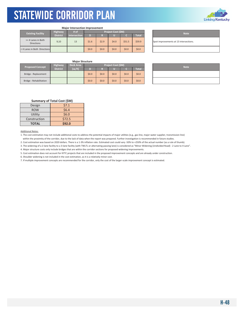

#### **Major Intersection Improvement**

| <b>Existing Facility</b>                | <b>Highway</b>  | # of                | Project Cost (\$M) |       |       |        |              |  |  |  |
|-----------------------------------------|-----------------|---------------------|--------------------|-------|-------|--------|--------------|--|--|--|
|                                         | <b>District</b> | <b>Intersection</b> | D                  | R     |       |        | <b>Total</b> |  |  |  |
| >= 4 Lanes in Both<br><b>Directions</b> | 9,10            | 13                  | \$1.6              | \$2.9 | \$4.0 | \$51.5 | \$59.9       |  |  |  |
| < 4 Lanes in Both Directions            |                 |                     | \$0.0              | \$0.0 | \$0.0 | \$0.0  | \$0.0        |  |  |  |

#### **Note**

Spot improvements at 13 intersections.

#### **Major Structure**

| Proposed Concept        | <b>Highway</b>  | Deck Area | Project Cost (\$M) |         |         |       |              | <b>Note</b> |  |
|-------------------------|-----------------|-----------|--------------------|---------|---------|-------|--------------|-------------|--|
|                         | <b>District</b> | (sq ft)   |                    |         |         |       | <b>Total</b> |             |  |
| Bridge - Replacement    |                 |           | \$0.0              | \$0.0\$ | \$0.0\$ | \$0.0 | \$0.0        |             |  |
| Bridge - Rehabilitation |                 |           | \$0.0              | \$0.0   | \$0.0\$ | \$0.0 | \$0.0        |             |  |

| <b>Note</b> |
|-------------|
|             |
|             |

#### **Summary of Total Cost (\$M)**

| Design       | 57.1   |
|--------------|--------|
| <b>ROW</b>   | \$6.4  |
| Utility      | \$6.0  |
| Construction | \$72.5 |
| <b>TOTAL</b> | \$92.0 |

#### Additional Notes:

1. The cost estimation may not include additional costs to address the potential impacts of major utilities (e.g., gas line, major water supplier, transmission line) within the proximity of the corridor, due to the lack of data when the report was prepared. Further investigation is recommended in future studies.

2. Cost estimation was based on 2020 dollars. There is a 1‐3% inflation rate. Estimated cost could vary ‐50% to +250% of the actual number (as a rule of thumb).

3. The widening of a 2‐lane facility to a 3‐lane facility (with TWLTL or alternating passing lane) is considered as "Minor Widening (Undivided Road) ‐ 2 Lane to 4 Lane".

4. Major structure costs only include bridges that are within the corridor sections for proposed widening improvements.

5. Cost estimation does not account for KYTC projects that are included in the proposed improvement concepts and are already under construction.

6. Shoulder widening is not included in the cost estimation, as it is a relatively minor cost.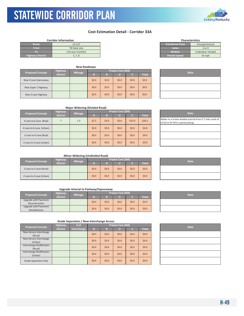### **Cost Estimation Detail - Corridor 33A**

| <b>Corridor Information</b> |                     |  |
|-----------------------------|---------------------|--|
| Route                       | <b>US 127</b>       |  |
| <b>From</b>                 | TN State Line       |  |
| Тο                          | I-64 near Frankfort |  |
| <b>Highway District</b>     | 5, 7, 8             |  |

| <b>New Roadways</b>     |                 |                |                    |         |         |         |              |  |  |  |  |  |             |
|-------------------------|-----------------|----------------|--------------------|---------|---------|---------|--------------|--|--|--|--|--|-------------|
| <b>Proposed Concept</b> | <b>Highway</b>  | <b>Mileage</b> | Project Cost (\$M) |         |         |         |              |  |  |  |  |  | <b>Note</b> |
|                         | <b>District</b> |                | D                  | R       |         |         | <b>Total</b> |  |  |  |  |  |             |
| New 4 Lane Expressway   |                 |                | \$0.0\$            | \$0.0\$ | \$0.0\$ | \$0.0\$ | \$0.0        |  |  |  |  |  |             |
| New Super 2 Highway     |                 |                | \$0.0\$            | \$0.0\$ | \$0.0   | \$0.0\$ | \$0.0        |  |  |  |  |  |             |
| New 2 Lane Highway      |                 |                | \$0.0\$            | \$0.0\$ | \$0.0   | \$0.0\$ | \$0.0        |  |  |  |  |  |             |

| <b>TOOLON</b> SPOCK | 5511        |
|---------------------|-------------|
|                     |             |
|                     |             |
|                     |             |
|                     |             |
|                     | <b>Note</b> |
|                     |             |
|                     |             |
|                     |             |

**Functional Class** Principal Arterial

**To Median** Undivided / Divided

#### **Major Widening (Divided Road)**

| <b>Proposed Concept</b>  | <b>Highway</b>  | <b>Mileage</b> | Project Cost (\$M) |         |         |        |              |  | <b>Note</b>                                                        |
|--------------------------|-----------------|----------------|--------------------|---------|---------|--------|--------------|--|--------------------------------------------------------------------|
|                          | <b>District</b> |                | D                  | R       |         |        | <b>Total</b> |  |                                                                    |
| 4 Lane to 6 Lane (Rual)  |                 | 1.5            | \$1.5              | \$3.0   | \$0.6\$ | \$15.0 | \$20.1       |  | Widen to a 6-lane divided arteri<br>US 62 to KY 44 in Lawrenceburg |
| 4 Lane to 6 Lane (Urban) |                 |                | \$0.0\$            | \$0.0\$ | \$0.0\$ | \$0.0  | \$0.0\$      |  |                                                                    |
| 2 Lane to 4 Lane (Rual)  |                 |                | \$0.0\$            | \$0.0\$ | \$0.0\$ | \$0.0  | \$0.0\$      |  |                                                                    |
| 2 Lane to 4 Lane (Urban) |                 |                | \$0.0              | \$0.0\$ | \$0.0\$ | \$0.0  | \$0.0\$      |  |                                                                    |

**Minor Widening (Undivided Road)**

| <b>Proposed Concept</b>  | <b>Highway</b>  | <b>Mileage</b> |         |         | Project Cost (\$M) | <b>Note</b> |                    |  |
|--------------------------|-----------------|----------------|---------|---------|--------------------|-------------|--------------------|--|
|                          | <b>District</b> |                |         |         |                    |             | Total <sup>'</sup> |  |
| 2 Lane to 4 Lane (Rural) |                 |                | \$0.0\$ | 50.0    | \$0.0              | \$0.0       | \$0.0\$            |  |
| 2 Lane to 4 Lane (Urban) |                 |                | \$0.0\$ | \$0.0\$ | \$0.0              | \$0.0\$     | \$0.0\$            |  |

#### **Upgrade Arterial to Parkway/Expressway**

| <b>Proposed Concept</b> | <b>Highway</b>        | <b>Mileage</b> |  |         | Project Cost (\$M) |         |              |             |  |  |
|-------------------------|-----------------------|----------------|--|---------|--------------------|---------|--------------|-------------|--|--|
|                         | <b>District</b>       |                |  |         |                    |         | <b>Total</b> | <b>Note</b> |  |  |
|                         | Upgrade with Pavement |                |  | \$0.0\$ |                    |         | \$0.0        | \$0.0\$     |  |  |
|                         | Reconstruction        |                |  |         | \$0.0\$            | \$0.0   |              |             |  |  |
|                         | Upgrade with Pavement |                |  | \$0.0\$ | \$0.0\$            | \$0.0\$ | \$0.0        | \$0.0\$     |  |  |
|                         | Rehabilitation        |                |  |         |                    |         |              |             |  |  |

| <b>Proposed Concept</b>  | <b>Highway</b>  | # of        | Project Cost (\$M) |         |         |         |              |  | <b>Note</b> |
|--------------------------|-----------------|-------------|--------------------|---------|---------|---------|--------------|--|-------------|
|                          | <b>District</b> | Interchange | D                  | R       |         |         | <b>Total</b> |  |             |
| New Service Interchange  |                 |             | \$0.0\$            | \$0.0\$ | \$0.0\$ | \$0.0\$ | \$0.0\$      |  |             |
| (Rural)                  |                 |             |                    |         |         |         |              |  |             |
| New Service Interchange  |                 |             | \$0.0\$            | \$0.0\$ | \$0.0\$ | \$0.0\$ | \$0.0\$      |  |             |
| (Urban)                  |                 |             |                    |         |         |         |              |  |             |
| Interchange Modification |                 |             | \$0.0\$            | \$0.0\$ | \$0.0\$ | \$0.0\$ | \$0.0\$      |  |             |
| (Rural)                  |                 |             |                    |         |         |         |              |  |             |
| Interchange Modification |                 |             | \$0.0\$            | \$0.0\$ | \$0.0\$ | \$0.0\$ | \$0.0\$      |  |             |
| (Urban)                  |                 |             |                    |         |         |         |              |  |             |
| Grade Separation Only    |                 |             | \$0.0\$            | \$0.0\$ | \$0.0\$ | \$0.0\$ | \$0.0\$      |  |             |

| <b>Note</b> |
|-------------|
|             |
|             |



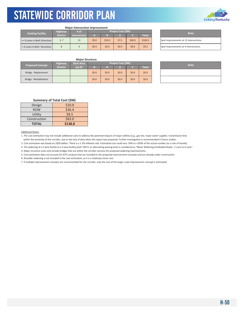

#### **Major Intersection Improvement**

| <b>Existing Facility</b>      | Highway         | <b>Project Cost (SM)</b><br># of |       |         |       |        |              |  |                                |  |  |
|-------------------------------|-----------------|----------------------------------|-------|---------|-------|--------|--------------|--|--------------------------------|--|--|
|                               | <b>District</b> | <b>Intersection</b>              |       |         |       |        | <b>Total</b> |  | <b>Note</b>                    |  |  |
| >= 4 Lanes in Both Directions | 5, 7            | 15                               | \$9.0 | \$33.0  | \$7.5 | \$60.0 | \$109.5      |  | Spot improvements at 15 inters |  |  |
| <4 Lanes in Both Directions   |                 |                                  | \$0.4 | \$0.4\$ | \$0.4 | \$8.0  | 59.2         |  | Spot improvements at 4 interse |  |  |

| <b>Note</b>                            |
|----------------------------------------|
| Spot improvements at 15 intersections. |
| Spot improvements at 4 intersections.  |

#### **Major Structure**

| <b>Proposed Concept</b> | Highway         | <b>Deck Area</b> | Project Cost (\$M) |         |         |         |         |  |             |  |
|-------------------------|-----------------|------------------|--------------------|---------|---------|---------|---------|--|-------------|--|
|                         | <b>District</b> | (sq ft)          |                    |         |         |         | Total   |  | <b>Note</b> |  |
| Bridge - Replacement    |                 |                  | \$0.0              | \$0.0\$ | \$0.0\$ | \$0.0\$ | \$0.0\$ |  |             |  |
| Bridge - Rehabilitation |                 |                  | \$0.0              | \$0.0\$ | \$0.0   | \$0.0\$ | \$0.0\$ |  |             |  |

| <b>Note</b> |
|-------------|
|             |
|             |

#### **Summary of Total Cost (\$M)**

| Design       | \$10.9  |
|--------------|---------|
| <b>ROW</b>   | \$36.4  |
| Utility      | \$8.5   |
| Construction | \$83.0  |
| <b>TOTAL</b> | \$138.8 |

#### Additional Notes:

1. The cost estimation may not include additional costs to address the potential impacts of major utilities (e.g., gas line, major water supplier, transmission line) within the proximity of the corridor, due to the lack of data when the report was prepared. Further investigation is recommended in future studies.

2. Cost estimation was based on 2020 dollars. There is a 1-3% inflation rate. Estimated cost could vary -50% to +250% of the actual number (as a rule of thumb).

3. The widening of a 2-lane facility to a 3-lane facility (with TWLTL or alternating passing lane) is considered as "Minor Widening (Undivided Road) - 2 Lane to 4 Lane".

4. Major structure costs only include bridges that are within the corridor sections for proposed widening improvements.

5. Cost estimation does not account for KYTC projects that are included in the proposed improvement concepts and are already under construction.

6. Shoulder widening is not included in the cost estimation, as it is a relatively minor cost.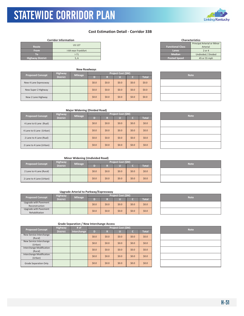**District**

**Corridor Information**

KYTC Statewide Corridor Plan

**Proposed Concept** 

### **Cost Estimation Detail - Corridor 33B**

**D R U C Total**

**Project Cost (\$M)** 



| <b>Note</b> |
|-------------|
|             |
|             |
|             |

#### **Major Widening (Divided Road)**

New 4 Lane Expressway | | | | \$0.0 | \$0.0 | \$0.0 | \$0.0 | \$0.0 New Super 2 Highway \$0.0 \$0.0 \$0.0 \$0.0 \$0.0 New 2 Lane Highway \$0.0 \$0.0 \$0.0 \$0.0 \$0.0

**New Roadways**

US 127 I-64 near Frankfort I-71 5, 6

**Mileage**

| <b>Proposed Concept</b>  | Highway         | <b>Mileage</b> |         |         | Project Cost (\$M) | <b>Note</b> |         |  |
|--------------------------|-----------------|----------------|---------|---------|--------------------|-------------|---------|--|
|                          | <b>District</b> |                | D)      | R       |                    | C.          | Total   |  |
| 4 Lane to 6 Lane (Rual)  |                 |                | \$0.0\$ | \$0.0\$ | \$0.0              | \$0.0\$     | \$0.0\$ |  |
| 4 Lane to 6 Lane (Urban) |                 |                | \$0.0\$ | \$0.0\$ | \$0.0              | \$0.0\$     | \$0.0\$ |  |
| 2 Lane to 4 Lane (Rual)  |                 |                | \$0.0\$ | \$0.0\$ | \$0.0\$            | \$0.0\$     | \$0.0\$ |  |
| 2 Lane to 4 Lane (Urban) |                 |                | \$0.0   | \$0.0\$ | \$0.0              | \$0.0\$     | \$0.0\$ |  |

### **Minor Widening (Undivided Road)**

|                          |                 | <b>IVILIOI WIGCHING (UNUIVIGCO KOGG)</b> |                    |         |       |         |              |  |             |
|--------------------------|-----------------|------------------------------------------|--------------------|---------|-------|---------|--------------|--|-------------|
| <b>Proposed Concept</b>  | <b>Highway</b>  | <b>Mileage</b>                           | Project Cost (\$M) |         |       |         |              |  | <b>Note</b> |
|                          | <b>District</b> |                                          |                    |         |       |         | <b>Total</b> |  |             |
| 2 Lane to 4 Lane (Rural) |                 |                                          | \$0.0\$            | \$0.0\$ | \$0.0 | \$0.0\$ | \$0.0\$      |  |             |
| 2 Lane to 4 Lane (Urban) |                 |                                          | \$0.0\$            | \$0.0\$ | \$0.0 | \$0.0\$ | \$0.0\$      |  |             |

#### **Upgrade Arterial to Parkway/Expressway**

| <b>Proposed Concept</b> | <b>Highway</b><br><b>Mileage</b><br><b>District</b> |  |         | Project Cost (\$M) | <b>Note</b> |         |              |  |
|-------------------------|-----------------------------------------------------|--|---------|--------------------|-------------|---------|--------------|--|
|                         |                                                     |  |         |                    |             |         | <b>Total</b> |  |
| Upgrade with Pavement   |                                                     |  | \$0.0\$ | \$0.0\$            | \$0.0\$     | \$0.0\$ | \$0.0\$      |  |
| Reconstruction          |                                                     |  |         |                    |             |         |              |  |
| Upgrade with Pavement   |                                                     |  | \$0.0\$ | \$0.0\$            | \$0.0       | \$0.0\$ | \$0.0\$      |  |
| Rehabilitation          |                                                     |  |         |                    |             |         |              |  |

| <b>Highway</b><br><b>Proposed Concept</b>  |                 | # of        |         | Project Cost (\$M) |         |         |              |  | <b>Note</b> |
|--------------------------------------------|-----------------|-------------|---------|--------------------|---------|---------|--------------|--|-------------|
|                                            | <b>District</b> | Interchange | D       | R                  |         |         | <b>Total</b> |  |             |
| New Service Interchange<br>(Rural)         |                 |             | \$0.0\$ | \$0.0\$            | \$0.0   | \$0.0\$ | \$0.0\$      |  |             |
| New Service Interchange<br>(Urban)         |                 |             | \$0.0\$ | \$0.0\$            | \$0.0   | \$0.0\$ | \$0.0\$      |  |             |
| <b>Interchange Modification</b><br>(Rural) |                 |             | \$0.0\$ | \$0.0\$            | \$0.0   | \$0.0\$ | \$0.0\$      |  |             |
| Interchange Modification<br>(Urban)        |                 |             | \$0.0\$ | \$0.0\$            | \$0.0\$ | \$0.0\$ | \$0.0\$      |  |             |
| <b>Grade Separation Only</b>               |                 |             | \$0.0\$ | \$0.0\$            | \$0.0   | \$0.0\$ | \$0.0\$      |  |             |

| <b>Note</b> |  |
|-------------|--|
|             |  |
|             |  |
|             |  |

| <b>Note</b> |
|-------------|
|             |
|             |

| <b>Note</b> |  |
|-------------|--|

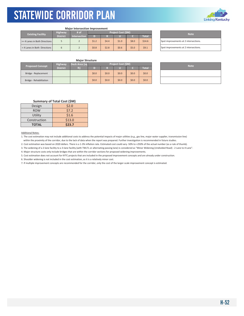

#### **Major Intersection Improvement**

| <b>Highway</b><br><b>Existing Facility</b> |                 | # of                |         |       | Project Cost (SM) | <b>Note</b> |              |                                |
|--------------------------------------------|-----------------|---------------------|---------|-------|-------------------|-------------|--------------|--------------------------------|
|                                            | <b>District</b> | <b>Intersection</b> |         |       |                   |             | <b>Total</b> |                                |
| >= 4 Lanes in Both Directions              |                 |                     | \$1.2   | 54.4  | \$1.0             | \$8.0       | \$14.6       | Spot improvements at 2 interse |
| < 4 Lanes in Both Directions               |                 |                     | \$0.8\$ | \$2.8 | \$0.6             | \$5.0       | \$9.1        | Spot improvements at 2 interse |

| <b>Note</b>                           |
|---------------------------------------|
| Spot improvements at 2 intersections. |
| Spot improvements at 2 intersections. |

#### **Major Structure**

| <b>Proposed Concept</b> | <b>Highway</b>  | Deck Area (sq    | Project Cost (\$M) |         |       |         |              |             |  |  |  |
|-------------------------|-----------------|------------------|--------------------|---------|-------|---------|--------------|-------------|--|--|--|
|                         | <b>District</b> | $f$ is $\lambda$ |                    |         |       |         | <b>Total</b> | <b>Note</b> |  |  |  |
| Bridge - Replacement    |                 |                  | \$0.0\$            | \$0.0\$ | \$0.0 | \$0.0\$ | \$0.0\$      |             |  |  |  |
| Bridge - Rehabilitation |                 |                  | \$0.0              | \$0.0\$ | \$0.0 | \$0.0\$ | \$0.0\$      |             |  |  |  |

| <b>Note</b> |  |
|-------------|--|
|             |  |
|             |  |

#### **Summary of Total Cost (\$M)**

| Design       | \$2.0  |
|--------------|--------|
| <b>ROW</b>   | 57.2   |
| Utility      | \$1.6  |
| Construction | \$13.0 |
| <b>TOTAL</b> | \$23.7 |

#### Additional Notes:

1. The cost estimation may not include additional costs to address the potential impacts of major utilities (e.g., gas line, major water supplier, transmission line) within the proximity of the corridor, due to the lack of data when the report was prepared. Further investigation is recommended in future studies.

2. Cost estimation was based on 2020 dollars. There is a 1-3% inflation rate. Estimated cost could vary -50% to +250% of the actual number (as a rule of thumb).

3. The widening of a 2-lane facility to a 3-lane facility (with TWLTL or alternating passing lane) is considered as "Minor Widening (Undivided Road) - 2 Lane to 4 Lane".

4. Major structure costs only include bridges that are within the corridor sections for proposed widening improvements.

5. Cost estimation does not account for KYTC projects that are included in the proposed improvement concepts and are already under construction.

6. Shoulder widening is not included in the cost estimation, as it is a relatively minor cost.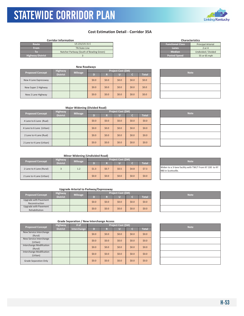### **Cost Estimation Detail - Corridor 35A**

| US 231/US 31 E<br><b>Functional Class</b><br>Route<br>From<br>Lanes<br>TN State Line<br>2 or 4<br><b>Median</b><br>To.<br>Natcher Parkway (South of Bowling Green) | <b>Corridor Information</b> |  | <b>Characteristics</b>    |
|--------------------------------------------------------------------------------------------------------------------------------------------------------------------|-----------------------------|--|---------------------------|
|                                                                                                                                                                    |                             |  | <b>Principal Arterial</b> |
|                                                                                                                                                                    |                             |  |                           |
|                                                                                                                                                                    |                             |  | Undivided / Divided       |
| <b>Posted Speed</b><br><b>Highway District</b>                                                                                                                     |                             |  | 55 or 65 mph              |

| <b>Proposed Concept</b> | <b>Mileage</b>  |  |         | Project Cost (\$M) | <b>Note</b> |         |              |  |
|-------------------------|-----------------|--|---------|--------------------|-------------|---------|--------------|--|
|                         | <b>District</b> |  | D       | R                  |             |         | <b>Total</b> |  |
| New 4 Lane Expressway   |                 |  | \$0.0\$ | \$0.0\$            | \$0.0       | \$0.0\$ | \$0.0        |  |
| New Super 2 Highway     |                 |  | \$0.0\$ | \$0.0\$            | \$0.0\$     | \$0.0\$ | \$0.0        |  |
| New 2 Lane Highway      |                 |  | \$0.0\$ | \$0.0\$            | \$0.0       | \$0.0\$ | \$0.0        |  |

| <b>Characteristics</b>  |                           |  |  |  |  |  |  |  |
|-------------------------|---------------------------|--|--|--|--|--|--|--|
| <b>Functional Class</b> | <b>Principal Arterial</b> |  |  |  |  |  |  |  |
| Lanes                   | $2$ or $4$                |  |  |  |  |  |  |  |
| <b>Median</b>           | Undivided / Divided       |  |  |  |  |  |  |  |
| <b>Posted Speed</b>     | 55 or 65 mph              |  |  |  |  |  |  |  |
|                         |                           |  |  |  |  |  |  |  |

| <b>Note</b> |  |
|-------------|--|
|             |  |
|             |  |
|             |  |

#### **Major Widening (Divided Road)**

| <b>Proposed Concept</b>  | Highway         | <b>Mileage</b> |         |         | Project Cost (\$M) | <b>Note</b> |                    |  |
|--------------------------|-----------------|----------------|---------|---------|--------------------|-------------|--------------------|--|
|                          | <b>District</b> |                | D       | R       | u                  |             | Total <sup>'</sup> |  |
| 4 Lane to 6 Lane (Rual)  |                 |                | \$0.0\$ | \$0.0\$ | \$0.0\$            | \$0.0\$     | \$0.0\$            |  |
| 4 Lane to 6 Lane (Urban) |                 |                | \$0.0\$ | \$0.0\$ | \$0.0\$            | \$0.0       | \$0.0\$            |  |
| 2 Lane to 4 Lane (Rual)  |                 |                | \$0.0\$ | \$0.0\$ | \$0.0              | \$0.0       | \$0.0\$            |  |
| 2 Lane to 4 Lane (Urban) |                 |                | \$0.0\$ | \$0.0\$ | \$0.0              | \$0.0       | \$0.0\$            |  |

| <b>Note</b> |
|-------------|
|             |
|             |
|             |
|             |
|             |

#### **Minor Widening (Undivided Road)**

| <b>Proposed Concept</b>  | <b>Highway</b>  | <b>Mileage</b> | <b>Project Cost (SM)</b> |         |         |         |              |  |                                                          |  | <b>Note</b> |
|--------------------------|-----------------|----------------|--------------------------|---------|---------|---------|--------------|--|----------------------------------------------------------|--|-------------|
|                          | <b>District</b> |                |                          |         |         |         | <b>Total</b> |  |                                                          |  |             |
| 2 Lane to 4 Lane (Rural) |                 | 1.2            | \$1.3                    | \$0.7   | \$0.5   | \$4.8   | \$7.3        |  | Widen to a 3-lane facility with T<br>980 in Scottsville. |  |             |
| 2 Lane to 4 Lane (Urban) |                 |                | \$0.0                    | \$0.0\$ | \$0.0\$ | \$0.0\$ | \$0.0\$      |  |                                                          |  |             |

#### **Upgrade Arterial to Parkway/Expressway**

| <b>Highway</b>                          |                 |                | Project Cost (\$M) |         |         |       |              |  |             |
|-----------------------------------------|-----------------|----------------|--------------------|---------|---------|-------|--------------|--|-------------|
| <b>Proposed Concept</b>                 | <b>District</b> | <b>Mileage</b> |                    |         |         |       | <b>Total</b> |  | <b>Note</b> |
| Upgrade with Pavement<br>Reconstruction |                 |                | \$0.0              | \$0.0\$ | \$0.0\$ | \$0.0 | \$0.0\$      |  |             |
| Upgrade with Pavement<br>Rehabilitation |                 |                | \$0.0\$            | \$0.0\$ | \$0.0   | \$0.0 | \$0.0\$      |  |             |

|                                 | <b>Highway</b>  | # of        | Project Cost (\$M) |         |         |         |              |  | <b>Note</b> |
|---------------------------------|-----------------|-------------|--------------------|---------|---------|---------|--------------|--|-------------|
| <b>Proposed Concept</b>         | <b>District</b> | Interchange | D                  | R       |         |         | <b>Total</b> |  |             |
| New Service Interchange         |                 |             | \$0.0\$            | \$0.0\$ | \$0.0\$ | \$0.0\$ | \$0.0\$      |  |             |
| (Rural)                         |                 |             |                    |         |         |         |              |  |             |
| New Service Interchange         |                 |             | \$0.0\$            | \$0.0\$ | \$0.0   | \$0.0\$ | \$0.0\$      |  |             |
| (Urban)                         |                 |             |                    |         |         |         |              |  |             |
| Interchange Modification        |                 |             | \$0.0\$            | \$0.0\$ | \$0.0\$ | \$0.0\$ | \$0.0\$      |  |             |
| (Rural)                         |                 |             |                    |         |         |         |              |  |             |
| <b>Interchange Modification</b> |                 |             | \$0.0\$            | \$0.0\$ | \$0.0\$ | \$0.0\$ | \$0.0\$      |  |             |
| (Urban)                         |                 |             |                    |         |         |         |              |  |             |
| Grade Separation Only           |                 |             | \$0.0\$            | \$0.0\$ | \$0.0   | \$0.0\$ | \$0.0\$      |  |             |
|                                 |                 |             |                    |         |         |         |              |  |             |

| <b>Note</b>                                            |
|--------------------------------------------------------|
| Widen to a 3-lane facility with TWLT From KY 100 to KY |
| 980 in Scottsville.                                    |
|                                                        |

| <b>Note</b> |  |
|-------------|--|
|             |  |
|             |  |

| <b>Note</b> |
|-------------|
|             |
|             |
|             |
|             |
|             |

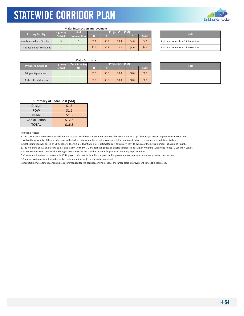

#### **Major Intersection Improvement**

| <b>Existing Facility</b>      | # of            | <b>Project Cost (\$M)</b> |       |         |       |       |         | <b>Note</b> |                                |
|-------------------------------|-----------------|---------------------------|-------|---------|-------|-------|---------|-------------|--------------------------------|
|                               | <b>District</b> | <b>Intersection</b>       |       |         |       |       | Total   |             |                                |
| >= 4 Lanes in Both Directions |                 |                           | \$0.1 | \$0.2   | \$0.3 | \$4.0 | \$4.6\$ |             | Spot improvements at 1 interse |
| < 4 Lanes in Both Directions  |                 |                           | \$0.2 | \$0.2\$ | \$0.2 | \$4.0 | \$4.6\$ |             | Spot improvements at 2 interse |

| <b>Note</b>                           |
|---------------------------------------|
| Spot improvements at 1 intersection.  |
| Spot improvements at 2 intersections. |

#### **Major Structure**

| <b>Proposed Concept</b> | <b>Highway</b>  | Deck Area (sq |         | Project Cost (\$M) | <b>Note</b> |         |              |  |
|-------------------------|-----------------|---------------|---------|--------------------|-------------|---------|--------------|--|
|                         | <b>District</b> | ft)           |         |                    |             |         | <b>Total</b> |  |
| Bridge - Replacement    |                 |               | \$0.0\$ | \$0.0\$            | \$0.0\$     | \$0.0\$ | \$0.0\$      |  |
| Bridge - Rehabilitation |                 |               | \$0.0\$ | \$0.0\$            | \$0.0       | \$0.0\$ | \$0.0\$      |  |

| <b>Note</b> |  |
|-------------|--|
|             |  |
|             |  |

#### **Summary of Total Cost (\$M)**

| Design       | \$1.6  |
|--------------|--------|
| <b>ROW</b>   | \$1.1  |
| Utility      | \$1.0  |
| Construction | \$12.8 |
| <b>TOTAL</b> | \$16.5 |

#### Additional Notes:

1. The cost estimation may not include additional costs to address the potential impacts of major utilities (e.g., gas line, major water supplier, transmission line) within the proximity of the corridor, due to the lack of data when the report was prepared. Further investigation is recommended in future studies.

2. Cost estimation was based on 2020 dollars. There is a 1-3% inflation rate. Estimated cost could vary -50% to +250% of the actual number (as a rule of thumb).

3. The widening of a 2-lane facility to a 3-lane facility (with TWLTL or alternating passing lane) is considered as "Minor Widening (Undivided Road) - 2 Lane to 4 Lane".

4. Major structure costs only include bridges that are within the corridor sections for proposed widening improvements.

5. Cost estimation does not account for KYTC projects that are included in the proposed improvement concepts and are already under construction.

6. Shoulder widening is not included in the cost estimation, as it is a relatively minor cost.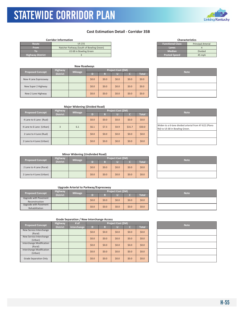KYTC Statewide Corridor Plan

### **Cost Estimation Detail ‐ Corridor 35B**

|                         | <b>Corridor Information</b>              |                         | <b>Characteristics</b>    |
|-------------------------|------------------------------------------|-------------------------|---------------------------|
| Route                   | <b>US 231</b>                            | <b>Functional Class</b> | <b>Principal Arterial</b> |
| <b>From</b>             | Natcher Parkway (South of Bowling Green) | Lanes                   |                           |
| ТΟ                      | US 68 in Bowling Green                   | <b>Median</b>           | <b>Divided</b>            |
| <b>Highway District</b> |                                          | <b>Posted Speed</b>     | 45 mph                    |

|                         |                 | <b>New Roadways</b> |         |                    |       |         |              |             |
|-------------------------|-----------------|---------------------|---------|--------------------|-------|---------|--------------|-------------|
|                         | <b>Highway</b>  |                     |         | Project Cost (\$M) |       |         |              |             |
| <b>Proposed Concept</b> | <b>District</b> | <b>Mileage</b>      | D)      | R                  |       |         | <b>Total</b> | <b>Note</b> |
| New 4 Lane Expressway   |                 |                     | \$0.0\$ | \$0.0              | \$0.0 | \$0.0\$ | \$0.0\$      |             |
| New Super 2 Highway     |                 |                     | \$0.0\$ | \$0.0              | \$0.0 | \$0.0\$ | \$0.0\$      |             |
| New 2 Lane Highway      |                 |                     | \$0.0\$ | \$0.0              | \$0.0 | \$0.0\$ | \$0.0\$      |             |

| <b>Functional Class</b> | <b>Principal Arterial</b> |
|-------------------------|---------------------------|
| Lanes                   |                           |
| <b>Median</b>           | <b>Divided</b>            |
| <b>Posted Speed</b>     | 45 mph                    |
|                         |                           |

**Characteristics**

| <b>Note</b> |
|-------------|
|             |
|             |
|             |

| <b>Major Widening (Divided Road)</b> |                 |                |         |         |                           |         |              |  |                                                                   |
|--------------------------------------|-----------------|----------------|---------|---------|---------------------------|---------|--------------|--|-------------------------------------------------------------------|
| <b>Proposed Concept</b>              | Highway         | <b>Mileage</b> |         |         | <b>Project Cost (\$M)</b> |         | <b>Note</b>  |  |                                                                   |
|                                      | <b>District</b> |                |         |         |                           |         | <b>Total</b> |  |                                                                   |
| 4 Lane to 6 Lane (Rual)              |                 |                | \$0.0\$ | \$0.0\$ | \$0.0\$                   | \$0.0\$ | \$0.0        |  |                                                                   |
| 4 Lane to 6 Lane (Urban)             | 3               | 6.1            | \$6.1   | \$7.3   | \$4.9                     | \$31.7  | \$50.0       |  | Widen to a 6-lane divided arter<br>Rd) to US 68 in Bowling Green. |
| 2 Lane to 4 Lane (Rual)              |                 |                | \$0.0\$ | \$0.0\$ | \$0.0                     | \$0.0\$ | \$0.0\$      |  |                                                                   |
| 2 Lane to 4 Lane (Urban)             |                 |                | \$0.0\$ | \$0.0\$ | \$0.0\$                   | \$0.0\$ | \$0.0        |  |                                                                   |

| <b>Note</b>                                                                             |
|-----------------------------------------------------------------------------------------|
|                                                                                         |
| Widen to a 6-lane divided arterial from KY 622 (Plano<br>Rd) to US 68 in Bowling Green. |
|                                                                                         |
|                                                                                         |

#### **Minor Widening (Undivided Road)**

| <b>Proposed Concept</b>  | <b>Highway</b><br><b>Mileage</b><br><b>District</b> |         | <b>Project Cost (\$M)</b> |       |       |              |  | <b>Note</b> |
|--------------------------|-----------------------------------------------------|---------|---------------------------|-------|-------|--------------|--|-------------|
|                          |                                                     |         |                           |       |       | <b>Total</b> |  |             |
| 2 Lane to 4 Lane (Rural) |                                                     | \$0.0\$ | \$0.0\$                   | \$0.0 | \$0.0 | \$0.0\$      |  |             |
| 2 Lane to 4 Lane (Urban) |                                                     | \$0.0\$ | \$0.0\$                   | \$0.0 | \$0.0 | \$0.0\$      |  |             |

#### **Upgrade Arterial to Parkway/Expressway**

|                                         | <b>Highway</b><br><b>Mileage</b> |  | <b>Project Cost (\$M)</b> |      |         |         |         |  | <b>Note</b> |
|-----------------------------------------|----------------------------------|--|---------------------------|------|---------|---------|---------|--|-------------|
| <b>Proposed Concept</b>                 | <b>District</b>                  |  |                           |      |         |         | Total   |  |             |
| Upgrade with Pavement<br>Reconstruction |                                  |  | \$0.0\$                   | 50.0 | \$0.0\$ | \$0.0\$ | \$0.0\$ |  |             |
| Upgrade with Pavement<br>Rehabilitation |                                  |  | \$0.0\$                   | 50.0 | \$0.0\$ | \$0.0\$ | \$0.0\$ |  |             |

| # of<br><b>Highway</b><br><b>Proposed Concept</b> |                 |             |         |       | Project Cost (\$M) | <b>Note</b> |              |  |
|---------------------------------------------------|-----------------|-------------|---------|-------|--------------------|-------------|--------------|--|
|                                                   | <b>District</b> | Interchange | D       | R     |                    |             | <b>Total</b> |  |
| New Service Interchange<br>(Rural)                |                 |             | \$0.0\$ | \$0.0 | \$0.0\$            | \$0.0\$     | \$0.0\$      |  |
| New Service Interchange<br>(Urban)                |                 |             | \$0.0\$ | \$0.0 | \$0.0\$            | \$0.0\$     | \$0.0\$      |  |
| Interchange Modification<br>(Rural)               |                 |             | \$0.0\$ | \$0.0 | \$0.0\$            | \$0.0\$     | \$0.0\$      |  |
| <b>Interchange Modification</b><br>(Urban)        |                 |             | \$0.0\$ | \$0.0 | \$0.0\$            | \$0.0\$     | \$0.0\$      |  |
| Grade Separation Only                             |                 |             | \$0.0\$ | \$0.0 | \$0.0\$            | \$0.0\$     | \$0.0\$      |  |

| <b>Note</b> |
|-------------|
|             |
|             |
|             |
|             |
|             |





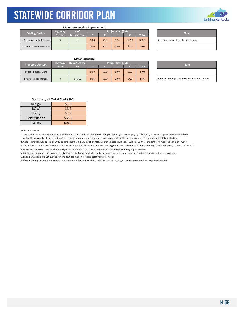#### **Major Intersection Improvement**

| <b>Existing Facility</b>      | <b>Highway</b>  | # of                |         |         | <b>Project Cost (SM)</b> |        |              |                                |
|-------------------------------|-----------------|---------------------|---------|---------|--------------------------|--------|--------------|--------------------------------|
|                               | <b>District</b> | <b>Intersection</b> | D).     |         |                          |        | <b>Total</b> | <b>Note</b>                    |
| >= 4 Lanes in Both Directions |                 |                     | \$0.8   | \$1.6   | \$2.4\$                  | \$32.0 | \$36.8       | Spot improvements at 8 interse |
| < 4 Lanes in Both Directions  |                 |                     | \$0.0\$ | \$0.0\$ | \$0.0\$                  | \$0.0  | \$0.0\$      |                                |

| <b>Note</b>                           |  |
|---------------------------------------|--|
| Spot improvements at 8 intersections. |  |
|                                       |  |

|                         |                 | <b>Major Structure</b> |       |         |                    |         |              |                             |  |
|-------------------------|-----------------|------------------------|-------|---------|--------------------|---------|--------------|-----------------------------|--|
| <b>Proposed Concept</b> | <b>Highway</b>  | Deck Area (sq          |       |         | Project Cost (\$M) |         |              |                             |  |
|                         | <b>District</b> | ft)                    |       |         |                    |         | <b>Total</b> | <b>Note</b>                 |  |
| Bridge - Replacement    |                 |                        | \$0.0 | \$0.0\$ | \$0.0              | \$0.0\$ | \$0.0\$      |                             |  |
| Bridge - Rehabilitation |                 | 14,109                 | \$0.4 | \$0.0\$ | \$0.0              | \$4.2   | \$4.6\$      | Rehab/widening is recommend |  |

| <b>Note</b> |
|-------------|
|             |
|             |

Rehab/widening is recommended for one bridges.

#### **Summary of Total Cost (\$M)**

| \$7.3  |
|--------|
| \$8.9  |
| \$7.3  |
| \$68.0 |
| \$91.4 |
|        |

Additional Notes:

1. The cost estimation may not include additional costs to address the potential impacts of major utilities (e.g., gas line, major water supplier, transmission line) within the proximity of the corridor, due to the lack of data when the report was prepared. Further investigation is recommended in future studies.

2. Cost estimation was based on 2020 dollars. There is a 1‐3% inflation rate. Estimated cost could vary ‐50% to +250% of the actual number (as a rule of thumb).

3. The widening of a 2‐lane facility to a 3‐lane facility (with TWLTL or alternating passing lane) is considered as "Minor Widening (Undivided Road) ‐ 2 Lane to 4 Lane".

4. Major structure costs only include bridges that are within the corridor sections for proposed widening improvements.

5. Cost estimation does not account for KYTC projects that are included in the proposed improvement concepts and are already under construction.

6. Shoulder widening is not included in the cost estimation, as it is a relatively minor cost.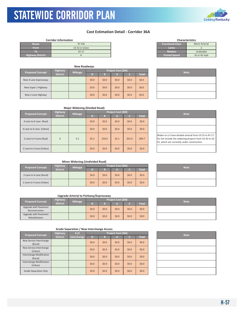KYTC Statewide Corridor Plan

### **Cost Estimation Detail ‐ Corridor 36A**

|                         | <b>Corridor Information</b> |                         | <b>Characteristics</b> |
|-------------------------|-----------------------------|-------------------------|------------------------|
| Route                   | KY 536                      | <b>Functional Class</b> | <b>Minor Arterial</b>  |
| <b>From</b>             | US 42 in Union              | Lanes                   |                        |
| ю                       | <b>KY 17</b>                | <b>Median</b>           | Undivided              |
| <b>Highway District</b> |                             | <b>Posted Speed</b>     | 35 or 45 mph           |

| <b>New Roadways</b>     |                 |                |         |                    |             |         |              |  |
|-------------------------|-----------------|----------------|---------|--------------------|-------------|---------|--------------|--|
|                         | <b>Highway</b>  | <b>Mileage</b> |         | Project Cost (\$M) | <b>Note</b> |         |              |  |
| <b>Proposed Concept</b> | <b>District</b> |                | D)      | R                  |             |         | <b>Total</b> |  |
| New 4 Lane Expressway   |                 |                | \$0.0\$ | 50.0               | \$0.0       | \$0.0\$ | \$0.0\$      |  |
| New Super 2 Highway     |                 |                | \$0.0\$ | \$0.0\$            | \$0.0       | \$0.0\$ | \$0.0\$      |  |
| New 2 Lane Highway      |                 |                | \$0.0\$ | \$0.0\$            | \$0.0       | \$0.0   | \$0.0\$      |  |

| <b>Characteristics</b>  |                       |  |  |  |  |  |  |
|-------------------------|-----------------------|--|--|--|--|--|--|
| <b>Functional Class</b> | <b>Minor Arterial</b> |  |  |  |  |  |  |
| Lanes                   |                       |  |  |  |  |  |  |
| Median                  | Undivided             |  |  |  |  |  |  |
| <b>Posted Speed</b>     | 35 or 45 mph          |  |  |  |  |  |  |

| <b>Note</b> |
|-------------|
|             |
|             |
|             |

#### **Major Widening (Divided Road)**

| <b>Proposed Concept</b>  | <b>Highway</b><br><b>Mileage</b> |     | Project Cost (\$M) |         |       |         |              |  | <b>Note</b>                                                                                          |
|--------------------------|----------------------------------|-----|--------------------|---------|-------|---------|--------------|--|------------------------------------------------------------------------------------------------------|
|                          | <b>District</b>                  |     |                    | R       |       |         | <b>Total</b> |  |                                                                                                      |
| 4 Lane to 6 Lane (Rual)  |                                  |     | \$0.0\$            | \$0.0\$ | \$0.0 | \$0.0\$ | \$0.0        |  |                                                                                                      |
| 4 Lane to 6 Lane (Urban) |                                  |     | \$0.0\$            | \$0.0\$ | \$0.0 | \$0.0\$ | \$0.0\$      |  |                                                                                                      |
| 2 Lane to 4 Lane (Rual)  | 6                                | 5.2 | \$5.2              | \$10.4  | \$2.1 | \$52.0  | \$69.7       |  | Widen to a 5-lane divided arter<br>Do not include the widening pr<br>25, which are currently under o |
| 2 Lane to 4 Lane (Urban) |                                  |     | \$0.0\$            | \$0.0\$ | \$0.0 | \$0.0\$ | \$0.0\$      |  |                                                                                                      |

| Widen to a 5-lane divided arterial from US 25 to KY 17.<br>Do not include the widening projects from US 42 to US<br>25, which are currently under construction. |
|-----------------------------------------------------------------------------------------------------------------------------------------------------------------|

#### **Minor Widening (Undivided Road)**

| <b>Highway</b><br><b>Proposed Concept</b> |                 | <b>Mileage</b> | Project Cost (\$M) |         |       |       |              |  | <b>Note</b> |
|-------------------------------------------|-----------------|----------------|--------------------|---------|-------|-------|--------------|--|-------------|
|                                           | <b>District</b> |                |                    | ×.<br>M |       |       | <b>Total</b> |  |             |
| 2 Lane to 4 Lane (Rural)                  |                 |                | \$0.0\$            | \$0.0   | \$0.0 | \$0.0 | \$0.0\$      |  |             |
| 2 Lane to 4 Lane (Urban)                  |                 |                | \$0.0\$            | \$0.0   | \$0.0 | \$0.0 | \$0.0\$      |  |             |

#### **Upgrade Arterial to Parkway/Expressway**

| Highway<br><b>Proposed Concept</b>      |                 | <b>Mileage</b> |         |         | Project Cost (\$M) | <b>Note</b> |              |  |
|-----------------------------------------|-----------------|----------------|---------|---------|--------------------|-------------|--------------|--|
|                                         | <b>District</b> |                |         |         |                    |             | <b>Total</b> |  |
| Upgrade with Pavement<br>Reconstruction |                 |                | \$0.0\$ | \$0.0\$ | \$0.0\$            | \$0.0       | \$0.0\$      |  |
| Upgrade with Pavement<br>Rehabilitation |                 |                | \$0.0\$ | 50.0    | \$0.0\$            | \$0.0       | \$0.0\$      |  |

| <b>Proposed Concept</b>                    | <b>Highway</b>  | # of        |         |         | Project Cost (\$M) |         |              | <b>Note</b> |
|--------------------------------------------|-----------------|-------------|---------|---------|--------------------|---------|--------------|-------------|
|                                            | <b>District</b> | Interchange | D       | R       | u                  | c.      | <b>Total</b> |             |
| New Service Interchange<br>(Rural)         |                 |             | \$0.0\$ | \$0.0\$ | \$0.0              | \$0.0\$ | \$0.0\$      |             |
| New Service Interchange<br>(Urban)         |                 |             | \$0.0\$ | \$0.0\$ | \$0.0              | \$0.0\$ | \$0.0\$      |             |
| <b>Interchange Modification</b><br>(Rural) |                 |             | \$0.0\$ | \$0.0\$ | \$0.0              | \$0.0\$ | \$0.0\$      |             |
| <b>Interchange Modification</b><br>(Urban) |                 |             | \$0.0\$ | \$0.0\$ | \$0.0              | \$0.0\$ | \$0.0\$      |             |
| <b>Grade Separation Only</b>               |                 |             | \$0.0\$ | \$0.0\$ | \$0.0              | \$0.0\$ | \$0.0\$      |             |

| <b>Note</b> |
|-------------|
|             |
|             |

| <b>Note</b> |
|-------------|
|             |
|             |

| <b>Note</b> |
|-------------|
|             |
|             |
|             |
|             |
|             |

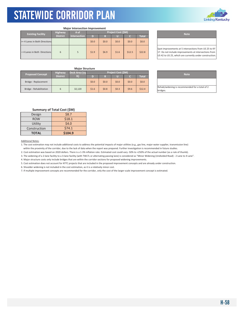

| <b>Major Intersection Improvement</b> |                 |                           |       |       |       |        |              |  |
|---------------------------------------|-----------------|---------------------------|-------|-------|-------|--------|--------------|--|
| <b>Existing Facility</b>              | Highway         | <b>Project Cost (\$M)</b> |       |       |       |        |              |  |
|                                       | <b>District</b> | <b>Intersection</b>       | D     | R     | U     |        | <b>Total</b> |  |
| >= 4 Lanes in Both Directions         |                 |                           | \$0.0 | \$0.0 | \$0.0 | \$0.0  | \$0.0        |  |
| < 4 Lanes in Both Directions          | 6               | 5                         | \$1.9 | \$6.9 | \$1.6 | \$12.5 | \$22.8       |  |

**Project Cost (\$M) Note** Spot improvements at 5 intersections from US 25 to KY

17. Do not include improvements at intersections from US 42 to US 25, which are currently under construction.

#### **Major Structure**

| <b>Proposed Concept</b> | <b>Highway</b>  | <b>Project Cost (\$M)</b><br>Deck Area (sq |         |         |       |         |              | <b>Note</b> |                                         |
|-------------------------|-----------------|--------------------------------------------|---------|---------|-------|---------|--------------|-------------|-----------------------------------------|
|                         | <b>District</b> | ft)                                        |         |         |       |         | <b>Total</b> |             |                                         |
| Bridge - Replacement    |                 |                                            | \$0.0\$ | \$0.0\$ | \$0.0 | \$0.0\$ | \$0.0\$      |             |                                         |
| Bridge - Rehabilitation |                 | 32.120                                     | \$1.6   | \$0.8\$ | \$0.3 | \$9.6   | \$12.4       |             | Rehab/widening is recommend<br>bridges. |

| <b>Note</b>                                    |  |
|------------------------------------------------|--|
|                                                |  |
| Rehab/widening is recommended for a total of 2 |  |

### **Summary of Total Cost (\$M)**

| Design       | \$8.7   |
|--------------|---------|
| <b>ROW</b>   | \$18.1  |
| Utility      | \$4.0   |
| Construction | 574.1   |
| <b>TOTAL</b> | \$104.9 |

#### Additional Notes:

1. The cost estimation may not include additional costs to address the potential impacts of major utilities (e.g., gas line, major water supplier, transmission line) within the proximity of the corridor, due to the lack of data when the report was prepared. Further investigation is recommended in future studies.

2. Cost estimation was based on 2020 dollars. There is a 1‐3% inflation rate. Estimated cost could vary ‐50% to +250% of the actual number (as a rule of thumb).

3. The widening of a 2‐lane facility to a 3‐lane facility (with TWLTL or alternating passing lane) is considered as "Minor Widening (Undivided Road) ‐ 2 Lane to 4 Lane".

4. Major structure costs only include bridges that are within the corridor sections for proposed widening improvements.

5. Cost estimation does not account for KYTC projects that are included in the proposed improvement concepts and are already under construction.

6. Shoulder widening is not included in the cost estimation, as it is a relatively minor cost.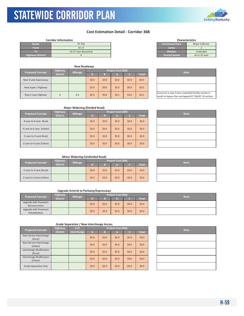KYTC Statewide Corridor Plan

### **Cost Estimation Detail ‐ Corridor 36B**

|                         | <b>Corridor Information</b> |                         | <b>Characteristics</b> |
|-------------------------|-----------------------------|-------------------------|------------------------|
| Route                   | KY 536                      | <b>Functional Class</b> | <b>Major Collector</b> |
| <b>From</b>             | <b>KY 17</b>                | Lanes                   |                        |
|                         | US 27 near Alexandria       | <b>Median</b>           | Undivided              |
| <b>Highway District</b> |                             | <b>Posted Speed</b>     | 45 or 55 mph           |

|                         |                 | <b>New Roadways</b> |         |         |                    |             |         |                                                                  |
|-------------------------|-----------------|---------------------|---------|---------|--------------------|-------------|---------|------------------------------------------------------------------|
| <b>Proposed Concept</b> | <b>Highway</b>  | <b>Mileage</b>      |         |         | Project Cost (\$M) | <b>Note</b> |         |                                                                  |
|                         | <b>District</b> |                     |         | R       |                    |             | Total   |                                                                  |
| New 4 Lane Expressway   |                 |                     | \$0.0\$ | \$0.0\$ | \$0.0              | \$0.0\$     | \$0.0\$ |                                                                  |
| New Super 2 Highway     |                 |                     | \$0.0\$ | \$0.0\$ | \$0.0              | \$0.0\$     | \$0.0\$ |                                                                  |
| New 2 Lane Highway      | 6               | 0.4                 | \$0.5   | \$0.6\$ | \$0.1              | \$3.0       | \$4.2\$ | Construct a new 2-lane undivic<br>south to bypass the overlapped |

| <b>Characteristics</b>  |                        |  |  |  |  |  |  |  |  |
|-------------------------|------------------------|--|--|--|--|--|--|--|--|
| <b>Functional Class</b> | <b>Major Collector</b> |  |  |  |  |  |  |  |  |
| Lanes                   |                        |  |  |  |  |  |  |  |  |
| <b>Median</b>           | Undivided              |  |  |  |  |  |  |  |  |
| <b>Posted Speed</b>     | 45 or 55 mph           |  |  |  |  |  |  |  |  |
|                         |                        |  |  |  |  |  |  |  |  |

| <b>Note</b>                                                                                                 |  |
|-------------------------------------------------------------------------------------------------------------|--|
|                                                                                                             |  |
|                                                                                                             |  |
| Construct a new 2-lane undivided facility nearby in<br>south to bypass the overlapped KY 536/KY 16 section. |  |

| <b>Major Widening (Divided Road)</b> |  |
|--------------------------------------|--|
|--------------------------------------|--|

| <b>Proposed Concept</b>  | <b>Highway</b>  | <b>Mileage</b> |       |         | Project Cost (\$M) | <b>Note</b> |              |  |
|--------------------------|-----------------|----------------|-------|---------|--------------------|-------------|--------------|--|
|                          | <b>District</b> |                | D     | R       |                    |             | <b>Total</b> |  |
| 4 Lane to 6 Lane (Rual)  |                 |                | \$0.0 | \$0.0\$ | \$0.0\$            | \$0.0\$     | \$0.0\$      |  |
| 4 Lane to 6 Lane (Urban) |                 |                | \$0.0 | \$0.0\$ | \$0.0\$            | \$0.0\$     | \$0.0\$      |  |
| 2 Lane to 4 Lane (Rual)  |                 |                | \$0.0 | \$0.0\$ | \$0.0\$            | \$0.0\$     | \$0.0\$      |  |
| 2 Lane to 4 Lane (Urban) |                 |                | \$0.0 | \$0.0\$ | \$0.0\$            | \$0.0       | \$0.0\$      |  |

| <b>Note</b> |
|-------------|
|             |
|             |
|             |
|             |

#### **Minor Widening (Undivided Road)**

| <b>Highway</b><br><b>Proposed Concept</b> |                 | <b>Mileage</b> | Project Cost (\$M) |         |       |         |              |  | <b>Note</b> |
|-------------------------------------------|-----------------|----------------|--------------------|---------|-------|---------|--------------|--|-------------|
|                                           | <b>District</b> |                |                    |         |       |         | <b>Total</b> |  |             |
| 2 Lane to 4 Lane (Rural)                  |                 |                | \$0.0\$            | \$0.0\$ | \$0.0 | \$0.0\$ | \$0.0\$      |  |             |
| 2 Lane to 4 Lane (Urban)                  |                 |                | \$0.0\$            | \$0.0\$ | \$0.0 | \$0.0\$ | \$0.0\$      |  |             |

#### **Upgrade Arterial to Parkway/Expressway**

| <b>Proposed Concept</b>                 | <b>Highway</b> | <b>Mileage</b><br><b>District</b> |         |         | Project Cost (\$M) | <b>Note</b> |              |  |
|-----------------------------------------|----------------|-----------------------------------|---------|---------|--------------------|-------------|--------------|--|
|                                         |                |                                   |         |         |                    |             | <b>Total</b> |  |
| Upgrade with Pavement<br>Reconstruction |                |                                   | \$0.0\$ | \$0.0\$ | \$0.0              | \$0.0       | \$0.0\$      |  |
| Upgrade with Pavement<br>Rehabilitation |                |                                   | \$0.0\$ | \$0.0\$ | \$0.0              | \$0.0\$     | \$0.0\$      |  |

| <b>Note</b> |
|-------------|
|             |
|             |

| <b>Proposed Concept</b>                    | <b>Highway</b>  | # of        |         | Project Cost (\$M) |       |         |              |  | <b>Note</b> |
|--------------------------------------------|-----------------|-------------|---------|--------------------|-------|---------|--------------|--|-------------|
|                                            | <b>District</b> | Interchange | D       | R                  |       | c       | <b>Total</b> |  |             |
| New Service Interchange<br>(Rural)         |                 |             | \$0.0\$ | \$0.0\$            | \$0.0 | \$0.0\$ | \$0.0\$      |  |             |
| New Service Interchange<br>(Urban)         |                 |             | \$0.0\$ | \$0.0\$            | \$0.0 | \$0.0\$ | \$0.0\$      |  |             |
| Interchange Modification<br>(Rural)        |                 |             | \$0.0\$ | \$0.0\$            | \$0.0 | \$0.0   | \$0.0\$      |  |             |
| <b>Interchange Modification</b><br>(Urban) |                 |             | \$0.0\$ | \$0.0\$            | \$0.0 | \$0.0\$ | \$0.0\$      |  |             |
| Grade Separation Only                      |                 |             | \$0.0\$ | \$0.0\$            | \$0.0 | \$0.0   | \$0.0\$      |  |             |



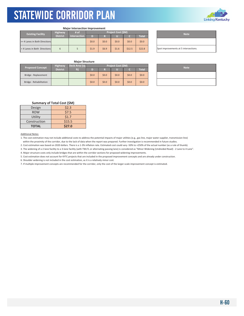

#### **Major Intersection Improvement**

| <b>Highway</b>           |                               |                 | # of         | Project Cost (\$M) |         |         |         |              |  | <b>Note</b>                    |
|--------------------------|-------------------------------|-----------------|--------------|--------------------|---------|---------|---------|--------------|--|--------------------------------|
| <b>Existing Facility</b> |                               | <b>District</b> | Intersection | D                  |         |         |         | <b>Total</b> |  |                                |
|                          | >= 4 Lanes in Both Directions |                 |              | \$0.0\$            | \$0.0\$ | \$0.0\$ | \$0.0\$ | \$0.0\$      |  |                                |
|                          | <4 Lanes in Both Directions   |                 |              | \$1.9              | \$6.9   | \$1.6   | \$12.5  | \$22.8       |  | Spot improvements at 5 interse |

| <b>Note</b>                           |
|---------------------------------------|
|                                       |
| Spot improvements at 5 intersections. |

#### **Major Structure**

| <b>Proposed Concept</b> | <b>Highway</b>        | Deck Area (sq | <b>Project Cost (SM)</b> |         |       |         |              |  | <b>Note</b> |
|-------------------------|-----------------------|---------------|--------------------------|---------|-------|---------|--------------|--|-------------|
|                         | District <sup>1</sup> | ft)           |                          |         |       |         | <b>Total</b> |  |             |
| Bridge - Replacement    |                       |               | \$0.0\$                  | \$0.0\$ | \$0.0 | \$0.0\$ | \$0.0\$      |  |             |
| Bridge - Rehabilitation |                       |               | \$0.0\$                  | \$0.0\$ | \$0.0 | \$0.0\$ | \$0.0\$      |  |             |

| <b>Note</b> |
|-------------|
|             |
|             |

#### **Summary of Total Cost (\$M)**

| Design       | \$2.3  |
|--------------|--------|
| <b>ROW</b>   | \$7.5  |
| Utility      | \$1.7  |
| Construction | \$15.5 |
| <b>TOTAL</b> | \$27.0 |

Additional Notes:

1. The cost estimation may not include additional costs to address the potential impacts of major utilities (e.g., gas line, major water supplier, transmission line) within the proximity of the corridor, due to the lack of data when the report was prepared. Further investigation is recommended in future studies.

2. Cost estimation was based on 2020 dollars. There is a 1‐3% inflation rate. Estimated cost could vary ‐50% to +250% of the actual number (as a rule of thumb).

3. The widening of a 2‐lane facility to a 3‐lane facility (with TWLTL or alternating passing lane) is considered as "Minor Widening (Undivided Road) ‐ 2 Lane to 4 Lane".

4. Major structure costs only include bridges that are within the corridor sections for proposed widening improvements.

5. Cost estimation does not account for KYTC projects that are included in the proposed improvement concepts and are already under construction.

6. Shoulder widening is not included in the cost estimation, as it is a relatively minor cost.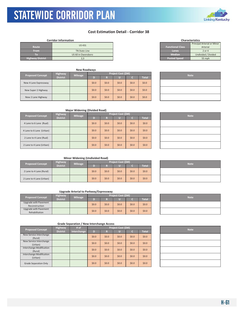### **Cost Estimation Detail - Corridor 38**

#### **Corridor Information**

|                         | <b>US431</b>         |                         | <b>Principal Arterial</b> |
|-------------------------|----------------------|-------------------------|---------------------------|
| Route                   |                      | <b>Functional Class</b> | Arterial                  |
| <b>From</b>             | <b>TN State Line</b> | Lanes                   | $2$ or $4$                |
| ТΟ                      | US 60 in Owensboro   | <b>Median</b>           | Undivided / D             |
| <b>Highway District</b> | 2,3                  | <b>Posted Speed</b>     | 55 mph                    |

|                         |                 | <b>New Roadways</b> |         |         |                    |             |              |  |
|-------------------------|-----------------|---------------------|---------|---------|--------------------|-------------|--------------|--|
| <b>Proposed Concept</b> | <b>Highway</b>  | <b>Mileage</b>      |         |         | Project Cost (\$M) | <b>Note</b> |              |  |
|                         | <b>District</b> |                     | D       | R       | u                  |             | <b>Total</b> |  |
| New 4 Lane Expressway   |                 |                     | \$0.0\$ | \$0.0\$ | \$0.0              | \$0.0\$     | \$0.0        |  |
| New Super 2 Highway     |                 |                     | \$0.0\$ | \$0.0\$ | \$0.0              | \$0.0\$     | \$0.0        |  |
| New 2 Lane Highway      |                 |                     | \$0.0   | \$0.0\$ | \$0.0              | \$0.0       | \$0.0        |  |

| <b>Major Widening (Divided Road)</b> |  |
|--------------------------------------|--|

|  |                          |                 | . .                |         |         |         |       |              |             |  |
|--|--------------------------|-----------------|--------------------|---------|---------|---------|-------|--------------|-------------|--|
|  |                          | Highway         | Project Cost (\$M) |         |         |         |       |              | <b>Note</b> |  |
|  | <b>Proposed Concept</b>  | <b>District</b> | <b>Mileage</b>     | D       | R       | U       |       | <b>Total</b> |             |  |
|  | 4 Lane to 6 Lane (Rual)  |                 |                    | \$0.0\$ | \$0.0\$ | \$0.0\$ | \$0.0 | \$0.0\$      |             |  |
|  | 4 Lane to 6 Lane (Urban) |                 |                    | \$0.0\$ | \$0.0\$ | \$0.0\$ | \$0.0 | \$0.0\$      |             |  |
|  | 2 Lane to 4 Lane (Rual)  |                 |                    | \$0.0\$ | \$0.0\$ | \$0.0\$ | \$0.0 | \$0.0\$      |             |  |
|  | 2 Lane to 4 Lane (Urban) |                 |                    | \$0.0\$ | \$0.0\$ | \$0.0\$ | \$0.0 | \$0.0\$      |             |  |

| <b>Note</b> |
|-------------|
|             |
|             |
|             |
|             |

#### **Minor Widening (Undivided Road)**

| <b>Proposed Concept</b>  | <b>Highway</b><br><b>Mileage</b> |  |       |         | Project Cost (\$M) | <b>Note</b> |         |  |
|--------------------------|----------------------------------|--|-------|---------|--------------------|-------------|---------|--|
|                          | <b>District</b>                  |  |       |         |                    |             | Total   |  |
| 2 Lane to 4 Lane (Rural) |                                  |  | \$0.0 | \$0.0\$ | \$0.0              | \$0.0\$     | \$0.0\$ |  |
| 2 Lane to 4 Lane (Urban) |                                  |  | \$0.0 | \$0.0\$ | \$0.0              | \$0.0\$     | \$0.0\$ |  |

#### **Upgrade Arterial to Parkway/Expressway**

|                                         | <b>Highway</b>        | <b>Mileage</b> | Project Cost (\$M) |         |       |       |         |  | <b>Note</b> |
|-----------------------------------------|-----------------------|----------------|--------------------|---------|-------|-------|---------|--|-------------|
| <b>Proposed Concept</b>                 | District <sup>1</sup> |                |                    |         |       |       | Total   |  |             |
| Upgrade with Pavement<br>Reconstruction |                       |                | \$0.0\$            | \$0.0\$ | \$0.0 | \$0.0 | \$0.0\$ |  |             |
| Upgrade with Pavement<br>Rehabilitation |                       |                | \$0.0\$            | \$0.0\$ | \$0.0 | \$0.0 | \$0.0\$ |  |             |

| Grade Separation / New Interchange Access |  |  |  |  |  |
|-------------------------------------------|--|--|--|--|--|
|-------------------------------------------|--|--|--|--|--|

| <b>Proposed Concept</b>             | <b>Highway</b>  | # of        | Project Cost (\$M) |         |         |         |              | <b>Note</b> |
|-------------------------------------|-----------------|-------------|--------------------|---------|---------|---------|--------------|-------------|
|                                     | <b>District</b> | Interchange | D                  | R       |         |         | <b>Total</b> |             |
| New Service Interchange<br>(Rural)  |                 |             | \$0.0\$            | \$0.0\$ | \$0.0\$ | \$0.0\$ | \$0.0\$      |             |
| New Service Interchange<br>(Urban)  |                 |             | \$0.0\$            | \$0.0\$ | \$0.0\$ | \$0.0\$ | \$0.0\$      |             |
| Interchange Modification<br>(Rural) |                 |             | \$0.0\$            | \$0.0\$ | \$0.0\$ | \$0.0\$ | \$0.0\$      |             |
| Interchange Modification<br>(Urban) |                 |             | \$0.0\$            | \$0.0\$ | \$0.0\$ | \$0.0\$ | \$0.0\$      |             |
| Grade Separation Only               |                 |             | \$0.0\$            | \$0.0\$ | \$0.0\$ | \$0.0\$ | \$0.0\$      |             |

| <b>Note</b> |
|-------------|
|             |
|             |
|             |
|             |
|             |









| \$0.0 | \$0.0 | \$0.0 |  |
|-------|-------|-------|--|
|       |       |       |  |
|       |       |       |  |
|       |       |       |  |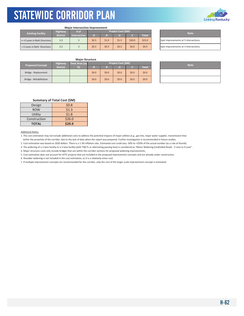

#### **Major Intersection Improvement**

| <b>Existing Facility</b>      | <b>Highway</b>  | <b>Project Cost (\$M)</b><br># of |       |       | <b>Note</b> |        |              |                                |
|-------------------------------|-----------------|-----------------------------------|-------|-------|-------------|--------|--------------|--------------------------------|
|                               | <b>District</b> | <b>Intersection</b>               | D     |       |             |        | <b>Total</b> |                                |
| >= 4 Lanes in Both Directions | 2,3             |                                   | \$0.5 | \$1.0 | \$1.5       | \$20.0 | \$23.0       | Spot improvements at 5 interse |
| < 4 Lanes in Both Directions  | 2,3             |                                   | \$0.3 | \$0.3 | \$0.3       | \$6.0  | \$6.9        | Spot improvements at 3 interse |

| <b>Note</b>                           |
|---------------------------------------|
| Spot improvements at 5 intersections. |
| Spot improvements at 3 intersections. |

#### **Major Structure**

| <b>Proposed Concept</b> | <b>Highway</b>  | Deck Area (sq | <b>Project Cost (\$M)</b> |         |       |         |         | <b>Note</b> |
|-------------------------|-----------------|---------------|---------------------------|---------|-------|---------|---------|-------------|
|                         | <b>District</b> | f(t)          |                           |         |       |         | Total   |             |
| Bridge - Replacement    |                 |               | \$0.0                     | \$0.0\$ | \$0.0 | \$0.0\$ | \$0.0\$ |             |
| Bridge - Rehabilitation |                 |               | \$0.0                     | \$0.0\$ | \$0.0 | \$0.0\$ | \$0.0\$ |             |

| <b>Note</b> |
|-------------|
|             |
|             |

#### **Summary of Total Cost (\$M)**

| Design       | \$0.8  |
|--------------|--------|
| <b>ROW</b>   | \$1.3  |
| Utility      | \$1.8  |
| Construction | \$26.0 |
| <b>TOTAL</b> | \$29.9 |

#### Additional Notes:

1. The cost estimation may not include additional costs to address the potential impacts of major utilities (e.g., gas line, major water supplier, transmission line) within the proximity of the corridor, due to the lack of data when the report was prepared. Further investigation is recommended in future studies.

2. Cost estimation was based on 2020 dollars. There is a 1-3% inflation rate. Estimated cost could vary -50% to +250% of the actual number (as a rule of thumb).

3. The widening of a 2-lane facility to a 3-lane facility (with TWLTL or alternating passing lane) is considered as "Minor Widening (Undivided Road) - 2 Lane to 4 Lane".

4. Major structure costs only include bridges that are within the corridor sections for proposed widening improvements.

5. Cost estimation does not account for KYTC projects that are included in the proposed improvement concepts and are already under construction.

6. Shoulder widening is not included in the cost estimation, as it is a relatively minor cost.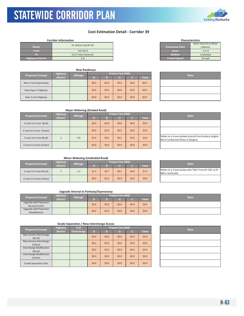### **Cost Estimation Detail - Corridor 39**

#### **Corridor Information**

|                         | KY 100/US 31E/KY 90 |                         | Minor Arterial or |
|-------------------------|---------------------|-------------------------|-------------------|
| Route                   |                     | <b>Functional Class</b> | Collector         |
| <b>From</b>             | I-65 Exit 6         | Lanes                   | 2 or 4            |
| To                      | US 27 near Somerset | <b>Median</b>           | Undivided         |
| <b>Highway District</b> | 3.8                 | <b>Posted Speed</b>     | 55 mph            |

| <b>Proposed Concept</b> | <b>Highway</b>  | <b>Mileage</b> |         |         | Project Cost (\$M) |         | <b>Note</b>  |  |  |
|-------------------------|-----------------|----------------|---------|---------|--------------------|---------|--------------|--|--|
|                         | <b>District</b> |                | D)      | м       |                    |         | <b>Total</b> |  |  |
| New 4 Lane Expressway   |                 |                | \$0.0\$ | \$0.0\$ | \$0.0              | \$0.0\$ | \$0.0        |  |  |
| New Super 2 Highway     |                 |                | \$0.0\$ | \$0.0\$ | \$0.0              | \$0.0\$ | \$0.0\$      |  |  |
| New 2 Lane Highway      |                 |                | \$0.0   | \$0.0\$ | \$0.0              | \$0.0\$ | \$0.0\$      |  |  |

### **Major Widening (Divided Road)**

| <b>Proposed Concept</b>  | <b>Highway</b><br><b>Mileage</b> |     | Project Cost (\$M) |         |         |         |              |  | <b>Note</b>                                                       |
|--------------------------|----------------------------------|-----|--------------------|---------|---------|---------|--------------|--|-------------------------------------------------------------------|
|                          | <b>District</b>                  |     |                    | м       |         |         | <b>Total</b> |  |                                                                   |
| 4 Lane to 6 Lane (Rual)  |                                  |     | \$0.0\$            | \$0.0\$ | \$0.0\$ | \$0.0\$ | \$0.0\$      |  |                                                                   |
| 4 Lane to 6 Lane (Urban) |                                  |     | \$0.0\$            | \$0.0\$ | \$0.0   | \$0.0\$ | \$0.0\$      |  |                                                                   |
| 2 Lane to 4 Lane (Rual)  | 3                                | 0.9 | \$1.0              | \$0.5   | \$0.5   | \$3.6   | \$5.6        |  | Widen to a 4-lane divided arteri<br>Rd to Cumberland Pkwy in Glas |
| 2 Lane to 4 Lane (Urban) |                                  |     | \$0.0\$            | \$0.0\$ | \$0.0\$ | \$0.0\$ | \$0.0\$      |  |                                                                   |

| <b>Note</b>                                                                                  |
|----------------------------------------------------------------------------------------------|
|                                                                                              |
|                                                                                              |
| Widen to a 4-lane divided arterial from Dockery Heights<br>Rd to Cumberland Pkwy in Glasgow. |
|                                                                                              |

#### **Minor Widening (Undivided Road)**

| <b>Proposed Concept</b>  | <b>Highway</b>  | <b>Mileage</b> |       |         | Project Cost (\$M) |         |              | <b>Note</b>                                              |
|--------------------------|-----------------|----------------|-------|---------|--------------------|---------|--------------|----------------------------------------------------------|
|                          | <b>District</b> |                |       |         |                    |         | <b>Total</b> |                                                          |
| 2 Lane to 4 Lane (Rural) |                 | 1.2            | \$1.3 | \$0.7   | \$0.5              | \$4.8   | \$7.3        | Widen to a 3-lane facility with T<br>980 in Scottsville. |
| 2 Lane to 4 Lane (Urban) |                 |                | \$0.0 | \$0.0\$ | \$0.0              | \$0.0\$ | \$0.0\$      |                                                          |

#### **Upgrade Arterial to Parkway/Expressway**

| <b>Proposed Concept</b>                 | <b>Highway</b>        | <b>Mileage</b> |         |         | Project Cost (\$M) |       |         | <b>Note</b> |
|-----------------------------------------|-----------------------|----------------|---------|---------|--------------------|-------|---------|-------------|
|                                         | District <sup>1</sup> |                |         |         |                    |       | Total   |             |
| Upgrade with Pavement<br>Reconstruction |                       |                | \$0.0\$ | \$0.0\$ | \$0.0              | \$0.0 | \$0.0\$ |             |
| Upgrade with Pavement<br>Rehabilitation |                       |                | \$0.0\$ | \$0.0\$ | \$0.0\$            | \$0.0 | \$0.0\$ |             |

| <b>Proposed Concept</b> |                                     | <b>Highway</b>  | # of        |         |         | <b>Project Cost (\$M)</b> |         |              | <b>Note</b> |
|-------------------------|-------------------------------------|-----------------|-------------|---------|---------|---------------------------|---------|--------------|-------------|
|                         |                                     | <b>District</b> | Interchange | D       | R       |                           |         | <b>Total</b> |             |
|                         | New Service Interchange<br>(Rural)  |                 |             | \$0.0\$ | \$0.0\$ | \$0.0\$                   | \$0.0\$ | \$0.0\$      |             |
|                         | New Service Interchange<br>(Urban)  |                 |             | \$0.0\$ | \$0.0\$ | \$0.0\$                   | \$0.0\$ | \$0.0\$      |             |
|                         | Interchange Modification<br>(Rural) |                 |             | \$0.0\$ | \$0.0\$ | \$0.0\$                   | \$0.0\$ | \$0.0\$      |             |
|                         | Interchange Modification<br>(Urban) |                 |             | \$0.0\$ | \$0.0\$ | \$0.0\$                   | \$0.0\$ | \$0.0\$      |             |
|                         | Grade Separation Only               |                 |             | \$0.0\$ | \$0.0\$ | \$0.0\$                   | \$0.0   | \$0.0\$      |             |

| <b>Characteristics</b>  |                         |  |  |  |  |  |  |
|-------------------------|-------------------------|--|--|--|--|--|--|
|                         | Minor Arterial or Minor |  |  |  |  |  |  |
| <b>Functional Class</b> | Collector               |  |  |  |  |  |  |
| Lanes                   | $2$ or $4$              |  |  |  |  |  |  |
| <b>Median</b>           | Undivided               |  |  |  |  |  |  |
| <b>Posted Speed</b>     | 55 mph                  |  |  |  |  |  |  |
|                         |                         |  |  |  |  |  |  |

| <b>Note</b> |
|-------------|
|             |
|             |
|             |

| <b>Note</b>                                                                   |
|-------------------------------------------------------------------------------|
| Widen to a 3-lane facility with TWLT From KY 100 to KY<br>980 in Scottsville. |
|                                                                               |

| <b>Note</b> |
|-------------|
|             |
|             |

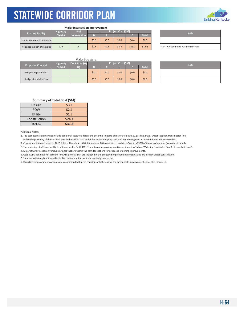

#### **Major Intersection Improvement**

| <b>Existing Facility</b>      | <b>Highway</b>  | /# of               |         |         | <b>Project Cost (\$M)</b> |         |              | <b>Note</b>                    |
|-------------------------------|-----------------|---------------------|---------|---------|---------------------------|---------|--------------|--------------------------------|
|                               | <b>District</b> | <b>Intersection</b> | D       |         |                           |         | <b>Total</b> |                                |
| >= 4 Lanes in Both Directions |                 |                     | \$0.0   | \$0.0\$ | \$0.0\$                   | \$0.0\$ | \$0.0\$      |                                |
| < 4 Lanes in Both Directions  | 3, 8            |                     | \$0.8\$ | \$0.8\$ | \$0.8\$                   | \$16.0  | \$18.4       | Spot improvements at 8 interse |

| <b>Note</b>                           |  |  |  |  |  |
|---------------------------------------|--|--|--|--|--|
|                                       |  |  |  |  |  |
| Spot improvements at 8 intersections. |  |  |  |  |  |

#### **Major Structure**

| <b>Proposed Concept</b> | <b>Highway</b>  | Deck Area (sq  |         |         | Project Cost (\$M) | <b>Note</b> |         |  |
|-------------------------|-----------------|----------------|---------|---------|--------------------|-------------|---------|--|
|                         | <b>District</b> | f <sub>1</sub> |         |         |                    |             | Total   |  |
| Bridge - Replacement    |                 |                | \$0.0\$ | \$0.0\$ | \$0.0              | \$0.0       | \$0.0\$ |  |
| Bridge - Rehabilitation |                 |                | \$0.0   | \$0.0\$ | \$0.0              | \$0.0\$     | \$0.0\$ |  |

| <b>Note</b> |
|-------------|
|             |
|             |

#### **Summary of Total Cost (\$M)**

| Design       | \$3.1  |
|--------------|--------|
| <b>ROW</b>   | \$2.1  |
| Utility      | \$1.7  |
| Construction | \$24.4 |
| <b>TOTAL</b> | \$31.3 |

#### Additional Notes:

1. The cost estimation may not include additional costs to address the potential impacts of major utilities (e.g., gas line, major water supplier, transmission line) within the proximity of the corridor, due to the lack of data when the report was prepared. Further investigation is recommended in future studies.

2. Cost estimation was based on 2020 dollars. There is a 1-3% inflation rate. Estimated cost could vary -50% to +250% of the actual number (as a rule of thumb).

3. The widening of a 2-lane facility to a 3-lane facility (with TWLTL or alternating passing lane) is considered as "Minor Widening (Undivided Road) - 2 Lane to 4 Lane".

4. Major structure costs only include bridges that are within the corridor sections for proposed widening improvements.

5. Cost estimation does not account for KYTC projects that are included in the proposed improvement concepts and are already under construction.

6. Shoulder widening is not included in the cost estimation, as it is a relatively minor cost.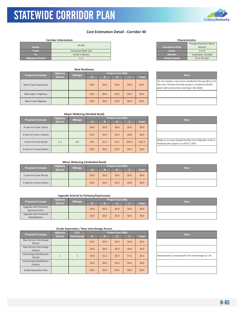### **Cost Estimation Detail ‐ Corridor 40**

#### **Corridor Information**

| Route                   | <b>US 641</b>        | <b>Functional Class</b> | Pricipal Arterial or<br>Arterial |
|-------------------------|----------------------|-------------------------|----------------------------------|
| <b>From</b>             | Tennessee State Line | Lanes                   | $2$ or $4$                       |
|                         | US 60 in Marion      | <b>Median</b>           | Undivided / Divi                 |
| <b>Highway District</b> | 1. 2                 | <b>Posted Speed</b>     | 55 or 65 mph                     |

| <b>New Roadways</b>     |                 |                |         |         |                    |             |              |                                                                                                         |
|-------------------------|-----------------|----------------|---------|---------|--------------------|-------------|--------------|---------------------------------------------------------------------------------------------------------|
| <b>Proposed Concept</b> | <b>Highway</b>  | <b>Mileage</b> |         |         | Project Cost (\$M) | <b>Note</b> |              |                                                                                                         |
|                         | <b>District</b> |                |         | M       |                    |             | <b>Total</b> |                                                                                                         |
| New 4 Lane Expressway   |                 |                | \$0.0\$ | \$0.0\$ | \$0.0              | \$0.0       | \$0.0\$      | Do not include a new 4-lane div<br>641 near TN State line (the proj<br>grant with construction starting |
| New Super 2 Highway     |                 |                | \$0.0\$ | \$0.0\$ | \$0.0              | \$0.0       | \$0.0        |                                                                                                         |
| New 2 Lane Highway      |                 |                | \$0.0\$ | \$0.0\$ | \$0.0              | \$0.0       | \$0.0\$      |                                                                                                         |

#### **Route Functional Class** Pricipal Arterial or Minor Arterial **The Contract Lands 2 or 4**<br> **Top Median**<br>
<u>Posted Speed</u> 55 or 65 mph **Characteristics**

| <b>Note</b>                                                                                                                                                              |
|--------------------------------------------------------------------------------------------------------------------------------------------------------------------------|
| Do not include a new 4-lane divided facility parallel to US<br>641 near TN State line (the project is funded by BUILD<br>grant with construction starting in fall 2020). |
|                                                                                                                                                                          |

|--|

| <b>Proposed Concept</b> |                          | <b>Highway</b>  | <b>Mileage</b> |         |         | <b>Project Cost (\$M)</b> |        |              | <b>Note</b>                                                            |
|-------------------------|--------------------------|-----------------|----------------|---------|---------|---------------------------|--------|--------------|------------------------------------------------------------------------|
|                         |                          | <b>District</b> |                | D.      | R       |                           |        | <b>Total</b> |                                                                        |
|                         | 4 Lane to 6 Lane (Rual)  |                 |                | \$0.0\$ | \$0.0\$ | \$0.0\$                   | \$0.0  | \$0.0        |                                                                        |
|                         | 4 Lane to 6 Lane (Urban) |                 |                | \$0.0\$ | \$0.0\$ | \$0.0\$                   | \$0.0  | \$0.0\$      |                                                                        |
|                         | 2 Lane to 4 Lane (Rual)  | 1, 2            | 8.6            | \$9.5   | \$5.2\$ | \$4.3                     | \$34.4 | \$53.3       | Widen to a 4-lane divided facilit<br>Fredonia (the project is in KYTC' |
|                         | 2 Lane to 4 Lane (Urban) |                 |                | \$0.0   | \$0.0\$ | \$0.0                     | \$0.0  | \$0.0        |                                                                        |

| <b>Note</b>                                                                                            |
|--------------------------------------------------------------------------------------------------------|
|                                                                                                        |
|                                                                                                        |
| Widen to a 4-lane divided facility from Eddyville north to<br>Fredonia (the project is in KYTC's SYP). |
|                                                                                                        |

#### **Minor Widening (Undivided Road)**

| <b>Proposed Concept</b>  | <b>Highway</b>  | <b>Mileage</b> |         |         | Project Cost (\$M) |       |         | <b>Note</b> |
|--------------------------|-----------------|----------------|---------|---------|--------------------|-------|---------|-------------|
|                          | <b>District</b> |                | D)      | n<br>M  |                    |       | Total   |             |
| 2 Lane to 4 Lane (Rural) |                 |                | \$0.0\$ | \$0.0\$ | \$0.0              | \$0.0 | \$0.0\$ |             |
| 2 Lane to 4 Lane (Urban) |                 |                | \$0.0\$ | \$0.0\$ | \$0.0              | \$0.0 | \$0.0\$ |             |

#### **Upgrade Arterial to Parkway/Expressway**

| <b>Proposed Concept</b>                 | <b>Highway</b>  | <b>Mileage</b> |         |         | Project Cost (\$M) |         |              | <b>Note</b> |
|-----------------------------------------|-----------------|----------------|---------|---------|--------------------|---------|--------------|-------------|
|                                         | <b>District</b> |                |         |         |                    |         | <b>Total</b> |             |
| Upgrade with Pavement<br>Reconstruction |                 |                | \$0.0\$ | \$0.0\$ | \$0.0              | \$0.0   | \$0.0\$      |             |
| Upgrade with Pavement<br>Rehabilitation |                 |                | \$0.0\$ | \$0.0\$ | \$0.0              | \$0.0\$ | \$0.0\$      |             |

| <b>Proposed Concept</b>             | <b>Highway</b>  | # of        |         |         | Project Cost (\$M) |         |              | <b>Note</b>                    |
|-------------------------------------|-----------------|-------------|---------|---------|--------------------|---------|--------------|--------------------------------|
|                                     | <b>District</b> | Interchange | D       | ю       |                    |         | <b>Total</b> |                                |
| New Service Interchange<br>(Rural)  |                 |             | \$0.0\$ | \$0.0\$ | \$0.0              | \$0.0\$ | \$0.0        |                                |
| New Service Interchange<br>(Urban)  |                 |             | \$0.0\$ | \$0.0\$ | \$0.0              | \$0.0\$ | \$0.0        |                                |
| Interchange Modification<br>(Rural) |                 |             | \$0.6\$ | \$1.2   | \$0.3              | \$7.2   | \$9.3        | Improvement is proposed for th |
| Interchange Modification<br>(Urban) |                 |             | \$0.0\$ | \$0.0\$ | \$0.0              | \$0.0\$ | \$0.0        |                                |
| <b>Grade Separation Only</b>        |                 |             | \$0.0\$ | \$0.0   | \$0.0              | \$0.0\$ | \$0.0\$      |                                |

| I |  |  |
|---|--|--|
|   |  |  |
|   |  |  |

| <b>Note</b> |
|-------------|
|             |
|             |

| <b>Note</b>                                          |  |
|------------------------------------------------------|--|
|                                                      |  |
|                                                      |  |
| Improvement is proposed for the interchange at I-24. |  |
|                                                      |  |
|                                                      |  |

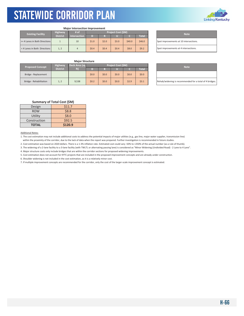

#### **Major Intersection Improvement**

| <b>Highway</b>                |                 | # of                | Project Cost (\$M) |         |       |        |              |  | <b>Note</b>                    |  |
|-------------------------------|-----------------|---------------------|--------------------|---------|-------|--------|--------------|--|--------------------------------|--|
| <b>Existing Facility</b>      | <b>District</b> | <b>Intersection</b> | D                  | ы       |       |        | <b>Total</b> |  |                                |  |
| >= 4 Lanes in Both Directions |                 | 10                  | \$1.0              | \$2.0   | \$3.0 | \$40.0 | \$46.0       |  | Spot improvements at 10 inters |  |
| < 4 Lanes in Both Directions  | 1, 2            |                     | \$0.4\$            | \$0.4\$ | \$0.4 | \$8.0  | \$9.2        |  | Spot improvements at 4 interse |  |

| <b>Note</b>                            |
|----------------------------------------|
| Spot improvements at 10 intersections. |
| Spot improvements at 4 intersections.  |

#### **Major Structure**

| <b>Proposed Concept</b> | <b>Highway</b>  | Project Cost (\$M)<br>Deck Area (sq |       |         |       |       |        | <b>Note</b>                 |
|-------------------------|-----------------|-------------------------------------|-------|---------|-------|-------|--------|-----------------------------|
|                         | <b>District</b> | ft)                                 |       |         |       |       | Total' |                             |
| Bridge - Replacement    |                 |                                     | \$0.0 | \$0.0\$ | \$0.0 | \$0.0 | \$0.0  |                             |
| Bridge - Rehabilitation | 1, 2            | 9.538                               | \$0.2 | \$0.0   | \$0.0 | \$2.9 | \$3.1  | Rehab/widening is recommend |

| <b>Note</b>                                             |
|---------------------------------------------------------|
|                                                         |
| Rehab/widening is recommended for a total of 4 bridges. |

#### **Summary of Total Cost (\$M)**

| Design       | \$11.7  |
|--------------|---------|
| <b>ROW</b>   | \$8.8   |
| Utility      | \$8.0   |
| Construction | \$92.5  |
| <b>TOTAL</b> | \$120.9 |

#### Additional Notes:

1. The cost estimation may not include additional costs to address the potential impacts of major utilities (e.g., gas line, major water supplier, transmission line) within the proximity of the corridor, due to the lack of data when the report was prepared. Further investigation is recommended in future studies.

2. Cost estimation was based on 2020 dollars. There is a 1‐3% inflation rate. Estimated cost could vary ‐50% to +250% of the actual number (as a rule of thumb).

3. The widening of a 2‐lane facility to a 3‐lane facility (with TWLTL or alternating passing lane) is considered as "Minor Widening (Undivided Road) ‐ 2 Lane to 4 Lane".

4. Major structure costs only include bridges that are within the corridor sections for proposed widening improvements.

5. Cost estimation does not account for KYTC projects that are included in the proposed improvement concepts and are already under construction.

6. Shoulder widening is not included in the cost estimation, as it is a relatively minor cost.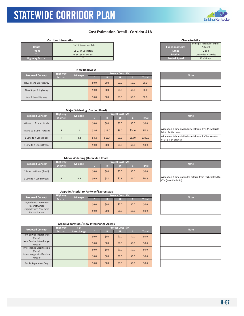

### **Cost Estimation Detail - Corridor 41A**

#### **Corridor Information**

| <b>Route</b>            | US 421 (Leestown Rd)  | <b>Functional Class</b> | Principal Arterial or Mi<br>Arterial |
|-------------------------|-----------------------|-------------------------|--------------------------------------|
| <b>From</b>             | US 27 in Lexington    | Lanes                   | 2 or 4                               |
| Ю                       | KY 341 (I-64 Exit 65) | <b>Median</b>           | Undivided / Divided                  |
| <b>Highway District</b> |                       | Posted Speed            | $35 - 55$ mph                        |

|                         |                 | <b>New Roadways</b> |       |         |                    |         |              |  |  |
|-------------------------|-----------------|---------------------|-------|---------|--------------------|---------|--------------|--|--|
|                         | Highway         | <b>Mileage</b>      |       |         | Project Cost (\$M) |         | <b>Note</b>  |  |  |
| <b>Proposed Concept</b> | <b>District</b> |                     |       | R       |                    | C.      | <b>Total</b> |  |  |
| New 4 Lane Expressway   |                 |                     | \$0.0 | \$0.0\$ | \$0.0              | \$0.0\$ | \$0.0\$      |  |  |
| New Super 2 Highway     |                 |                     | \$0.0 | \$0.0\$ | \$0.0              | \$0.0\$ | \$0.0\$      |  |  |
| New 2 Lane Highway      |                 |                     | \$0.0 | \$0.0\$ | \$0.0              | \$0.0\$ | \$0.0\$      |  |  |

| <b>Characteristics</b>  |                             |  |  |  |  |  |
|-------------------------|-----------------------------|--|--|--|--|--|
|                         | Principal Arterial or Minor |  |  |  |  |  |
| <b>Functional Class</b> | Arterial                    |  |  |  |  |  |
| Lanes                   | $2$ or $4$                  |  |  |  |  |  |
| Median <sup>'</sup>     | Undivided / Divided         |  |  |  |  |  |
| <b>Posted Speed</b>     | 35 - 55 mph                 |  |  |  |  |  |

| <b>Note</b> |  |
|-------------|--|
|             |  |
|             |  |
|             |  |

#### **Major Widening (Divided Road)**

| <b>Proposed Concept</b>  | Highway         | <b>Mileage</b> |         |         | <b>Project Cost (\$M)</b> | <b>Note</b> |              |                                                           |
|--------------------------|-----------------|----------------|---------|---------|---------------------------|-------------|--------------|-----------------------------------------------------------|
|                          | <b>District</b> |                | D)      | R       |                           |             | <b>Total</b> |                                                           |
| 4 Lane to 6 Lane (Rual)  |                 |                | \$0.0\$ | \$0.0\$ | \$0.0                     | \$0.0\$     | \$0.0\$      |                                                           |
| 4 Lane to 6 Lane (Urban) |                 |                | \$3.6   | \$13.0  | \$3.0                     | \$24.0      | \$43.6       | Widen to a 6-lane divided arter<br>Rd) to Ruffian Way.    |
| 2 Lane to 4 Lane (Rual)  |                 | 8.2            | \$8.2   | \$16.4  | \$3.3                     | \$82.0      | \$109.9      | Widen to a 4-lane divided arter<br>KY 341 (I-64 Exit 65). |
| 2 Lane to 4 Lane (Urban) |                 |                | \$0.0   | \$0.0\$ | \$0.0\$                   | \$0.0       | \$0.0\$      |                                                           |

| <b>Note</b>                                                                      |
|----------------------------------------------------------------------------------|
|                                                                                  |
| Widen to a 6-lane divided arterial from KY 4 (New Circle<br>Rd) to Ruffian Way.  |
| Widen to a 4-lane divided arterial from Ruffian Way to<br>KY 341 (I-64 Exit 65). |
|                                                                                  |

#### **Minor Widening (Undivided Road)**

| <b>Proposed Concept</b>  | Highway.        | <b>Mileage</b> | Project Cost (\$M) |         |       |       |              |  | <b>Note</b>                                              |
|--------------------------|-----------------|----------------|--------------------|---------|-------|-------|--------------|--|----------------------------------------------------------|
|                          | <b>District</b> |                |                    |         |       |       | <b>Total</b> |  |                                                          |
| 2 Lane to 4 Lane (Rural) |                 |                | \$0.0\$            | \$0.0\$ | \$0.0 | \$0.0 | \$0.0\$      |  |                                                          |
| 2 Lane to 4 Lane (Urban) |                 | 0.5            | \$0.9              | \$3.3   | \$0.8 | \$6.0 | \$10.9       |  | Widen to a 4-lane undivided art<br>KY 4 (New Circle Rd). |

#### **Upgrade Arterial to Parkway/Expressway**

| <b>Proposed Concept</b> | <b>Highway</b>  | <b>Mileage</b> |         |         | Project Cost (\$M) | <b>Note</b> |         |  |
|-------------------------|-----------------|----------------|---------|---------|--------------------|-------------|---------|--|
|                         | <b>District</b> |                |         |         |                    |             | Total   |  |
| Upgrade with Pavement   |                 |                | \$0.0\$ | \$0.0\$ | \$0.0              | \$0.0\$     | \$0.0\$ |  |
| Reconstruction          |                 |                |         |         |                    |             |         |  |
| Upgrade with Pavement   |                 |                | \$0.0   | \$0.0\$ | \$0.0              | \$0.0\$     | \$0.0\$ |  |
| Rehabilitation          |                 |                |         |         |                    |             |         |  |

| <b>Note</b>                                              |
|----------------------------------------------------------|
|                                                          |
| Widen to a 4-lane undivided arterial from Forbes Road to |
| KY 4 (New Circle Rd).                                    |

| <b>Note</b> |
|-------------|
|             |
|             |

|  |  |  | <b>Grade Separation / New Interchange Access</b> |
|--|--|--|--------------------------------------------------|
|--|--|--|--------------------------------------------------|

| <b>Proposed Concept</b>                    | <b>Highway</b>  | $#$ of      | Project Cost (\$M) |         |         |       |         |  | <b>Note</b> |
|--------------------------------------------|-----------------|-------------|--------------------|---------|---------|-------|---------|--|-------------|
|                                            | <b>District</b> | Interchange | D                  | R       |         |       | Total   |  |             |
| New Service Interchange<br>(Rural)         |                 |             | \$0.0\$            | \$0.0\$ | \$0.0\$ | \$0.0 | \$0.0\$ |  |             |
| New Service Interchange<br>(Urban)         |                 |             | \$0.0\$            | \$0.0\$ | \$0.0\$ | \$0.0 | \$0.0\$ |  |             |
| <b>Interchange Modification</b><br>(Rural) |                 |             | \$0.0\$            | \$0.0\$ | \$0.0\$ | \$0.0 | \$0.0\$ |  |             |
| <b>Interchange Modification</b><br>(Urban) |                 |             | \$0.0\$            | \$0.0\$ | \$0.0\$ | \$0.0 | \$0.0\$ |  |             |
| <b>Grade Separation Only</b>               |                 |             | \$0.0\$            | \$0.0\$ | \$0.0\$ | \$0.0 | \$0.0\$ |  |             |

| <b>Note</b> |
|-------------|
|             |
|             |
|             |
|             |
|             |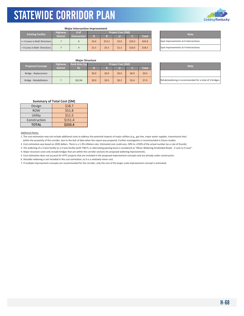

#### **Major Intersection Improvement**

| <b>Existing Facility</b>      | <b>Highway</b>  | /# of               | <b>Project Cost (SM)</b> |        |       |        |        |  | <b>Note</b>                    |
|-------------------------------|-----------------|---------------------|--------------------------|--------|-------|--------|--------|--|--------------------------------|
|                               | <b>District</b> | <b>Intersection</b> | D                        |        |       |        | Total  |  |                                |
| >= 4 Lanes in Both Directions |                 |                     | \$3.6                    | \$13.2 | \$3.0 | \$24.0 | \$43.8 |  | Spot improvements at 6 interse |
| < 4 Lanes in Both Directions  |                 |                     | \$1.5                    | \$5.5  | \$1.3 | \$10.0 | \$18.3 |  | Spot improvements at 4 interse |

| <b>Note</b>                           |
|---------------------------------------|
| Spot improvements at 6 intersections. |
| Spot improvements at 4 intersections. |

#### **Major Structure**

| <b>Proposed Concept</b> | <b>Highway</b>  | Deck Area (sq | Project Cost (\$M) |         |       |       |              |  | <b>Note</b>                 |
|-------------------------|-----------------|---------------|--------------------|---------|-------|-------|--------------|--|-----------------------------|
|                         | <b>District</b> | ft)           |                    |         |       |       | <b>Total</b> |  |                             |
| Bridge - Replacement    |                 |               | \$0.0              | \$0.0\$ | \$0.0 | \$0.0 | \$0.0\$      |  |                             |
| Bridge - Rehabilitation |                 | 18.134        | \$0.9              | \$0.5   | \$0.2 | \$5.4 | \$7.0        |  | Rehab/widening is recommend |

| <b>Note</b>                                             |  |
|---------------------------------------------------------|--|
|                                                         |  |
| Rehab/widening is recommended for a total of 3 bridges. |  |

#### **Summary of Total Cost (\$M)**

| Design       | \$18.7  |
|--------------|---------|
| <b>ROW</b>   | \$51.8  |
| Utility      | \$11.5  |
| Construction | \$151.4 |
| <b>TOTAL</b> | \$233.4 |

Additional Notes:

1. The cost estimation may not include additional costs to address the potential impacts of major utilities (e.g., gas line, major water supplier, transmission line) within the proximity of the corridor, due to the lack of data when the report was prepared. Further investigation is recommended in future studies.

2. Cost estimation was based on 2020 dollars. There is a 1-3% inflation rate. Estimated cost could vary -50% to +250% of the actual number (as a rule of thumb).

3. The widening of a 2-lane facility to a 3-lane facility (with TWLTL or alternating passing lane) is considered as "Minor Widening (Undivided Road) - 2 Lane to 4 Lane".

4. Major structure costs only include bridges that are within the corridor sections for proposed widening improvements.

5. Cost estimation does not account for KYTC projects that are included in the proposed improvement concepts and are already under construction.

6. Shoulder widening is not included in the cost estimation, as it is a relatively minor cost.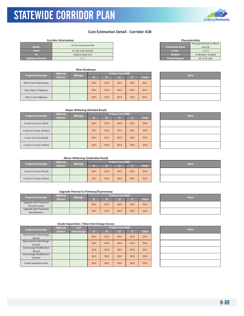### **Cost Estimation Detail - Corridor 41B**

#### **Corridor Information**

|                         | US 421 (Leestown Rd)  |                         | Principal Arterial or Mi |
|-------------------------|-----------------------|-------------------------|--------------------------|
| <b>Route</b>            |                       | <b>Functional Class</b> | Arterial                 |
| <b>From</b>             | KY 341 (I-64 Exit 65) | Lanes                   | 2 or 4                   |
| $\lceil$ (0)            | Indiana State Line    | <b>Median</b>           | Undivided / Divided      |
| <b>Highway District</b> |                       | <b>Posted Speed</b>     | 45 or 55 mph             |

|                         |                 | <b>New Roadways</b> |         |         |                    |         |              |             |
|-------------------------|-----------------|---------------------|---------|---------|--------------------|---------|--------------|-------------|
| <b>Proposed Concept</b> | <b>Highway</b>  | <b>Mileage</b>      |         |         | Project Cost (\$M) |         |              | <b>Note</b> |
|                         | <b>District</b> |                     | D)      | к       | U                  |         | <b>Total</b> |             |
| New 4 Lane Expressway   |                 |                     | \$0.0\$ | \$0.0\$ | \$0.0              | \$0.0\$ | \$0.0        |             |
| New Super 2 Highway     |                 |                     | \$0.0\$ | \$0.0\$ | \$0.0              | \$0.0\$ | \$0.0        |             |
| New 2 Lane Highway      |                 |                     | \$0.0   | \$0.0\$ | \$0.0              | \$0.0\$ | \$0.0        |             |

| <b>Major Widening (Divided Road)</b> |  |
|--------------------------------------|--|

| <b>Proposed Concept</b>  | Highway         | <b>Mileage</b> |         |         | Project Cost (\$M) |       |              | <b>Note</b> |
|--------------------------|-----------------|----------------|---------|---------|--------------------|-------|--------------|-------------|
|                          | <b>District</b> |                | D)      | R       | u                  |       | <b>Total</b> |             |
| 4 Lane to 6 Lane (Rual)  |                 |                | \$0.0\$ | \$0.0\$ | \$0.0\$            | \$0.0 | \$0.0\$      |             |
| 4 Lane to 6 Lane (Urban) |                 |                | \$0.0\$ | \$0.0\$ | \$0.0\$            | \$0.0 | \$0.0\$      |             |
| 2 Lane to 4 Lane (Rual)  |                 |                | \$0.0\$ | \$0.0\$ | \$0.0\$            | \$0.0 | \$0.0\$      |             |
| 2 Lane to 4 Lane (Urban) |                 |                | \$0.0\$ | \$0.0\$ | \$0.0\$            | \$0.0 | \$0.0\$      |             |

|  | <b>Note</b> |  |
|--|-------------|--|
|  |             |  |
|  |             |  |
|  |             |  |
|  |             |  |

#### **Minor Widening (Undivided Road)**

| <b>Proposed Concept</b>  | <b>Highway</b>  | <b>Mileage</b> |       |         | Project Cost (\$M) |         |         | <b>Note</b> |
|--------------------------|-----------------|----------------|-------|---------|--------------------|---------|---------|-------------|
|                          | <b>District</b> |                |       |         |                    |         | Total   |             |
| 2 Lane to 4 Lane (Rural) |                 |                | \$0.0 | \$0.0\$ | \$0.0              | \$0.0   | \$0.0\$ |             |
| 2 Lane to 4 Lane (Urban) |                 |                | \$0.0 | \$0.0\$ | \$0.0              | \$0.0\$ | \$0.0\$ |             |

#### **Upgrade Arterial to Parkway/Expressway**

|                         | <b>Highway</b>  |                |         |         | <b>Project Cost (SM)</b> |       |              | <b>Note</b> |
|-------------------------|-----------------|----------------|---------|---------|--------------------------|-------|--------------|-------------|
| <b>Proposed Concept</b> | <b>District</b> | <b>Mileage</b> |         |         |                          |       | <b>Total</b> |             |
| Upgrade with Pavement   |                 |                | \$0.0\$ | 50.0    | \$0.0                    | \$0.0 | \$0.0\$      |             |
| Reconstruction          |                 |                |         |         |                          |       |              |             |
| Upgrade with Pavement   |                 |                | \$0.0\$ | \$0.0\$ | \$0.0                    | \$0.0 | \$0.0\$      |             |
| Rehabilitation          |                 |                |         |         |                          |       |              |             |

| <b>Grade Separation / New Interchange Access</b> |  |  |  |  |  |
|--------------------------------------------------|--|--|--|--|--|
|--------------------------------------------------|--|--|--|--|--|

| <b>Proposed Concept</b>         | <b>Highway</b>  | $#$ of      |         |         | Project Cost (\$M) |         |              | <b>Note</b> |
|---------------------------------|-----------------|-------------|---------|---------|--------------------|---------|--------------|-------------|
|                                 | <b>District</b> | Interchange | D       | R       |                    |         | <b>Total</b> |             |
| New Service Interchange         |                 |             | \$0.0\$ | \$0.0\$ | \$0.0\$            | \$0.0\$ | \$0.0\$      |             |
| (Rural)                         |                 |             |         |         |                    |         |              |             |
| New Service Interchange         |                 |             | \$0.0\$ | \$0.0\$ | \$0.0\$            | \$0.0\$ | \$0.0\$      |             |
| (Urban)                         |                 |             |         |         |                    |         |              |             |
| <b>Interchange Modification</b> |                 |             | \$0.0\$ | \$0.0\$ | \$0.0\$            | \$0.0\$ | \$0.0\$      |             |
| (Rural)                         |                 |             |         |         |                    |         |              |             |
| Interchange Modification        |                 |             | \$0.0\$ | \$0.0\$ | \$0.0\$            | \$0.0\$ | \$0.0\$      |             |
| (Urban)                         |                 |             |         |         |                    |         |              |             |
| <b>Grade Separation Only</b>    |                 |             | \$0.0\$ | \$0.0\$ | \$0.0\$            | \$0.0\$ | \$0.0\$      |             |

| <b>Characteristics</b>      |
|-----------------------------|
| Principal Arterial or Minor |
| Arterial                    |
| $2$ or $4$                  |
| Undivided / Divided         |
| 45 or 55 mph                |
|                             |

| <b>Note</b> |  |
|-------------|--|
|             |  |
|             |  |
|             |  |

| <b>Note</b> |
|-------------|
|             |
|             |

| and the control of the control of the control of the control of the control of the control of the control of the |  |  |
|------------------------------------------------------------------------------------------------------------------|--|--|
|                                                                                                                  |  |  |
|                                                                                                                  |  |  |
|                                                                                                                  |  |  |

| <b>Note</b> |
|-------------|
|             |
|             |
|             |
|             |
|             |

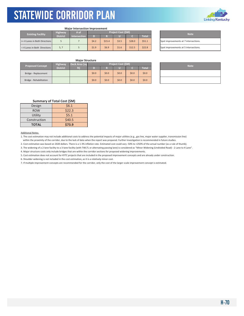

#### **Major Intersection Improvement**

| <b>Existing Facility</b>      | <b>Highway</b>  | # of                | Project Cost (\$M) |        |              |        |        |  | <b>Note</b>                    |  |
|-------------------------------|-----------------|---------------------|--------------------|--------|--------------|--------|--------|--|--------------------------------|--|
|                               | <b>District</b> | <b>Intersection</b> | D                  |        | <b>Total</b> |        |        |  |                                |  |
| >= 4 Lanes in Both Directions |                 |                     | 54.2               | \$15.4 | \$3.5        | \$28.0 | \$51.1 |  | Spot improvements at 7 interse |  |
| < 4 Lanes in Both Directions  | 5, 7            |                     | \$1.9              | \$6.9  | \$1.6        | \$12.5 | \$22.8 |  | Spot improvements at 5 interse |  |

| <b>Note</b>                           |
|---------------------------------------|
| Spot improvements at 7 intersections. |
| Spot improvements at 5 intersections. |

#### **Major Structure**

| <b>Proposed Concept</b> | <b>Highway</b>  | Deck Area (sq | Project Cost (\$M) |         |       |         |              |  | <b>Note</b> |
|-------------------------|-----------------|---------------|--------------------|---------|-------|---------|--------------|--|-------------|
|                         | <b>District</b> | ft)           |                    |         |       |         | <b>Total</b> |  |             |
| Bridge - Replacement    |                 |               | \$0.0\$            | \$0.0\$ | \$0.0 | \$0.0   | \$0.0\$      |  |             |
| Bridge - Rehabilitation |                 |               | \$0.0              | \$0.0\$ | \$0.0 | \$0.0\$ | \$0.0\$      |  |             |

| <b>Note</b> |  |
|-------------|--|
|             |  |
|             |  |

#### **Summary of Total Cost (\$M)**

| Design       | \$6.1  |
|--------------|--------|
| <b>ROW</b>   | \$22.3 |
| Utility      | \$5.1  |
| Construction | \$40.5 |
| <b>TOTAL</b> | \$73.9 |

#### Additional Notes:

1. The cost estimation may not include additional costs to address the potential impacts of major utilities (e.g., gas line, major water supplier, transmission line) within the proximity of the corridor, due to the lack of data when the report was prepared. Further investigation is recommended in future studies.

2. Cost estimation was based on 2020 dollars. There is a 1-3% inflation rate. Estimated cost could vary -50% to +250% of the actual number (as a rule of thumb).

3. The widening of a 2-lane facility to a 3-lane facility (with TWLTL or alternating passing lane) is considered as "Minor Widening (Undivided Road) - 2 Lane to 4 Lane".

4. Major structure costs only include bridges that are within the corridor sections for proposed widening improvements.

5. Cost estimation does not account for KYTC projects that are included in the proposed improvement concepts and are already under construction.

6. Shoulder widening is not included in the cost estimation, as it is a relatively minor cost.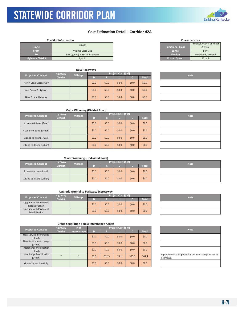### **Cost Estimation Detail - Corridor 42A**

#### **Corridor Information**

| Route                   | <b>US 421</b>                   | <b>Functional Class</b> | Principal Arterial or Mi<br>Arterial |
|-------------------------|---------------------------------|-------------------------|--------------------------------------|
| <b>From</b>             | Virginia State Line             | Lanes                   | 2 or 4                               |
|                         | I-75 (Igo Rd) north of Richmond | <b>Median</b>           | Undivided / Divided                  |
| <b>Highway District</b> | 7, 8, 11                        | <b>Posted Speed</b>     | 55 mph                               |

| <b>New Roadways</b>     |                 |                |                    |         |       |         |         |  |             |  |
|-------------------------|-----------------|----------------|--------------------|---------|-------|---------|---------|--|-------------|--|
| <b>Proposed Concept</b> | <b>Highway</b>  | <b>Mileage</b> | Project Cost (\$M) |         |       |         |         |  |             |  |
|                         | <b>District</b> |                | D)                 | R       |       |         | Total   |  | <b>Note</b> |  |
| New 4 Lane Expressway   |                 |                | \$0.0\$            | \$0.0   | \$0.0 | \$0.0\$ | \$0.0\$ |  |             |  |
| New Super 2 Highway     |                 |                | \$0.0\$            | \$0.0\$ | \$0.0 | \$0.0   | \$0.0\$ |  |             |  |
| New 2 Lane Highway      |                 |                | \$0.0\$            | \$0.0\$ | \$0.0 | \$0.0   | \$0.0\$ |  |             |  |

| <b>Functional Class</b> | Arterial            |
|-------------------------|---------------------|
| Lanes                   | $2$ or $4$          |
| <b>Median</b>           | Undivided / Divided |
| <b>Posted Speed</b>     | 55 mph              |
|                         |                     |
|                         |                     |

**Characteristics**

**Principal Arterial or Minor** 

| <b>Note</b> |
|-------------|
|             |
|             |
|             |

#### **Major Widening (Divided Road)**

| <b>Proposed Concept</b>  | <b>Highway</b>  | <b>Mileage</b> | Project Cost (\$M) |         |         |         |         |  | <b>Note</b> |
|--------------------------|-----------------|----------------|--------------------|---------|---------|---------|---------|--|-------------|
|                          | <b>District</b> |                | D                  | R       |         | c       | Total   |  |             |
| 4 Lane to 6 Lane (Rual)  |                 |                | \$0.0\$            | \$0.0\$ | \$0.0\$ | \$0.0\$ | \$0.0\$ |  |             |
| 4 Lane to 6 Lane (Urban) |                 |                | \$0.0\$            | \$0.0\$ | \$0.0\$ | \$0.0   | \$0.0\$ |  |             |
| 2 Lane to 4 Lane (Rual)  |                 |                | \$0.0\$            | \$0.0\$ | \$0.0\$ | \$0.0   | \$0.0\$ |  |             |
| 2 Lane to 4 Lane (Urban) |                 |                | \$0.0              | \$0.0\$ | \$0.0   | \$0.0   | \$0.0\$ |  |             |

| <b>Note</b> |
|-------------|
|             |
|             |
|             |
|             |

#### **Minor Widening (Undivided Road)**

| <b>Proposed Concept</b>  | <b>Highway</b>  | <b>Mileage</b> | <b>Project Cost (SM)</b> |         |         |         |         |  | <b>Note</b> |
|--------------------------|-----------------|----------------|--------------------------|---------|---------|---------|---------|--|-------------|
|                          | <b>District</b> |                |                          |         |         |         | Total   |  |             |
| 2 Lane to 4 Lane (Rural) |                 |                | \$0.0                    | \$0.0\$ | \$0.0\$ | \$0.0\$ | \$0.0\$ |  |             |
| 2 Lane to 4 Lane (Urban) |                 |                | \$0.0\$                  | \$0.0\$ | \$0.0   | \$0.0\$ | \$0.0\$ |  |             |

#### **Upgrade Arterial to Parkway/Expressway**

| <b>Proposed Concept</b>                 | <b>Project Cost (\$M)</b><br><b>Highway</b><br><b>Mileage</b> |  |         |         | <b>Note</b> |       |         |  |
|-----------------------------------------|---------------------------------------------------------------|--|---------|---------|-------------|-------|---------|--|
|                                         | <b>District</b>                                               |  |         |         |             |       | Total   |  |
| Upgrade with Pavement<br>Reconstruction |                                                               |  | \$0.0\$ | \$0.0\$ | \$0.0\$     | \$0.0 | \$0.0\$ |  |
| Upgrade with Pavement<br>Rehabilitation |                                                               |  | \$0.0\$ | \$0.0\$ | \$0.0\$     | \$0.0 | \$0.0\$ |  |

| <b>Note</b> |
|-------------|
|             |
|             |

| <b>Proposed Concept</b>             | <b>Highway</b>  | # of        | Project Cost (\$M) |         |         | <b>Note</b> |                    |                                             |
|-------------------------------------|-----------------|-------------|--------------------|---------|---------|-------------|--------------------|---------------------------------------------|
|                                     | <b>District</b> | Interchange | D                  | R       |         | c           | Total <sup>1</sup> |                                             |
| New Service Interchange<br>(Rural)  |                 |             | \$0.0\$            | \$0.0\$ | \$0.0\$ | \$0.0\$     | \$0.0\$            |                                             |
| New Service Interchange<br>(Urban)  |                 |             | \$0.0\$            | \$0.0\$ | \$0.0\$ | \$0.0\$     | \$0.0\$            |                                             |
| Interchange Modification<br>(Rural) |                 |             | \$0.0\$            | \$0.0\$ | \$0.0\$ | \$0.0\$     | \$0.0\$            |                                             |
| Interchange Modification<br>(Urban) |                 |             | \$3.8              | \$12.5  | \$3.1   | \$25.0      | \$44.4             | Improvement is proposed for th<br>Richmond. |
| <b>Grade Separation Only</b>        |                 |             | \$0.0\$            | \$0.0\$ | \$0.0\$ | \$0.0\$     | \$0.0\$            |                                             |

|           | <b>Note</b>                                            |
|-----------|--------------------------------------------------------|
|           |                                                        |
|           |                                                        |
|           |                                                        |
| Richmond. | Improvement is proposed for the interchange at I-75 in |



| <b>Note</b> |  |
|-------------|--|
|             |  |
|             |  |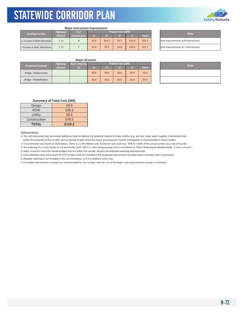

## **Major Intersection Improvement**

| <b>Existing Facility</b>      | <b>Highway</b>  | /# of        | <b>Project Cost (SM)</b> |        |       |        |        | <b>Note</b>                    |  |
|-------------------------------|-----------------|--------------|--------------------------|--------|-------|--------|--------|--------------------------------|--|
|                               | <b>District</b> | Intersection |                          |        |       |        | Total  |                                |  |
| >= 4 Lanes in Both Directions | 7.11            |              | 54.3                     | \$14.2 | \$3.7 | \$31.0 | \$53.2 | Spot improvements at 8 interse |  |
| < 4 Lanes in Both Directions  | 7. 11           |              | \$1.9                    | \$3.5  | \$1.8 | \$14.5 | \$21.7 | Spot improvements at 7 interse |  |

| <b>Note</b>                           |
|---------------------------------------|
| Spot improvements at 8 intersections. |
| Spot improvements at 7 intersections. |

## **Major Structure**

| <b>Proposed Concept</b> | <b>Highway</b>  | Deck Area (sq | Project Cost (\$M) |         |         |         |              |  | <b>Note</b> |  |
|-------------------------|-----------------|---------------|--------------------|---------|---------|---------|--------------|--|-------------|--|
|                         | <b>District</b> | f(t)          |                    |         |         |         | <b>Total</b> |  |             |  |
| Bridge - Replacement    |                 |               | \$0.0\$            | \$0.0\$ | \$0.0\$ | \$0.0\$ | \$0.0\$      |  |             |  |
| Bridge - Rehabilitation |                 |               | \$0.0\$            | \$0.0\$ | \$0.0   | \$0.0\$ | \$0.0\$      |  |             |  |

| <b>Note</b> |  |
|-------------|--|
|             |  |
|             |  |

## **Summary of Total Cost (\$M)**

| Design       | 59.9    |  |  |  |  |
|--------------|---------|--|--|--|--|
| <b>ROW</b>   | \$30.2  |  |  |  |  |
| Utility      | \$8.6   |  |  |  |  |
| Construction | \$70.5  |  |  |  |  |
| <b>TOTAL</b> | \$119.2 |  |  |  |  |

#### Additional Notes:

1. The cost estimation may not include additional costs to address the potential impacts of major utilities (e.g., gas line, major water supplier, transmission line) within the proximity of the corridor, due to the lack of data when the report was prepared. Further investigation is recommended in future studies.

2. Cost estimation was based on 2020 dollars. There is a 1-3% inflation rate. Estimated cost could vary -50% to +250% of the actual number (as a rule of thumb).

3. The widening of a 2-lane facility to a 3-lane facility (with TWLTL or alternating passing lane) is considered as "Minor Widening (Undivided Road) - 2 Lane to 4 Lane".

4. Major structure costs only include bridges that are within the corridor sections for proposed widening improvements.

5. Cost estimation does not account for KYTC projects that are included in the proposed improvement concepts and are already under construction.

6. Shoulder widening is not included in the cost estimation, as it is a relatively minor cost.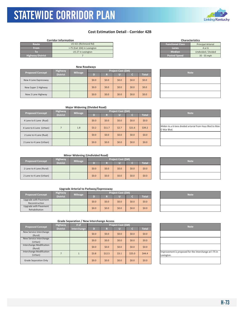## **Cost Estimation Detail - Corridor 42B**

|                         | <b>Corridor Information</b>  |                         | <b>Characteristics</b>    |
|-------------------------|------------------------------|-------------------------|---------------------------|
| Route                   | US 421 (Richmond Rd)         | <b>Functional Class</b> | <b>Principal Arterial</b> |
| <b>From</b>             | I-75 (Exit 104) in Lexington | Lanes                   | 4 or 6                    |
|                         | US 27 in Lexington           | <b>Median</b>           | Undivided / Divided       |
| <b>Highway District</b> |                              | <b>Posted Speed</b>     | $35 - 55$ mph             |

| <b>Proposed Concept</b> | <b>Highway</b>  | <b>Mileage</b> |         |         | Project Cost (\$M) | <b>Note</b> |              |  |
|-------------------------|-----------------|----------------|---------|---------|--------------------|-------------|--------------|--|
|                         | <b>District</b> |                | D       | R       |                    |             | <b>Total</b> |  |
| New 4 Lane Expressway   |                 |                | \$0.0\$ | \$0.0\$ | \$0.0              | \$0.0\$     | \$0.0        |  |
| New Super 2 Highway     |                 |                | \$0.0\$ | \$0.0\$ | \$0.0              | \$0.0\$     | \$0.0        |  |
| New 2 Lane Highway      |                 |                | \$0.0\$ | \$0.0\$ | \$0.0              | \$0.0\$     | \$0.0        |  |

| 4 UI D              |
|---------------------|
| Undivided / Divided |
| 35 - 55 mph         |
|                     |
|                     |
|                     |
|                     |

| <b>Note</b> |  |
|-------------|--|
|             |  |
|             |  |
|             |  |

## **Major Widening (Divided Road)**

| <b>Proposed Concept</b>  | <b>Highway</b>  | <b>Mileage</b> |         |         | Project Cost (\$M) | <b>Note</b> |              |                                                 |
|--------------------------|-----------------|----------------|---------|---------|--------------------|-------------|--------------|-------------------------------------------------|
|                          | <b>District</b> |                |         | R       |                    |             | <b>Total</b> |                                                 |
| 4 Lane to 6 Lane (Rual)  |                 |                | \$0.0\$ | \$0.0\$ | \$0.0\$            | \$0.0\$     | \$0.0\$      |                                                 |
| 4 Lane to 6 Lane (Urban) |                 | 1.8            | \$3.2   | \$11.7  | \$2.7              | \$21.6      | \$39.2       | Widen to a 6-lane divided arteri<br>O War Blvd. |
| 2 Lane to 4 Lane (Rual)  |                 |                | \$0.0   | \$0.0\$ | \$0.0\$            | \$0.0\$     | \$0.0\$      |                                                 |
| 2 Lane to 4 Lane (Urban) |                 |                | \$0.0\$ | \$0.0\$ | \$0.0\$            | \$0.0\$     | \$0.0\$      |                                                 |

| <b>Note</b>                                                             |
|-------------------------------------------------------------------------|
|                                                                         |
| Widen to a 6-lane divided arterial from Hays Blvd to Man<br>O War Blvd. |
|                                                                         |
|                                                                         |

## **Minor Widening (Undivided Road)**

| <b>Proposed Concept</b>  | <b>Highway</b>  | <b>Mileage</b> |         |         | Project Cost (\$M) |         |              |             |
|--------------------------|-----------------|----------------|---------|---------|--------------------|---------|--------------|-------------|
|                          | <b>District</b> |                |         |         |                    |         | <b>Total</b> | <b>Note</b> |
| 2 Lane to 4 Lane (Rural) |                 |                | \$0.0\$ | \$0.0\$ | \$0.0\$            | \$0.0\$ | \$0.0\$      |             |
| 2 Lane to 4 Lane (Urban) |                 |                | \$0.0\$ | \$0.0\$ | \$0.0\$            | \$0.0\$ | \$0.0\$      |             |

## **Upgrade Arterial to Parkway/Expressway**

| <b>Proposed Concept</b> | <b>Highway</b>  | <b>Mileage</b> | <b>Project Cost (SM)</b> |         |         |         |         | <b>Note</b> |
|-------------------------|-----------------|----------------|--------------------------|---------|---------|---------|---------|-------------|
|                         | <b>District</b> |                |                          |         |         |         | Total   |             |
| Upgrade with Pavement   |                 |                | \$0.0                    | \$0.0\$ | \$0.0\$ | \$0.0\$ | \$0.0\$ |             |
| Reconstruction          |                 |                |                          |         |         |         |         |             |
| Upgrade with Pavement   |                 |                |                          |         |         |         |         |             |
| Rehabilitation          |                 |                | \$0.0\$                  | \$0.0\$ | \$0.0\$ | \$0.0\$ | \$0.0\$ |             |

| <b>Proposed Concept</b>             | <b>Highway</b>  | # of        | Project Cost (\$M) |         |         |         |              | <b>Note</b>                                  |
|-------------------------------------|-----------------|-------------|--------------------|---------|---------|---------|--------------|----------------------------------------------|
|                                     | <b>District</b> | Interchange | D                  | R       | ч.      |         | <b>Total</b> |                                              |
| New Service Interchange<br>(Rural)  |                 |             | \$0.0\$            | \$0.0\$ | \$0.0\$ | \$0.0\$ | \$0.0\$      |                                              |
| New Service Interchange<br>(Urban)  |                 |             | \$0.0\$            | \$0.0\$ | \$0.0\$ | \$0.0\$ | \$0.0\$      |                                              |
| Interchange Modification<br>(Rural) |                 |             | \$0.0\$            | \$0.0\$ | \$0.0\$ | \$0.0\$ | \$0.0\$      |                                              |
| Interchange Modification<br>(Urban) |                 |             | \$3.8              | \$12.5  | \$3.1   | \$25.0  | 544.4        | Improvement is proposed for th<br>Lexington. |
| Grade Separation Only               |                 |             | \$0.0              | \$0.0\$ | \$0.0   | \$0.0\$ | \$0.0\$      |                                              |

| <b>Note</b>                                                          |
|----------------------------------------------------------------------|
|                                                                      |
|                                                                      |
|                                                                      |
| Improvement is proposed for the interchange at I-75 in<br>Lexington. |
|                                                                      |





| <u> 1989 - Johann Stoff, deutscher Stoff, der Stoff, der Stoff, der Stoff, der Stoff, der Stoff, der Stoff, der S</u> |  |  |
|-----------------------------------------------------------------------------------------------------------------------|--|--|
|                                                                                                                       |  |  |
|                                                                                                                       |  |  |

| <b>Note</b> |
|-------------|
|             |
|             |
|             |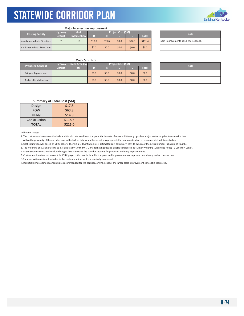

#### **Major Intersection Improvement**

| <b>Existing Facility</b>      | <b>Highway</b>  | /# of               | <b>Project Cost (\$M)</b> |        |         |        |         | <b>Note</b>                    |
|-------------------------------|-----------------|---------------------|---------------------------|--------|---------|--------|---------|--------------------------------|
|                               | <b>District</b> | <b>Intersection</b> | D                         |        |         |        | Total   |                                |
| >= 4 Lanes in Both Directions |                 | 18                  | \$10.8                    | \$39.6 | \$9.0   | \$72.0 | \$131.4 | Spot improvements at 18 inters |
| < 4 Lanes in Both Directions  |                 |                     | \$0.0                     | \$0.0  | \$0.0\$ | \$0.0  | \$0.0   |                                |

| <b>Note</b>                            |  |
|----------------------------------------|--|
| Spot improvements at 18 intersections. |  |
|                                        |  |

## **Major Structure**

| <b>Proposed Concept</b> | <b>Highway</b>  | Deck Area (sq | <b>Project Cost (\$M)</b> |         |       |         |              | <b>Note</b> |
|-------------------------|-----------------|---------------|---------------------------|---------|-------|---------|--------------|-------------|
|                         | <b>District</b> | f(t)          |                           |         |       |         | <b>Total</b> |             |
| Bridge - Replacement    |                 |               | \$0.0\$                   | \$0.0\$ | \$0.0 | \$0.0   | \$0.0\$      |             |
| Bridge - Rehabilitation |                 |               | \$0.0                     | \$0.0\$ | \$0.0 | \$0.0\$ | \$0.0\$      |             |

| <b>Note</b> |
|-------------|
|             |
|             |

## **Summary of Total Cost (\$M)**

| Design       | \$17.8  |
|--------------|---------|
| <b>ROW</b>   | \$63.8  |
| Utility      | \$14.8  |
| Construction | \$118.6 |
| <b>TOTAL</b> | \$215.0 |

## Additional Notes:

1. The cost estimation may not include additional costs to address the potential impacts of major utilities (e.g., gas line, major water supplier, transmission line) within the proximity of the corridor, due to the lack of data when the report was prepared. Further investigation is recommended in future studies.

2. Cost estimation was based on 2020 dollars. There is a 1-3% inflation rate. Estimated cost could vary -50% to +250% of the actual number (as a rule of thumb).

3. The widening of a 2-lane facility to a 3-lane facility (with TWLTL or alternating passing lane) is considered as "Minor Widening (Undivided Road) - 2 Lane to 4 Lane".

4. Major structure costs only include bridges that are within the corridor sections for proposed widening improvements.

5. Cost estimation does not account for KYTC projects that are included in the proposed improvement concepts and are already under construction.

6. Shoulder widening is not included in the cost estimation, as it is a relatively minor cost.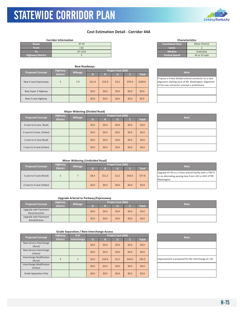KYTC Statewide Corridor Plan

## **Cost Estimation Detail ‐ Corridor 44A**

|                         | <b>Corridor Information</b> |                         | <b>Characteristics</b> |  |  |
|-------------------------|-----------------------------|-------------------------|------------------------|--|--|
| Route                   | <b>KY 44</b>                | <b>Functional Class</b> | <b>Minor Arterial</b>  |  |  |
| <b>From</b>             | $1-65$                      | Lanes                   |                        |  |  |
| Tο                      | KY 1319                     | <b>Median</b>           | Undivided              |  |  |
| <b>Highway District</b> |                             | <b>Posted Speed</b>     | 45 or 55 mph           |  |  |

|                         | <b>New Roadways</b> |                |                    |         |       |             |         |                                                                                                   |
|-------------------------|---------------------|----------------|--------------------|---------|-------|-------------|---------|---------------------------------------------------------------------------------------------------|
| <b>Proposed Concept</b> | <b>Highway</b>      |                | Project Cost (\$M) |         |       | <b>Note</b> |         |                                                                                                   |
|                         | <b>District</b>     | <b>Mileage</b> |                    | R       |       |             | Total   |                                                                                                   |
| New 4 Lane Expressway   | 5                   | 7.9            | \$11.9             | \$15.8  | \$3.2 | \$79.0      | \$109.8 | Propose a 4-lane divided arteri<br>alignment starting west of Mt.<br>of the new connector concept |
| New Super 2 Highway     |                     |                | \$0.0              | \$0.0\$ | \$0.0 | \$0.0\$     | \$0.0\$ |                                                                                                   |
| New 2 Lane Highway      |                     |                | \$0.0              | \$0.0\$ | \$0.0 | \$0.0\$     | \$0.0\$ |                                                                                                   |

| <b>FRITING POSTED IN LATER</b> | 1            |
|--------------------------------|--------------|
| Lanes                          |              |
| Median                         | Undivided    |
| <b>Posted Speed</b>            | 45 or 55 mph |
|                                |              |
|                                |              |

**Characteristics**

| <b>Note</b>                                                                                                                                                  |
|--------------------------------------------------------------------------------------------------------------------------------------------------------------|
| Propose a 4-lane divided arterial connector on a new<br>alignment starting west of Mt. Washington. Alignment<br>of the new connector concept is preliminary. |
|                                                                                                                                                              |

## **Major Widening (Divided Road)**

| <b>Proposed Concept</b>  | <b>Highway</b><br><b>Mileage</b> |  |         |         | <b>Project Cost (\$M)</b> | <b>Note</b> |         |  |
|--------------------------|----------------------------------|--|---------|---------|---------------------------|-------------|---------|--|
|                          | <b>District</b>                  |  | D       | R       |                           |             | Total   |  |
| 4 Lane to 6 Lane (Rual)  |                                  |  | \$0.0\$ | \$0.0\$ | \$0.0\$                   | \$0.0\$     | \$0.0\$ |  |
| 4 Lane to 6 Lane (Urban) |                                  |  | \$0.0\$ | \$0.0\$ | \$0.0                     | \$0.0\$     | \$0.0\$ |  |
| 2 Lane to 4 Lane (Rual)  |                                  |  | \$0.0\$ | \$0.0\$ | \$0.0\$                   | \$0.0\$     | \$0.0\$ |  |
| 2 Lane to 4 Lane (Urban) |                                  |  | \$0.0\$ | \$0.0\$ | \$0.0                     | \$0.0\$     | \$0.0\$ |  |

| <b>Note</b> |  |
|-------------|--|
|             |  |
|             |  |
|             |  |
|             |  |

Upgrade KY 44 to a 3‐lane arterial facility with a TWLTL or an alternating passing lane from I‐65 to west of Mt.

## **Minor Widening (Undivided Road)**

| <b>Proposed Concept</b>  | Highway         | <b>Mileage</b> | <b>Project Cost (\$M)</b> | <b>Note</b> |       |         |          |                                                                                    |
|--------------------------|-----------------|----------------|---------------------------|-------------|-------|---------|----------|------------------------------------------------------------------------------------|
|                          | <b>District</b> |                |                           | R           |       |         | Total    |                                                                                    |
| 2 Lane to 4 Lane (Rural) |                 |                | \$8.4                     | \$11.2      | \$2.2 | \$56.0  | \$77.8\$ | Upgrade KY 44 to a 3-lane arter<br>or an alternating passing lane f<br>Washington. |
| 2 Lane to 4 Lane (Urban) |                 |                | \$0.0\$                   | \$0.0\$     | \$0.0 | \$0.0\$ | \$0.0\$  |                                                                                    |

## **Upgrade Arterial to Parkway/Expressway**

| <b>Highway</b><br><b>Proposed Concept</b> |                 | <b>Mileage</b> | Project Cost (\$M) |         |       |       |         |  | <b>Note</b> |
|-------------------------------------------|-----------------|----------------|--------------------|---------|-------|-------|---------|--|-------------|
|                                           | <b>District</b> |                |                    | M       |       |       | Total   |  |             |
| Upgrade with Pavement<br>Reconstruction   |                 |                | \$0.0\$            | \$0.0\$ | \$0.0 | \$0.0 | \$0.0\$ |  |             |
| Upgrade with Pavement<br>Rehabilitation   |                 |                | \$0.0\$            | \$0.0\$ | \$0.0 | \$0.0 | \$0.0\$ |  |             |

| <b>Proposed Concept</b>             | Highway         | # of        |         | Project Cost (\$M) |         |         |              | <b>Note</b>                   |
|-------------------------------------|-----------------|-------------|---------|--------------------|---------|---------|--------------|-------------------------------|
|                                     | <b>District</b> | Interchange | D       | R                  |         | TO.     | <b>Total</b> |                               |
| New Service Interchange<br>(Rural)  |                 |             | \$0.0\$ | \$0.0\$            | \$0.0\$ | \$0.0\$ | \$0.0\$      |                               |
| New Service Interchange<br>(Urban)  |                 |             | \$0.0\$ | \$0.0\$            | \$0.0\$ | \$0.0\$ | \$0.0\$      |                               |
| Interchange Modification<br>(Rural) | 5               |             | \$3.0   | \$10.0             | \$2.5   | \$20.0  | \$35.5       | Improvement is proposed for t |
| Interchange Modification<br>(Urban) |                 |             | \$0.0\$ | \$0.0\$            | \$0.0\$ | \$0.0   | \$0.0        |                               |
| <b>Grade Separation Only</b>        |                 |             | \$0.0\$ | \$0.0\$            | \$0.0\$ | \$0.0   | \$0.0\$      |                               |

| <b>Note</b> |
|-------------|
|             |
|             |

| <b>Note</b>                                          |  |
|------------------------------------------------------|--|
|                                                      |  |
|                                                      |  |
| Improvement is proposed for the interchange at I-65. |  |
|                                                      |  |
|                                                      |  |

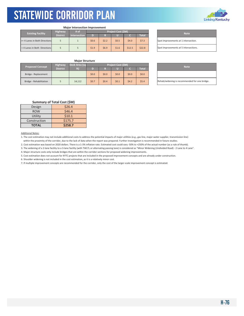

#### **Major Intersection Improvement**

| <b>Existing Facility</b>      | <b>Highway</b>  | # of                |       |       | <b>Project Cost (SM)</b> | <b>Note</b> |              |                                |
|-------------------------------|-----------------|---------------------|-------|-------|--------------------------|-------------|--------------|--------------------------------|
|                               | <b>District</b> | <b>Intersection</b> | T).   |       |                          |             | <b>Total</b> |                                |
| >= 4 Lanes in Both Directions |                 |                     | \$0.6 | \$2.2 | \$0.5                    | \$4.0       | \$7.3        | Spot improvements at 1 interse |
| < 4 Lanes in Both Directions  |                 |                     | \$1.9 | \$6.9 | \$1.6                    | \$12.5      | \$22.8       | Spot improvements at 5 interse |

Spot improvements at 1 intersection. Spot improvements at 5 intersections.

## **Major Structure**

| <b>Proposed Concept</b> | Deck Area (sq   |        |         | <b>Project Cost (SM)</b> | <b>Note</b> |       |              |                             |
|-------------------------|-----------------|--------|---------|--------------------------|-------------|-------|--------------|-----------------------------|
|                         | <b>District</b> | ft)    |         |                          |             |       | <b>Total</b> |                             |
| Bridge - Replacement    |                 |        | \$0.0\$ | \$0.0\$                  | \$0.0       | \$0.0 | \$0.0\$      |                             |
| Bridge - Rehabilitation |                 | 14.112 | \$0.7   | \$0.4\$                  | \$0.1       | 54.2  | \$5.4        | Rehab/widening is recommend |

| <b>Note</b>                                   |
|-----------------------------------------------|
|                                               |
| Rehab/widening is recommended for one bridge. |

## **Summary of Total Cost (\$M)**

| Design       | \$26.4  |
|--------------|---------|
| <b>ROW</b>   | \$46.4  |
| Utility      | \$10.1  |
| Construction | \$175.7 |
| <b>TOTAL</b> | \$258.7 |

### Additional Notes:

1. The cost estimation may not include additional costs to address the potential impacts of major utilities (e.g., gas line, major water supplier, transmission line) within the proximity of the corridor, due to the lack of data when the report was prepared. Further investigation is recommended in future studies.

2. Cost estimation was based on 2020 dollars. There is a 1‐3% inflation rate. Estimated cost could vary ‐50% to +250% of the actual number (as a rule of thumb).

3. The widening of a 2‐lane facility to a 3‐lane facility (with TWLTL or alternating passing lane) is considered as "Minor Widening (Undivided Road) ‐ 2 Lane to 4 Lane".

4. Major structure costs only include bridges that are within the corridor sections for proposed widening improvements.

5. Cost estimation does not account for KYTC projects that are included in the proposed improvement concepts and are already under construction.

6. Shoulder widening is not included in the cost estimation, as it is a relatively minor cost.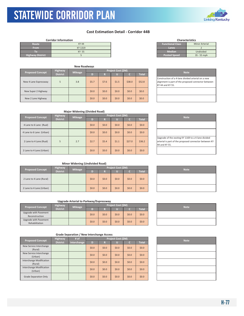KYTC Statewide Corridor Plan

## **Cost Estimation Detail ‐ Corridor 44B**

|                         | <b>Corridor Information</b> |                         | <b>Characteristics</b> |
|-------------------------|-----------------------------|-------------------------|------------------------|
| Route                   | <b>KY 44</b>                | <b>Functional Class</b> | <b>Minor Arteria</b>   |
| <b>From</b>             | KY 1319                     | Lanes                   |                        |
|                         | <b>KY 55</b>                | <b>Median</b>           | Undivided              |
| <b>Highway District</b> |                             | <b>Posted Speed</b>     | 35 - 55 mph            |

|                         |                 | <b>New Roadways</b> |         |         |                    |             |              |                                                                                        |
|-------------------------|-----------------|---------------------|---------|---------|--------------------|-------------|--------------|----------------------------------------------------------------------------------------|
| <b>Proposed Concept</b> | <b>Highway</b>  | <b>Mileage</b>      |         |         | Project Cost (\$M) | <b>Note</b> |              |                                                                                        |
|                         | <b>District</b> |                     |         | R       |                    |             | <b>Total</b> |                                                                                        |
| New 4 Lane Expressway   | 5               | 3.8                 | \$5.7   | \$7.6   | \$1.5              | \$38.0      | \$52.8\$     | Construction of a 4-lane divide<br>alignment is part of the propos<br>KY 44 and KY 55. |
| New Super 2 Highway     |                 |                     | \$0.0\$ | \$0.0\$ | \$0.0\$            | \$0.0\$     | \$0.0        |                                                                                        |
| New 2 Lane Highway      |                 |                     | \$0.0\$ | \$0.0\$ | \$0.0\$            | \$0.0\$     | \$0.0        |                                                                                        |

| <b>Functional Class</b> | <b>Minor Arterial</b> |
|-------------------------|-----------------------|
| Lanes                   | 2                     |
| <b>Median</b>           | Undivided             |
| <b>Posted Speed</b>     | $35 - 55$ mph         |
|                         |                       |
|                         |                       |
|                         |                       |

**Characteristics**

| <b>Note</b>                                                                                                                   |
|-------------------------------------------------------------------------------------------------------------------------------|
| Construction of a 4-lane divided arterial on a new<br>alignment is part of the proposed connector between<br>KY 44 and KY 55. |
|                                                                                                                               |
|                                                                                                                               |

## **Major Widening (Divided Road)**

| <b>Proposed Concept</b>  | <b>Highway</b>  | <b>Mileage</b> |         |         | <b>Project Cost (\$M)</b> |         |              | <b>Note</b>                                                                         |
|--------------------------|-----------------|----------------|---------|---------|---------------------------|---------|--------------|-------------------------------------------------------------------------------------|
|                          | <b>District</b> |                | D       | R       |                           |         | <b>Total</b> |                                                                                     |
| 4 Lane to 6 Lane (Rual)  |                 |                | \$0.0\$ | \$0.0\$ | \$0.0\$                   | \$0.0\$ | \$0.0\$      |                                                                                     |
| 4 Lane to 6 Lane (Urban) |                 |                | \$0.0\$ | \$0.0\$ | \$0.0\$                   | \$0.0\$ | \$0.0\$      |                                                                                     |
| 2 Lane to 4 Lane (Rual)  | 5               | 2.7            | \$2.7   | \$5.4   | \$1.1                     | \$27.0  | \$36.2\$     | Upgrade of the exsting KY 1169<br>arterial is part of the proposed<br>44 and KY 55. |
| 2 Lane to 4 Lane (Urban) |                 |                | \$0.0\$ | \$0.0\$ | \$0.0\$                   | \$0.0\$ | \$0.0\$      |                                                                                     |

| <b>Note</b>                                                                                                                  |
|------------------------------------------------------------------------------------------------------------------------------|
|                                                                                                                              |
|                                                                                                                              |
| Upgrade of the exsting KY 1169 to a 4-lane divided<br>arterial is part of the proposed connector between KY<br>44 and KY 55. |
|                                                                                                                              |

## **Minor Widening (Undivided Road)**

| <b>Proposed Concept</b>  | <b>Highway</b>  | <b>Mileage</b> |         |         | Project Cost (\$M) |         |              | <b>Note</b> |
|--------------------------|-----------------|----------------|---------|---------|--------------------|---------|--------------|-------------|
|                          | <b>District</b> |                |         | R       |                    |         | <b>Total</b> |             |
| 2 Lane to 4 Lane (Rural) |                 |                | \$0.0\$ | \$0.0\$ | \$0.0              | \$0.0\$ | \$0.0\$      |             |
| 2 Lane to 4 Lane (Urban) |                 |                | \$0.0\$ | \$0.0\$ | \$0.0              | \$0.0\$ | \$0.0        |             |

## **Upgrade Arterial to Parkway/Expressway**

| <b>Proposed Concept</b>                 | <b>Highway</b>  | <b>Mileage</b> |         |         | <b>Project Cost (\$M)</b> |         |              |  | <b>Note</b> |
|-----------------------------------------|-----------------|----------------|---------|---------|---------------------------|---------|--------------|--|-------------|
|                                         | <b>District</b> |                | D)      |         |                           |         | <b>Total</b> |  |             |
| Upgrade with Pavement<br>Reconstruction |                 |                | \$0.0\$ | \$0.0\$ | \$0.0                     | \$0.0\$ | \$0.0\$      |  |             |
| Upgrade with Pavement<br>Rehabilitation |                 |                | \$0.0\$ | \$0.0\$ | \$0.0\$                   | \$0.0\$ | \$0.0\$      |  |             |

| <b>Grade Separation / New Interchange Access</b> |  |  |  |  |  |
|--------------------------------------------------|--|--|--|--|--|
|--------------------------------------------------|--|--|--|--|--|

| <b>Proposed Concept</b>             | <b>Highway</b>  | # of        |         |         | <b>Project Cost (\$M)</b> |         |              | <b>Note</b> |
|-------------------------------------|-----------------|-------------|---------|---------|---------------------------|---------|--------------|-------------|
|                                     | <b>District</b> | Interchange | D       | R       |                           |         | <b>Total</b> |             |
| New Service Interchange<br>(Rural)  |                 |             | \$0.0\$ | \$0.0\$ | \$0.0\$                   | \$0.0\$ | \$0.0\$      |             |
| New Service Interchange<br>(Urban)  |                 |             | \$0.0\$ | \$0.0\$ | \$0.0\$                   | \$0.0\$ | \$0.0\$      |             |
| Interchange Modification<br>(Rural) |                 |             | \$0.0\$ | \$0.0\$ | \$0.0                     | \$0.0\$ | \$0.0\$      |             |
| Interchange Modification<br>(Urban) |                 |             | \$0.0\$ | \$0.0\$ | \$0.0                     | \$0.0\$ | \$0.0\$      |             |
| <b>Grade Separation Only</b>        |                 |             | \$0.0\$ | \$0.0\$ | \$0.0                     | \$0.0\$ | \$0.0\$      |             |

| <b>Note</b> |  |
|-------------|--|
|             |  |

| <b>Note</b> |
|-------------|
|             |
|             |
|             |
|             |
|             |



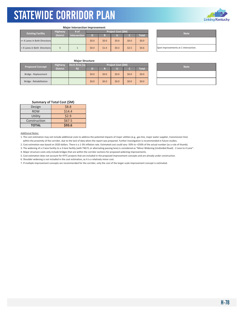

#### **Major Intersection Improvement**

| <b>Highway</b><br><b>Existing Facility</b> |                 | # of         |       |         | Project Cost (\$M) | <b>Note</b> |              |                                |
|--------------------------------------------|-----------------|--------------|-------|---------|--------------------|-------------|--------------|--------------------------------|
|                                            | <b>District</b> | Intersection | D     |         | П                  |             | <b>Total</b> |                                |
| >= 4 Lanes in Both Directions              |                 |              | \$0.0 | \$0.0\$ | \$0.0              | \$0.0       | \$0.0\$      |                                |
| < 4 Lanes in Both Directions               |                 |              | \$0.4 | \$1.4   | \$0.3              | \$2.5       | \$4.6\$      | Spot improvements at 1 interse |

| <b>Note</b>                          |
|--------------------------------------|
|                                      |
| Spot improvements at 1 intersection. |

## **Major Structure**

| <b>Proposed Concept</b> | <b>Highway</b>  | Project Cost (\$M)<br>Deck Area (sq |         |         |       |         |              | <b>Note</b> |  |
|-------------------------|-----------------|-------------------------------------|---------|---------|-------|---------|--------------|-------------|--|
|                         | <b>District</b> | ft)                                 |         |         |       |         | <b>Total</b> |             |  |
| Bridge - Replacement    |                 |                                     | \$0.0\$ | \$0.0\$ | \$0.0 | \$0.0\$ | \$0.0\$      |             |  |
| Bridge - Rehabilitation |                 |                                     | \$0.0\$ | \$0.0\$ | \$0.0 | \$0.0\$ | \$0.0\$      |             |  |

| <b>Note</b> |
|-------------|
|             |
|             |

## **Summary of Total Cost (\$M)**

| Design       | \$8.8  |
|--------------|--------|
| <b>ROW</b>   | \$14.4 |
| Utility      | \$2.9  |
| Construction | \$67.5 |
| <b>TOTAL</b> | \$93.6 |

### Additional Notes:

1. The cost estimation may not include additional costs to address the potential impacts of major utilities (e.g., gas line, major water supplier, transmission line) within the proximity of the corridor, due to the lack of data when the report was prepared. Further investigation is recommended in future studies.

2. Cost estimation was based on 2020 dollars. There is a 1‐3% inflation rate. Estimated cost could vary ‐50% to +250% of the actual number (as a rule of thumb).

3. The widening of a 2‐lane facility to a 3‐lane facility (with TWLTL or alternating passing lane) is considered as "Minor Widening (Undivided Road) ‐ 2 Lane to 4 Lane".

4. Major structure costs only include bridges that are within the corridor sections for proposed widening improvements.

5. Cost estimation does not account for KYTC projects that are included in the proposed improvement concepts and are already under construction.

6. Shoulder widening is not included in the cost estimation, as it is a relatively minor cost.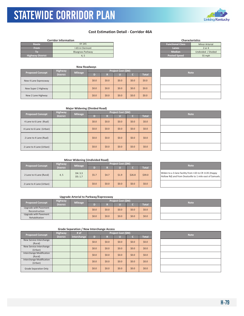## **Cost Estimation Detail - Corridor 46A**

|                         | <b>Corridor Information</b> |                         | <b>Characteristics</b> |
|-------------------------|-----------------------------|-------------------------|------------------------|
| Route                   | <b>KY 245</b>               | <b>Functional Class</b> | <b>Minor Arterial</b>  |
| <b>From</b>             | I-65 in Clermont            | Lanes                   | $2$ or 4               |
| ТΟ                      | <b>Bluegrass Parkway</b>    | <b>Median</b>           | Undivided / Divided    |
| <b>Highway District</b> |                             | <b>Posted Speed</b>     | 55 mph                 |

|                         | <b>New Roadways</b> |    |                    |         |       |              |         |  |  |             |
|-------------------------|---------------------|----|--------------------|---------|-------|--------------|---------|--|--|-------------|
| <b>Proposed Concept</b> | <b>Highway</b>      |    | Project Cost (\$M) |         |       |              |         |  |  | <b>Note</b> |
| <b>District</b>         | <b>Mileage</b>      | D) | R                  |         |       | <b>Total</b> |         |  |  |             |
| New 4 Lane Expressway   |                     |    | \$0.0\$            | \$0.0\$ | \$0.0 | \$0.0\$      | \$0.0\$ |  |  |             |
| New Super 2 Highway     |                     |    | \$0.0              | \$0.0\$ | \$0.0 | \$0.0\$      | \$0.0\$ |  |  |             |
| New 2 Lane Highway      |                     |    | \$0.0\$            | \$0.0\$ | \$0.0 | \$0.0\$      | \$0.0\$ |  |  |             |

|                     | <u>ITILIVI / \I LUI IUI</u> |
|---------------------|-----------------------------|
| Lanes               | 2 or 4                      |
| <b>Median</b>       | Undivided / Divided         |
| <b>Posted Speed</b> | 55 mph                      |
|                     |                             |
|                     |                             |

|  | <b>Note</b> |  |
|--|-------------|--|
|  |             |  |
|  |             |  |
|  |             |  |

## **Major Widening (Divided Road)**

| <b>Proposed Concept</b>  | <b>Highway</b>  | <b>Mileage</b> | Project Cost (\$M) |         |         |         |              | <b>Note</b> |
|--------------------------|-----------------|----------------|--------------------|---------|---------|---------|--------------|-------------|
|                          | <b>District</b> |                | D)                 | R       | u       | C       | <b>Total</b> |             |
| 4 Lane to 6 Lane (Rual)  |                 |                | \$0.0\$            | \$0.0\$ | \$0.0\$ | \$0.0\$ | \$0.0\$      |             |
| 4 Lane to 6 Lane (Urban) |                 |                | \$0.0\$            | \$0.0\$ | \$0.0\$ | \$0.0\$ | \$0.0\$      |             |
| 2 Lane to 4 Lane (Rual)  |                 |                | \$0.0\$            | \$0.0\$ | \$0.0\$ | \$0.0\$ | \$0.0\$      |             |
| 2 Lane to 4 Lane (Urban) |                 |                | \$0.0\$            | \$0.0\$ | \$0.0\$ | \$0.0\$ | \$0.0\$      |             |

| <b>Note</b> |
|-------------|
|             |
|             |
|             |
|             |

## **Minor Widening (Undivided Road)**

| <b>Proposed Concept</b>  | <b>Highway</b>  | <b>Mileage</b>    | Project Cost (\$M) |         |       |        |         |  | <b>Note</b>                                                         |  |
|--------------------------|-----------------|-------------------|--------------------|---------|-------|--------|---------|--|---------------------------------------------------------------------|--|
|                          | <b>District</b> |                   |                    |         |       |        | Total   |  |                                                                     |  |
| 2 Lane to 4 Lane (Rural) | 4, 5            | D4:3.3<br>D5: 1.7 | \$5.7              | \$4.7   | \$1.9 | \$26.8 | \$39.0  |  | Widen to a 3-lane facility from I<br>Hollow Rd) and from Deatsville |  |
| 2 Lane to 4 Lane (Urban) |                 |                   | \$0.0\$            | \$0.0\$ | \$0.0 | \$0.0  | \$0.0\$ |  |                                                                     |  |

## **Upgrade Arterial to Parkway/Expressway**

| <b>Proposed Concept</b>                 | <b>Highway</b>  | <b>Mileage</b> | Project Cost (\$M) |         |       |       |         |  | <b>Note</b> |
|-----------------------------------------|-----------------|----------------|--------------------|---------|-------|-------|---------|--|-------------|
|                                         | <b>District</b> |                |                    |         |       |       | Total   |  |             |
| Upgrade with Pavement<br>Reconstruction |                 |                | \$0.0\$            | \$0.0\$ | \$0.0 | \$0.0 | \$0.0\$ |  |             |
| Upgrade with Pavement<br>Rehabilitation |                 |                | \$0.0\$            | \$0.0\$ | \$0.0 | \$0.0 | \$0.0\$ |  |             |

## **Grade Separation / New Interchange Access**

| Highway<br># of<br><b>Proposed Concept</b> |                 |             |         |         | Project Cost (\$M) | <b>Note</b> |              |  |
|--------------------------------------------|-----------------|-------------|---------|---------|--------------------|-------------|--------------|--|
|                                            | <b>District</b> | Interchange | ÆΟ      | R       |                    | с           | <b>Total</b> |  |
| New Service Interchange<br>(Rural)         |                 |             | \$0.0\$ | \$0.0\$ | \$0.0              | \$0.0\$     | \$0.0\$      |  |
| New Service Interchange<br>(Urban)         |                 |             | \$0.0   | \$0.0\$ | \$0.0              | \$0.0\$     | \$0.0\$      |  |
| Interchange Modification<br>(Rural)        |                 |             | \$0.0\$ | \$0.0\$ | \$0.0              | \$0.0\$     | \$0.0\$      |  |
| Interchange Modification<br>(Urban)        |                 |             | \$0.0   | \$0.0\$ | \$0.0              | \$0.0\$     | \$0.0\$      |  |
| <b>Grade Separation Only</b>               |                 |             | \$0.0\$ | \$0.0\$ | \$0.0              | \$0.0\$     | \$0.0\$      |  |

| <b>Note</b> |  |
|-------------|--|
|             |  |
|             |  |
|             |  |

Widen to a 3-lane facility from I-65 to CR 1135 (Happy Hollow Rd) and from Deatsville to 1 mile east of Samuels.

|  | <b>Note</b> |  |  |
|--|-------------|--|--|
|  |             |  |  |
|  |             |  |  |
|  |             |  |  |
|  |             |  |  |
|  |             |  |  |

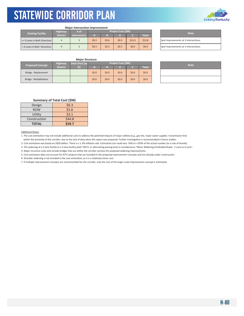

#### **Major Intersection Improvement**

| <b>Existing Facility</b>      | Highway         | # of                | <b>Project Cost (SM)</b> |         |       |        |              |  | <b>Note</b>                    |
|-------------------------------|-----------------|---------------------|--------------------------|---------|-------|--------|--------------|--|--------------------------------|
|                               | <b>District</b> | <b>Intersection</b> |                          |         |       |        | <b>Total</b> |  |                                |
| >= 4 Lanes in Both Directions |                 |                     | \$0.3                    | \$0.6\$ | \$0.9 | \$12.0 | \$13.8       |  | Spot improvements at 3 interse |
| <4 Lanes in Both Directions   |                 |                     | \$0.3                    | \$0.3   | \$0.3 | \$6.0  | \$6.9        |  | Spot improvements at 3 interse |

| <b>Note</b>                           |
|---------------------------------------|
| Spot improvements at 3 intersections. |
| Spot improvements at 3 intersections. |

## **Major Structure**

| <b>Proposed Concept</b> | <b>Highway</b>  | Deck Area (sq    | Project Cost (\$M) |         |         |         |              | <b>Note</b> |  |  |  |
|-------------------------|-----------------|------------------|--------------------|---------|---------|---------|--------------|-------------|--|--|--|
|                         | <b>District</b> | $f$ is $\lambda$ |                    |         |         |         | <b>Total</b> |             |  |  |  |
| Bridge - Replacement    |                 |                  | \$0.0\$            | \$0.0\$ | \$0.0   | \$0.0\$ | \$0.0\$      |             |  |  |  |
| Bridge - Rehabilitation |                 |                  | \$0.0              | \$0.0\$ | \$0.0\$ | \$0.0\$ | \$0.0\$      |             |  |  |  |

| <b>Note</b> |
|-------------|
|             |
|             |

## **Summary of Total Cost (\$M)**

| Design       | \$6.3  |
|--------------|--------|
| <b>ROW</b>   | \$5.6  |
| Utility      | \$3.1  |
| Construction | \$44.8 |
| <b>TOTAL</b> | \$59.7 |

### Additional Notes:

1. The cost estimation may not include additional costs to address the potential impacts of major utilities (e.g., gas line, major water supplier, transmission line) within the proximity of the corridor, due to the lack of data when the report was prepared. Further investigation is recommended in future studies.

2. Cost estimation was based on 2020 dollars. There is a 1-3% inflation rate. Estimated cost could vary -50% to +250% of the actual number (as a rule of thumb).

3. The widening of a 2-lane facility to a 3-lane facility (with TWLTL or alternating passing lane) is considered as "Minor Widening (Undivided Road) - 2 Lane to 4 Lane".

4. Major structure costs only include bridges that are within the corridor sections for proposed widening improvements.

5. Cost estimation does not account for KYTC projects that are included in the proposed improvement concepts and are already under construction.

6. Shoulder widening is not included in the cost estimation, as it is a relatively minor cost.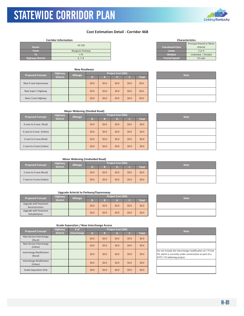## STATEWIDE CORRIDOR PLAN KYTC Statewide Corridor Plan

## **Cost Estimation Detail ‐ Corridor 46B**

## **Corridor Information**

| Route                   | <b>US 150</b>            | <b>Functional Class</b> | Principal Arterial or Mi<br>Arterial |
|-------------------------|--------------------------|-------------------------|--------------------------------------|
| <b>From</b>             | <b>Bluegrass Parkway</b> | / Lanes                 | 2 or 4                               |
| IO)                     | $-75$                    | <b>Median</b>           | Undivided / Divided                  |
| <b>Highway District</b> | 4, 7, 8                  | <b>Posted Speed</b>     | 55 mph                               |

|  |                         |                 | <b>New Roadways</b> |         |         |                    |       |              |  |  |
|--|-------------------------|-----------------|---------------------|---------|---------|--------------------|-------|--------------|--|--|
|  | <b>Proposed Concept</b> | <b>Highway</b>  |                     |         |         | Project Cost (\$M) |       | <b>Note</b>  |  |  |
|  |                         | <b>District</b> | <b>Mileage</b>      | D       | м       |                    |       | <b>Total</b> |  |  |
|  | New 4 Lane Expressway   |                 |                     | \$0.0\$ | \$0.0\$ | \$0.0\$            | \$0.0 | \$0.0\$      |  |  |
|  | New Super 2 Highway     |                 |                     | \$0.0\$ | \$0.0   | \$0.0\$            | \$0.0 | \$0.0\$      |  |  |
|  | New 2 Lane Highway      |                 |                     | \$0.0\$ | \$0.0   | \$0.0\$            | \$0.0 | \$0.0\$      |  |  |

| <b>Characteristics</b>  |                             |  |  |  |  |  |  |  |  |
|-------------------------|-----------------------------|--|--|--|--|--|--|--|--|
|                         | Principal Arterial or Minor |  |  |  |  |  |  |  |  |
| <b>Functional Class</b> | Arterial                    |  |  |  |  |  |  |  |  |
| Lanes                   | $2$ or 4                    |  |  |  |  |  |  |  |  |
| <b>Median</b>           | Undivided / Divided         |  |  |  |  |  |  |  |  |
| <b>Posted Speed</b>     | 55 mph                      |  |  |  |  |  |  |  |  |
|                         |                             |  |  |  |  |  |  |  |  |

| <b>Note</b> |  |
|-------------|--|
|             |  |
|             |  |
|             |  |

## **Major Widening (Divided Road)**

| <b>Proposed Concept</b>  | Highway<br><b>Mileage</b> |  |         |         | Project Cost (\$M) |         | <b>Note</b>  |  |
|--------------------------|---------------------------|--|---------|---------|--------------------|---------|--------------|--|
|                          | <b>District</b>           |  | D       | R       | ٠                  |         | <b>Total</b> |  |
| 4 Lane to 6 Lane (Rual)  |                           |  | \$0.0\$ | \$0.0\$ | \$0.0              | \$0.0\$ | \$0.0\$      |  |
| 4 Lane to 6 Lane (Urban) |                           |  | \$0.0\$ | \$0.0\$ | \$0.0              | \$0.0\$ | \$0.0\$      |  |
| 2 Lane to 4 Lane (Rual)  |                           |  | \$0.0\$ | \$0.0\$ | \$0.0              | \$0.0\$ | \$0.0\$      |  |
| 2 Lane to 4 Lane (Urban) |                           |  | \$0.0\$ | \$0.0\$ | \$0.0              | \$0.0\$ | \$0.0\$      |  |

| <b>Note</b> |
|-------------|
|             |
|             |
|             |
|             |

## **Minor Widening (Undivided Road)**

| <b>Proposed Concept</b>  | <b>Highway</b><br><b>Mileage</b><br><b>District</b> |  |       | Project Cost (\$M) | <b>Note</b> |         |              |  |
|--------------------------|-----------------------------------------------------|--|-------|--------------------|-------------|---------|--------------|--|
|                          |                                                     |  |       |                    |             |         | <b>Total</b> |  |
| 2 Lane to 4 Lane (Rural) |                                                     |  | \$0.0 | \$0.0\$            | \$0.0       | \$0.0\$ | \$0.0        |  |
| 2 Lane to 4 Lane (Urban) |                                                     |  | \$0.0 | \$0.0\$            | \$0.0       | \$0.0\$ | \$0.0        |  |

## **Upgrade Arterial to Parkway/Expressway**

| <b>Proposed Concept</b> |                                         | Highway         | <b>Mileage</b> | <b>Project Cost (\$M)</b> |         |       |       |              |  |  | <b>Note</b> |
|-------------------------|-----------------------------------------|-----------------|----------------|---------------------------|---------|-------|-------|--------------|--|--|-------------|
|                         |                                         | <b>District</b> |                | D                         | œ       |       |       | <b>Total</b> |  |  |             |
|                         | Upgrade with Pavement<br>Reconstruction |                 |                | \$0.0\$                   | \$0.0\$ | \$0.0 | \$0.0 | \$0.0        |  |  |             |
|                         | Upgrade with Pavement<br>Rehabilitation |                 |                | \$0.0                     | \$0.0\$ | \$0.0 | \$0.0 | \$0.0        |  |  |             |

| <b>Note</b> |
|-------------|
|             |
|             |

|                                     | Highway         | $#$ of      |         |       | Project Cost (\$M) |         |              | <b>Note</b>                                                                                       |
|-------------------------------------|-----------------|-------------|---------|-------|--------------------|---------|--------------|---------------------------------------------------------------------------------------------------|
| <b>Proposed Concept</b>             | <b>District</b> | Interchange | D       | R     | u                  | c       | <b>Total</b> |                                                                                                   |
| New Service Interchange<br>(Rural)  |                 |             | \$0.0\$ | \$0.0 | \$0.0\$            | \$0.0\$ | \$0.0\$      |                                                                                                   |
| New Service Interchange<br>(Urban)  |                 |             | \$0.0\$ | \$0.0 | \$0.0              | \$0.0\$ | \$0.0\$      |                                                                                                   |
| Interchange Modification<br>(Rural) |                 |             | \$0.0\$ | \$0.0 | \$0.0\$            | \$0.0\$ | \$0.0\$      | Do not include the interchange<br>59, which is currently under cor<br>KYTC I-75 widening project. |
| Interchange Modification<br>(Urban) |                 |             | \$0.0\$ | \$0.0 | \$0.0              | \$0.0\$ | \$0.0\$      |                                                                                                   |
| <b>Grade Separation Only</b>        |                 |             | \$0.0\$ | \$0.0 | \$0.0\$            | \$0.0\$ | \$0.0\$      |                                                                                                   |

| <b>Note</b>                                                                                                                                       |
|---------------------------------------------------------------------------------------------------------------------------------------------------|
|                                                                                                                                                   |
|                                                                                                                                                   |
| Do not include the interchange modification at I-75 Exit<br>59, which is currently under construction as part of a<br>KYTC I-75 widening project. |
|                                                                                                                                                   |
|                                                                                                                                                   |

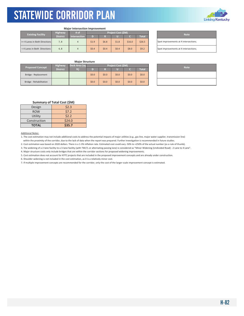

#### **Major Intersection Improvement**

| <b>Existing Facility</b>      | <b>Highway</b>  | /# of               |       |         | <b>Project Cost (SM)</b> |        |              | <b>Note</b>                    |
|-------------------------------|-----------------|---------------------|-------|---------|--------------------------|--------|--------------|--------------------------------|
|                               | <b>District</b> | <b>Intersection</b> | TD.   |         |                          |        | <b>Total</b> |                                |
| >= 4 Lanes in Both Directions | 7.8             |                     | \$1.9 | \$6.8\$ | \$1.8                    | \$16.0 | \$26.5       | Spot improvements at 4 interse |
| < 4 Lanes in Both Directions  | 4, 8            |                     | \$0.4 | \$0.4   | \$0.4                    | \$8.0  | 59.2         | Spot improvements at 4 interse |

Spot improvements at 4 intersections. Spot improvements at 4 intersections.

## **Major Structure**

| <b>Proposed Concept</b> | <b>Highway</b>  | Deck Area (sq    |       |         | Project Cost (\$M) |         |              | <b>Note</b> |
|-------------------------|-----------------|------------------|-------|---------|--------------------|---------|--------------|-------------|
|                         | <b>District</b> | $f$ <sup>+</sup> |       |         |                    |         | <b>Total</b> |             |
| Bridge - Replacement    |                 |                  | \$0.0 | \$0.0\$ | \$0.0              | \$0.0\$ | \$0.0\$      |             |
| Bridge - Rehabilitation |                 |                  | \$0.0 | \$0.0\$ | \$0.0\$            | \$0.0   | \$0.0\$      |             |

| <b>Note</b> |
|-------------|
|             |
|             |

## **Summary of Total Cost (\$M)**

| Design       | \$2.3  |
|--------------|--------|
| <b>ROW</b>   | \$7.2  |
| Utility      | \$2.2  |
| Construction | \$24.0 |
| <b>TOTAL</b> | \$35.7 |

#### Additional Notes:

1. The cost estimation may not include additional costs to address the potential impacts of major utilities (e.g., gas line, major water supplier, transmission line) within the proximity of the corridor, due to the lack of data when the report was prepared. Further investigation is recommended in future studies.

2. Cost estimation was based on 2020 dollars. There is a 1‐3% inflation rate. Estimated cost could vary ‐50% to +250% of the actual number (as a rule of thumb).

3. The widening of a 2‐lane facility to a 3‐lane facility (with TWLTL or alternating passing lane) is considered as "Minor Widening (Undivided Road) ‐ 2 Lane to 4 Lane".

4. Major structure costs only include bridges that are within the corridor sections for proposed widening improvements.

5. Cost estimation does not account for KYTC projects that are included in the proposed improvement concepts and are already under construction.

6. Shoulder widening is not included in the cost estimation, as it is a relatively minor cost.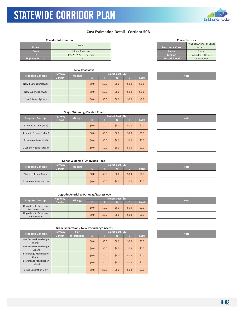## **Cost Estimation Detail ‐ Corridor 50A**

## **Corridor Information**

|                         | <b>US 60</b>            |                         | Principal Arterial or Mir |
|-------------------------|-------------------------|-------------------------|---------------------------|
| Route                   |                         | <b>Functional Class</b> | Arterial                  |
| <b>From</b>             | Illinois State Line     | Lanes                   | 2 or 4                    |
| Ю                       | KY 425 BYP in Henderson | <b>Median</b>           | Undivided / Divided       |
| <b>Highway District</b> | $\perp$ , $\perp$       | <b>Posted Speed</b>     | 45 or 55 mph              |

|                         |                 | <b>New Roadways</b> |         |         |                    |             |         |  |
|-------------------------|-----------------|---------------------|---------|---------|--------------------|-------------|---------|--|
| <b>Proposed Concept</b> | <b>Highway</b>  | <b>Mileage</b>      |         |         | Project Cost (\$M) | <b>Note</b> |         |  |
|                         | <b>District</b> |                     | D)      | R       |                    | 'N          | Total   |  |
| New 4 Lane Expressway   |                 |                     | \$0.0\$ | \$0.0\$ | \$0.0              | \$0.0\$     | \$0.0\$ |  |
| New Super 2 Highway     |                 |                     | \$0.0\$ | \$0.0\$ | \$0.0              | \$0.0\$     | \$0.0\$ |  |
| New 2 Lane Highway      |                 |                     | \$0.0\$ | \$0.0\$ | \$0.0              | \$0.0       | \$0.0\$ |  |

|                         | Principal Arterial or Minor |
|-------------------------|-----------------------------|
| <b>Functional Class</b> | Arterial                    |
| Lanes                   | $2$ or $4$                  |
| <b>Median</b>           | Undivided / Divided         |
| <b>Posted Speed</b>     | 45 or 55 mph                |
|                         |                             |
|                         |                             |

**Characteristics**

| <b>Note</b> |
|-------------|
|             |
|             |
|             |

## **Major Widening (Divided Road)**

| <b>Proposed Concept</b> |                          | <b>Highway</b>  | <b>Mileage</b> |         |         | <b>Project Cost (\$M)</b> | <b>Note</b> |              |  |
|-------------------------|--------------------------|-----------------|----------------|---------|---------|---------------------------|-------------|--------------|--|
|                         |                          | <b>District</b> |                | D       | R       |                           |             | <b>Total</b> |  |
|                         | 4 Lane to 6 Lane (Rual)  |                 |                | \$0.0\$ | \$0.0\$ | \$0.0                     | \$0.0\$     | \$0.0        |  |
|                         | 4 Lane to 6 Lane (Urban) |                 |                | \$0.0\$ | \$0.0\$ | \$0.0                     | \$0.0\$     | \$0.0\$      |  |
|                         | 2 Lane to 4 Lane (Rual)  |                 |                | \$0.0\$ | \$0.0\$ | \$0.0                     | \$0.0\$     | \$0.0\$      |  |
|                         | 2 Lane to 4 Lane (Urban) |                 |                | \$0.0\$ | \$0.0\$ | \$0.0                     | \$0.0\$     | \$0.0        |  |

| <b>Note</b> |
|-------------|
|             |
|             |
|             |
|             |

## **Minor Widening (Undivided Road)**

| <b>Proposed Concept</b>  | <b>Highway</b>        | <b>Mileage</b> |         |         | Project Cost (\$M) | <b>Note</b> |              |  |
|--------------------------|-----------------------|----------------|---------|---------|--------------------|-------------|--------------|--|
|                          | District <sup>1</sup> |                |         |         |                    |             | <b>Total</b> |  |
| 2 Lane to 4 Lane (Rural) |                       |                | \$0.0\$ | \$0.0\$ | \$0.0              | \$0.0\$     | \$0.0\$      |  |
| 2 Lane to 4 Lane (Urban) |                       |                | \$0.0\$ | \$0.0\$ | \$0.0              | \$0.0\$     | \$0.0\$      |  |

## **Upgrade Arterial to Parkway/Expressway**

| <b>Proposed Concept</b>                 | <b>Highway</b>  |  | <b>Project Cost (SM)</b><br><b>Mileage</b> |         | <b>Note</b> |         |              |  |  |
|-----------------------------------------|-----------------|--|--------------------------------------------|---------|-------------|---------|--------------|--|--|
|                                         | <b>District</b> |  | n                                          |         |             |         | <b>Total</b> |  |  |
| Upgrade with Pavement<br>Reconstruction |                 |  | \$0.0\$                                    | \$0.0\$ | \$0.0       | \$0.0\$ | \$0.0\$      |  |  |
| Upgrade with Pavement<br>Rehabilitation |                 |  | \$0.0\$                                    | \$0.0\$ | \$0.0       | \$0.0\$ | \$0.0\$      |  |  |

| <b>Proposed Concept</b>             | <b>Highway</b>  | # of        |         |         | Project Cost (\$M) |         |              | <b>Note</b> |
|-------------------------------------|-----------------|-------------|---------|---------|--------------------|---------|--------------|-------------|
|                                     | <b>District</b> | Interchange | D       | R       |                    | a       | <b>Total</b> |             |
| New Service Interchange<br>(Rural)  |                 |             | \$0.0\$ | \$0.0\$ | \$0.0              | \$0.0   | \$0.0\$      |             |
| New Service Interchange<br>(Urban)  |                 |             | \$0.0\$ | \$0.0\$ | \$0.0              | \$0.0   | \$0.0\$      |             |
| Interchange Modification<br>(Rural) |                 |             | \$0.0\$ | \$0.0\$ | \$0.0\$            | \$0.0\$ | \$0.0\$      |             |
| Interchange Modification<br>(Urban) |                 |             | \$0.0\$ | \$0.0\$ | \$0.0\$            | \$0.0   | \$0.0\$      |             |
| <b>Grade Separation Only</b>        |                 |             | \$0.0\$ | \$0.0\$ | \$0.0\$            | \$0.0   | \$0.0\$      |             |

| <b>Note</b> |
|-------------|
|             |
|             |

| <b>Note</b> |
|-------------|
|             |
|             |
|             |
|             |
|             |



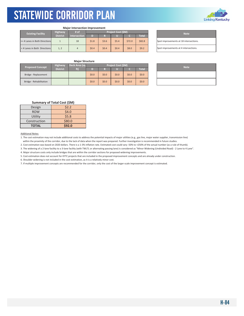

### **Major Intersection Improvement**

| <b>Existing Facility</b>      | <b>Highway</b>  | # of                | <b>Project Cost (SM)</b> |       |       |        |              |  | <b>Note</b>                    |
|-------------------------------|-----------------|---------------------|--------------------------|-------|-------|--------|--------------|--|--------------------------------|
|                               | <b>District</b> | <b>Intersection</b> | D                        |       |       |        | <b>Total</b> |  |                                |
| >= 4 Lanes in Both Directions |                 | 18                  | \$1.8                    | \$3.6 | \$5.4 | \$72.0 | \$82.8       |  | Spot improvements at 18 inter  |
| < 4 Lanes in Both Directions  | 1, 2            |                     | \$0.4                    | \$0.4 | \$0.4 | \$8.0  | \$9.2        |  | Spot improvements at 4 interse |

| <b>Note</b>                            |
|----------------------------------------|
| Spot improvements at 18 intersections. |
| Spot improvements at 4 intersections.  |

## **Major Structure**

| <b>Proposed Concept</b> | <b>Highway</b>  | Deck Area (sq |         | Project Cost (\$M) |       |       |              |  | <b>Note</b> |
|-------------------------|-----------------|---------------|---------|--------------------|-------|-------|--------------|--|-------------|
|                         | <b>District</b> | ft)           |         |                    |       |       | <b>Total</b> |  |             |
| Bridge - Replacement    |                 |               | \$0.0\$ | \$0.0              | \$0.0 | \$0.0 | \$0.0\$      |  |             |
| Bridge - Rehabilitation |                 |               | \$0.0\$ | \$0.0              | \$0.0 | \$0.0 | \$0.0\$      |  |             |

| <b>Note</b> |
|-------------|
|             |
|             |

## **Summary of Total Cost (\$M)**

| Design       | 52.2   |
|--------------|--------|
| <b>ROW</b>   | \$4.0  |
| Utility      | \$5.8  |
| Construction | \$80.0 |
| <b>TOTAL</b> | \$92.0 |

## Additional Notes:

1. The cost estimation may not include additional costs to address the potential impacts of major utilities (e.g., gas line, major water supplier, transmission line) within the proximity of the corridor, due to the lack of data when the report was prepared. Further investigation is recommended in future studies.

2. Cost estimation was based on 2020 dollars. There is a 1‐3% inflation rate. Estimated cost could vary ‐50% to +250% of the actual number (as a rule of thumb).

3. The widening of a 2‐lane facility to a 3‐lane facility (with TWLTL or alternating passing lane) is considered as "Minor Widening (Undivided Road) ‐ 2 Lane to 4 Lane".

4. Major structure costs only include bridges that are within the corridor sections for proposed widening improvements.

5. Cost estimation does not account for KYTC projects that are included in the proposed improvement concepts and are already under construction.

6. Shoulder widening is not included in the cost estimation, as it is a relatively minor cost.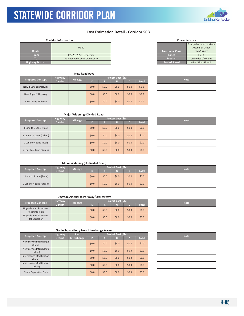

## **Cost Estimation Detail ‐ Corridor 50B**

### **Corridor Information**

|                         |                              |                         | Principal Arterial or Mii |
|-------------------------|------------------------------|-------------------------|---------------------------|
|                         | <b>US 60</b>                 |                         | Arterial or Other         |
| Route                   |                              | <b>Functional Class</b> | Frwy/Expwy                |
| <b>From</b>             | KY 425 BYP in Henderson      | Lanes                   | 2 or 4                    |
| $\lceil$ (0)            | Natcher Parkway in Owensboro | <b>Median</b>           | Undivided / Divided       |
| <b>Highway District</b> |                              | <b>Posted Speed</b>     | 45 or 55 or 65 mph        |

|                         |                 | <b>New Roadways</b> |                    |         |       |         |         |  |  |  |  |             |
|-------------------------|-----------------|---------------------|--------------------|---------|-------|---------|---------|--|--|--|--|-------------|
| <b>Proposed Concept</b> | <b>Highway</b>  | <b>Mileage</b>      | Project Cost (\$M) |         |       |         |         |  |  |  |  | <b>Note</b> |
|                         | <b>District</b> |                     | D)                 | R       |       |         | Total   |  |  |  |  |             |
| New 4 Lane Expressway   |                 |                     | \$0.0\$            | \$0.0   | \$0.0 | \$0.0   | \$0.0\$ |  |  |  |  |             |
| New Super 2 Highway     |                 |                     | \$0.0\$            | \$0.0   | \$0.0 | \$0.0\$ | \$0.0\$ |  |  |  |  |             |
| New 2 Lane Highway      |                 |                     | \$0.0\$            | \$0.0\$ | \$0.0 | \$0.0   | \$0.0\$ |  |  |  |  |             |

| <b>Characteristics</b> |
|------------------------|
|                        |
|                        |

|                         | Principal Arterial or Minor |  |  |  |  |  |
|-------------------------|-----------------------------|--|--|--|--|--|
|                         | Arterial or Other           |  |  |  |  |  |
| <b>Functional Class</b> | Frwy/Expwy                  |  |  |  |  |  |
| Lanes                   | $2$ or $4$                  |  |  |  |  |  |
| <b>Median</b>           | Undivided / Divided         |  |  |  |  |  |
| <b>Posted Speed</b>     | 45 or 55 or 65 mph          |  |  |  |  |  |

| <b>Note</b> |
|-------------|
|             |
|             |
|             |

## **Major Widening (Divided Road)**

| <b>Proposed Concept</b>  | <b>Highway</b><br><b>Mileage</b> |  | <b>Project Cost (\$M)</b> |         |         |         |              |  | <b>Note</b> |  |
|--------------------------|----------------------------------|--|---------------------------|---------|---------|---------|--------------|--|-------------|--|
|                          | <b>District</b>                  |  | D                         | R       |         |         | <b>Total</b> |  |             |  |
| 4 Lane to 6 Lane (Rual)  |                                  |  | \$0.0\$                   | \$0.0\$ | \$0.0\$ | \$0.0\$ | \$0.0\$      |  |             |  |
| 4 Lane to 6 Lane (Urban) |                                  |  | \$0.0\$                   | \$0.0\$ | \$0.0   | \$0.0\$ | \$0.0        |  |             |  |
| 2 Lane to 4 Lane (Rual)  |                                  |  | \$0.0\$                   | \$0.0\$ | \$0.0   | \$0.0\$ | \$0.0\$      |  |             |  |
| 2 Lane to 4 Lane (Urban) |                                  |  | \$0.0\$                   | \$0.0\$ | \$0.0\$ | \$0.0\$ | \$0.0        |  |             |  |

| <b>Note</b> |
|-------------|
|             |
|             |
|             |
|             |

## **Minor Widening (Undivided Road)**

| <b>Proposed Concept</b>  | <b>Highway</b><br><b>Mileage</b><br><b>District</b> | Project Cost (\$M) |         |         |       |         |              |  |  |  | <b>Note</b> |
|--------------------------|-----------------------------------------------------|--------------------|---------|---------|-------|---------|--------------|--|--|--|-------------|
|                          |                                                     |                    |         | Ð       |       |         | <b>Total</b> |  |  |  |             |
| 2 Lane to 4 Lane (Rural) |                                                     |                    | \$0.0\$ | \$0.0\$ | \$0.0 | \$0.0   | \$0.0\$      |  |  |  |             |
| 2 Lane to 4 Lane (Urban) |                                                     |                    | \$0.0\$ | \$0.0\$ | \$0.0 | \$0.0\$ | \$0.0\$      |  |  |  |             |

| <b>Note</b> |
|-------------|
|             |
|             |

## **Upgrade Arterial to Parkway/Expressway**

| <b>Proposed Concept</b> |                                         | Highway<br><b>Mileage</b> |   | Project Cost (\$M) |         |         |              |         |  | <b>Note</b> |  |
|-------------------------|-----------------------------------------|---------------------------|---|--------------------|---------|---------|--------------|---------|--|-------------|--|
|                         | <b>District</b>                         |                           | n |                    |         |         | <b>Total</b> |         |  |             |  |
|                         | Upgrade with Pavement<br>Reconstruction |                           |   | \$0.0\$            | \$0.0\$ | \$0.0   | \$0.0\$      | \$0.0\$ |  |             |  |
|                         | Upgrade with Pavement<br>Rehabilitation |                           |   | \$0.0\$            | \$0.0\$ | \$0.0\$ | \$0.0\$      | \$0.0\$ |  |             |  |

| <b>Note</b> |  |
|-------------|--|
|             |  |
|             |  |

| # of<br><b>Highway</b><br><b>Proposed Concept</b> |                 |             | Project Cost (\$M) |         |         |         | <b>Note</b>  |  |  |
|---------------------------------------------------|-----------------|-------------|--------------------|---------|---------|---------|--------------|--|--|
|                                                   | <b>District</b> | Interchange | D                  | R       |         | c       | <b>Total</b> |  |  |
| New Service Interchange<br>(Rural)                |                 |             | \$0.0\$            | \$0.0\$ | \$0.0   | \$0.0\$ | \$0.0        |  |  |
| New Service Interchange<br>(Urban)                |                 |             | \$0.0\$            | \$0.0\$ | \$0.0\$ | \$0.0\$ | \$0.0\$      |  |  |
| <b>Interchange Modification</b><br>(Rural)        |                 |             | \$0.0\$            | \$0.0\$ | \$0.0\$ | \$0.0   | \$0.0\$      |  |  |
| Interchange Modification<br>(Urban)               |                 |             | \$0.0\$            | \$0.0\$ | \$0.0   | \$0.0   | \$0.0\$      |  |  |
| <b>Grade Separation Only</b>                      |                 |             | \$0.0\$            | \$0.0\$ | \$0.0   | \$0.0\$ | \$0.0\$      |  |  |

| <b>Note</b> |
|-------------|
|             |
|             |
|             |
|             |
|             |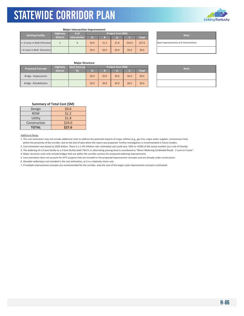

|                               |                 | <b>Major Intersection Improvement</b> |         |         |       |         |              |             |                                |
|-------------------------------|-----------------|---------------------------------------|---------|---------|-------|---------|--------------|-------------|--------------------------------|
| <b>Existing Facility</b>      | # of            | <b>Project Cost (\$M)</b>             |         |         |       |         |              | <b>Note</b> |                                |
|                               | <b>District</b> | <b>Intersection</b>                   |         |         |       |         | <b>Total</b> |             |                                |
| >= 4 Lanes in Both Directions |                 | h                                     | \$0.6   | \$1.2   | \$1.8 | \$24.0  | \$27.6       |             | Spot improvements at 6 interse |
| <4 Lanes in Both Directions   |                 |                                       | \$0.0\$ | \$0.0\$ | \$0.0 | \$0.0\$ | \$0.0\$      |             |                                |

Spot improvements at 6 intersections.

## **Major Structure**

| Project Cost (\$M)<br>Deck Area (sq<br><b>Highway</b><br><b>Proposed Concept</b> |                 |     |         |         |       |       | <b>Note</b>  |  |  |
|----------------------------------------------------------------------------------|-----------------|-----|---------|---------|-------|-------|--------------|--|--|
|                                                                                  | <b>District</b> | ft) |         |         |       |       | <b>Total</b> |  |  |
| Bridge - Replacement                                                             |                 |     | \$0.0\$ | \$0.0\$ | \$0.0 | \$0.0 | \$0.0\$      |  |  |
| Bridge - Rehabilitation                                                          |                 |     | \$0.0\$ | \$0.0\$ | \$0.0 | \$0.0 | \$0.0\$      |  |  |

| <b>Note</b> |
|-------------|
|             |
|             |

## **Summary of Total Cost (\$M)**

| Design       | \$0.6  |
|--------------|--------|
| <b>ROW</b>   | \$1.2  |
| Utility      | \$1.8  |
| Construction | \$24.0 |
| <b>TOTAL</b> | \$27.6 |

Additional Notes:

1. The cost estimation may not include additional costs to address the potential impacts of major utilities (e.g., gas line, major water supplier, transmission line) within the proximity of the corridor, due to the lack of data when the report was prepared. Further investigation is recommended in future studies.

2. Cost estimation was based on 2020 dollars. There is a 1‐3% inflation rate. Estimated cost could vary ‐50% to +250% of the actual number (as a rule of thumb).

3. The widening of a 2‐lane facility to a 3‐lane facility (with TWLTL or alternating passing lane) is considered as "Minor Widening (Undivided Road) ‐ 2 Lane to 4 Lane".

4. Major structure costs only include bridges that are within the corridor sections for proposed widening improvements.

5. Cost estimation does not account for KYTC projects that are included in the proposed improvement concepts and are already under construction.

6. Shoulder widening is not included in the cost estimation, as it is a relatively minor cost.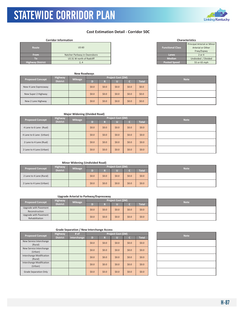

## **Cost Estimation Detail ‐ Corridor 50C**

### **Corridor Information**

KYTC Statewide Corridor Plan

| Route                   | <b>US 60</b>                 | <b>Functional Class</b> | Principal Arterial or Mir<br>Arterial or Other<br>Frwy/Expwy |
|-------------------------|------------------------------|-------------------------|--------------------------------------------------------------|
| <b>From</b>             | Natcher Parkway in Owensboro | Lanes                   | 2 or 4                                                       |
| Ю                       | US 31 W north of Radcliff    | <b>Median</b>           | Undivided / Divided                                          |
| <b>Highway District</b> |                              | <b>Posted Speed</b>     | 55 or 65 mph                                                 |

|  | <b>Proposed Concept</b> | <b>Highway</b>  | <b>Mileage</b> |         |         | Project Cost (\$M) |         | <b>Note</b> |  |  |
|--|-------------------------|-----------------|----------------|---------|---------|--------------------|---------|-------------|--|--|
|  |                         | <b>District</b> |                | D       | R       |                    |         | Total       |  |  |
|  | New 4 Lane Expressway   |                 |                | \$0.0\$ | \$0.0\$ | \$0.0              | \$0.0   | \$0.0\$     |  |  |
|  | New Super 2 Highway     |                 |                | \$0.0\$ | \$0.0\$ | \$0.0              | \$0.0\$ | \$0.0\$     |  |  |
|  | New 2 Lane Highway      |                 |                | \$0.0\$ | \$0.0\$ | \$0.0              | \$0.0   | \$0.0\$     |  |  |

| <b>Characteristics</b>  |                             |  |  |  |  |  |  |
|-------------------------|-----------------------------|--|--|--|--|--|--|
|                         | Principal Arterial or Minor |  |  |  |  |  |  |
| <b>Functional Class</b> | Arterial or Other           |  |  |  |  |  |  |
|                         | Frwy/Expwy                  |  |  |  |  |  |  |
| Lanes                   | $2$ or $4$                  |  |  |  |  |  |  |
| <b>Median</b>           | Undivided / Divided         |  |  |  |  |  |  |
| Posted Speed            | 55 or 65 mph                |  |  |  |  |  |  |

| <b>Note</b> |
|-------------|
|             |
|             |
|             |

## **Major Widening (Divided Road)**

| <b>Proposed Concept</b>  | <b>Highway</b>  | <b>Mileage</b> | <b>Project Cost (SM)</b> |         |       |         |              |  | <b>Note</b> |
|--------------------------|-----------------|----------------|--------------------------|---------|-------|---------|--------------|--|-------------|
|                          | <b>District</b> |                | D                        | R       |       |         | <b>Total</b> |  |             |
| 4 Lane to 6 Lane (Rual)  |                 |                | \$0.0\$                  | \$0.0\$ | \$0.0 | \$0.0\$ | \$0.0        |  |             |
| 4 Lane to 6 Lane (Urban) |                 |                | \$0.0\$                  | \$0.0\$ | \$0.0 | \$0.0\$ | \$0.0        |  |             |
| 2 Lane to 4 Lane (Rual)  |                 |                | \$0.0\$                  | \$0.0\$ | \$0.0 | \$0.0\$ | \$0.0        |  |             |
| 2 Lane to 4 Lane (Urban) |                 |                | \$0.0\$                  | \$0.0\$ | \$0.0 | \$0.0\$ | \$0.0        |  |             |

| <b>Note</b> |
|-------------|
|             |
|             |
|             |
|             |

## **Minor Widening (Undivided Road)**

| <b>Proposed Concept</b>  | <b>Highway</b>  | <b>Mileage</b> | Project Cost (\$M) |         |       |         |         |  | <b>Note</b> |
|--------------------------|-----------------|----------------|--------------------|---------|-------|---------|---------|--|-------------|
|                          | <b>District</b> |                |                    | Ð       |       |         | Total   |  |             |
| 2 Lane to 4 Lane (Rural) |                 |                | \$0.0\$            | \$0.0\$ | \$0.0 | \$0.0   | \$0.0\$ |  |             |
| 2 Lane to 4 Lane (Urban) |                 |                | \$0.0\$            | \$0.0\$ | \$0.0 | \$0.0\$ | \$0.0\$ |  |             |

| <b>Note</b> |  |
|-------------|--|
|             |  |
|             |  |

## **Upgrade Arterial to Parkway/Expressway**

| <b>Proposed Concept</b>                 | <b>Highway</b>  | <b>Mileage</b> |         |         | Project Cost (\$M) | <b>Note</b> |              |  |
|-----------------------------------------|-----------------|----------------|---------|---------|--------------------|-------------|--------------|--|
|                                         | <b>District</b> |                |         |         |                    |             | <b>Total</b> |  |
| Upgrade with Pavement<br>Reconstruction |                 |                | \$0.0\$ | \$0.0\$ | \$0.0\$            | \$0.0       | \$0.0\$      |  |
| Upgrade with Pavement<br>Rehabilitation |                 |                | \$0.0\$ | 50.0    | \$0.0\$            | \$0.0       | \$0.0\$      |  |

| ,我们也不会有什么?""我们的人,我们也不会有什么?""我们的人,我们也不会有什么?""我们的人,我们也不会有什么?""我们的人,我们也不会有什么?""我们的人<br><u> 1989 - Andrea Andrew Maria (h. 1989).</u><br>1999年1月19日,1999年1月18日,1999年1月1日,1999年1月1日,1999年1月1日,1999年1月1日,1999年1月1日,1999年1月1<br>1990年1月10日,1999年1月1日,1999年1月1日,1999年1月1日,1999年1月1日,1999年1月1日,1999年1月1日,1999年1月1日 |  |  |  |
|-----------------------------------------------------------------------------------------------------------------------------------------------------------------------------------------------------------------------------------------------------------------------------------------------------------|--|--|--|
|                                                                                                                                                                                                                                                                                                           |  |  |  |
|                                                                                                                                                                                                                                                                                                           |  |  |  |
|                                                                                                                                                                                                                                                                                                           |  |  |  |
|                                                                                                                                                                                                                                                                                                           |  |  |  |
|                                                                                                                                                                                                                                                                                                           |  |  |  |

| <b>Proposed Concept</b>             | # of<br><b>Highway</b> |             |         |         | Project Cost (\$M) | <b>Note</b> |              |  |
|-------------------------------------|------------------------|-------------|---------|---------|--------------------|-------------|--------------|--|
|                                     | <b>District</b>        | Interchange | D       | R       |                    | о           | <b>Total</b> |  |
| New Service Interchange<br>(Rural)  |                        |             | \$0.0\$ | \$0.0\$ | \$0.0              | \$0.0\$     | \$0.0\$      |  |
| New Service Interchange<br>(Urban)  |                        |             | \$0.0\$ | \$0.0\$ | \$0.0              | \$0.0\$     | \$0.0\$      |  |
| Interchange Modification<br>(Rural) |                        |             | \$0.0\$ | \$0.0\$ | \$0.0              | \$0.0\$     | \$0.0\$      |  |
| Interchange Modification<br>(Urban) |                        |             | \$0.0\$ | \$0.0\$ | \$0.0              | \$0.0\$     | \$0.0\$      |  |
| <b>Grade Separation Only</b>        |                        |             | \$0.0\$ | \$0.0\$ | \$0.0              | \$0.0\$     | \$0.0\$      |  |

| <b>Note</b> |
|-------------|
|             |
|             |
|             |
|             |
|             |